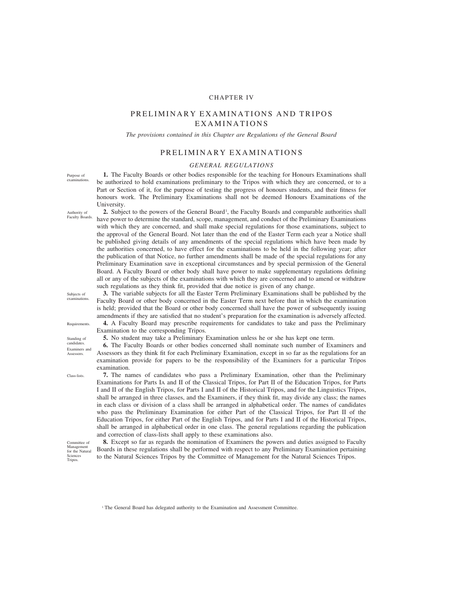# CHAPTER IV

# PRELIMINARY EXAMINATIONS AND TRIPOS EXAMINATIONS

*The provisions contained in this Chapter are Regulations of the General Board*

# PRELIMINARY EXAMINATIONS

# *GENERAL REGULATIONS*

**1.** The Faculty Boards or other bodies responsible for the teaching for Honours Examinations shall be authorized to hold examinations preliminary to the Tripos with which they are concerned, or to a Part or Section of it, for the purpose of testing the progress of honours students, and their fitness for honours work. The Preliminary Examinations shall not be deemed Honours Examinations of the University.

2. Subject to the powers of the General Board<sup>1</sup>, the Faculty Boards and comparable authorities shall have power to determine the standard, scope, management, and conduct of the Preliminary Examinations with which they are concerned, and shall make special regulations for those examinations, subject to the approval of the General Board. Not later than the end of the Easter Term each year a Notice shall be published giving details of any amendments of the special regulations which have been made by the authorities concerned, to have effect for the examinations to be held in the following year; after the publication of that Notice, no further amendments shall be made of the special regulations for any Preliminary Examination save in exceptional circumstances and by special permission of the General Board. A Faculty Board or other body shall have power to make supplementary regulations defining all or any of the subjects of the examinations with which they are concerned and to amend or withdraw such regulations as they think fit, provided that due notice is given of any change.

Subjects of examinations.

Purpose of examinations.

Authority of Faculty Boards.

Requirements.

Standing of candidates. Examiners and Assessors.

Class-lists.

Committee of Management for the Natural Sciences Tripos.

**3.** The variable subjects for all the Easter Term Preliminary Examinations shall be published by the Faculty Board or other body concerned in the Easter Term next before that in which the examination is held; provided that the Board or other body concerned shall have the power of subsequently issuing amendments if they are satisfied that no student's preparation for the examination is adversely affected. **4.** A Faculty Board may prescribe requirements for candidates to take and pass the Preliminary

Examination to the corresponding Tripos.

**5.** No student may take a Preliminary Examination unless he or she has kept one term.

**6.** The Faculty Boards or other bodies concerned shall nominate such number of Examiners and Assessors as they think fit for each Preliminary Examination, except in so far as the regulations for an examination provide for papers to be the responsibility of the Examiners for a particular Tripos examination.

**7.** The names of candidates who pass a Preliminary Examination, other than the Preliminary Examinations for Parts IA and II of the Classical Tripos, for Part II of the Education Tripos, for Parts I and II of the English Tripos, for Parts I and II of the Historical Tripos, and for the Linguistics Tripos, shall be arranged in three classes, and the Examiners, if they think fit, may divide any class; the names in each class or division of a class shall be arranged in alphabetical order. The names of candidates who pass the Preliminary Examination for either Part of the Classical Tripos, for Part II of the Education Tripos, for either Part of the English Tripos, and for Parts I and II of the Historical Tripos, shall be arranged in alphabetical order in one class. The general regulations regarding the publication and correction of class-lists shall apply to these examinations also.

**8.** Except so far as regards the nomination of Examiners the powers and duties assigned to Faculty Boards in these regulations shall be performed with respect to any Preliminary Examination pertaining to the Natural Sciences Tripos by the Committee of Management for the Natural Sciences Tripos.

<sup>1</sup> The General Board has delegated authority to the Examination and Assessment Committee.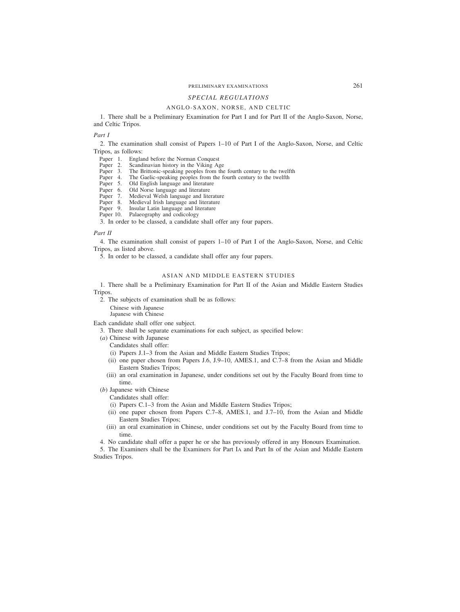# PRELIMINARY EXAMINATIONS 261

# *SPECIAL REGULATIONS*

# ANGLO-SAXON, NORSE, AND CELTIC

1. There shall be a Preliminary Examination for Part I and for Part II of the Anglo-Saxon, Norse, and Celtic Tripos.

*Part I*

2. The examination shall consist of Papers 1–10 of Part I of the Anglo-Saxon, Norse, and Celtic Tripos, as follows:

- Paper 1. England before the Norman Conquest<br>Paper 2. Scandinavian history in the Viking Ag
- Paper 2. Scandinavian history in the Viking Age<br>Paper 3. The Brittonic-speaking peoples from the
- Paper 3. The Brittonic-speaking peoples from the fourth century to the twelfth Paper 4. The Gaelic-speaking peoples from the fourth century to the twelfth
- Paper 4. The Gaelic-speaking peoples from the fourth century to the twelfth Paper 5. Old English language and literature
- Paper 5. Old English language and literature<br>Paper 6. Old Norse language and literature
- Paper 6. Old Norse language and literature<br>Paper 7. Medieval Welsh language and lite
- Paper 7. Medieval Welsh language and literature<br>Paper 8. Medieval Irish language and literature
- Paper 8. Medieval Irish language and literature<br>Paper 9. Insular Latin language and literature
- Insular Latin language and literature
- Paper 10. Palaeography and codicology

3. In order to be classed, a candidate shall offer any four papers.

#### *Part II*

4. The examination shall consist of papers 1–10 of Part I of the Anglo-Saxon, Norse, and Celtic Tripos, as listed above.

5. In order to be classed, a candidate shall offer any four papers.

# ASIAN AND MIDDLE EASTERN STUDIES

1. There shall be a Preliminary Examination for Part II of the Asian and Middle Eastern Studies Tripos.

2. The subjects of examination shall be as follows: Chinese with Japanese

Japanese with Chinese

Each candidate shall offer one subject.

- 3. There shall be separate examinations for each subject, as specified below:
- (*a*) Chinese with Japanese

Candidates shall offer:

- (i) Papers J.1–3 from the Asian and Middle Eastern Studies Tripos;
- (ii) one paper chosen from Papers J.6, J.9–10, AMES.1, and C.7–8 from the Asian and Middle Eastern Studies Tripos;
- (iii) an oral examination in Japanese, under conditions set out by the Faculty Board from time to time.

#### (*b*) Japanese with Chinese

Candidates shall offer:

- (i) Papers C.1–3 from the Asian and Middle Eastern Studies Tripos;
- (ii) one paper chosen from Papers C.7–8, AMES.1, and J.7–10, from the Asian and Middle Eastern Studies Tripos;
- (iii) an oral examination in Chinese, under conditions set out by the Faculty Board from time to time.
- 4. No candidate shall offer a paper he or she has previously offered in any Honours Examination.

5. The Examiners shall be the Examiners for Part IA and Part IB of the Asian and Middle Eastern Studies Tripos.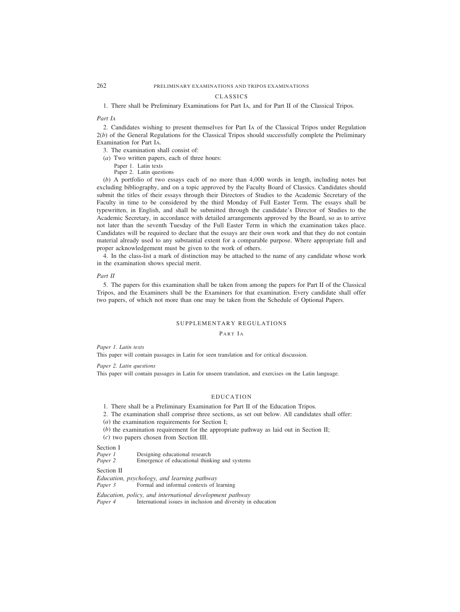#### CLASSICS

1. There shall be Preliminary Examinations for Part IA, and for Part II of the Classical Tripos.

# *Part IA*

2. Candidates wishing to present themselves for Part IA of the Classical Tripos under Regulation 2(*b*) of the General Regulations for the Classical Tripos should successfully complete the Preliminary Examination for Part IA.

- 3. The examination shall consist of:
- (*a*) Two written papers, each of three hours:
	- Paper 1. Latin texts

Paper 2. Latin questions

(*b*) A portfolio of two essays each of no more than 4,000 words in length, including notes but excluding bibliography, and on a topic approved by the Faculty Board of Classics. Candidates should submit the titles of their essays through their Directors of Studies to the Academic Secretary of the Faculty in time to be considered by the third Monday of Full Easter Term. The essays shall be typewritten, in English, and shall be submitted through the candidate's Director of Studies to the Academic Secretary, in accordance with detailed arrangements approved by the Board, so as to arrive not later than the seventh Tuesday of the Full Easter Term in which the examination takes place. Candidates will be required to declare that the essays are their own work and that they do not contain material already used to any substantial extent for a comparable purpose. Where appropriate full and proper acknowledgement must be given to the work of others.

4. In the class-list a mark of distinction may be attached to the name of any candidate whose work in the examination shows special merit.

### *Part II*

5. The papers for this examination shall be taken from among the papers for Part II of the Classical Tripos, and the Examiners shall be the Examiners for that examination. Every candidate shall offer two papers, of which not more than one may be taken from the Schedule of Optional Papers.

# SUPPLEMENTARY REGULATIONS

# PART IA

*Paper 1. Latin texts*

This paper will contain passages in Latin for seen translation and for critical discussion.

*Paper 2. Latin questions*

This paper will contain passages in Latin for unseen translation, and exercises on the Latin language.

# EDUCATION

1. There shall be a Preliminary Examination for Part II of the Education Tripos.

2. The examination shall comprise three sections, as set out below. All candidates shall offer:

(*a*) the examination requirements for Section I;

- (*b*) the examination requirement for the appropriate pathway as laid out in Section II;
- (*c*) two papers chosen from Section III.

# Section I<br>Paper 1

*Paper 1* Designing educational research<br>*Paper 2* Emergence of educational think

Emergence of educational thinking and systems

# Section II

*Education, psychology, and learning pathway*

*Paper 3* Formal and informal contexts of learning

*Education, policy, and international development pathway* International issues in inclusion and diversity in education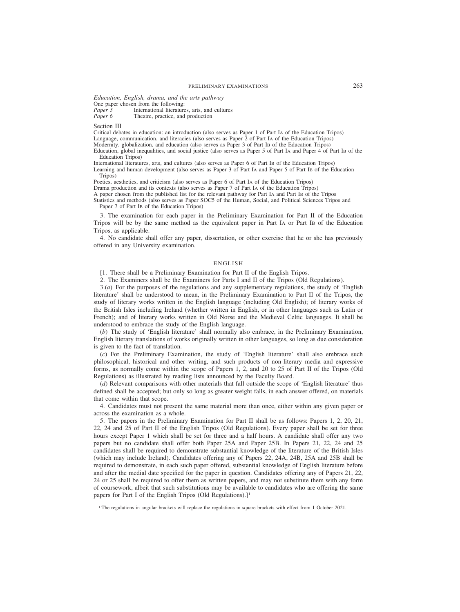*Education, English, drama, and the arts pathway* One paper chosen from the following:<br>Paper 5 International literature *Paper 5* International literatures, arts, and cultures *Paper 6* Theatre, practice, and production Theatre, practice, and production

Section III

Critical debates in education: an introduction (also serves as Paper 1 of Part IA of the Education Tripos) Language, communication, and literacies (also serves as Paper 2 of Part IA of the Education Tripos)

Modernity, globalization, and education (also serves as Paper 3 of Part IB of the Education Tripos)

Education, global inequalities, and social justice (also serves as Paper 5 of Part IA and Paper  $\overline{4}$  of Part IB of the Education Tripos)

International literatures, arts, and cultures (also serves as Paper 6 of Part IB of the Education Tripos) Learning and human development (also serves as Paper 3 of Part IA and Paper 5 of Part IB of the Education

Tripos)

Poetics, aesthetics, and criticism (also serves as Paper 6 of Part IA of the Education Tripos)

Drama production and its contexts (also serves as Paper 7 of Part IA of the Education Tripos)

A paper chosen from the published list for the relevant pathway for Part IA and Part IB of the Tripos

Statistics and methods (also serves as Paper SOC5 of the Human, Social, and Political Sciences Tripos and Paper 7 of Part IB of the Education Tripos)

3. The examination for each paper in the Preliminary Examination for Part II of the Education Tripos will be by the same method as the equivalent paper in Part IA or Part IB of the Education Tripos, as applicable.

4. No candidate shall offer any paper, dissertation, or other exercise that he or she has previously offered in any University examination.

# ENGLISH

[1. There shall be a Preliminary Examination for Part II of the English Tripos.

2. The Examiners shall be the Examiners for Parts I and II of the Tripos (Old Regulations).

3.(*a*) For the purposes of the regulations and any supplementary regulations, the study of 'English literature' shall be understood to mean, in the Preliminary Examination to Part II of the Tripos, the study of literary works written in the English language (including Old English); of literary works of the British Isles including Ireland (whether written in English, or in other languages such as Latin or French); and of literary works written in Old Norse and the Medieval Celtic languages. It shall be understood to embrace the study of the English language.

(*b*) The study of 'English literature' shall normally also embrace, in the Preliminary Examination, English literary translations of works originally written in other languages, so long as due consideration is given to the fact of translation.

(*c*) For the Preliminary Examination, the study of 'English literature' shall also embrace such philosophical, historical and other writing, and such products of non-literary media and expressive forms, as normally come within the scope of Papers 1, 2, and 20 to 25 of Part II of the Tripos (Old Regulations) as illustrated by reading lists announced by the Faculty Board.

(*d*) Relevant comparisons with other materials that fall outside the scope of 'English literature' thus defined shall be accepted; but only so long as greater weight falls, in each answer offered, on materials that come within that scope.

4. Candidates must not present the same material more than once, either within any given paper or across the examination as a whole.

5. The papers in the Preliminary Examination for Part II shall be as follows: Papers 1, 2, 20, 21, 22, 24 and 25 of Part II of the English Tripos (Old Regulations). Every paper shall be set for three hours except Paper 1 which shall be set for three and a half hours. A candidate shall offer any two papers but no candidate shall offer both Paper 25A and Paper 25B. In Papers 21, 22, 24 and 25 candidates shall be required to demonstrate substantial knowledge of the literature of the British Isles (which may include Ireland). Candidates offering any of Papers 22, 24A, 24B, 25A and 25B shall be required to demonstrate, in each such paper offered, substantial knowledge of English literature before and after the medial date specified for the paper in question. Candidates offering any of Papers 21, 22, 24 or 25 shall be required to offer them as written papers, and may not substitute them with any form of coursework, albeit that such substitutions may be available to candidates who are offering the same papers for Part I of the English Tripos (Old Regulations).]<sup>1</sup>

<sup>&</sup>lt;sup>1</sup> The regulations in angular brackets will replace the regulations in square brackets with effect from 1 October 2021.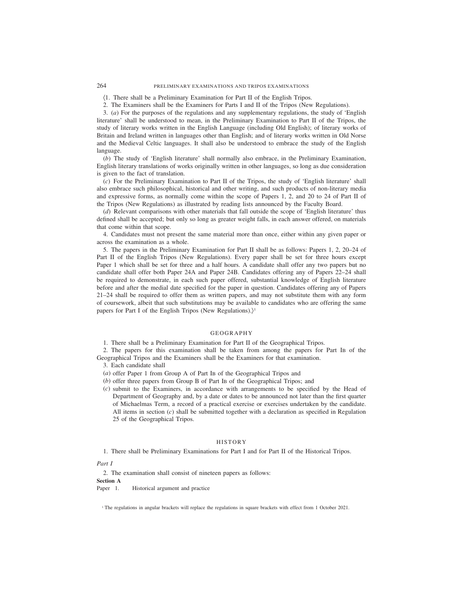(1. There shall be a Preliminary Examination for Part II of the English Tripos.

2. The Examiners shall be the Examiners for Parts I and II of the Tripos (New Regulations).

3. (*a*) For the purposes of the regulations and any supplementary regulations, the study of 'English literature' shall be understood to mean, in the Preliminary Examination to Part II of the Tripos, the study of literary works written in the English Language (including Old English); of literary works of Britain and Ireland written in languages other than English; and of literary works written in Old Norse and the Medieval Celtic languages. It shall also be understood to embrace the study of the English language.

(*b*) The study of 'English literature' shall normally also embrace, in the Preliminary Examination, English literary translations of works originally written in other languages, so long as due consideration is given to the fact of translation.

(*c*) For the Preliminary Examination to Part II of the Tripos, the study of 'English literature' shall also embrace such philosophical, historical and other writing, and such products of non-literary media and expressive forms, as normally come within the scope of Papers 1, 2, and 20 to 24 of Part II of the Tripos (New Regulations) as illustrated by reading lists announced by the Faculty Board.

(*d*) Relevant comparisons with other materials that fall outside the scope of 'English literature' thus defined shall be accepted; but only so long as greater weight falls, in each answer offered, on materials that come within that scope.

4. Candidates must not present the same material more than once, either within any given paper or across the examination as a whole.

5. The papers in the Preliminary Examination for Part II shall be as follows: Papers 1, 2, 20–24 of Part II of the English Tripos (New Regulations). Every paper shall be set for three hours except Paper 1 which shall be set for three and a half hours. A candidate shall offer any two papers but no candidate shall offer both Paper 24A and Paper 24B. Candidates offering any of Papers 22–24 shall be required to demonstrate, in each such paper offered, substantial knowledge of English literature before and after the medial date specified for the paper in question. Candidates offering any of Papers 21–24 shall be required to offer them as written papers, and may not substitute them with any form of coursework, albeit that such substitutions may be available to candidates who are offering the same papers for Part I of the English Tripos (New Regulations).)<sup>1</sup>

# GEOGRAPHY

1. There shall be a Preliminary Examination for Part II of the Geographical Tripos.

2. The papers for this examination shall be taken from among the papers for Part IB of the Geographical Tripos and the Examiners shall be the Examiners for that examination.

3. Each candidate shall

- (*a*) offer Paper 1 from Group A of Part IB of the Geographical Tripos and
- (*b*) offer three papers from Group B of Part IB of the Geographical Tripos; and
- (*c*) submit to the Examiners, in accordance with arrangements to be specified by the Head of Department of Geography and, by a date or dates to be announced not later than the first quarter of Michaelmas Term, a record of a practical exercise or exercises undertaken by the candidate. All items in section (*c*) shall be submitted together with a declaration as specified in Regulation 25 of the Geographical Tripos.

# HISTORY

1. There shall be Preliminary Examinations for Part I and for Part II of the Historical Tripos.

*Part I*

2. The examination shall consist of nineteen papers as follows:

**Section A**

Paper 1. Historical argument and practice

<sup>1</sup> The regulations in angular brackets will replace the regulations in square brackets with effect from 1 October 2021.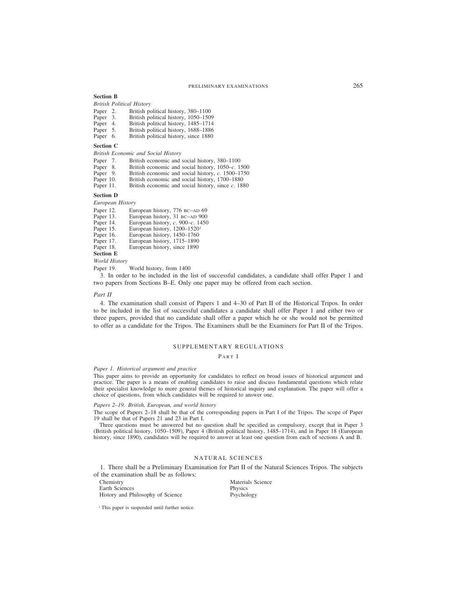**Section B**

*British Political History*

| Paper 2. | British political history, 380–1100   |
|----------|---------------------------------------|
| Paper 3. | British political history, 1050–1509  |
| Paper 4. | British political history, 1485–1714  |
| Paper 5. | British political history, 1688–1886  |
| Paper 6. | British political history, since 1880 |
|          |                                       |

#### **Section C**

*British Economic and Social History*

- Paper 7. British economic and social history, 380–1100<br>Paper 8. British economic and social history, 1050–c. 1.<br>Paper 9. British economic and social history, c. 1500–1
- British economic and social history, 1050–*c*. 1500
- Paper 9. British economic and social history, *c*. 1500–1750<br>Paper 10. British economic and social history, 1700–1880
- Paper 10. British economic and social history, 1700–1880<br>Paper 11. British economic and social history, since c. 188
- British economic and social history, since *c*. 1880

# **Section D**

*European History*

- Paper 12. European history, 776 BC–AD 69
- Paper 13. European history, 31 BC–AD 900<br>Paper 14. European history. c. 900–c. 1450
- Paper 14. European history, *c*. 900–*c*. 1450
- Paper 15. European history, 1200–1520<sup>1</sup><br>Paper 16. European history, 1450–1760
- Paper 16. European history, 1450–1760<br>Paper 17. European history, 1715–1890
- Paper 17. European history, 1715–1890<br>Paper 18. European history, since 1890
- European history, since 1890

**Section E**

*World History*

Paper 19. World history, from 1400

3. In order to be included in the list of successful candidates, a candidate shall offer Paper 1 and two papers from Sections B–E. Only one paper may be offered from each section.

# *Part II*

4. The examination shall consist of Papers 1 and 4–30 of Part II of the Historical Tripos. In order to be included in the list of successful candidates a candidate shall offer Paper 1 and either two or three papers, provided that no candidate shall offer a paper which he or she would not be permitted to offer as a candidate for the Tripos. The Examiners shall be the Examiners for Part II of the Tripos.

# SUPPLEMENTARY REGULATIONS

PART I

#### *Paper 1. Historical argument and practice*

This paper aims to provide an opportunity for candidates to reflect on broad issues of historical argument and practice. The paper is a means of enabling candidates to raise and discuss fundamental questions which relate their specialist knowledge to more general themes of historical inquiry and explanation. The paper will offer a choice of questions, from which candidates will be required to answer one.

# *Papers 2–19. British, European, and world history*

The scope of Papers 2–18 shall be that of the corresponding papers in Part I of the Tripos. The scope of Paper 19 shall be that of Papers 21 and 23 in Part I.

Three questions must be answered but no question shall be specified as compulsory, except that in Paper 3 (British political history, 1050–1509), Paper 4 (British political history, 1485–1714), and in Paper 18 (European history, since 1890), candidates will be required to answer at least one question from each of sections A and B.

# NATURAL SCIENCES

1. There shall be a Preliminary Examination for Part II of the Natural Sciences Tripos. The subjects of the examination shall be as follows:

Chemistry Materials Science<br>
Earth Sciences<br>
Physics Earth Sciences<br>
History and Philosophy of Science<br>
Psychology<br>
Psychology History and Philosophy of Science

<sup>1</sup> This paper is suspended until further notice.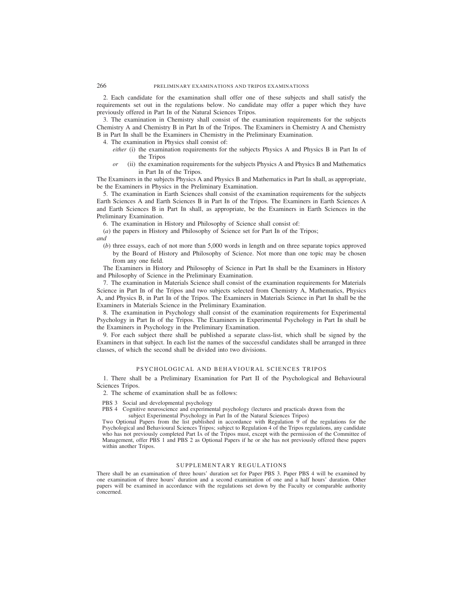2. Each candidate for the examination shall offer one of these subjects and shall satisfy the requirements set out in the regulations below. No candidate may offer a paper which they have previously offered in Part IB of the Natural Sciences Tripos.

3. The examination in Chemistry shall consist of the examination requirements for the subjects Chemistry A and Chemistry B in Part IB of the Tripos. The Examiners in Chemistry A and Chemistry B in Part IB shall be the Examiners in Chemistry in the Preliminary Examination.

4. The examination in Physics shall consist of:

- *either* (i) the examination requirements for the subjects Physics A and Physics B in Part IB of the Tripos
- *or* (ii) the examination requirements for the subjects Physics A and Physics B and Mathematics in Part IB of the Tripos.

The Examiners in the subjects Physics A and Physics B and Mathematics in Part IB shall, as appropriate, be the Examiners in Physics in the Preliminary Examination.

5. The examination in Earth Sciences shall consist of the examination requirements for the subjects Earth Sciences A and Earth Sciences B in Part IB of the Tripos. The Examiners in Earth Sciences A and Earth Sciences B in Part IB shall, as appropriate, be the Examiners in Earth Sciences in the Preliminary Examination.

6. The examination in History and Philosophy of Science shall consist of:

(*a*) the papers in History and Philosophy of Science set for Part IB of the Tripos;

*and*

(*b*) three essays, each of not more than 5,000 words in length and on three separate topics approved by the Board of History and Philosophy of Science. Not more than one topic may be chosen from any one field.

The Examiners in History and Philosophy of Science in Part IB shall be the Examiners in History and Philosophy of Science in the Preliminary Examination.

7. The examination in Materials Science shall consist of the examination requirements for Materials Science in Part IB of the Tripos and two subjects selected from Chemistry A, Mathematics, Physics A, and Physics B, in Part IB of the Tripos. The Examiners in Materials Science in Part IB shall be the Examiners in Materials Science in the Preliminary Examination.

8. The examination in Psychology shall consist of the examination requirements for Experimental Psychology in Part IB of the Tripos. The Examiners in Experimental Psychology in Part IB shall be the Examiners in Psychology in the Preliminary Examination.

9. For each subject there shall be published a separate class-list, which shall be signed by the Examiners in that subject. In each list the names of the successful candidates shall be arranged in three classes, of which the second shall be divided into two divisions.

# PSYCHOLOGICAL AND BEHAVIOURAL SCIENCES TRIPOS

1. There shall be a Preliminary Examination for Part II of the Psychological and Behavioural Sciences Tripos.

2. The scheme of examination shall be as follows:

PBS 3 Social and developmental psychology

PBS 4 Cognitive neuroscience and experimental psychology (lectures and practicals drawn from the

subject Experimental Psychology in Part IB of the Natural Sciences Tripos)

Two Optional Papers from the list published in accordance with Regulation 9 of the regulations for the Psychological and Behavioural Sciences Tripos; subject to Regulation 4 of the Tripos regulations, any candidate who has not previously completed Part IA of the Tripos must, except with the permission of the Committee of Management, offer PBS 1 and PBS 2 as Optional Papers if he or she has not previously offered these papers within another Tripos.

# SUPPLEMENTARY REGULATIONS

There shall be an examination of three hours' duration set for Paper PBS 3. Paper PBS 4 will be examined by one examination of three hours' duration and a second examination of one and a half hours' duration. Other papers will be examined in accordance with the regulations set down by the Faculty or comparable authority concerned.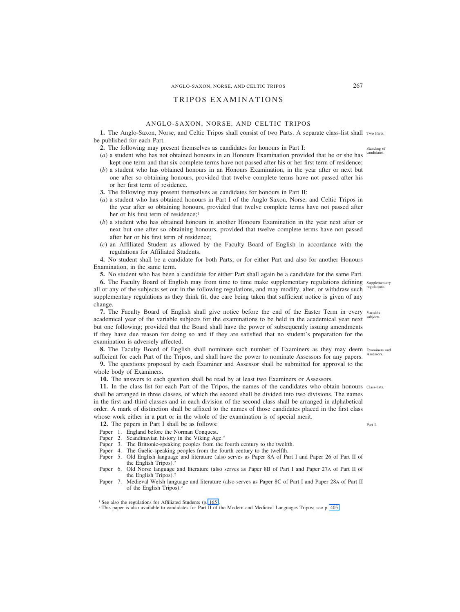# ANGLO-SAXON, NORSE, AND CELTIC TRIPOS 267

# TRIPOS EXAMINATIONS

# ANGLO-SAXON, NORSE, AND CELTIC TRIPOS

1. The Anglo-Saxon, Norse, and Celtic Tripos shall consist of two Parts. A separate class-list shall Two Parts. be published for each Part.

- **2.** The following may present themselves as candidates for honours in Part I:
- (*a*) a student who has not obtained honours in an Honours Examination provided that he or she has kept one term and that six complete terms have not passed after his or her first term of residence;
- (*b*) a student who has obtained honours in an Honours Examination, in the year after or next but one after so obtaining honours, provided that twelve complete terms have not passed after his or her first term of residence.
- **3.** The following may present themselves as candidates for honours in Part II:
- (*a*) a student who has obtained honours in Part I of the Anglo Saxon, Norse, and Celtic Tripos in the year after so obtaining honours, provided that twelve complete terms have not passed after her or his first term of residence:<sup>1</sup>
- (*b*) a student who has obtained honours in another Honours Examination in the year next after or next but one after so obtaining honours, provided that twelve complete terms have not passed after her or his first term of residence;
- (*c*) an Affiliated Student as allowed by the Faculty Board of English in accordance with the regulations for Affiliated Students.

**4.** No student shall be a candidate for both Parts, or for either Part and also for another Honours Examination, in the same term.

**5.** No student who has been a candidate for either Part shall again be a candidate for the same Part.

**6.** The Faculty Board of English may from time to time make supplementary regulations defining Supplementary all or any of the subjects set out in the following regulations, and may modify, alter, or withdraw such regulations. supplementary regulations as they think fit, due care being taken that sufficient notice is given of any change.

**7.** The Faculty Board of English shall give notice before the end of the Easter Term in every Variable academical year of the variable subjects for the examinations to be held in the academical year next subjects. but one following; provided that the Board shall have the power of subsequently issuing amendments if they have due reason for doing so and if they are satisfied that no student's preparation for the examination is adversely affected.

8. The Faculty Board of English shall nominate such number of Examiners as they may deem Examiners and sufficient for each Part of the Tripos, and shall have the power to nominate Assessors for any papers. Assessors.

**9.** The questions proposed by each Examiner and Assessor shall be submitted for approval to the whole body of Examiners.

**10.** The answers to each question shall be read by at least two Examiners or Assessors.

**11.** In the class-list for each Part of the Tripos, the names of the candidates who obtain honours Class-lists. shall be arranged in three classes, of which the second shall be divided into two divisions. The names in the first and third classes and in each division of the second class shall be arranged in alphabetical order. A mark of distinction shall be affixed to the names of those candidates placed in the first class whose work either in a part or in the whole of the examination is of special merit.

**12.** The papers in Part I shall be as follows:

- Paper 1. England before the Norman Conquest.
- Paper 2. Scandinavian history in the Viking Age.<sup>2</sup><br>Paper 3. The Brittonic-speaking peoples from the
- The Brittonic-speaking peoples from the fourth century to the twelfth.
- Paper 4. The Gaelic-speaking peoples from the fourth century to the twelfth.
- Paper 5. Old English language and literature (also serves as Paper 8A of Part I and Paper 26 of Part II of the English Tripos).<sup>2</sup>
- Paper 6. Old Norse language and literature (also serves as Paper 8B of Part I and Paper 27A of Part II of the English Tripos).2
- Paper 7. Medieval Welsh language and literature (also serves as Paper 8C of Part I and Paper 28A of Part II of the English Tripos).2

<sup>2</sup> This paper is also available to candidates for Part II of the Modern and Medieval Languages Tripos; see p. 405.

Part I.

Standing of candidates.

<sup>&</sup>lt;sup>1</sup> See also the regulations for Affiliated Students (p. 165).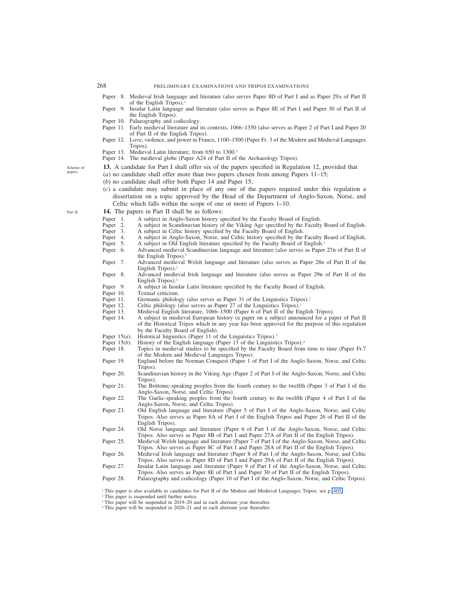- Paper 8. Medieval Irish language and literature (also serves Paper 8D of Part I and as Paper 29A of Part II of the English Tripos).<sup>1</sup>
- Paper 9. Insular Latin language and literature (also serves as Paper 8E of Part I and Paper 30 of Part II of the English Tripos).
- 
- Paper 10. Palaeography and codicology.<br>Paper 11. Early medieval literature and i Early medieval literature and its contexts, 1066–1350 (also serves as Paper 2 of Part I and Paper 20 of Part II of the English Tripos).
- Paper 12. Love, violence, and power in France, 1100–1500 (Paper Fr. 3 of the Modern and Medieval Languages Tripos).
- Paper 13. Medieval Latin literature, from 650 to 1300.<sup>2</sup>
- Paper 14. The medieval globe (Paper A24 of Part II of the Archaeology Tripos).
- **13.** A candidate for Part I shall offer six of the papers specified in Regulation 12, provided that
- (*a*) no candidate shall offer more than two papers chosen from among Papers 11–15;
- (*b*) no candidate shall offer both Paper 14 and Paper 15;
- (*c*) a candidate may submit in place of any one of the papers required under this regulation a dissertation on a topic approved by the Head of the Department of Anglo-Saxon, Norse, and Celtic which falls within the scope of one or more of Papers 1–10.
- **14.** The papers in Part II shall be as follows:
	-
- Paper 1. A subject in Anglo-Saxon history specified by the Faculty Board of English.<br>Paper 2. A subject in Scandinavian history of the Viking Age specified by the Faculty Paper 2. A subject in Scandinavian history of the Viking Age specified by the Faculty Board of English.<br>Paper 3. A subject in Celtic history specified by the Faculty Board of English.
- A subject in Celtic history specified by the Faculty Board of English.
- Paper 4. A subject in Anglo-Saxon, Norse, and Celtic history specified by the Faculty Board of English.<br>Paper 5. A subject in Old English literature specified by the Faculty Board of English.<sup>1</sup>
- 
- Paper 5. A subject in Old English literature specified by the Faculty Board of English.<sup>1</sup><br>Paper 6. Advanced medieval Scandinavian language and literature (also serves as Paper Paper 6. Advanced medieval Scandinavian language and literature (also serves as Paper 27B of Part II of the English Tripos).<sup>1</sup>
- Paper 7. Advanced medieval Welsh language and literature (also serves as Paper 28B of Part II of the English Tripos).<sup>1</sup>
- Paper 8. Advanced medieval Irish language and literature (also serves as Paper 29B of Part II of the English Tripos).<sup>1</sup>
- Paper 9. A subject in Insular Latin literature specified by the Faculty Board of English.<br>Paper 10. Textual criticism.
- 
- Paper 10. Textual criticism.<br>Paper 11. Germanic philolog Paper 11. Germanic philology (also serves as Paper 31 of the Linguistics Tripos).<sup>1</sup> Paper 12. Celtic philology (also serves as Paper 27 of the Linguistics Tripos).<sup>1</sup>
- Paper 12. Celtic philology (also serves as Paper 27 of the Linguistics Tripos).<br>19 Paper 13. Medieval English literature, 1066–1500 (Paper 6 of Part II of the English literature, 1066–1500
- Paper 13. Medieval English literature, 1066–1500 (Paper 6 of Part II of the English Tripos).<br>Paper 14. A subject in medieval European history (a paper on a subject announced for a pa
- A subject in medieval European history (a paper on a subject announced for a paper of Part II of the Historical Tripos which in any year has been approved for the purpose of this regulation by the Faculty Board of English).
- Paper 15(*a*). Historical linguistics (Paper 11 of the Linguistics Tripos).<sup>3</sup><br>Paper 15(*b*). History of the English language (Paper 13 of the Linguistic
- History of the English language (Paper 13 of the Linguistics Tripos).<sup>4</sup>
- Paper 18. Topics in medieval studies to be specified by the Faculty Board from time to time (Paper Fr.7 of the Modern and Medieval Languages Tripos).
- Paper 19. England before the Norman Conquest (Paper 1 of Part I of the Anglo-Saxon, Norse, and Celtic Tripos).
- Paper 20. Scandinavian history in the Viking Age (Paper 2 of Part I of the Anglo-Saxon, Norse, and Celtic Tripos).
- Paper 21. The Brittonic-speaking peoples from the fourth century to the twelfth (Paper 3 of Part I of the Anglo-Saxon, Norse, and Celtic Tripos).
- Paper 22. The Gaelic-speaking peoples from the fourth century to the twelfth (Paper 4 of Part I of the Anglo-Saxon, Norse, and Celtic Tripos).
- Paper 23. Old English language and literature (Paper 5 of Part I of the Anglo-Saxon, Norse, and Celtic Tripos. Also serves as Paper 8A of Part I of the English Tripos and Paper 26 of Part II of the English Tripos).
- Paper 24. Old Norse language and literature (Paper 6 of Part I of the Anglo-Saxon, Norse, and Celtic Tripos. Also serves as Paper 8B of Part I and Paper 27A of Part II of the English Tripos).
- Paper 25. Medieval Welsh language and literature (Paper 7 of Part I of the Anglo-Saxon, Norse, and Celtic Tripos. Also serves as Paper 8C of Part I and Paper 28A of Part II of the English Tripos).
- Paper 26. Medieval Irish language and literature (Paper 8 of Part I of the Anglo-Saxon, Norse, and Celtic Tripos. Also serves as Paper 8D of Part I and Paper 29A of Part II of the English Tripos).
- Paper 27. Insular Latin language and literature (Paper 9 of Part I of the Anglo-Saxon, Norse, and Celtic Tripos. Also serves as Paper 8E of Part I and Paper 30 of Part II of the English Tripos).
- Paper 28. Palaeography and codicology (Paper 10 of Part I of the Anglo-Saxon, Norse, and Celtic Tripos).

<sup>1</sup> This paper is also available to candidates for Part II of the Modern and Medieval Languages Tripos; see p. 405.

<sup>2</sup> This paper is suspended until further notice.

- <sup>3</sup> This paper will be suspended in 2019–20 and in each alternate year thereafter.
- <sup>4</sup> This paper will be suspended in 2020–21 and in each alternate year thereafter.

Scheme of papers.

Part II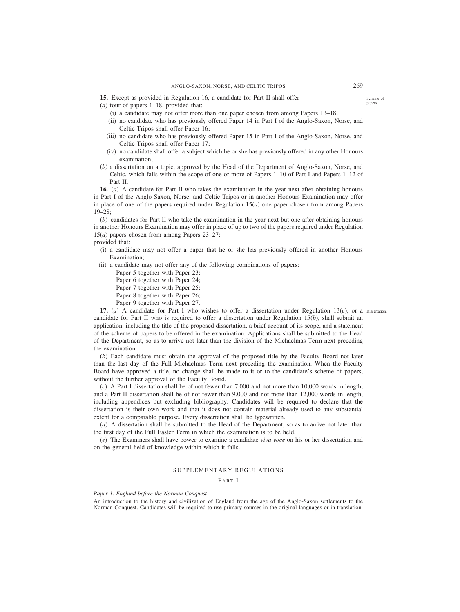- (*a*) four of papers 1–18, provided that:
	- (i) a candidate may not offer more than one paper chosen from among Papers 13–18;
	- (ii) no candidate who has previously offered Paper 14 in Part I of the Anglo-Saxon, Norse, and Celtic Tripos shall offer Paper 16;
	- (iii) no candidate who has previously offered Paper 15 in Part I of the Anglo-Saxon, Norse, and Celtic Tripos shall offer Paper 17;
	- (iv) no candidate shall offer a subject which he or she has previously offered in any other Honours examination;
- (*b*) a dissertation on a topic, approved by the Head of the Department of Anglo-Saxon, Norse, and Celtic, which falls within the scope of one or more of Papers 1–10 of Part I and Papers 1–12 of Part II.

**16.** (*a*) A candidate for Part II who takes the examination in the year next after obtaining honours in Part I of the Anglo-Saxon, Norse, and Celtic Tripos or in another Honours Examination may offer in place of one of the papers required under Regulation 15(*a*) one paper chosen from among Papers 19–28;

(*b*) candidates for Part II who take the examination in the year next but one after obtaining honours in another Honours Examination may offer in place of up to two of the papers required under Regulation 15(*a*) papers chosen from among Papers 23–27;

provided that:

- (i) a candidate may not offer a paper that he or she has previously offered in another Honours Examination;
- (ii) a candidate may not offer any of the following combinations of papers:
	- Paper 5 together with Paper 23;
	- Paper 6 together with Paper 24;
	- Paper 7 together with Paper 25;
	- Paper 8 together with Paper 26;
	- Paper 9 together with Paper 27.

**17.** (*a*) A candidate for Part I who wishes to offer a dissertation under Regulation 13(*c*), or a Dissertation.candidate for Part II who is required to offer a dissertation under Regulation 15(*b*), shall submit an application, including the title of the proposed dissertation, a brief account of its scope, and a statement of the scheme of papers to be offered in the examination. Applications shall be submitted to the Head of the Department, so as to arrive not later than the division of the Michaelmas Term next preceding the examination.

(*b*) Each candidate must obtain the approval of the proposed title by the Faculty Board not later than the last day of the Full Michaelmas Term next preceding the examination. When the Faculty Board have approved a title, no change shall be made to it or to the candidate's scheme of papers, without the further approval of the Faculty Board.

(*c*) A Part I dissertation shall be of not fewer than 7,000 and not more than 10,000 words in length, and a Part II dissertation shall be of not fewer than 9,000 and not more than 12,000 words in length, including appendices but excluding bibliography. Candidates will be required to declare that the dissertation is their own work and that it does not contain material already used to any substantial extent for a comparable purpose. Every dissertation shall be typewritten.

(*d*) A dissertation shall be submitted to the Head of the Department, so as to arrive not later than the first day of the Full Easter Term in which the examination is to be held.

(*e*) The Examiners shall have power to examine a candidate *viva voce* on his or her dissertation and on the general field of knowledge within which it falls.

# SUPPLEMENTARY REGULATIONS

PART I

*Paper 1. England before the Norman Conquest*

An introduction to the history and civilization of England from the age of the Anglo-Saxon settlements to the Norman Conquest. Candidates will be required to use primary sources in the original languages or in translation.

Scheme of papers.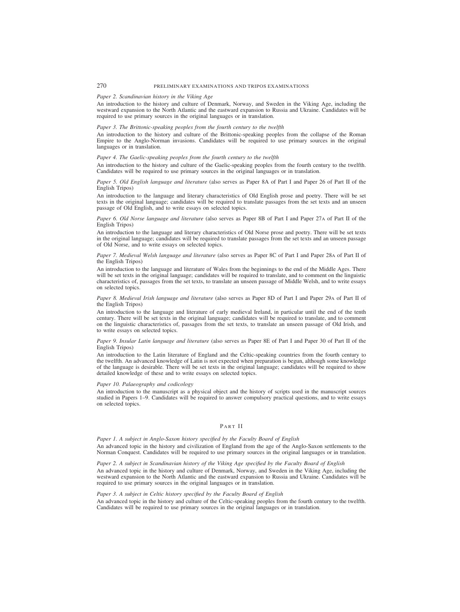# *Paper 2. Scandinavian history in the Viking Age*

An introduction to the history and culture of Denmark, Norway, and Sweden in the Viking Age, including the westward expansion to the North Atlantic and the eastward expansion to Russia and Ukraine. Candidates will be required to use primary sources in the original languages or in translation.

#### *Paper 3. The Brittonic-speaking peoples from the fourth century to the twelfth*

An introduction to the history and culture of the Brittonic-speaking peoples from the collapse of the Roman Empire to the Anglo-Norman invasions. Candidates will be required to use primary sources in the original languages or in translation.

# *Paper 4. The Gaelic-speaking peoples from the fourth century to the twelfth*

An introduction to the history and culture of the Gaelic-speaking peoples from the fourth century to the twelfth. Candidates will be required to use primary sources in the original languages or in translation.

#### *Paper 5. Old English language and literature* (also serves as Paper 8A of Part I and Paper 26 of Part II of the English Tripos)

An introduction to the language and literary characteristics of Old English prose and poetry. There will be set texts in the original language; candidates will be required to translate passages from the set texts and an unseen passage of Old English, and to write essays on selected topics.

#### *Paper 6. Old Norse language and literature* (also serves as Paper 8B of Part I and Paper 27A of Part II of the English Tripos)

An introduction to the language and literary characteristics of Old Norse prose and poetry. There will be set texts in the original language; candidates will be required to translate passages from the set texts and an unseen passage of Old Norse, and to write essays on selected topics.

#### *Paper 7. Medieval Welsh language and literature* (also serves as Paper 8C of Part I and Paper 28A of Part II of the English Tripos)

An introduction to the language and literature of Wales from the beginnings to the end of the Middle Ages. There will be set texts in the original language; candidates will be required to translate, and to comment on the linguistic characteristics of, passages from the set texts, to translate an unseen passage of Middle Welsh, and to write essays on selected topics.

#### *Paper 8. Medieval Irish language and literature* (also serves as Paper 8D of Part I and Paper 29A of Part II of the English Tripos)

An introduction to the language and literature of early medieval Ireland, in particular until the end of the tenth century. There will be set texts in the original language; candidates will be required to translate, and to comment on the linguistic characteristics of, passages from the set texts, to translate an unseen passage of Old Irish, and to write essays on selected topics.

#### *Paper 9. Insular Latin language and literature* (also serves as Paper 8E of Part I and Paper 30 of Part II of the English Tripos)

An introduction to the Latin literature of England and the Celtic-speaking countries from the fourth century to the twelfth. An advanced knowledge of Latin is not expected when preparation is begun, although some knowledge of the language is desirable. There will be set texts in the original language; candidates will be required to show detailed knowledge of these and to write essays on selected topics.

# *Paper 10. Palaeography and codicology*

An introduction to the manuscript as a physical object and the history of scripts used in the manuscript sources studied in Papers 1–9. Candidates will be required to answer compulsory practical questions, and to write essays on selected topics.

# PART II

*Paper 1. A subject in Anglo-Saxon history specified by the Faculty Board of English* An advanced topic in the history and civilization of England from the age of the Anglo-Saxon settlements to the Norman Conquest. Candidates will be required to use primary sources in the original languages or in translation.

# *Paper 2. A subject in Scandinavian history of the Viking Age specified by the Faculty Board of English* An advanced topic in the history and culture of Denmark, Norway, and Sweden in the Viking Age, including the westward expansion to the North Atlantic and the eastward expansion to Russia and Ukraine. Candidates will be required to use primary sources in the original languages or in translation.

#### *Paper 3. A subject in Celtic history specified by the Faculty Board of English*

An advanced topic in the history and culture of the Celtic-speaking peoples from the fourth century to the twelfth. Candidates will be required to use primary sources in the original languages or in translation.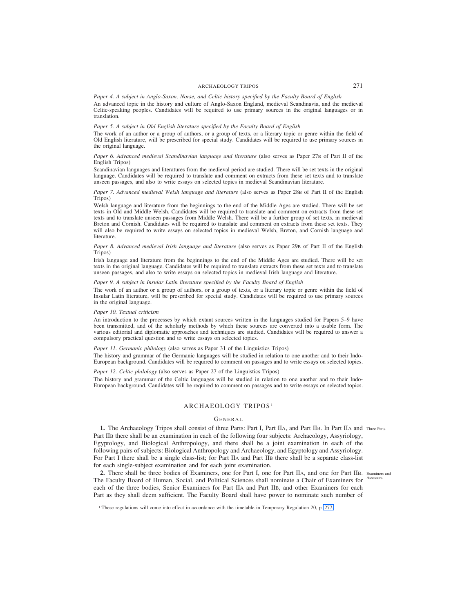### ARCHAEOLOGY TRIPOS 271

*Paper 4. A subject in Anglo-Saxon, Norse, and Celtic history specified by the Faculty Board of English* An advanced topic in the history and culture of Anglo-Saxon England, medieval Scandinavia, and the medieval Celtic-speaking peoples. Candidates will be required to use primary sources in the original languages or in

#### *Paper 5. A subject in Old English literature specified by the Faculty Board of English*

The work of an author or a group of authors, or a group of texts, or a literary topic or genre within the field of Old English literature, will be prescribed for special study. Candidates will be required to use primary sources in the original language.

#### *Paper 6. Advanced medieval Scandinavian language and literature* (also serves as Paper 27B of Part II of the English Tripos)

Scandinavian languages and literatures from the medieval period are studied. There will be set texts in the original language. Candidates will be required to translate and comment on extracts from these set texts and to translate unseen passages, and also to write essays on selected topics in medieval Scandinavian literature.

### *Paper 7. Advanced medieval Welsh language and literature* (also serves as Paper 28B of Part II of the English Tripos)

Welsh language and literature from the beginnings to the end of the Middle Ages are studied. There will be set texts in Old and Middle Welsh. Candidates will be required to translate and comment on extracts from these set texts and to translate unseen passages from Middle Welsh. There will be a further group of set texts, in medieval Breton and Cornish. Candidates will be required to translate and comment on extracts from these set texts. They will also be required to write essays on selected topics in medieval Welsh, Breton, and Cornish language and literature.

#### *Paper 8. Advanced medieval Irish language and literature* (also serves as Paper 29B of Part II of the English Tripos)

Irish language and literature from the beginnings to the end of the Middle Ages are studied. There will be set texts in the original language. Candidates will be required to translate extracts from these set texts and to translate unseen passages, and also to write essays on selected topics in medieval Irish language and literature.

#### *Paper 9. A subject in Insular Latin literature specified by the Faculty Board of English*

The work of an author or a group of authors, or a group of texts, or a literary topic or genre within the field of Insular Latin literature, will be prescribed for special study. Candidates will be required to use primary sources in the original language.

#### *Paper 10. Textual criticism*

translation.

An introduction to the processes by which extant sources written in the languages studied for Papers 5–9 have been transmitted, and of the scholarly methods by which these sources are converted into a usable form. The various editorial and diplomatic approaches and techniques are studied. Candidates will be required to answer a compulsory practical question and to write essays on selected topics.

# *Paper 11. Germanic philology* (also serves as Paper 31 of the Linguistics Tripos)

The history and grammar of the Germanic languages will be studied in relation to one another and to their Indo-European background. Candidates will be required to comment on passages and to write essays on selected topics.

# *Paper 12. Celtic philology* (also serves as Paper 27 of the Linguistics Tripos)

The history and grammar of the Celtic languages will be studied in relation to one another and to their Indo-European background. Candidates will be required to comment on passages and to write essays on selected topics.

# ARCHAEOLOGY TRIPOS <sup>1</sup>

# GENERAL

1. The Archaeology Tripos shall consist of three Parts: Part I, Part IIA, and Part IIB. In Part IIA and Three Parts. Part IIB there shall be an examination in each of the following four subjects: Archaeology, Assyriology, Egyptology, and Biological Anthropology, and there shall be a joint examination in each of the following pairs of subjects: Biological Anthropology and Archaeology, and Egyptology and Assyriology. For Part I there shall be a single class-list; for Part IIA and Part IIB there shall be a separate class-list for each single-subject examination and for each joint examination.

2. There shall be three bodies of Examiners, one for Part I, one for Part IIA, and one for Part IIB. Examiners and The Faculty Board of Human, Social, and Political Sciences shall nominate a Chair of Examiners for Assessors. each of the three bodies, Senior Examiners for Part IIA and Part IIB, and other Examiners for each Part as they shall deem sufficient. The Faculty Board shall have power to nominate such number of

<sup>&</sup>lt;sup>1</sup> These regulations will come into effect in accordance with the timetable in Temporary Regulation 20, p. 277.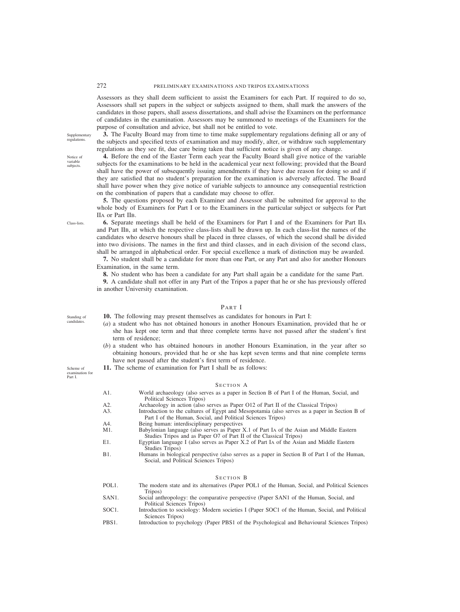Assessors as they shall deem sufficient to assist the Examiners for each Part. If required to do so, Assessors shall set papers in the subject or subjects assigned to them, shall mark the answers of the candidates in those papers, shall assess dissertations, and shall advise the Examiners on the performance of candidates in the examination. Assessors may be summoned to meetings of the Examiners for the purpose of consultation and advice, but shall not be entitled to vote.

**3.** The Faculty Board may from time to time make supplementary regulations defining all or any of the subjects and specified texts of examination and may modify, alter, or withdraw such supplementary regulations as they see fit, due care being taken that sufficient notice is given of any change.

**4.** Before the end of the Easter Term each year the Faculty Board shall give notice of the variable subjects for the examinations to be held in the academical year next following; provided that the Board shall have the power of subsequently issuing amendments if they have due reason for doing so and if they are satisfied that no student's preparation for the examination is adversely affected. The Board shall have power when they give notice of variable subjects to announce any consequential restriction on the combination of papers that a candidate may choose to offer.

**5.** The questions proposed by each Examiner and Assessor shall be submitted for approval to the whole body of Examiners for Part I or to the Examiners in the particular subject or subjects for Part IIA or Part IIB.

**6.** Separate meetings shall be held of the Examiners for Part I and of the Examiners for Part IIA and Part IIB, at which the respective class-lists shall be drawn up. In each class-list the names of the candidates who deserve honours shall be placed in three classes, of which the second shall be divided into two divisions. The names in the first and third classes, and in each division of the second class, shall be arranged in alphabetical order. For special excellence a mark of distinction may be awarded.

**7.** No student shall be a candidate for more than one Part, or any Part and also for another Honours Examination, in the same term.

**8.** No student who has been a candidate for any Part shall again be a candidate for the same Part.

**9.** A candidate shall not offer in any Part of the Tripos a paper that he or she has previously offered in another University examination.

# PART I

**10.** The following may present themselves as candidates for honours in Part I:

- (*a*) a student who has not obtained honours in another Honours Examination, provided that he or she has kept one term and that three complete terms have not passed after the student's first term of residence;
- (*b*) a student who has obtained honours in another Honours Examination, in the year after so obtaining honours, provided that he or she has kept seven terms and that nine complete terms have not passed after the student's first term of residence.
- **11.** The scheme of examination for Part I shall be as follows:

#### SECTION A

- A1. World archaeology (also serves as a paper in Section B of Part I of the Human, Social, and Political Sciences Tripos) A2. Archaeology in action (also serves as Paper O12 of Part II of the Classical Tripos) A3. Introduction to the cultures of Egypt and Mesopotamia (also serves as a paper in Section B of Part I of the Human, Social, and Political Sciences Tripos) A4. Being human: interdisciplinary perspectives<br>M1. Babylonian language (also serves as Paper) Babylonian language (also serves as Paper X.1 of Part IA of the Asian and Middle Eastern Studies Tripos and as Paper O7 of Part II of the Classical Tripos) E1. Egyptian language I (also serves as Paper X.2 of Part IA of the Asian and Middle Eastern Studies Tripos) B1. Humans in biological perspective (also serves as a paper in Section B of Part I of the Human, Social, and Political Sciences Tripos) S ECTION B POL1. The modern state and its alternatives (Paper POL1 of the Human, Social, and Political Sciences Tripos) SAN1. Social anthropology: the comparative perspective (Paper SAN1 of the Human, Social, and Political Sciences Tripos)
- SOC1. Introduction to sociology: Modern societies I (Paper SOC1 of the Human, Social, and Political Sciences Tripos)
- PBS1. Introduction to psychology (Paper PBS1 of the Psychological and Behavioural Sciences Tripos)

Supplementary regulations.

Notice of variable subjects.

Class-lists.

Scheme of examination for Part I.

Standing of candidates.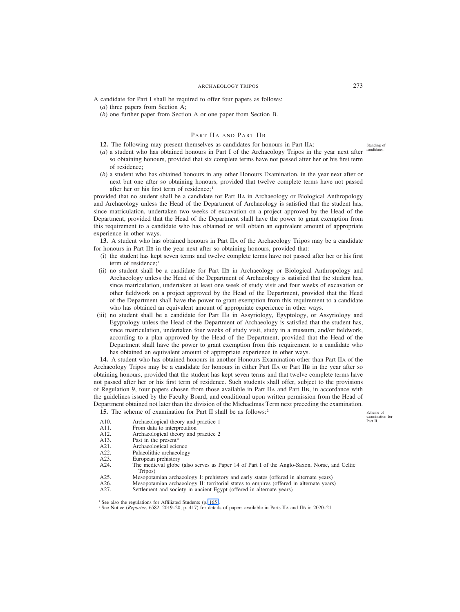A candidate for Part I shall be required to offer four papers as follows: (*a*) three papers from Section A;

(*b*) one further paper from Section A or one paper from Section B.

# PART IIA AND PART IIB

**12.** The following may present themselves as candidates for honours in Part IIA:

- $(a)$  a student who has obtained honours in Part I of the Archaeology Tripos in the year next after candidates. so obtaining honours, provided that six complete terms have not passed after her or his first term of residence;
- (*b*) a student who has obtained honours in any other Honours Examination, in the year next after or next but one after so obtaining honours, provided that twelve complete terms have not passed after her or his first term of residence; <sup>1</sup>

provided that no student shall be a candidate for Part IIA in Archaeology or Biological Anthropology and Archaeology unless the Head of the Department of Archaeology is satisfied that the student has, since matriculation, undertaken two weeks of excavation on a project approved by the Head of the Department, provided that the Head of the Department shall have the power to grant exemption from this requirement to a candidate who has obtained or will obtain an equivalent amount of appropriate experience in other ways.

**13.** A student who has obtained honours in Part IIA of the Archaeology Tripos may be a candidate for honours in Part IIB in the year next after so obtaining honours, provided that:

- (i) the student has kept seven terms and twelve complete terms have not passed after her or his first term of residence;<sup>1</sup>
- (ii) no student shall be a candidate for Part IIB in Archaeology or Biological Anthropology and Archaeology unless the Head of the Department of Archaeology is satisfied that the student has, since matriculation, undertaken at least one week of study visit and four weeks of excavation or other fieldwork on a project approved by the Head of the Department, provided that the Head of the Department shall have the power to grant exemption from this requirement to a candidate who has obtained an equivalent amount of appropriate experience in other ways.
- (iii) no student shall be a candidate for Part IIB in Assyriology, Egyptology, or Assyriology and Egyptology unless the Head of the Department of Archaeology is satisfied that the student has, since matriculation, undertaken four weeks of study visit, study in a museum, and/or fieldwork, according to a plan approved by the Head of the Department, provided that the Head of the Department shall have the power to grant exemption from this requirement to a candidate who has obtained an equivalent amount of appropriate experience in other ways.

**14.** A student who has obtained honours in another Honours Examination other than Part IIA of the Archaeology Tripos may be a candidate for honours in either Part IIA or Part IIB in the year after so obtaining honours, provided that the student has kept seven terms and that twelve complete terms have not passed after her or his first term of residence. Such students shall offer, subject to the provisions of Regulation 9, four papers chosen from those available in Part IIA and Part IIB, in accordance with the guidelines issued by the Faculty Board, and conditional upon written permission from the Head of Department obtained not later than the division of the Michaelmas Term next preceding the examination.

15. The scheme of examination for Part II shall be as follows:<sup>2</sup>

Scheme of examination for Part II.

- A10. Archaeological theory and practice 1<br>A11. From data to interpretation From data to interpretation
- A12. Archaeological theory and practice 2<br>A13. Past in the present\*
- Past in the present\*
- A21. Archaeological science<br>A22. Palaeolithic archaeolog
- Palaeolithic archaeology
- A23. European prehistory
- A24. The medieval globe (also serves as Paper 14 of Part I of the Anglo-Saxon, Norse, and Celtic Tripos)
- A25. Mesopotamian archaeology I: prehistory and early states (offered in alternate years)<br>A26. Mesopotamian archaeology II: territorial states to empires (offered in alternate years)
- A26. Mesopotamian archaeology II: territorial states to empires (offered in alternate years)<br>A27. Settlement and society in ancient Egypt (offered in alternate years) Settlement and society in ancient Egypt (offered in alternate years)

<sup>1</sup> See also the regulations for Affiliated Students (p. 165).

<sup>2</sup> See Notice (*Reporter*, 6582, 2019–20, p. 417) for details of papers available in Parts IIA and IIB in 2020–21.

Standing of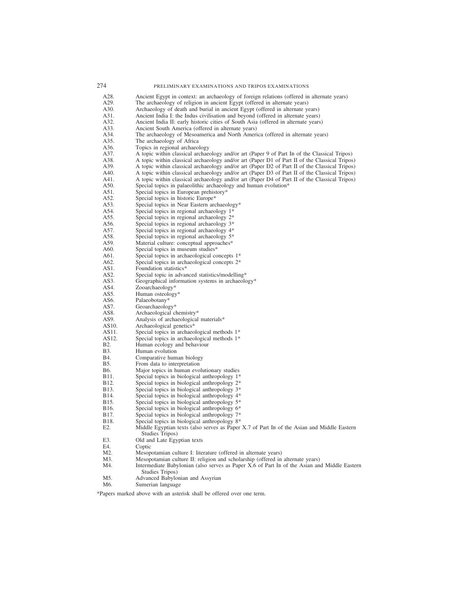| 274         | PRELIMINARY EXAMINATIONS AND TRIPOS EXAMINATIONS                                              |
|-------------|-----------------------------------------------------------------------------------------------|
| A28.        | Ancient Egypt in context: an archaeology of foreign relations (offered in alternate years)    |
| A29.        | The archaeology of religion in ancient Egypt (offered in alternate years)                     |
| A30.        | Archaeology of death and burial in ancient Egypt (offered in alternate years)                 |
| A31.        | Ancient India I: the Indus civilisation and beyond (offered in alternate years)               |
| A32.        | Ancient India II: early historic cities of South Asia (offered in alternate years)            |
| A33.        |                                                                                               |
|             | Ancient South America (offered in alternate years)                                            |
| A34.        | The archaeology of Mesoamerica and North America (offered in alternate years)                 |
| A35.        | The archaeology of Africa                                                                     |
| A36.        | Topics in regional archaeology                                                                |
| A37.        | A topic within classical archaeology and/or art (Paper 9 of Part IB of the Classical Tripos)  |
| A38.        | A topic within classical archaeology and/or art (Paper D1 of Part II of the Classical Tripos) |
| A39.        | A topic within classical archaeology and/or art (Paper D2 of Part II of the Classical Tripos) |
| A40.        | A topic within classical archaeology and/or art (Paper D3 of Part II of the Classical Tripos) |
| A41.        | A topic within classical archaeology and/or art (Paper D4 of Part II of the Classical Tripos) |
| A50.        | Special topics in palaeolithic archaeology and human evolution*                               |
| A51.        | Special topics in European prehistory*                                                        |
| A52.        | Special topics in historic Europe*                                                            |
| A53.        | Special topics in Near Eastern archaeology*                                                   |
| A54.        | Special topics in regional archaeology 1*                                                     |
| A55.        | Special topics in regional archaeology 2*                                                     |
| A56.        | Special topics in regional archaeology 3*                                                     |
| A57.        | Special topics in regional archaeology 4*                                                     |
| A58.        | Special topics in regional archaeology 5*                                                     |
| A59.        | Material culture: conceptual approaches*                                                      |
| A60.        | Special topics in museum studies*                                                             |
| A61.        | Special topics in archaeological concepts 1*                                                  |
| A62.        | Special topics in archaeological concepts 2*                                                  |
| AS1.        | Foundation statistics*                                                                        |
| AS2.        |                                                                                               |
| AS3.        | Special topic in advanced statistics/modelling*                                               |
|             | Geographical information systems in archaeology*                                              |
| AS4.        | Zooarchaeology*                                                                               |
| AS5.        | Human osteology*                                                                              |
| AS6.        | Palaeobotany*                                                                                 |
| AS7.        | Geoarchaeology*                                                                               |
| AS8.        | Archaeological chemistry*                                                                     |
| AS9.        | Analysis of archaeological materials*                                                         |
| AS10.       | Archaeological genetics*                                                                      |
| AS11.       | Special topics in archaeological methods 1*                                                   |
| AS12.       | Special topics in archaeological methods 1*                                                   |
| <b>B2.</b>  | Human ecology and behaviour                                                                   |
| <b>B</b> 3. | Human evolution                                                                               |
| B4.         | Comparative human biology                                                                     |
| <b>B5.</b>  | From data to interpretation                                                                   |
| B6.         | Major topics in human evolutionary studies                                                    |
| B11.        | Special topics in biological anthropology 1*                                                  |
| B12.        | Special topics in biological anthropology 2*                                                  |
| B13.        | Special topics in biological anthropology 3*                                                  |
| B14.        | Special topics in biological anthropology 4*                                                  |
| B15.        | Special topics in biological anthropology 5*                                                  |
| B16.        | Special topics in biological anthropology 6*                                                  |
| B17.        | Special topics in biological anthropology 7*                                                  |
| B18.        | Special topics in biological anthropology 8*                                                  |
| E2.         | Middle Egyptian texts (also serves as Paper X.7 of Part IB of the Asian and Middle Eastern    |
|             | Studies Tripos)                                                                               |
| E3.         | Old and Late Egyptian texts                                                                   |
| E4.         | Coptic                                                                                        |
| M2.         | Mesopotamian culture I: literature (offered in alternate years)                               |
| M3.         | Mesopotamian culture II: religion and scholarship (offered in alternate years)                |
| M4.         | Intermediate Babylonian (also serves as Paper X.6 of Part IB of the Asian and Middle Eastern  |
|             | Studies Tripos)                                                                               |
| M5.         | Advanced Babylonian and Assyrian                                                              |
| M6.         | Sumerian language                                                                             |

\*Papers marked above with an asterisk shall be offered over one term.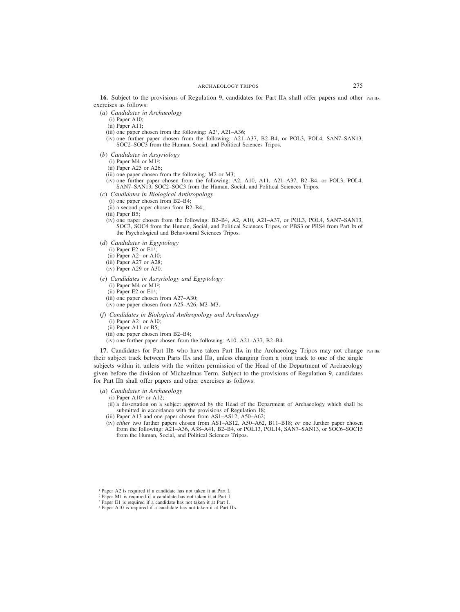**16.** Subject to the provisions of Regulation 9, candidates for Part IIA shall offer papers and other Part IIA. exercises as follows:

- (*a*) *Candidates in Archaeology*
	- (i) Paper A10;
	- (ii) Paper A11;
	- (iii) one paper chosen from the following:  $A2<sup>1</sup>$ ,  $A21-A36$ ;
	- (iv) one further paper chosen from the following: A21–A37, B2–B4, or POL3, POL4, SAN7–SAN13, SOC2–SOC3 from the Human, Social, and Political Sciences Tripos.
- (*b*) *Candidates in Assyriology*
	- $(i)$  Paper M4 or M1<sup>2</sup>;
	- (ii) Paper A25 or A26;
	- (iii) one paper chosen from the following: M2 or M3;
	- (iv) one further paper chosen from the following: A2, A10, A11, A21–A37, B2–B4, or POL3, POL4, SAN7–SAN13, SOC2–SOC3 from the Human, Social, and Political Sciences Tripos.
- (*c*) *Candidates in Biological Anthropology*
	- (i) one paper chosen from B2–B4;
	- (ii) a second paper chosen from B2–B4;
	- (iii) Paper B5;
	- (iv) one paper chosen from the following: B2–B4, A2, A10, A21–A37, or POL3, POL4, SAN7–SAN13, SOC3, SOC4 from the Human, Social, and Political Sciences Tripos, or PBS3 or PBS4 from Part IB of the Psychological and Behavioural Sciences Tripos.
- (*d*) *Candidates in Egyptology*
	- $(i)$  Paper E2 or E1<sup>3</sup>;
	- (ii) Paper  $A2<sup>1</sup>$  or  $A10$ ;
	- (iii) Paper A27 or A28;
	- (iv) Paper A29 or A30.
- (*e*) *Candidates in Assyriology and Egyptology*
	- $(i)$  Paper M4 or M1<sup>2</sup>;
	- $(ii)$  Paper E2 or E1<sup>3</sup>;
	- (iii) one paper chosen from A27–A30;
	- (iv) one paper chosen from A25–A26, M2–M3.
- (*f*) *Candidates in Biological Anthropology and Archaeology*
	- (i) Paper  $A2^1$  or  $A10$ ;
	- (ii) Paper A11 or B5;
	- (iii) one paper chosen from B2–B4;
	- (iv) one further paper chosen from the following: A10, A21–A37, B2–B4.

**17.** Candidates for Part IIB who have taken Part IIA in the Archaeology Tripos may not change Part IIB. their subject track between Parts IIA and IIB, unless changing from a joint track to one of the single subjects within it, unless with the written permission of the Head of the Department of Archaeology given before the division of Michaelmas Term. Subject to the provisions of Regulation 9, candidates for Part IIB shall offer papers and other exercises as follows:

#### (*a*) *Candidates in Archaeology*

- (i) Paper  $A10<sup>4</sup>$  or  $A12$ ;
- (ii) a dissertation on a subject approved by the Head of the Department of Archaeology which shall be submitted in accordance with the provisions of Regulation 18;
- (iii) Paper A13 and one paper chosen from AS1–AS12, A50–A62;
- (iv) *either* two further papers chosen from AS1–AS12, A50–A62, B11–B18; *or* one further paper chosen from the following: A21–A36, A38–A41, B2–B4, or POL13, POL14, SAN7–SAN13, or SOC6–SOC15 from the Human, Social, and Political Sciences Tripos.

<sup>1</sup> Paper A2 is required if a candidate has not taken it at Part I.

<sup>2</sup> Paper M1 is required if a candidate has not taken it at Part I.

<sup>3</sup> Paper E1 is required if a candidate has not taken it at Part I.

<sup>4</sup> Paper A10 is required if a candidate has not taken it at Part IIA.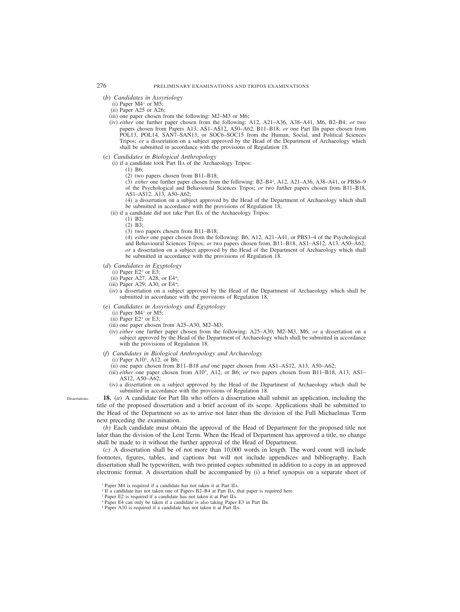### (*b*) *Candidates in Assyriology*

- (i) Paper  $M4^1$  or  $M5$ ;
- (ii) Paper A25 or A26;
- (iii) one paper chosen from the following: M2–M3 or M6;
- (iv) *either* one further paper chosen from the following: A12, A21–A36, A38–A41, M6, B2–B4; *or* two papers chosen from Papers A13, AS1–AS12, A50–A62, B11–B18; *or* one Part IIB paper chosen from POL13, POL14, SAN7–SAN13, or SOC6–SOC15 from the Human, Social, and Political Sciences Tripos; *or* a dissertation on a subject approved by the Head of the Department of Archaeology which shall be submitted in accordance with the provisions of Regulation 18.

# (*c*) *Candidates in Biological Anthropology*

- (i) if a candidate took Part IIA of the Archaeology Tripos:
	- (1) B6;
	- (2) two papers chosen from B11–B18;

(3) *either* one further paper chosen from the following: B2–B42 , A12, A21–A36, A38–A41, or PBS6–9 of the Psychological and Behavioural Sciences Tripos; *or* two further papers chosen from B11–B18, AS1–AS12, A13, A50–A62;

(4) a dissertation on a subject approved by the Head of the Department of Archaeology which shall be submitted in accordance with the provisions of Regulation 18;

- (ii) if a candidate did not take Part IIA of the Archaeology Tripos:
	- (1) B2;
	- (2) B3;
	- (3) two papers chosen from B11–B18;

(4) *either* one paper chosen from the following: B6, A12, A21–A41, or PBS3–4 of the Psychological and Behavioural Sciences Tripos; *or* two papers chosen from, B11–B18, AS1–AS12, A13, A50–A62; *or* a dissertation on a subject approved by the Head of the Department of Archaeology which shall be submitted in accordance with the provisions of Regulation 18.

- (*d*) *Candidates in Egyptology*
	- (i) Paper  $E2^3$  or  $E3$ ;
	- (ii) Paper A27, A28, or E44 ;
	- (iii) Paper A29, A30, or E44 ;
	- (iv) a dissertation on a subject approved by the Head of the Department of Archaeology which shall be submitted in accordance with the provisions of Regulation 18.
- (*e*) *Candidates in Assyriology and Egyptology*
	- (i) Paper  $M4^1$  or  $M5$ ;
	- $(iii)$  Paper E2<sup>3</sup> or E3;
	- (iii) one paper chosen from A25–A30, M2–M3;
	- (iv) *either* one further paper chosen from the following: A25–A30, M2–M3, M6; *or* a dissertation on a subject approved by the Head of the Department of Archaeology which shall be submitted in accordance with the provisions of Regulation 18.
- (*f*) *Candidates in Biological Anthropology and Archaeology*
	- (i) Paper A105 , A12, or B6;
	- (ii) one paper chosen from B11–B18 *and* one paper chosen from AS1–AS12, A13, A50–A62;
	- (iii) *either* one paper chosen from A105 , A12, or B6; *or* two papers chosen from B11–B18, A13, AS1– AS12, A50–A62;
	- (iv) a dissertation on a subject approved by the Head of the Department of Archaeology which shall be submitted in accordance with the provisions of Regulation 18.

Dissertations.

**18.** (*a*) A candidate for Part IIB who offers a dissertation shall submit an application, including the title of the proposed dissertation and a brief account of its scope. Applications shall be submitted to the Head of the Department so as to arrive not later than the division of the Full Michaelmas Term next preceding the examination.

(*b*) Each candidate must obtain the approval of the Head of Department for the proposed title not later than the division of the Lent Term. When the Head of Department has approved a title, no change shall be made to it without the further approval of the Head of Department.

(*c*) A dissertation shall be of not more than 10,000 words in length. The word count will include footnotes, figures, tables, and captions but will not include appendices and bibliography. Each dissertation shall be typewritten, with two printed copies submitted in addition to a copy in an approved electronic format. A dissertation shall be accompanied by (i) a brief synopsis on a separate sheet of

<sup>2</sup> If a candidate has not taken one of Papers B2-B4 at Part IIA, that paper is required here.

- <sup>4</sup> Paper E4 can only be taken if a candidate is also taking Paper E3 in Part IIB.
- <sup>5</sup> Paper A10 is required if a candidate has not taken it at Part IIA.

<sup>1</sup> Paper M4 is required if a candidate has not taken it at Part IIA.

<sup>3</sup> Paper E2 is required if a candidate has not taken it at Part IIA.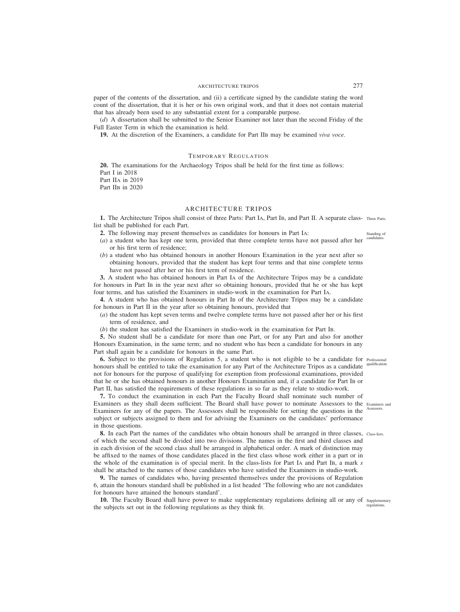paper of the contents of the dissertation, and (ii) a certificate signed by the candidate stating the word count of the dissertation, that it is her or his own original work, and that it does not contain material that has already been used to any substantial extent for a comparable purpose.

(*d*) A dissertation shall be submitted to the Senior Examiner not later than the second Friday of the Full Easter Term in which the examination is held.

**19.** At the discretion of the Examiners, a candidate for Part IIB may be examined *viva voce*.

# TEMPORARY REGULATION

**20.** The examinations for the Archaeology Tripos shall be held for the first time as follows: Part I in 2018 Part IIA in 2019 Part IIB in 2020

# ARCHITECTURE TRIPOS

1. The Architecture Tripos shall consist of three Parts: Part IA, Part IB, and Part II. A separate class- Three Parts. list shall be published for each Part.

**2.** The following may present themselves as candidates for honours in Part IA:

- (*a*) a student who has kept one term, provided that three complete terms have not passed after her candidates. or his first term of residence;
- (*b*) a student who has obtained honours in another Honours Examination in the year next after so obtaining honours, provided that the student has kept four terms and that nine complete terms have not passed after her or his first term of residence.

**3.** A student who has obtained honours in Part IA of the Architecture Tripos may be a candidate for honours in Part IB in the year next after so obtaining honours, provided that he or she has kept four terms, and has satisfied the Examiners in studio-work in the examination for Part IA.

**4.** A student who has obtained honours in Part IB of the Architecture Tripos may be a candidate for honours in Part II in the year after so obtaining honours, provided that

(*a*) the student has kept seven terms and twelve complete terms have not passed after her or his first term of residence, and

(*b*) the student has satisfied the Examiners in studio-work in the examination for Part IB.

**5.** No student shall be a candidate for more than one Part, or for any Part and also for another Honours Examination, in the same term; and no student who has been a candidate for honours in any Part shall again be a candidate for honours in the same Part.

**6.** Subject to the provisions of Regulation 5, a student who is not eligible to be a candidate for Professional honours shall be entitled to take the examination for any Part of the Architecture Tripos as a candidate qualification. not for honours for the purpose of qualifying for exemption from professional examinations, provided that he or she has obtained honours in another Honours Examination and, if a candidate for Part IB or Part II, has satisfied the requirements of these regulations in so far as they relate to studio-work.

**7.** To conduct the examination in each Part the Faculty Board shall nominate such number of Examiners as they shall deem sufficient. The Board shall have power to nominate Assessors to the Examiners and Examiners for any of the papers. The Assessors shall be responsible for setting the questions in the subject or subjects assigned to them and for advising the Examiners on the candidates' performance in those questions.

8. In each Part the names of the candidates who obtain honours shall be arranged in three classes, Class-lists. of which the second shall be divided into two divisions. The names in the first and third classes and in each division of the second class shall be arranged in alphabetical order. A mark of distinction may be affixed to the names of those candidates placed in the first class whose work either in a part or in the whole of the examination is of special merit. In the class-lists for Part IA and Part IB, a mark *s* shall be attached to the names of those candidates who have satisfied the Examiners in studio-work.

**9.** The names of candidates who, having presented themselves under the provisions of Regulation 6, attain the honours standard shall be published in a list headed 'The following who are not candidates for honours have attained the honours standard'.

10. The Faculty Board shall have power to make supplementary regulations defining all or any of supplementary the subjects set out in the following regulations as they think fit. regulations.

Assessors.

Standing of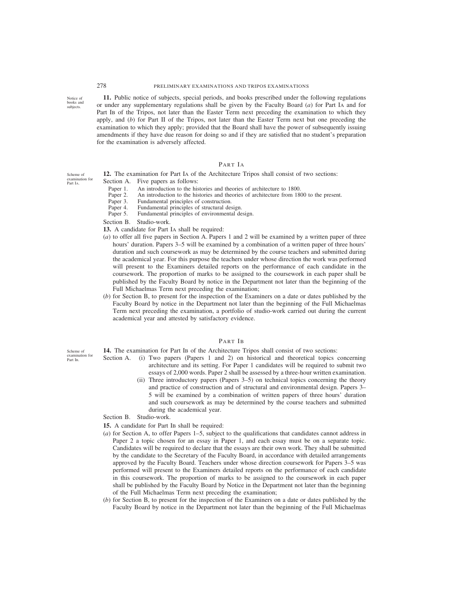**11.** Public notice of subjects, special periods, and books prescribed under the following regulations or under any supplementary regulations shall be given by the Faculty Board (*a*) for Part IA and for Part IB of the Tripos, not later than the Easter Term next preceding the examination to which they apply, and (*b*) for Part II of the Tripos, not later than the Easter Term next but one preceding the examination to which they apply; provided that the Board shall have the power of subsequently issuing amendments if they have due reason for doing so and if they are satisfied that no student's preparation for the examination is adversely affected.

# PART IA

- **12.** The examination for Part IA of the Architecture Tripos shall consist of two sections:
- Section A. Five papers as follows:
	- Paper 1. An introduction to the histories and theories of architecture to 1800.
	- Paper 2. An introduction to the histories and theories of architecture from 1800 to the present.<br>Paper 3. Fundamental principles of construction.
	- Paper 3. Fundamental principles of construction.<br>Paper 4. Fundamental principles of structural des
	- Paper 4. Fundamental principles of structural design.<br>Paper 5. Fundamental principles of environmental de
	- Fundamental principles of environmental design.
- Section B. Studio-work.
- **13.** A candidate for Part IA shall be required:
- (*a*) to offer all five papers in Section A. Papers 1 and 2 will be examined by a written paper of three hours' duration. Papers 3–5 will be examined by a combination of a written paper of three hours' duration and such coursework as may be determined by the course teachers and submitted during the academical year. For this purpose the teachers under whose direction the work was performed will present to the Examiners detailed reports on the performance of each candidate in the coursework. The proportion of marks to be assigned to the coursework in each paper shall be published by the Faculty Board by notice in the Department not later than the beginning of the Full Michaelmas Term next preceding the examination;
- (*b*) for Section B, to present for the inspection of the Examiners on a date or dates published by the Faculty Board by notice in the Department not later than the beginning of the Full Michaelmas Term next preceding the examination, a portfolio of studio-work carried out during the current academical year and attested by satisfactory evidence.

#### PART IB

**14.** The examination for Part IB of the Architecture Tripos shall consist of two sections:

- Section A. (i) Two papers (Papers 1 and 2) on historical and theoretical topics concerning architecture and its setting. For Paper 1 candidates will be required to submit two essays of 2,000 words. Paper 2 shall be assessed by a three-hour written examination.
	- (ii) Three introductory papers (Papers 3–5) on technical topics concerning the theory and practice of construction and of structural and environmental design. Papers 3– 5 will be examined by a combination of written papers of three hours' duration and such coursework as may be determined by the course teachers and submitted during the academical year.

Section B. Studio-work.

- **15.** A candidate for Part IB shall be required:
- (*a*) for Section A, to offer Papers 1–5, subject to the qualifications that candidates cannot address in Paper 2 a topic chosen for an essay in Paper 1, and each essay must be on a separate topic. Candidates will be required to declare that the essays are their own work. They shall be submitted by the candidate to the Secretary of the Faculty Board, in accordance with detailed arrangements approved by the Faculty Board. Teachers under whose direction coursework for Papers 3–5 was performed will present to the Examiners detailed reports on the performance of each candidate in this coursework. The proportion of marks to be assigned to the coursework in each paper shall be published by the Faculty Board by Notice in the Department not later than the beginning of the Full Michaelmas Term next preceding the examination;
- (*b*) for Section B, to present for the inspection of the Examiners on a date or dates published by the Faculty Board by notice in the Department not later than the beginning of the Full Michaelmas

Scheme of examination for Part IA.

Scheme of examination for Part IB.

Notice of books and subjects.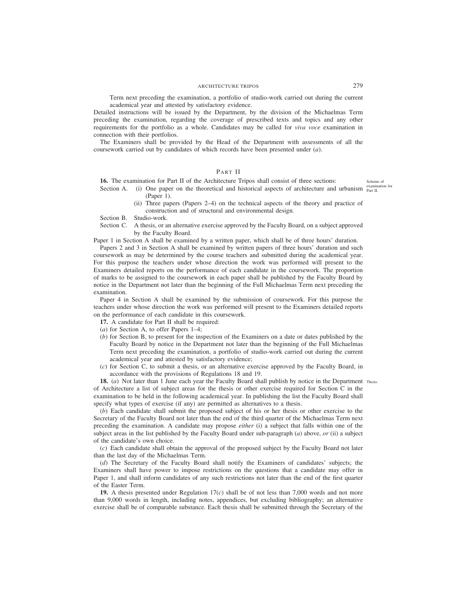Term next preceding the examination, a portfolio of studio-work carried out during the current academical year and attested by satisfactory evidence.

Detailed instructions will be issued by the Department, by the division of the Michaelmas Term preceding the examination, regarding the coverage of prescribed texts and topics and any other requirements for the portfolio as a whole. Candidates may be called for *viva voce* examination in connection with their portfolios.

The Examiners shall be provided by the Head of the Department with assessments of all the coursework carried out by candidates of which records have been presented under (*a*).

# PART II

**16.** The examination for Part II of the Architecture Tripos shall consist of three sections: Scheme of

- Section A. (i) One paper on the theoretical and historical aspects of architecture and urbanism  $\frac{ex^2}{Part II}$ . (Paper 1).
	- (ii) Three papers (Papers 2–4) on the technical aspects of the theory and practice of construction and of structural and environmental design.

Section B. Studio-work.

Section C. A thesis, or an alternative exercise approved by the Faculty Board, on a subject approved by the Faculty Board.

Paper 1 in Section A shall be examined by a written paper, which shall be of three hours' duration.

Papers 2 and 3 in Section A shall be examined by written papers of three hours' duration and such coursework as may be determined by the course teachers and submitted during the academical year. For this purpose the teachers under whose direction the work was performed will present to the Examiners detailed reports on the performance of each candidate in the coursework. The proportion of marks to be assigned to the coursework in each paper shall be published by the Faculty Board by notice in the Department not later than the beginning of the Full Michaelmas Term next preceding the examination.

Paper 4 in Section A shall be examined by the submission of coursework. For this purpose the teachers under whose direction the work was performed will present to the Examiners detailed reports on the performance of each candidate in this coursework.

- **17.** A candidate for Part II shall be required:
- (*a*) for Section A, to offer Papers 1–4;
- (*b*) for Section B, to present for the inspection of the Examiners on a date or dates published by the Faculty Board by notice in the Department not later than the beginning of the Full Michaelmas Term next preceding the examination, a portfolio of studio-work carried out during the current academical year and attested by satisfactory evidence;
- (*c*) for Section C, to submit a thesis, or an alternative exercise approved by the Faculty Board, in accordance with the provisions of Regulations 18 and 19.

**18.** (*a*) Not later than 1 June each year the Faculty Board shall publish by notice in the Department Thesis. of Architecture a list of subject areas for the thesis or other exercise required for Section C in the examination to be held in the following academical year. In publishing the list the Faculty Board shall specify what types of exercise (if any) are permitted as alternatives to a thesis.

(*b*) Each candidate shall submit the proposed subject of his or her thesis or other exercise to the Secretary of the Faculty Board not later than the end of the third quarter of the Michaelmas Term next preceding the examination. A candidate may propose *either* (i) a subject that falls within one of the subject areas in the list published by the Faculty Board under sub-paragraph (*a*) above, *or* (ii) a subject of the candidate's own choice.

(*c*) Each candidate shall obtain the approval of the proposed subject by the Faculty Board not later than the last day of the Michaelmas Term.

(*d*) The Secretary of the Faculty Board shall notify the Examiners of candidates' subjects; the Examiners shall have power to impose restrictions on the questions that a candidate may offer in Paper 1, and shall inform candidates of any such restrictions not later than the end of the first quarter of the Easter Term.

**19.** A thesis presented under Regulation 17(*c*) shall be of not less than 7,000 words and not more than 9,000 words in length, including notes, appendices, but excluding bibliography; an alternative exercise shall be of comparable substance. Each thesis shall be submitted through the Secretary of the

examination for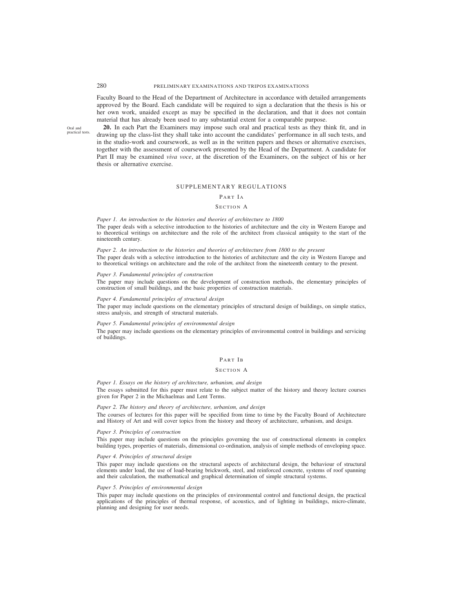Faculty Board to the Head of the Department of Architecture in accordance with detailed arrangements approved by the Board. Each candidate will be required to sign a declaration that the thesis is his or her own work, unaided except as may be specified in the declaration, and that it does not contain material that has already been used to any substantial extent for a comparable purpose.

Oral and practical tests.

**20.** In each Part the Examiners may impose such oral and practical tests as they think fit, and in drawing up the class-list they shall take into account the candidates' performance in all such tests, and in the studio-work and coursework, as well as in the written papers and theses or alternative exercises, together with the assessment of coursework presented by the Head of the Department. A candidate for Part II may be examined *viva voce*, at the discretion of the Examiners, on the subject of his or her thesis or alternative exercise.

# SUPPLEMENTARY REGULATIONS

# PART IA

# SECTION A

*Paper 1. An introduction to the histories and theories of architecture to 1800* The paper deals with a selective introduction to the histories of architecture and the city in Western Europe and to theoretical writings on architecture and the role of the architect from classical antiquity to the start of the nineteenth century.

*Paper 2. An introduction to the histories and theories of architecture from 1800 to the present* The paper deals with a selective introduction to the histories of architecture and the city in Western Europe and to theoretical writings on architecture and the role of the architect from the nineteenth century to the present.

#### *Paper 3. Fundamental principles of construction*

The paper may include questions on the development of construction methods, the elementary principles of construction of small buildings, and the basic properties of construction materials.

#### *Paper 4. Fundamental principles of structural design*

The paper may include questions on the elementary principles of structural design of buildings, on simple statics, stress analysis, and strength of structural materials.

#### *Paper 5. Fundamental principles of environmental design*

The paper may include questions on the elementary principles of environmental control in buildings and servicing of buildings.

#### PART IB

#### SECTION A

*Paper 1. Essays on the history of architecture, urbanism, and design* The essays submitted for this paper must relate to the subject matter of the history and theory lecture courses given for Paper 2 in the Michaelmas and Lent Terms.

#### *Paper 2. The history and theory of architecture, urbanism, and design*

The courses of lectures for this paper will be specified from time to time by the Faculty Board of Architecture and History of Art and will cover topics from the history and theory of architecture, urbanism, and design.

#### *Paper 3. Principles of construction*

This paper may include questions on the principles governing the use of constructional elements in complex building types, properties of materials, dimensional co-ordination, analysis of simple methods of enveloping space.

#### *Paper 4. Principles of structural design*

This paper may include questions on the structural aspects of architectural design, the behaviour of structural elements under load, the use of load-bearing brickwork, steel, and reinforced concrete, systems of roof spanning and their calculation, the mathematical and graphical determination of simple structural systems.

### *Paper 5. Principles of environmental design*

This paper may include questions on the principles of environmental control and functional design, the practical applications of the principles of thermal response, of acoustics, and of lighting in buildings, micro-climate, planning and designing for user needs.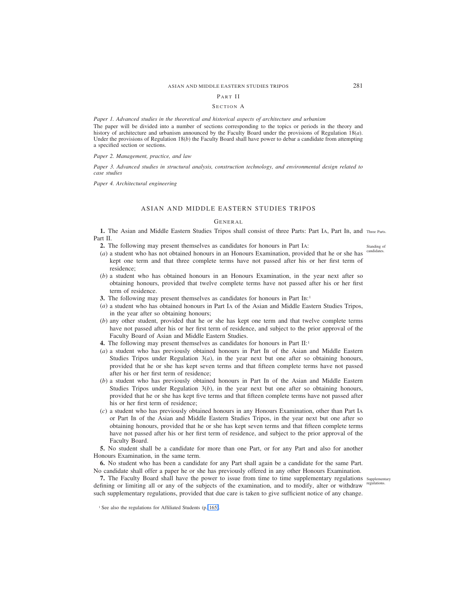## PART II

#### SECTION A

*Paper 1. Advanced studies in the theoretical and historical aspects of architecture and urbanism*

The paper will be divided into a number of sections corresponding to the topics or periods in the theory and history of architecture and urbanism announced by the Faculty Board under the provisions of Regulation 18(*a*). Under the provisions of Regulation 18(*b*) the Faculty Board shall have power to debar a candidate from attempting a specified section or sections.

*Paper 2. Management, practice, and law*

*Paper 3. Advanced studies in structural analysis, construction technology, and environmental design related to case studies*

*Paper 4. Architectural engineering*

# ASIAN AND MIDDLE EASTERN STUDIES TRIPOS

# GENERAL

1. The Asian and Middle Eastern Studies Tripos shall consist of three Parts: Part IA, Part IB, and Three Parts. Part II.

**2.** The following may present themselves as candidates for honours in Part IA:

- (*a*) a student who has not obtained honours in an Honours Examination, provided that he or she has kept one term and that three complete terms have not passed after his or her first term of residence;
- (*b*) a student who has obtained honours in an Honours Examination, in the year next after so obtaining honours, provided that twelve complete terms have not passed after his or her first term of residence.
- **3.** The following may present themselves as candidates for honours in Part IB:<sup>1</sup>
- (*a*) a student who has obtained honours in Part IA of the Asian and Middle Eastern Studies Tripos, in the year after so obtaining honours;
- (*b*) any other student, provided that he or she has kept one term and that twelve complete terms have not passed after his or her first term of residence, and subject to the prior approval of the Faculty Board of Asian and Middle Eastern Studies.
- **4.** The following may present themselves as candidates for honours in Part II:<sup>1</sup>
- (*a*) a student who has previously obtained honours in Part IB of the Asian and Middle Eastern Studies Tripos under Regulation  $3(a)$ , in the year next but one after so obtaining honours, provided that he or she has kept seven terms and that fifteen complete terms have not passed after his or her first term of residence;
- (*b*) a student who has previously obtained honours in Part IB of the Asian and Middle Eastern Studies Tripos under Regulation 3(*b*), in the year next but one after so obtaining honours, provided that he or she has kept five terms and that fifteen complete terms have not passed after his or her first term of residence;
- (*c*) a student who has previously obtained honours in any Honours Examination, other than Part IA or Part IB of the Asian and Middle Eastern Studies Tripos, in the year next but one after so obtaining honours, provided that he or she has kept seven terms and that fifteen complete terms have not passed after his or her first term of residence, and subject to the prior approval of the Faculty Board.

**5.** No student shall be a candidate for more than one Part, or for any Part and also for another Honours Examination, in the same term.

**6.** No student who has been a candidate for any Part shall again be a candidate for the same Part. No candidate shall offer a paper he or she has previously offered in any other Honours Examination.

**7.** The Faculty Board shall have the power to issue from time to time supplementary regulations Supplementary defining or limiting all or any of the subjects of the examination, and to modify, alter or withdraw regulations. such supplementary regulations, provided that due care is taken to give sufficient notice of any change.

Standing of candidates.

<sup>&</sup>lt;sup>1</sup> See also the regulations for Affiliated Students (p. 165).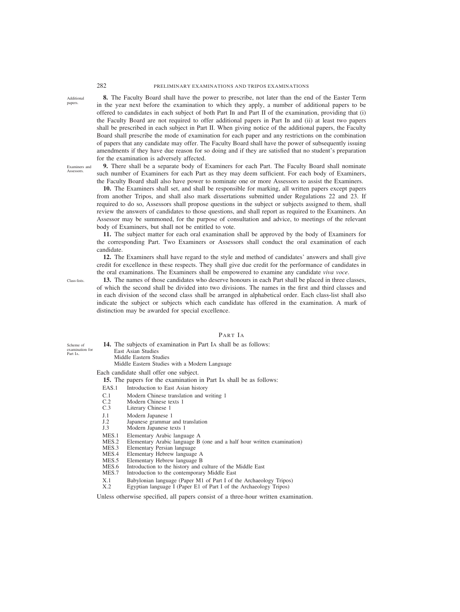**8.** The Faculty Board shall have the power to prescribe, not later than the end of the Easter Term in the year next before the examination to which they apply, a number of additional papers to be offered to candidates in each subject of both Part IB and Part II of the examination, providing that (i) the Faculty Board are not required to offer additional papers in Part IB and (ii) at least two papers shall be prescribed in each subject in Part II. When giving notice of the additional papers, the Faculty Board shall prescribe the mode of examination for each paper and any restrictions on the combination of papers that any candidate may offer. The Faculty Board shall have the power of subsequently issuing amendments if they have due reason for so doing and if they are satisfied that no student's preparation for the examination is adversely affected.

Examiners and Assessors.

Additional papers.

> **9.** There shall be a separate body of Examiners for each Part. The Faculty Board shall nominate such number of Examiners for each Part as they may deem sufficient. For each body of Examiners, the Faculty Board shall also have power to nominate one or more Assessors to assist the Examiners.

> **10.** The Examiners shall set, and shall be responsible for marking, all written papers except papers from another Tripos, and shall also mark dissertations submitted under Regulations 22 and 23. If required to do so, Assessors shall propose questions in the subject or subjects assigned to them, shall review the answers of candidates to those questions, and shall report as required to the Examiners. An Assessor may be summoned, for the purpose of consultation and advice, to meetings of the relevant body of Examiners, but shall not be entitled to vote.

> **11.** The subject matter for each oral examination shall be approved by the body of Examiners for the corresponding Part. Two Examiners or Assessors shall conduct the oral examination of each candidate.

> **12.** The Examiners shall have regard to the style and method of candidates' answers and shall give credit for excellence in these respects. They shall give due credit for the performance of candidates in the oral examinations. The Examiners shall be empowered to examine any candidate *viva voce*.

Class-lists.

Scheme of examination for Part IA.

**13.** The names of those candidates who deserve honours in each Part shall be placed in three classes, of which the second shall be divided into two divisions. The names in the first and third classes and in each division of the second class shall be arranged in alphabetical order. Each class-list shall also indicate the subject or subjects which each candidate has offered in the examination. A mark of distinction may be awarded for special excellence.

# PART IA

**14.** The subjects of examination in Part IA shall be as follows: East Asian Studies Middle Eastern Studies Middle Eastern Studies with a Modern Language

# Each candidate shall offer one subject.

**15.** The papers for the examination in Part IA shall be as follows:

- EAS.1 Introduction to East Asian history
- C.1 Modern Chinese translation and writing 1
- $C.2$ Modern Chinese texts 1
- C.3 Literary Chinese 1
- J.1 Modern Japanese 1
- $I<sub>2</sub>$ Japanese grammar and translation
- J.3 Modern Japanese texts 1
- MES<sub>1</sub> Elementary Arabic language A
- MES.2 Elementary Arabic language B (one and a half hour written examination)
- MES.3 Elementary Persian language
- MES.4 Elementary Hebrew language A
- MES.5 Elementary Hebrew language B
- MES.6 Introduction to the history and culture of the Middle East
- MES.7 Introduction to the contemporary Middle East
- X.1 Babylonian language (Paper M1 of Part I of the Archaeology Tripos)
- X.2 Egyptian language I (Paper E1 of Part I of the Archaeology Tripos)

Unless otherwise specified, all papers consist of a three-hour written examination.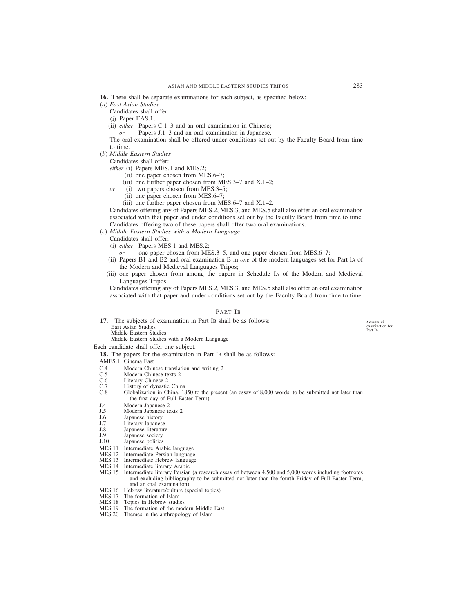- **16.** There shall be separate examinations for each subject, as specified below:
- (*a*) *East Asian Studies*

Candidates shall offer:

- (i) Paper EAS.1;
- (ii) *either* Papers C.1–3 and an oral examination in Chinese;
	- *or* Papers J.1–3 and an oral examination in Japanese.

The oral examination shall be offered under conditions set out by the Faculty Board from time to time.

(*b*) *Middle Eastern Studies*

Candidates shall offer:

- *either* (i) Papers MES.1 and MES.2;
	- (ii) one paper chosen from MES.6–7;
	- (iii) one further paper chosen from MES.3–7 and  $X.1-2$ ;
- *or* (i) two papers chosen from MES.3–5;
	- (ii) one paper chosen from MES.6–7;
	- (iii) one further paper chosen from MES.6–7 and X.1–2.

Candidates offering any of Papers MES.2, MES.3, and MES.5 shall also offer an oral examination associated with that paper and under conditions set out by the Faculty Board from time to time. Candidates offering two of these papers shall offer two oral examinations.

- (*c*) *Middle Eastern Studies with a Modern Language*
	- Candidates shall offer:
	- (i) *either* Papers MES.1 and MES.2;
		- *or* one paper chosen from MES.3–5, and one paper chosen from MES.6–7;
	- (ii) Papers B1 and B2 and oral examination B in *one* of the modern languages set for Part IA of the Modern and Medieval Languages Tripos;
	- (iii) one paper chosen from among the papers in Schedule IA of the Modern and Medieval Languages Tripos.

Candidates offering any of Papers MES.2, MES.3, and MES.5 shall also offer an oral examination associated with that paper and under conditions set out by the Faculty Board from time to time.

# PART IB

- **17.** The subjects of examination in Part IB shall be as follows: East Asian Studies
	- Middle Eastern Studies

Middle Eastern Studies with a Modern Language

Each candidate shall offer one subject.

- **18.** The papers for the examination in Part IB shall be as follows:
- AMES.1 Cinema East
- C.4 Modern Chinese translation and writing 2
- C.5 Modern Chinese texts 2
- C.6 Literary Chinese 2
- C.7 History of dynastic China
- C.8 Globalization in China, 1850 to the present (an essay of 8,000 words, to be submitted not later than the first day of Full Easter Term)
- J.4 Modern Japanese 2
- J.5 Modern Japanese texts 2
- J.6 Japanese history
- J.7 Literary Japanese
- J.8 Japanese literature
- J.9 Japanese society
- J.10 Japanese politics
- MES.11 Intermediate Arabic language
- MES.12 Intermediate Persian language
- MES.13 Intermediate Hebrew language
- MES.14 Intermediate literary Arabic
- MES.15 Intermediate literary Persian (a research essay of between 4,500 and 5,000 words including footnotes and excluding bibliography to be submitted not later than the fourth Friday of Full Easter Term, and an oral examination)
- MES.16 Hebrew literature/culture (special topics)
- MES.17 The formation of Islam
- MES.18 Topics in Hebrew studies
- MES.19 The formation of the modern Middle East
- MES.20 Themes in the anthropology of Islam

Scheme of examination for Part IB.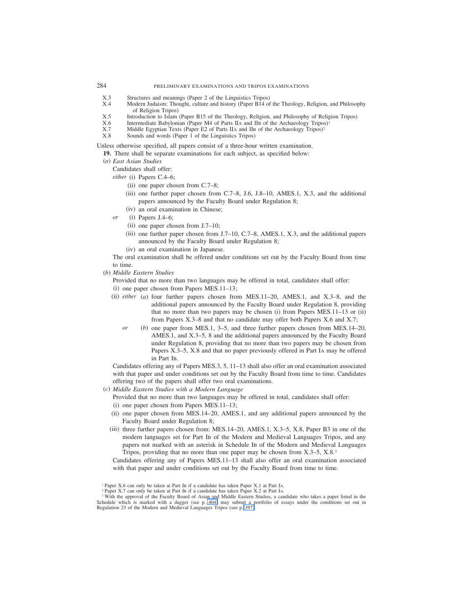- X.3 Structures and meanings (Paper 2 of the Linguistics Tripos)<br>X.4 Modern Judaism: Thought culture and history (Paper B14 of
- Modern Judaism: Thought, culture and history (Paper B14 of the Theology, Religion, and Philosophy of Religion Tripos)
- X.5 Introduction to Islam (Paper B15 of the Theology, Religion, and Philosophy of Religion Tripos) X.6 Intermediate Babylonian (Paper M4 of Parts IIA and IIB of the Archaeology Tripos)<sup>1</sup>
- $X.6$  Intermediate Babylonian (Paper M4 of Parts IIA and IIB of the Archaeology Tripos)<sup>1</sup><br> $X \, 7$  Middle Foyntian Texts (Paper F2 of Parts II<sub>A</sub> and IIB of the Archaeology Tripos)<sup>2</sup>
- X.7 Middle Egyptian Texts (Paper E2 of Parts IIA and IIB of the Archaeology Tripos)<sup>2</sup><br>X.8 Sounds and words (Paper 1 of the Linguistics Tripos)
- Sounds and words (Paper 1 of the Linguistics Tripos)

Unless otherwise specified, all papers consist of a three-hour written examination.

- **19.** There shall be separate examinations for each subject, as specified below:
- (*a*) *East Asian Studies*

Candidates shall offer:

*either* (i) Papers C.4–6;

- (ii) one paper chosen from C.7–8;
- (iii) one further paper chosen from C.7–8, J.6, J.8–10, AMES.1, X.3, and the additional papers announced by the Faculty Board under Regulation 8;
- (iv) an oral examination in Chinese;
- *or* (i) Papers J.4–6;
	- (ii) one paper chosen from J.7–10;
	- (iii) one further paper chosen from J.7–10, C.7–8, AMES.1, X.3, and the additional papers announced by the Faculty Board under Regulation 8;
	- (iv) an oral examination in Japanese.

The oral examination shall be offered under conditions set out by the Faculty Board from time to time.

- (*b*) *Middle Eastern Studies*
	- Provided that no more than two languages may be offered in total, candidates shall offer:
	- (i) one paper chosen from Papers MES.11–13;
	- (ii) *either* (*a*) four further papers chosen from MES.11–20, AMES.1, and X.3–8, and the additional papers announced by the Faculty Board under Regulation 8, providing that no more than two papers may be chosen (i) from Papers MES.11–13 or (ii) from Papers X.3–8 and that no candidate may offer both Papers X.6 and X.7;
		- *or* (*b*) one paper from MES.1, 3–5, and three further papers chosen from MES.14–20, AMES.1, and X.3–5, 8 and the additional papers announced by the Faculty Board under Regulation 8, providing that no more than two papers may be chosen from Papers X.3–5, X.8 and that no paper previously offered in Part IA may be offered in Part IB.

Candidates offering any of Papers MES.3, 5, 11–13 shall also offer an oral examination associated with that paper and under conditions set out by the Faculty Board from time to time. Candidates offering two of the papers shall offer two oral examinations.

(*c*) *Middle Eastern Studies with a Modern Language*

Provided that no more than two languages may be offered in total, candidates shall offer:

- (i) one paper chosen from Papers MES.11–13;
- (ii) one paper chosen from MES.14–20, AMES.1, and any additional papers announced by the Faculty Board under Regulation 8;
- (iii) three further papers chosen from: MES.14–20, AMES.1, X.3–5, X.8, Paper B3 in one of the modern languages set for Part IB of the Modern and Medieval Languages Tripos, and any papers not marked with an asterisk in Schedule IB of the Modern and Medieval Languages Tripos, providing that no more than one paper may be chosen from X.3–5, X.8.<sup>3</sup>

Candidates offering any of Papers MES.11–13 shall also offer an oral examination associated with that paper and under conditions set out by the Faculty Board from time to time.

<sup>1</sup> Paper X.6 can only be taken at Part IB if a candidate has taken Paper X.1 at Part IA.

<sup>2</sup> Paper X.7 can only be taken at Part IB if a candidate has taken Paper X.2 at Part IA.

<sup>&</sup>lt;sup>3</sup> With the approval of the Faculty Board of Asian and Middle Eastern Studies, a candidate who takes a paper listed in the Schedule which is marked with a dagger (see p. 404) may submit a portfolio of essays under the conditions set out in Regulation 23 of the Modern and Medieval Languages Tripos (see p. 397).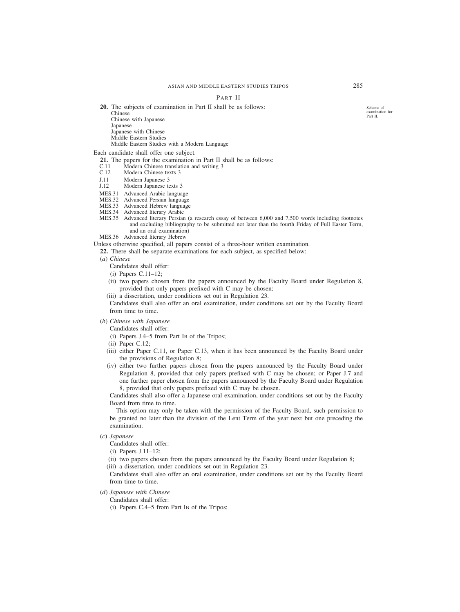# PART II

**20.** The subjects of examination in Part II shall be as follows:

Chinese

Chinese with Japanese **Japanese** 

Japanese with Chinese

Middle Eastern Studies

Middle Eastern Studies with a Modern Language

Each candidate shall offer one subject.

- **21.** The papers for the examination in Part II shall be as follows: C.11 Modern Chinese translation and writing 3
- C.11 Modern Chinese translation and writing 3<br>C.12 Modern Chinese texts 3
- Modern Chinese texts 3
- J.11 Modern Japanese 3<br>J.12 Modern Japanese te
- Modern Japanese texts 3
- MES.31 Advanced Arabic language
- MES.32 Advanced Persian language
- MES.33 Advanced Hebrew language
- MES.34 Advanced literary Arabic
- MES.35 Advanced literary Persian (a research essay of between 6,000 and 7,500 words including footnotes and excluding bibliography to be submitted not later than the fourth Friday of Full Easter Term, and an oral examination)
- MES.36 Advanced literary Hebrew

Unless otherwise specified, all papers consist of a three-hour written examination.

**22.** There shall be separate examinations for each subject, as specified below:

(*a*) *Chinese*

Candidates shall offer:

- (i) Papers C.11–12;
- (ii) two papers chosen from the papers announced by the Faculty Board under Regulation 8, provided that only papers prefixed with C may be chosen;
- (iii) a dissertation, under conditions set out in Regulation 23.

Candidates shall also offer an oral examination, under conditions set out by the Faculty Board from time to time.

# (*b*) *Chinese with Japanese*

Candidates shall offer:

- (i) Papers J.4–5 from Part IB of the Tripos;
- (ii) Paper C.12;
- (iii) either Paper C.11, or Paper C.13, when it has been announced by the Faculty Board under the provisions of Regulation 8;
- (iv) either two further papers chosen from the papers announced by the Faculty Board under Regulation 8, provided that only papers prefixed with C may be chosen; or Paper J.7 and one further paper chosen from the papers announced by the Faculty Board under Regulation 8, provided that only papers prefixed with C may be chosen.

Candidates shall also offer a Japanese oral examination, under conditions set out by the Faculty Board from time to time.

This option may only be taken with the permission of the Faculty Board, such permission to be granted no later than the division of the Lent Term of the year next but one preceding the examination.

# (*c*) *Japanese*

Candidates shall offer:

(i) Papers J.11–12;

(ii) two papers chosen from the papers announced by the Faculty Board under Regulation 8;

(iii) a dissertation, under conditions set out in Regulation 23.

Candidates shall also offer an oral examination, under conditions set out by the Faculty Board from time to time.

- (*d*) *Japanese with Chinese*
	- Candidates shall offer:
	- (i) Papers C.4–5 from Part IB of the Tripos;

Scheme of examination for Part II.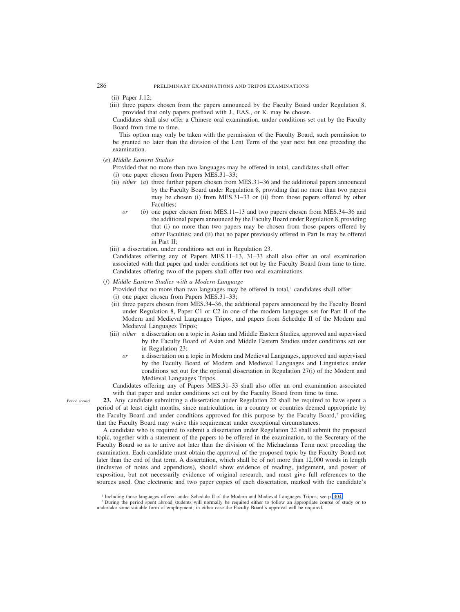(ii) Paper J.12;

(iii) three papers chosen from the papers announced by the Faculty Board under Regulation 8, provided that only papers prefixed with J., EAS., or K. may be chosen.

Candidates shall also offer a Chinese oral examination, under conditions set out by the Faculty Board from time to time.

This option may only be taken with the permission of the Faculty Board, such permission to be granted no later than the division of the Lent Term of the year next but one preceding the examination.

(*e*) *Middle Eastern Studies*

Provided that no more than two languages may be offered in total, candidates shall offer:

- (i) one paper chosen from Papers MES.31–33;
- (ii) *either* (*a*) three further papers chosen from MES.31–36 and the additional papers announced by the Faculty Board under Regulation 8, providing that no more than two papers may be chosen (i) from MES.31–33 or (ii) from those papers offered by other Faculties;
	- *or* (*b*) one paper chosen from MES.11–13 and two papers chosen from MES.34–36 and the additional papers announced by the Faculty Board under Regulation 8, providing that (i) no more than two papers may be chosen from those papers offered by other Faculties; and (ii) that no paper previously offered in Part IB may be offered in Part II;
- (iii) a dissertation, under conditions set out in Regulation 23.

Candidates offering any of Papers MES.11–13, 31–33 shall also offer an oral examination associated with that paper and under conditions set out by the Faculty Board from time to time. Candidates offering two of the papers shall offer two oral examinations.

# (*f*) *Middle Eastern Studies with a Modern Language*

Provided that no more than two languages may be offered in total,<sup>1</sup> candidates shall offer:

- (i) one paper chosen from Papers MES.31–33;
- (ii) three papers chosen from MES.34–36, the additional papers announced by the Faculty Board under Regulation 8, Paper C1 or C2 in one of the modern languages set for Part II of the Modern and Medieval Languages Tripos, and papers from Schedule II of the Modern and Medieval Languages Tripos;
- (iii) *either* a dissertation on a topic in Asian and Middle Eastern Studies, approved and supervised by the Faculty Board of Asian and Middle Eastern Studies under conditions set out in Regulation 23;
	- *or* a dissertation on a topic in Modern and Medieval Languages, approved and supervised by the Faculty Board of Modern and Medieval Languages and Linguistics under conditions set out for the optional dissertation in Regulation 27(i) of the Modern and Medieval Languages Tripos.

Candidates offering any of Papers MES.31–33 shall also offer an oral examination associated with that paper and under conditions set out by the Faculty Board from time to time.

Period abroad.

**23.** Any candidate submitting a dissertation under Regulation 22 shall be required to have spent a period of at least eight months, since matriculation, in a country or countries deemed appropriate by the Faculty Board and under conditions approved for this purpose by the Faculty Board, $2$  providing that the Faculty Board may waive this requirement under exceptional circumstances.

A candidate who is required to submit a dissertation under Regulation 22 shall submit the proposed topic, together with a statement of the papers to be offered in the examination, to the Secretary of the Faculty Board so as to arrive not later than the division of the Michaelmas Term next preceding the examination. Each candidate must obtain the approval of the proposed topic by the Faculty Board not later than the end of that term. A dissertation, which shall be of not more than 12,000 words in length (inclusive of notes and appendices), should show evidence of reading, judgement, and power of exposition, but not necessarily evidence of original research, and must give full references to the sources used. One electronic and two paper copies of each dissertation, marked with the candidate's

<sup>1</sup> Including those languages offered under Schedule II of the Modern and Medieval Languages Tripos; see p. 404.

<sup>2</sup> During the period spent abroad students will normally be required either to follow an appropriate course of study or to undertake some suitable form of employment; in either case the Faculty Board's approval will be required.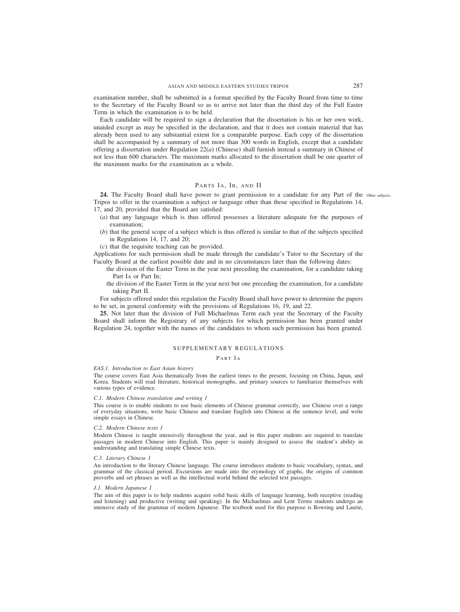examination number, shall be submitted in a format specified by the Faculty Board from time to time to the Secretary of the Faculty Board so as to arrive not later than the third day of the Full Easter Term in which the examination is to be held.

Each candidate will be required to sign a declaration that the dissertation is his or her own work, unaided except as may be specified in the declaration, and that it does not contain material that has already been used to any substantial extent for a comparable purpose. Each copy of the dissertation shall be accompanied by a summary of not more than 300 words in English, except that a candidate offering a dissertation under Regulation 22(*a*) (Chinese) shall furnish instead a summary in Chinese of not less than 600 characters. The maximum marks allocated to the dissertation shall be one quarter of the maximum marks for the examination as a whole.

# PARTS IA, IB, AND II

24. The Faculty Board shall have power to grant permission to a candidate for any Part of the other subjects. Tripos to offer in the examination a subject or language other than those specified in Regulations 14, 17, and 20, provided that the Board are satisfied:

- (*a*) that any language which is thus offered possesses a literature adequate for the purposes of examination;
- (*b*) that the general scope of a subject which is thus offered is similar to that of the subjects specified in Regulations 14, 17, and 20;
- (*c*) that the requisite teaching can be provided.

Applications for such permission shall be made through the candidate's Tutor to the Secretary of the Faculty Board at the earliest possible date and in no circumstances later than the following dates:

- the division of the Easter Term in the year next preceding the examination, for a candidate taking Part IA or Part IB;
- the division of the Easter Term in the year next but one preceding the examination, for a candidate taking Part II.

For subjects offered under this regulation the Faculty Board shall have power to determine the papers to be set, in general conformity with the provisions of Regulations 16, 19, and 22.

**25.** Not later than the division of Full Michaelmas Term each year the Secretary of the Faculty Board shall inform the Registrary of any subjects for which permission has been granted under Regulation 24, together with the names of the candidates to whom such permission has been granted.

# SUPPLEMENTARY REGULATIONS

# PART IA

#### *EAS.1. Introduction to East Asian history*

The course covers East Asia thematically from the earliest times to the present, focusing on China, Japan, and Korea. Students will read literature, historical monographs, and primary sources to familiarize themselves with various types of evidence.

#### *C.1. Modern Chinese translation and writing 1*

This course is to enable students to use basic elements of Chinese grammar correctly, use Chinese over a range of everyday situations, write basic Chinese and translate English into Chinese at the sentence level, and write simple essays in Chinese.

#### *C.2. Modern Chinese texts 1*

Modern Chinese is taught intensively throughout the year, and in this paper students are required to translate passages in modern Chinese into English. This paper is mainly designed to assess the student's ability in understanding and translating simple Chinese texts.

#### *C.3. Literary Chinese 1*

An introduction to the literary Chinese language. The course introduces students to basic vocabulary, syntax, and grammar of the classical period. Excursions are made into the etymology of graphs, the origins of common proverbs and set phrases as well as the intellectual world behind the selected text passages.

#### *J.1. Modern Japanese 1*

The aim of this paper is to help students acquire solid basic skills of language learning, both receptive (reading and listening) and productive (writing and speaking). In the Michaelmas and Lent Terms students undergo an intensive study of the grammar of modern Japanese. The textbook used for this purpose is Bowring and Laurie,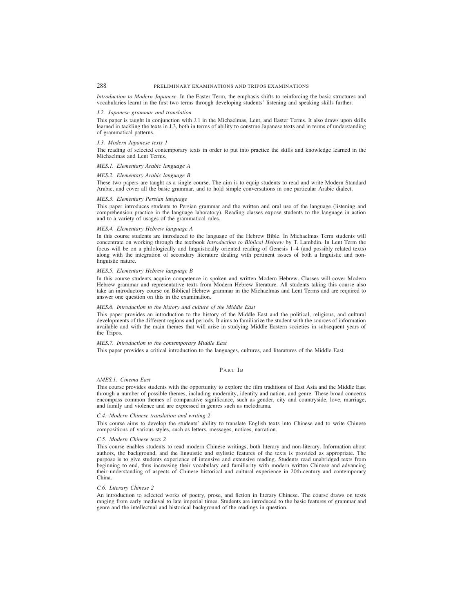*Introduction to Modern Japanese*. In the Easter Term, the emphasis shifts to reinforcing the basic structures and vocabularies learnt in the first two terms through developing students' listening and speaking skills further.

#### *J.2. Japanese grammar and translation*

This paper is taught in conjunction with J.1 in the Michaelmas, Lent, and Easter Terms. It also draws upon skills learned in tackling the texts in J.3, both in terms of ability to construe Japanese texts and in terms of understanding of grammatical patterns.

#### *J.3. Modern Japanese texts 1*

The reading of selected contemporary texts in order to put into practice the skills and knowledge learned in the Michaelmas and Lent Terms.

# *MES.1. Elementary Arabic language A*

# *MES.2. Elementary Arabic language B*

These two papers are taught as a single course. The aim is to equip students to read and write Modern Standard Arabic, and cover all the basic grammar, and to hold simple conversations in one particular Arabic dialect.

#### *MES.3. Elementary Persian language*

This paper introduces students to Persian grammar and the written and oral use of the language (listening and comprehension practice in the language laboratory). Reading classes expose students to the language in action and to a variety of usages of the grammatical rules.

#### *MES.4. Elementary Hebrew language A*

In this course students are introduced to the language of the Hebrew Bible. In Michaelmas Term students will concentrate on working through the textbook *Introduction to Biblical Hebrew* by T. Lambdin. In Lent Term the focus will be on a philologically and linguistically oriented reading of Genesis 1–4 (and possibly related texts) along with the integration of secondary literature dealing with pertinent issues of both a linguistic and nonlinguistic nature.

#### *MES.5. Elementary Hebrew language B*

In this course students acquire competence in spoken and written Modern Hebrew. Classes will cover Modern Hebrew grammar and representative texts from Modern Hebrew literature. All students taking this course also take an introductory course on Biblical Hebrew grammar in the Michaelmas and Lent Terms and are required to answer one question on this in the examination.

#### *MES.6. Introduction to the history and culture of the Middle East*

This paper provides an introduction to the history of the Middle East and the political, religious, and cultural developments of the different regions and periods. It aims to familiarize the student with the sources of information available and with the main themes that will arise in studying Middle Eastern societies in subsequent years of the Tripos.

#### *MES.7. Introduction to the contemporary Middle East*

This paper provides a critical introduction to the languages, cultures, and literatures of the Middle East.

#### PART IB

#### *AMES.1. Cinema East*

This course provides students with the opportunity to explore the film traditions of East Asia and the Middle East through a number of possible themes, including modernity, identity and nation, and genre. These broad concerns encompass common themes of comparative significance, such as gender, city and countryside, love, marriage, and family and violence and are expressed in genres such as melodrama.

# *C.4. Modern Chinese translation and writing 2*

This course aims to develop the students' ability to translate English texts into Chinese and to write Chinese compositions of various styles, such as letters, messages, notices, narration.

#### *C.5. Modern Chinese texts 2*

This course enables students to read modern Chinese writings, both literary and non-literary. Information about authors, the background, and the linguistic and stylistic features of the texts is provided as appropriate. The purpose is to give students experience of intensive and extensive reading. Students read unabridged texts from beginning to end, thus increasing their vocabulary and familiarity with modern written Chinese and advancing their understanding of aspects of Chinese historical and cultural experience in 20th-century and contemporary China.

### *C.6. Literary Chinese 2*

An introduction to selected works of poetry, prose, and fiction in literary Chinese. The course draws on texts ranging from early medieval to late imperial times. Students are introduced to the basic features of grammar and genre and the intellectual and historical background of the readings in question.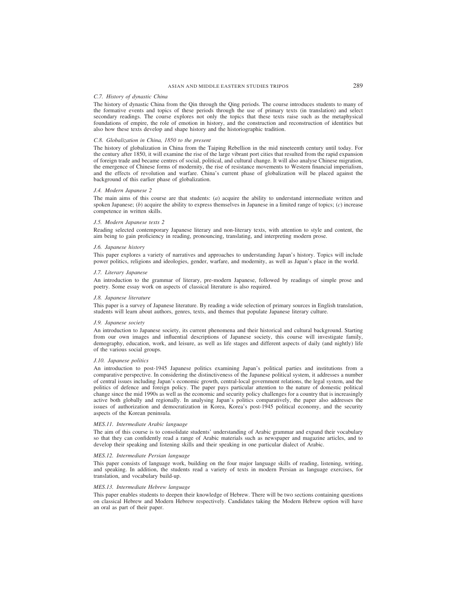# ASIAN AND MIDDLE EASTERN STUDIES TRIPOS 289

#### *C.7. History of dynastic China*

The history of dynastic China from the Qin through the Qing periods. The course introduces students to many of the formative events and topics of these periods through the use of primary texts (in translation) and select secondary readings. The course explores not only the topics that these texts raise such as the metaphysical foundations of empire, the role of emotion in history, and the construction and reconstruction of identities but also how these texts develop and shape history and the historiographic tradition.

#### *C.8. Globalization in China, 1850 to the present*

The history of globalization in China from the Taiping Rebellion in the mid nineteenth century until today. For the century after 1850, it will examine the rise of the large vibrant port cities that resulted from the rapid expansion of foreign trade and became centres of social, political, and cultural change. It will also analyse Chinese migration, the emergence of Chinese forms of modernity, the rise of resistance movements to Western financial imperialism, and the effects of revolution and warfare. China's current phase of globalization will be placed against the background of this earlier phase of globalization.

#### *J.4. Modern Japanese 2*

The main aims of this course are that students: (*a*) acquire the ability to understand intermediate written and spoken Japanese; (*b*) acquire the ability to express themselves in Japanese in a limited range of topics; (*c*) increase competence in written skills.

#### *J.5. Modern Japanese texts 2*

Reading selected contemporary Japanese literary and non-literary texts, with attention to style and content, the aim being to gain proficiency in reading, pronouncing, translating, and interpreting modern prose.

#### *J.6. Japanese history*

This paper explores a variety of narratives and approaches to understanding Japan's history. Topics will include power politics, religions and ideologies, gender, warfare, and modernity, as well as Japan's place in the world.

#### *J.7. Literary Japanese*

An introduction to the grammar of literary, pre-modern Japanese, followed by readings of simple prose and poetry. Some essay work on aspects of classical literature is also required.

#### *J.8. Japanese literature*

This paper is a survey of Japanese literature. By reading a wide selection of primary sources in English translation, students will learn about authors, genres, texts, and themes that populate Japanese literary culture.

#### *J.9. Japanese society*

An introduction to Japanese society, its current phenomena and their historical and cultural background. Starting from our own images and influential descriptions of Japanese society, this course will investigate family, demography, education, work, and leisure, as well as life stages and different aspects of daily (and nightly) life of the various social groups.

#### *J.10. Japanese politics*

An introduction to post-1945 Japanese politics examining Japan's political parties and institutions from a comparative perspective. In considering the distinctiveness of the Japanese political system, it addresses a number of central issues including Japan's economic growth, central-local government relations, the legal system, and the politics of defence and foreign policy. The paper pays particular attention to the nature of domestic political change since the mid 1990s as well as the economic and security policy challenges for a country that is increasingly active both globally and regionally. In analysing Japan's politics comparatively, the paper also addresses the issues of authorization and democratization in Korea, Korea's post-1945 political economy, and the security aspects of the Korean peninsula.

#### *MES.11. Intermediate Arabic language*

The aim of this course is to consolidate students' understanding of Arabic grammar and expand their vocabulary so that they can confidently read a range of Arabic materials such as newspaper and magazine articles, and to develop their speaking and listening skills and their speaking in one particular dialect of Arabic.

#### *MES.12. Intermediate Persian language*

This paper consists of language work, building on the four major language skills of reading, listening, writing, and speaking. In addition, the students read a variety of texts in modern Persian as language exercises, for translation, and vocabulary build-up.

#### *MES.13. Intermediate Hebrew language*

This paper enables students to deepen their knowledge of Hebrew. There will be two sections containing questions on classical Hebrew and Modern Hebrew respectively. Candidates taking the Modern Hebrew option will have an oral as part of their paper.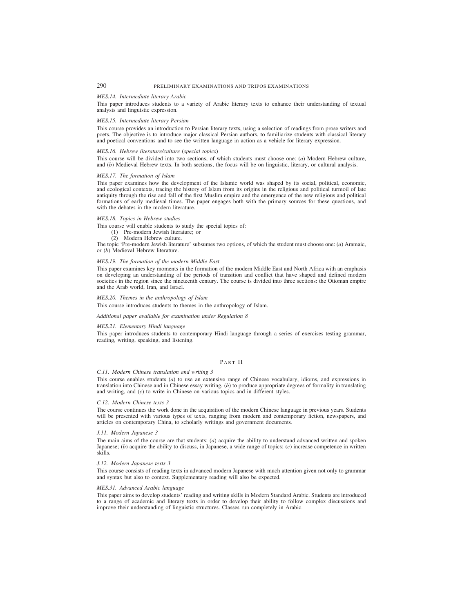#### *MES.14. Intermediate literary Arabic*

This paper introduces students to a variety of Arabic literary texts to enhance their understanding of textual analysis and linguistic expression.

#### *MES.15. Intermediate literary Persian*

This course provides an introduction to Persian literary texts, using a selection of readings from prose writers and poets. The objective is to introduce major classical Persian authors, to familiarize students with classical literary and poetical conventions and to see the written language in action as a vehicle for literary expression.

#### *MES.16. Hebrew literature/culture* (*special topics*)

This course will be divided into two sections, of which students must choose one: (*a*) Modern Hebrew culture, and (*b*) Medieval Hebrew texts. In both sections, the focus will be on linguistic, literary, or cultural analysis.

#### *MES.17. The formation of Islam*

This paper examines how the development of the Islamic world was shaped by its social, political, economic, and ecological contexts, tracing the history of Islam from its origins in the religious and political turmoil of late antiquity through the rise and fall of the first Muslim empire and the emergence of the new religious and political formations of early medieval times. The paper engages both with the primary sources for these questions, and with the debates in the modern literature.

#### *MES.18. Topics in Hebrew studies*

This course will enable students to study the special topics of:

- (1) Pre-modern Jewish literature; or
- (2) Modern Hebrew culture.

The topic 'Pre-modern Jewish literature' subsumes two options, of which the student must choose one: (*a*) Aramaic, or (*b*) Medieval Hebrew literature.

# *MES.19. The formation of the modern Middle East*

This paper examines key moments in the formation of the modern Middle East and North Africa with an emphasis on developing an understanding of the periods of transition and conflict that have shaped and defined modern societies in the region since the nineteenth century. The course is divided into three sections: the Ottoman empire and the Arab world, Iran, and Israel.

#### *MES.20. Themes in the anthropology of Islam*

This course introduces students to themes in the anthropology of Islam.

#### *Additional paper available for examination under Regulation 8*

#### *MES.21. Elementary Hindi language*

This paper introduces students to contemporary Hindi language through a series of exercises testing grammar, reading, writing, speaking, and listening.

#### PART II

#### *C.11. Modern Chinese translation and writing 3*

This course enables students (*a*) to use an extensive range of Chinese vocabulary, idioms, and expressions in translation into Chinese and in Chinese essay writing, (*b*) to produce appropriate degrees of formality in translating and writing, and (*c*) to write in Chinese on various topics and in different styles.

#### *C.12. Modern Chinese texts 3*

The course continues the work done in the acquisition of the modern Chinese language in previous years. Students will be presented with various types of texts, ranging from modern and contemporary fiction, newspapers, and articles on contemporary China, to scholarly writings and government documents.

#### *J.11. Modern Japanese 3*

The main aims of the course are that students: (*a*) acquire the ability to understand advanced written and spoken Japanese; (*b*) acquire the ability to discuss, in Japanese, a wide range of topics; (*c*) increase competence in written skills.

#### *J.12. Modern Japanese texts 3*

This course consists of reading texts in advanced modern Japanese with much attention given not only to grammar and syntax but also to context. Supplementary reading will also be expected.

#### *MES.31. Advanced Arabic language*

This paper aims to develop students' reading and writing skills in Modern Standard Arabic. Students are introduced to a range of academic and literary texts in order to develop their ability to follow complex discussions and improve their understanding of linguistic structures. Classes run completely in Arabic.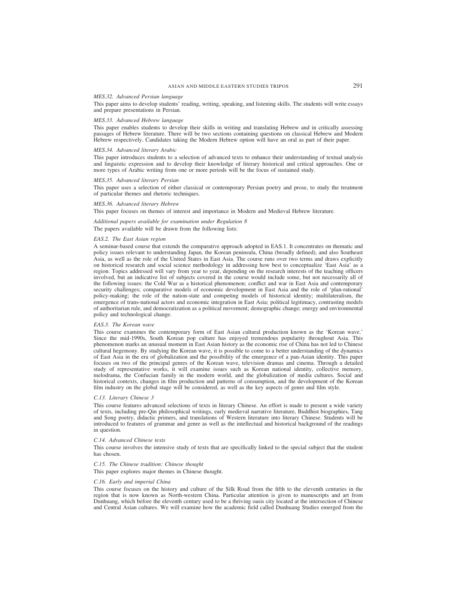#### *MES.32. Advanced Persian language*

This paper aims to develop students' reading, writing, speaking, and listening skills. The students will write essays and prepare presentations in Persian.

#### *MES.33. Advanced Hebrew language*

This paper enables students to develop their skills in writing and translating Hebrew and in critically assessing passages of Hebrew literature. There will be two sections containing questions on classical Hebrew and Modern Hebrew respectively. Candidates taking the Modern Hebrew option will have an oral as part of their paper.

#### *MES.34. Advanced literary Arabic*

This paper introduces students to a selection of advanced texts to enhance their understanding of textual analysis and linguistic expression and to develop their knowledge of literary historical and critical approaches. One or more types of Arabic writing from one or more periods will be the focus of sustained study.

#### *MES.35. Advanced literary Persian*

This paper uses a selection of either classical or contemporary Persian poetry and prose, to study the treatment of particular themes and rhetoric techniques.

#### *MES.36. Advanced literary Hebrew*

This paper focuses on themes of interest and importance in Modern and Medieval Hebrew literature.

# *Additional papers available for examination under Regulation 8* The papers available will be drawn from the following lists:

#### *EAS.2. The East Asian region*

A seminar-based course that extends the comparative approach adopted in EAS.1. It concentrates on thematic and policy issues relevant to understanding Japan, the Korean peninsula, China (broadly defined), and also Southeast Asia, as well as the role of the United States in East Asia. The course runs over two terms and draws explicitly on historical research and social science methodology in addressing how best to conceptualize 'East Asia' as a region. Topics addressed will vary from year to year, depending on the research interests of the teaching officers involved, but an indicative list of subjects covered in the course would include some, but not necessarily all of the following issues: the Cold War as a historical phenomenon; conflict and war in East Asia and contemporary security challenges; comparative models of economic development in East Asia and the role of 'plan-rational' policy-making; the role of the nation-state and competing models of historical identity; multilateralism, the emergence of trans-national actors and economic integration in East Asia; political legitimacy, contrasting models of authoritarian rule, and democratization as a political movement; demographic change; energy and environmental policy and technological change.

#### *EAS.3. The Korean wave*

This course examines the contemporary form of East Asian cultural production known as the 'Korean wave.' Since the mid-1990s, South Korean pop culture has enjoyed tremendous popularity throughout Asia. This phenomenon marks an unusual moment in East Asian history as the economic rise of China has not led to Chinese cultural hegemony. By studying the Korean wave, it is possible to come to a better understanding of the dynamics of East Asia in the era of globalization and the possibility of the emergence of a pan-Asian identity. This paper focuses on two of the principal genres of the Korean wave, television dramas and cinema. Through a detailed study of representative works, it will examine issues such as Korean national identity, collective memory, melodrama, the Confucian family in the modern world, and the globalization of media cultures. Social and historical contexts, changes in film production and patterns of consumption, and the development of the Korean film industry on the global stage will be considered, as well as the key aspects of genre and film style.

#### *C.13. Literary Chinese 3*

This course features advanced selections of texts in literary Chinese. An effort is made to present a wide variety of texts, including pre-Qin philosophical writings, early medieval narrative literature, Buddhist biographies, Tang and Song poetry, didactic primers, and translations of Western literature into literary Chinese. Students will be introduced to features of grammar and genre as well as the intellectual and historical background of the readings in question.

#### *C.14. Advanced Chinese texts*

This course involves the intensive study of texts that are specifically linked to the special subject that the student has chosen.

#### *C.15. The Chinese tradition: Chinese thought*

This paper explores major themes in Chinese thought.

#### *C.16. Early and imperial China*

This course focuses on the history and culture of the Silk Road from the fifth to the eleventh centuries in the region that is now known as North-western China. Particular attention is given to manuscripts and art from Dunhuang, which before the eleventh century used to be a thriving oasis city located at the intersection of Chinese and Central Asian cultures. We will examine how the academic field called Dunhuang Studies emerged from the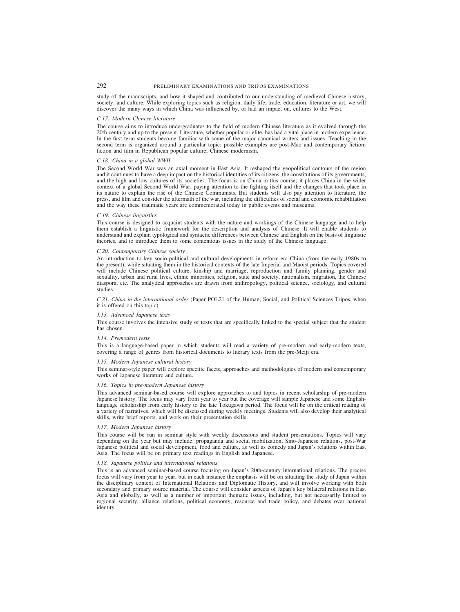study of the manuscripts, and how it shaped and contributed to our understanding of medieval Chinese history, society, and culture. While exploring topics such as religion, daily life, trade, education, literature or art, we will discover the many ways in which China was influenced by, or had an impact on, cultures to the West.

#### *C.17. Modern Chinese literature*

The course aims to introduce undergraduates to the field of modern Chinese literature as it evolved through the 20th century and up to the present. Literature, whether popular or elite, has had a vital place in modern experience. In the first term students become familiar with some of the major canonical writers and issues. Teaching in the second term is organized around a particular topic: possible examples are post-Mao and contemporary fiction; fiction and film in Republican popular culture; Chinese modernism.

#### *C.18. China in a global WWII*

The Second World War was an axial moment in East Asia. It reshaped the geopolitical contours of the region and it continues to have a deep impact on the historical identities of its citizens, the constitutions of its governments, and the high and low cultures of its societies. The focus is on China in this course; it places China in the wider context of a global Second World War, paying attention to the fighting itself and the changes that took place in its nature to explain the rise of the Chinese Communists. But students will also pay attention to literature, the press, and film and consider the aftermath of the war, including the difficulties of social and economic rehabilitation and the way these traumatic years are commemorated today in public events and museums.

#### *C.19. Chinese linguistics*

This course is designed to acquaint students with the nature and workings of the Chinese language and to help them establish a linguistic framework for the description and analysis of Chinese. It will enable students to understand and explain typological and syntactic differences between Chinese and English on the basis of linguistic theories, and to introduce them to some contentious issues in the study of the Chinese language.

#### *C.20. Contemporary Chinese society*

An introduction to key socio-political and cultural developments in reform-era China (from the early 1980s to the present), while situating them in the historical contexts of the late Imperial and Maoist periods. Topics covered will include Chinese political culture, kinship and marriage, reproduction and family planning, gender and sexuality, urban and rural lives, ethnic minorities, religion, state and society, nationalism, migration, the Chinese diaspora, etc. The analytical approaches are drawn from anthropology, political science, sociology, and cultural studies.

*C.21. China in the international order* (Paper POL21 of the Human, Social, and Political Sciences Tripos, when it is offered on this topic)

#### *J.13. Advanced Japanese texts*

This course involves the intensive study of texts that are specifically linked to the special subject that the student has chosen.

#### *J.14. Premodern texts*

This is a language-based paper in which students will read a variety of pre-modern and early-modern texts, covering a range of genres from historical documents to literary texts from the pre-Meiji era.

#### *J.15. Modern Japanese cultural history*

This seminar-style paper will explore specific facets, approaches and methodologies of modern and contemporary works of Japanese literature and culture.

# *J.16. Topics in pre-modern Japanese history*

This advanced seminar-based course will explore approaches to and topics in recent scholarship of pre-modern Japanese history. The focus may vary from year to year but the coverage will sample Japanese and some Englishlanguage scholarship from early history to the late Tokugawa period. The focus will be on the critical reading of a variety of narratives, which will be discussed during weekly meetings. Students will also develop their analytical skills, write brief reports, and work on their presentation skills.

#### *J.17. Modern Japanese history*

This course will be run in seminar style with weekly discussions and student presentations. Topics will vary depending on the year but may include: propaganda and social mobilization, Sino-Japanese relations, post-War Japanese political and social development, food and culture, as well as comedy and Japan's relations within East Asia. The focus will be on primary text readings in English and Japanese.

# *J.18. Japanese politics and international relations*

This is an advanced seminar-based course focusing on Japan's 20th-century international relations. The precise focus will vary from year to year, but in each instance the emphasis will be on situating the study of Japan within the disciplinary context of International Relations and Diplomatic History, and will involve working with both secondary and primary source material. The course will consider aspects of Japan's key bilateral relations in East Asia and globally, as well as a number of important thematic issues, including, but not necessarily limited to regional security, alliance relations, political economy, resource and trade policy, and debates over national identity.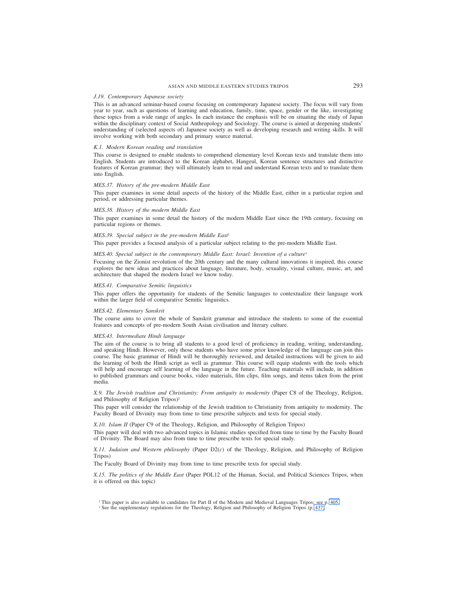# ASIAN AND MIDDLE EASTERN STUDIES TRIPOS 293

# *J.19. Contemporary Japanese society*

This is an advanced seminar-based course focusing on contemporary Japanese society. The focus will vary from year to year, such as questions of learning and education, family, time, space, gender or the like, investigating these topics from a wide range of angles. In each instance the emphasis will be on situating the study of Japan within the disciplinary context of Social Anthropology and Sociology. The course is aimed at deepening students' understanding of (selected aspects of) Japanese society as well as developing research and writing skills. It will involve working with both secondary and primary source material.

#### *K.1. Modern Korean reading and translation*

This course is designed to enable students to comprehend elementary level Korean texts and translate them into English. Students are introduced to the Korean alphabet, Hangeul, Korean sentence structures and distinctive features of Korean grammar; they will ultimately learn to read and understand Korean texts and to translate them into English.

#### *MES.37. History of the pre-modern Middle East*

This paper examines in some detail aspects of the history of the Middle East, either in a particular region and period, or addressing particular themes.

#### *MES.38. History of the modern Middle East*

This paper examines in some detail the history of the modern Middle East since the 19th century, focusing on particular regions or themes.

#### *MES.39. Special subject in the pre-modern Middle East<sup>1</sup>*

This paper provides a focused analysis of a particular subject relating to the pre-modern Middle East.

# *MES.40. Special subject in the contemporary Middle East: Israel: Invention of a culture<sup>1</sup>*

Focusing on the Zionist revolution of the 20th century and the many cultural innovations it inspired, this course explores the new ideas and practices about language, literature, body, sexuality, visual culture, music, art, and architecture that shaped the modern Israel we know today.

#### *MES.41. Comparative Semitic linguistics*

This paper offers the opportunity for students of the Semitic languages to contextualize their language work within the larger field of comparative Semitic linguistics.

#### *MES.42. Elementary Sanskrit*

The course aims to cover the whole of Sanskrit grammar and introduce the students to some of the essential features and concepts of pre-modern South Asian civilisation and literary culture.

#### *MES.43. Intermediate Hindi language*

The aim of the course is to bring all students to a good level of proficiency in reading, writing, understanding, and speaking Hindi. However, only those students who have some prior knowledge of the language can join this course. The basic grammar of Hindi will be thoroughly reviewed, and detailed instructions will be given to aid the learning of both the Hindi script as well as grammar. This course will equip students with the tools which will help and encourage self learning of the language in the future. Teaching materials will include, in addition to published grammars and course books, video materials, film clips, film songs, and items taken from the print media.

*X.9. The Jewish tradition and Christianity: From antiquity to modernity* (Paper C8 of the Theology, Religion, and Philosophy of Religion Tripos)<sup>2</sup>

This paper will consider the relationship of the Jewish tradition to Christianity from antiquity to modernity. The Faculty Board of Divinity may from time to time prescribe subjects and texts for special study.

*X.10. Islam II* (Paper C9 of the Theology, Religion, and Philosophy of Religion Tripos)

This paper will deal with two advanced topics in Islamic studies specified from time to time by the Faculty Board of Divinity. The Board may also from time to time prescribe texts for special study.

*X.11. Judaism and Western philosophy* (Paper D2(*c*) of the Theology, Religion, and Philosophy of Religion Tripos)

The Faculty Board of Divinity may from time to time prescribe texts for special study.

*X.15. The politics of the Middle East* (Paper POL12 of the Human, Social, and Political Sciences Tripos, when it is offered on this topic)

<sup>1</sup> This paper is also available to candidates for Part II of the Modern and Medieval Languages Tripos; see p. 405.

<sup>2</sup> See the supplementary regulations for the Theology, Religion and Philosophy of Religion Tripos (p. 437).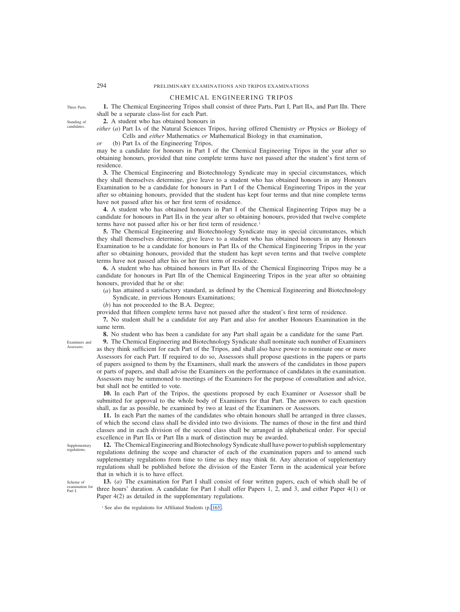# CHEMICAL ENGINEERING TRIPOS

**1.** The Chemical Engineering Tripos shall consist of three Parts, Part I, Part IIA, and Part IIB. There shall be a separate class-list for each Part.

**2.** A student who has obtained honours in

*either* (*a*) Part IA of the Natural Sciences Tripos, having offered Chemistry *or* Physics *or* Biology of Cells and *either* Mathematics *or* Mathematical Biology in that examination,

*or* (b) Part IA of the Engineering Tripos,

may be a candidate for honours in Part I of the Chemical Engineering Tripos in the year after so obtaining honours, provided that nine complete terms have not passed after the student's first term of residence.

**3.** The Chemical Engineering and Biotechnology Syndicate may in special circumstances, which they shall themselves determine, give leave to a student who has obtained honours in any Honours Examination to be a candidate for honours in Part I of the Chemical Engineering Tripos in the year after so obtaining honours, provided that the student has kept four terms and that nine complete terms have not passed after his or her first term of residence.

**4.** A student who has obtained honours in Part I of the Chemical Engineering Tripos may be a candidate for honours in Part IIA in the year after so obtaining honours, provided that twelve complete terms have not passed after his or her first term of residence.<sup>1</sup>

**5.** The Chemical Engineering and Biotechnology Syndicate may in special circumstances, which they shall themselves determine, give leave to a student who has obtained honours in any Honours Examination to be a candidate for honours in Part IIA of the Chemical Engineering Tripos in the year after so obtaining honours, provided that the student has kept seven terms and that twelve complete terms have not passed after his or her first term of residence.

**6.** A student who has obtained honours in Part IIA of the Chemical Engineering Tripos may be a candidate for honours in Part IIB of the Chemical Engineering Tripos in the year after so obtaining honours, provided that he or she:

(*a*) has attained a satisfactory standard, as defined by the Chemical Engineering and Biotechnology Syndicate, in previous Honours Examinations;

(*b*) has not proceeded to the B.A. Degree;

provided that fifteen complete terms have not passed after the student's first term of residence.

**7.** No student shall be a candidate for any Part and also for another Honours Examination in the same term.

**8.** No student who has been a candidate for any Part shall again be a candidate for the same Part.

**9.** The Chemical Engineering and Biotechnology Syndicate shall nominate such number of Examiners as they think sufficient for each Part of the Tripos, and shall also have power to nominate one or more Assessors for each Part. If required to do so, Assessors shall propose questions in the papers or parts of papers assigned to them by the Examiners, shall mark the answers of the candidates in those papers or parts of papers, and shall advise the Examiners on the performance of candidates in the examination. Assessors may be summoned to meetings of the Examiners for the purpose of consultation and advice, but shall not be entitled to vote.

**10.** In each Part of the Tripos, the questions proposed by each Examiner or Assessor shall be submitted for approval to the whole body of Examiners for that Part. The answers to each question shall, as far as possible, be examined by two at least of the Examiners or Assessors.

**11.** In each Part the names of the candidates who obtain honours shall be arranged in three classes, of which the second class shall be divided into two divisions. The names of those in the first and third classes and in each division of the second class shall be arranged in alphabetical order. For special excellence in Part IIA or Part IIB a mark of distinction may be awarded.

Supplementary regulations.

**12.** The Chemical Engineering and Biotechnology Syndicate shall have powerto publish supplementary regulations defining the scope and character of each of the examination papers and to amend such supplementary regulations from time to time as they may think fit. Any alteration of supplementary regulations shall be published before the division of the Easter Term in the academical year before that in which it is to have effect.

**13.** (*a*) The examination for Part I shall consist of four written papers, each of which shall be of three hours' duration. A candidate for Part I shall offer Papers 1, 2, and 3, and either Paper 4(1) or Paper 4(2) as detailed in the supplementary regulations.

Standing of candidates.

Three Parts.

Examiners and **Assessors** 

Scheme of examination for Part I.

<sup>&</sup>lt;sup>1</sup> See also the regulations for Affiliated Students (p. 165).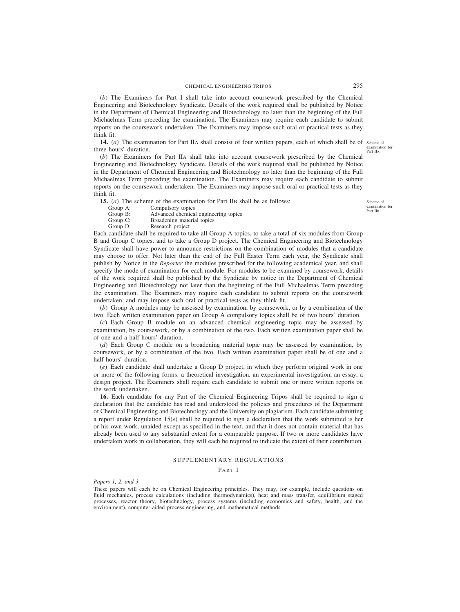(*b*) The Examiners for Part I shall take into account coursework prescribed by the Chemical Engineering and Biotechnology Syndicate. Details of the work required shall be published by Notice in the Department of Chemical Engineering and Biotechnology no later than the beginning of the Full Michaelmas Term preceding the examination. The Examiners may require each candidate to submit reports on the coursework undertaken. The Examiners may impose such oral or practical tests as they think fit.

**14.** (*a*) The examination for Part IIA shall consist of four written papers, each of which shall be of scheme of three hours' duration. examination for Part IIA.

(*b*) The Examiners for Part IIA shall take into account coursework prescribed by the Chemical Engineering and Biotechnology Syndicate. Details of the work required shall be published by Notice in the Department of Chemical Engineering and Biotechnology no later than the beginning of the Full Michaelmas Term preceding the examination. The Examiners may require each candidate to submit reports on the coursework undertaken. The Examiners may impose such oral or practical tests as they think fit.

**15.** (*a*) The scheme of the examination for Part IIB shall be as follows: Group A: Compulsory topics

Scheme of examination for Part IIB.

- Group A: Compulsory topics<br>Group B: Advanced chemica
- Group B: Advanced chemical engineering topics<br>Group C: Broadening material topics
- Group C: Broadening material topics<br>Group D: Research project Research project

Each candidate shall be required to take all Group A topics, to take a total of six modules from Group B and Group C topics, and to take a Group D project. The Chemical Engineering and Biotechnology Syndicate shall have power to announce restrictions on the combination of modules that a candidate may choose to offer. Not later than the end of the Full Easter Term each year, the Syndicate shall publish by Notice in the *Reporter* the modules prescribed for the following academical year, and shall specify the mode of examination for each module. For modules to be examined by coursework, details of the work required shall be published by the Syndicate by notice in the Department of Chemical Engineering and Biotechnology not later than the beginning of the Full Michaelmas Term preceding the examination. The Examiners may require each candidate to submit reports on the coursework undertaken, and may impose such oral or practical tests as they think fit.

(*b*) Group A modules may be assessed by examination, by coursework, or by a combination of the two. Each written examination paper on Group A compulsory topics shall be of two hours' duration.

(*c*) Each Group B module on an advanced chemical engineering topic may be assessed by examination, by coursework, or by a combination of the two. Each written examination paper shall be of one and a half hours' duration.

(*d*) Each Group C module on a broadening material topic may be assessed by examination, by coursework, or by a combination of the two. Each written examination paper shall be of one and a half hours' duration.

(*e*) Each candidate shall undertake a Group D project, in which they perform original work in one or more of the following forms: a theoretical investigation, an experimental investigation, an essay, a design project. The Examiners shall require each candidate to submit one or more written reports on the work undertaken.

**16.** Each candidate for any Part of the Chemical Engineering Tripos shall be required to sign a declaration that the candidate has read and understood the policies and procedures of the Department of Chemical Engineering and Biotechnology and the University on plagiarism. Each candidate submitting a report under Regulation 15(*e*) shall be required to sign a declaration that the work submitted is her or his own work, unaided except as specified in the text, and that it does not contain material that has already been used to any substantial extent for a comparable purpose. If two or more candidates have undertaken work in collaboration, they will each be required to indicate the extent of their contribution.

# SUPPLEMENTARY REGULATIONS

#### PART I

*Papers 1, 2, and 3*

These papers will each be on Chemical Engineering principles. They may, for example, include questions on fluid mechanics, process calculations (including thermodynamics), heat and mass transfer, equilibrium staged processes, reactor theory, biotechnology, process systems (including economics and safety, health, and the environment), computer aided process engineering, and mathematical methods.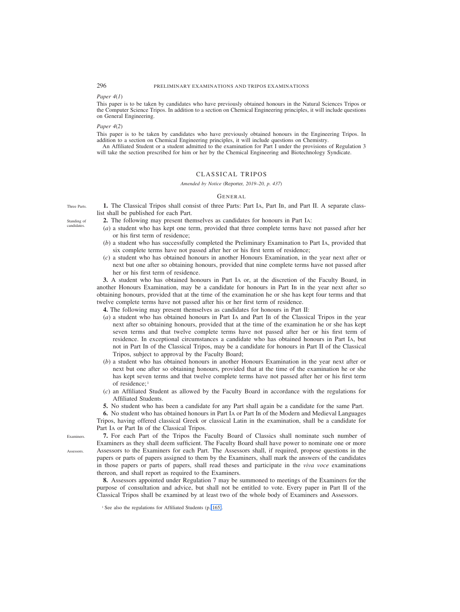### *Paper 4*(*1*)

This paper is to be taken by candidates who have previously obtained honours in the Natural Sciences Tripos or the Computer Science Tripos. In addition to a section on Chemical Engineering principles, it will include questions on General Engineering.

### *Paper 4*(*2*)

This paper is to be taken by candidates who have previously obtained honours in the Engineering Tripos. In addition to a section on Chemical Engineering principles, it will include questions on Chemistry.

An Affiliated Student or a student admitted to the examination for Part I under the provisions of Regulation 3 will take the section prescribed for him or her by the Chemical Engineering and Biotechnology Syndicate.

# CLASSICAL TRIPOS

### *Amended by Notice (*Reporter*, 2019–20, p. 437)*

### GENERAL

**1.** The Classical Tripos shall consist of three Parts: Part IA, Part IB, and Part II. A separate classlist shall be published for each Part.

- **2.** The following may present themselves as candidates for honours in Part IA:
	- (*a*) a student who has kept one term, provided that three complete terms have not passed after her or his first term of residence;
	- (*b*) a student who has successfully completed the Preliminary Examination to Part IA, provided that six complete terms have not passed after her or his first term of residence;
	- (*c*) a student who has obtained honours in another Honours Examination, in the year next after or next but one after so obtaining honours, provided that nine complete terms have not passed after her or his first term of residence.

**3.** A student who has obtained honours in Part IA or, at the discretion of the Faculty Board, in another Honours Examination, may be a candidate for honours in Part IB in the year next after so obtaining honours, provided that at the time of the examination he or she has kept four terms and that twelve complete terms have not passed after his or her first term of residence.

**4.** The following may present themselves as candidates for honours in Part II:

- (*a*) a student who has obtained honours in Part IA and Part IB of the Classical Tripos in the year next after so obtaining honours, provided that at the time of the examination he or she has kept seven terms and that twelve complete terms have not passed after her or his first term of residence. In exceptional circumstances a candidate who has obtained honours in Part IA, but not in Part IB of the Classical Tripos, may be a candidate for honours in Part II of the Classical Tripos, subject to approval by the Faculty Board;
- (*b*) a student who has obtained honours in another Honours Examination in the year next after or next but one after so obtaining honours, provided that at the time of the examination he or she has kept seven terms and that twelve complete terms have not passed after her or his first term of residence;<sup>1</sup>
- (*c*) an Affiliated Student as allowed by the Faculty Board in accordance with the regulations for Affiliated Students.
- **5.** No student who has been a candidate for any Part shall again be a candidate for the same Part.

**6.** No student who has obtained honours in Part IA or Part IB of the Modern and Medieval Languages Tripos, having offered classical Greek or classical Latin in the examination, shall be a candidate for Part IA or Part IB of the Classical Tripos.

**7.** For each Part of the Tripos the Faculty Board of Classics shall nominate such number of Examiners as they shall deem sufficient. The Faculty Board shall have power to nominate one or more Assessors to the Examiners for each Part. The Assessors shall, if required, propose questions in the papers or parts of papers assigned to them by the Examiners, shall mark the answers of the candidates in those papers or parts of papers, shall read theses and participate in the *viva voce* examinations thereon, and shall report as required to the Examiners.

**8.** Assessors appointed under Regulation 7 may be summoned to meetings of the Examiners for the purpose of consultation and advice, but shall not be entitled to vote. Every paper in Part II of the Classical Tripos shall be examined by at least two of the whole body of Examiners and Assessors.

Three Parts.

Standing of candidate

Examiners. Assessors.

<sup>&</sup>lt;sup>1</sup> See also the regulations for Affiliated Students (p. 165).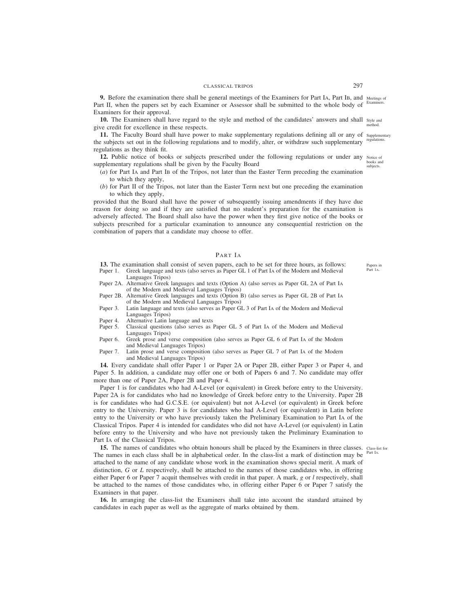# CLASSICAL TRIPOS 297

**9.** Before the examination there shall be general meetings of the Examiners for Part IA, Part IB, and Meetings of Part II, when the papers set by each Examiner or Assessor shall be submitted to the whole body of <sup>Examiners.</sup> Examiners for their approval.

**10.** The Examiners shall have regard to the style and method of the candidates' answers and shall style and give credit for excellence in these respects. method.

**11.** The Faculty Board shall have power to make supplementary regulations defining all or any of Supplementary the subjects set out in the following regulations and to modify, alter, or withdraw such supplementary regulations as they think fit. regulations.

**12.** Public notice of books or subjects prescribed under the following regulations or under any supplementary regulations shall be given by the Faculty Board

- (*a*) for Part IA and Part IB of the Tripos, not later than the Easter Term preceding the examination to which they apply,
- (*b*) for Part II of the Tripos, not later than the Easter Term next but one preceding the examination to which they apply,

provided that the Board shall have the power of subsequently issuing amendments if they have due reason for doing so and if they are satisfied that no student's preparation for the examination is adversely affected. The Board shall also have the power when they first give notice of the books or subjects prescribed for a particular examination to announce any consequential restriction on the combination of papers that a candidate may choose to offer.

### PART IA

**13.** The examination shall consist of seven papers, each to be set for three hours, as follows: Paper 1. Greek language and texts (also serves as Paper GL 1 of Part IA of the Modern and Medieval Languages Tripos)

Paper 2A. Alternative Greek languages and texts (Option A) (also serves as Paper GL 2A of Part IA of the Modern and Medieval Languages Tripos)

- Paper 2B. Alternative Greek languages and texts (Option B) (also serves as Paper GL 2B of Part IA of the Modern and Medieval Languages Tripos)
- Paper 3. Latin language and texts (also serves as Paper GL 3 of Part IA of the Modern and Medieval Languages Tripos)
- Paper 4. Alternative Latin language and texts
- Paper 5. Classical questions (also serves as Paper GL 5 of Part IA of the Modern and Medieval Languages Tripos)
- Paper 6. Greek prose and verse composition (also serves as Paper GL 6 of Part IA of the Modern and Medieval Languages Tripos)
- Paper 7. Latin prose and verse composition (also serves as Paper GL 7 of Part IA of the Modern and Medieval Languages Tripos)

**14.** Every candidate shall offer Paper 1 or Paper 2A or Paper 2B, either Paper 3 or Paper 4, and Paper 5. In addition, a candidate may offer one or both of Papers 6 and 7. No candidate may offer more than one of Paper 2A, Paper 2B and Paper 4.

Paper 1 is for candidates who had A-Level (or equivalent) in Greek before entry to the University. Paper 2A is for candidates who had no knowledge of Greek before entry to the University. Paper 2B is for candidates who had G.C.S.E. (or equivalent) but not A-Level (or equivalent) in Greek before entry to the University. Paper 3 is for candidates who had A-Level (or equivalent) in Latin before entry to the University or who have previously taken the Preliminary Examination to Part IA of the Classical Tripos. Paper 4 is intended for candidates who did not have A-Level (or equivalent) in Latin before entry to the University and who have not previously taken the Preliminary Examination to Part IA of the Classical Tripos.

**15.** The names of candidates who obtain honours shall be placed by the Examiners in three classes. Class-list for The names in each class shall be in alphabetical order. In the class-list a mark of distinction may be attached to the name of any candidate whose work in the examination shows special merit. A mark of distinction, *G* or *L* respectively, shall be attached to the names of those candidates who, in offering either Paper 6 or Paper 7 acquit themselves with credit in that paper. A mark, *g* or *l* respectively, shall be attached to the names of those candidates who, in offering either Paper 6 or Paper 7 satisfy the Examiners in that paper.

**16.** In arranging the class-list the Examiners shall take into account the standard attained by candidates in each paper as well as the aggregate of marks obtained by them.

Part IA.

Papers in Part 1A.

Notice of books and subjects.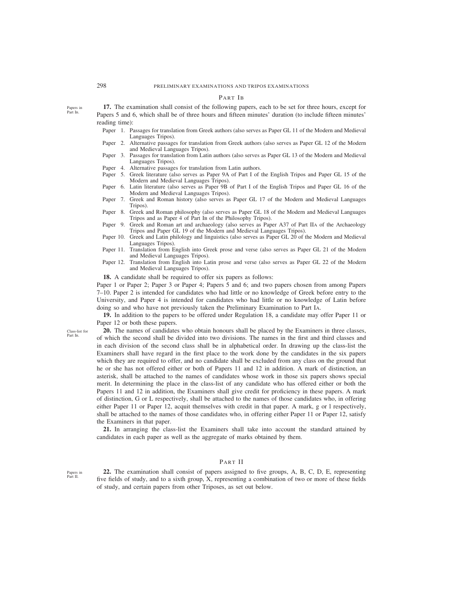# PART IB

**17.** The examination shall consist of the following papers, each to be set for three hours, except for Papers 5 and 6, which shall be of three hours and fifteen minutes' duration (to include fifteen minutes' reading time):

- Paper 1. Passages for translation from Greek authors (also serves as Paper GL 11 of the Modern and Medieval Languages Tripos).
- Paper 2. Alternative passages for translation from Greek authors (also serves as Paper GL 12 of the Modern and Medieval Languages Tripos).
- Paper 3. Passages for translation from Latin authors (also serves as Paper GL 13 of the Modern and Medieval Languages Tripos).
- Paper 4. Alternative passages for translation from Latin authors.
- Paper 5. Greek literature (also serves as Paper 9A of Part I of the English Tripos and Paper GL 15 of the Modern and Medieval Languages Tripos).
- Paper 6. Latin literature (also serves as Paper 9B of Part I of the English Tripos and Paper GL 16 of the Modern and Medieval Languages Tripos).
- Paper 7. Greek and Roman history (also serves as Paper GL 17 of the Modern and Medieval Languages Tripos).
- Paper 8. Greek and Roman philosophy (also serves as Paper GL 18 of the Modern and Medieval Languages Tripos and as Paper 4 of Part IB of the Philosophy Tripos).
- Paper 9. Greek and Roman art and archaeology (also serves as Paper A37 of Part IIA of the Archaeology Tripos and Paper GL 19 of the Modern and Medieval Languages Tripos).
- Paper 10. Greek and Latin philology and linguistics (also serves as Paper GL 20 of the Modern and Medieval Languages Tripos).
- Paper 11. Translation from English into Greek prose and verse (also serves as Paper GL 21 of the Modern and Medieval Languages Tripos).
- Paper 12. Translation from English into Latin prose and verse (also serves as Paper GL 22 of the Modern and Medieval Languages Tripos).

**18.** A candidate shall be required to offer six papers as follows:

Paper 1 or Paper 2; Paper 3 or Paper 4; Papers 5 and 6; and two papers chosen from among Papers 7–10. Paper 2 is intended for candidates who had little or no knowledge of Greek before entry to the University, and Paper 4 is intended for candidates who had little or no knowledge of Latin before doing so and who have not previously taken the Preliminary Examination to Part IA.

**19.** In addition to the papers to be offered under Regulation 18, a candidate may offer Paper 11 or Paper 12 or both these papers.

**20.** The names of candidates who obtain honours shall be placed by the Examiners in three classes, of which the second shall be divided into two divisions. The names in the first and third classes and in each division of the second class shall be in alphabetical order. In drawing up the class-list the Examiners shall have regard in the first place to the work done by the candidates in the six papers which they are required to offer, and no candidate shall be excluded from any class on the ground that he or she has not offered either or both of Papers 11 and 12 in addition. A mark of distinction, an asterisk, shall be attached to the names of candidates whose work in those six papers shows special merit. In determining the place in the class-list of any candidate who has offered either or both the Papers 11 and 12 in addition, the Examiners shall give credit for proficiency in these papers. A mark of distinction, G or L respectively, shall be attached to the names of those candidates who, in offering either Paper 11 or Paper 12, acquit themselves with credit in that paper. A mark, g or l respectively, shall be attached to the names of those candidates who, in offering either Paper 11 or Paper 12, satisfy the Examiners in that paper.

**21.** In arranging the class-list the Examiners shall take into account the standard attained by candidates in each paper as well as the aggregate of marks obtained by them.

# PART II

**22.** The examination shall consist of papers assigned to five groups, A, B, C, D, E, representing five fields of study, and to a sixth group, X, representing a combination of two or more of these fields of study, and certain papers from other Triposes, as set out below.

Class-list for Part IB.

Papers in Part IB.

Papers in Part II.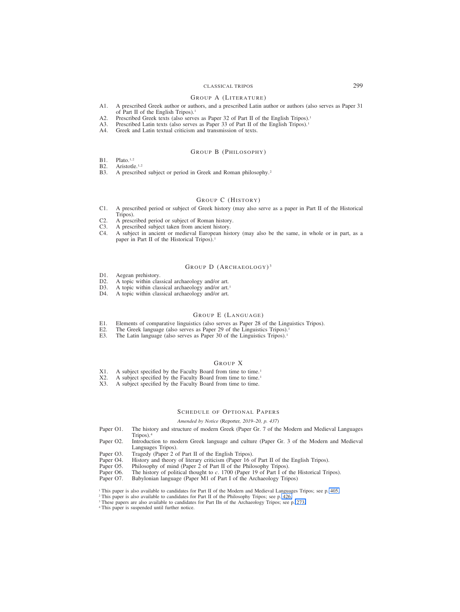# CLASSICAL TRIPOS 299

### GROUP A (LITERATURE)

- A1. A prescribed Greek author or authors, and a prescribed Latin author or authors (also serves as Paper 31 of Part II of the English Tripos).<sup>1</sup>
- A2. Prescribed Greek texts (also serves as Paper 32 of Part II of the English Tripos).<sup>1</sup><br>A3. Prescribed Latin texts (also serves as Paper 33 of Part II of the English Tripos).<sup>1</sup>
- A3. Prescribed Latin texts (also serves as Paper 33 of Part II of the English Tripos).<sup>1</sup><br>A4. Greek and Latin textual criticism and transmission of texts.
- Greek and Latin textual criticism and transmission of texts.

# GROUP B (PHILOSOPHY)

- B1. Plato.<sup>1,2</sup><br>B2. Aristotle
- B2. Aristotle.<sup>1,2</sup><br>B3 A prescribe
- A prescribed subject or period in Greek and Roman philosophy.<sup>2</sup>

# GROUP C (HISTORY)

- C1. A prescribed period or subject of Greek history (may also serve as a paper in Part II of the Historical Tripos).
- C2. A prescribed period or subject of Roman history.<br>C3. A prescribed subject taken from ancient history.
- C3. A prescribed subject taken from ancient history.<br>C4. A subject in ancient or medieval European hist
- C4. A subject in ancient or medieval European history (may also be the same, in whole or in part, as a paper in Part II of the Historical Tripos).<sup>1</sup>

### GROUP D (ARCHAEOLOGY)<sup>3</sup>

- D1. Aegean prehistory.<br>D2. A topic within clas
- D2. A topic within classical archaeology and/or art.<br>D3. A topic within classical archaeology and/or art.
- A topic within classical archaeology and/or art.<sup>1</sup>
- D4. A topic within classical archaeology and/or art.

# GROUP E (LANGUAGE)

- E1. Elements of comparative linguistics (also serves as Paper 28 of the Linguistics Tripos).<br>E2. The Greek language (also serves as Paper 29 of the Linguistics Tripos).
- E2. The Greek language (also serves as Paper 29 of the Linguistics Tripos).<sup>1</sup><br>E3. The Latin language (also serves as Paper 30 of the Linguistics Tripos).<sup>1</sup>
- The Latin language (also serves as Paper 30 of the Linguistics Tripos).<sup>1</sup>

### GROUP X

- X1. A subject specified by the Faculty Board from time to time.<sup>1</sup><br>X2. A subject specified by the Faculty Board from time to time.<sup>1</sup>
- X2. A subject specified by the Faculty Board from time to time.<sup>1</sup><br>X3. A subject specified by the Faculty Board from time to time.
- A subject specified by the Faculty Board from time to time.

# SCHEDULE OF OPTIONAL PAPERS

# *Amended by Notice (*Reporter*, 2019–20, p. 437)*

- Paper O1. The history and structure of modern Greek (Paper Gr. 7 of the Modern and Medieval Languages Tripos).4
- Paper O2. Introduction to modern Greek language and culture (Paper Gr. 3 of the Modern and Medieval Languages Tripos).
- Paper O3. Tragedy (Paper 2 of Part II of the English Tripos).<br>Paper O4. History and theory of literary criticism (Paper 16 of
- Paper O4. History and theory of literary criticism (Paper 16 of Part II of the English Tripos).<br>Paper O5. Philosophy of mind (Paper 2 of Part II of the Philosophy Tripos).
- Philosophy of mind (Paper 2 of Part II of the Philosophy Tripos).
- Paper O6. The history of political thought to *c*. 1700 (Paper 19 of Part I of the Historical Tripos).<br>Paper O7. Babylonian language (Paper M1 of Part I of the Archaeology Tripos)
- Babylonian language (Paper M1 of Part I of the Archaeology Tripos)
- <sup>1</sup> This paper is also available to candidates for Part II of the Modern and Medieval Languages Tripos; see p. 405.
- <sup>2</sup> This paper is also available to candidates for Part II of the Philosophy Tripos; see p. 426.
- <sup>3</sup> These papers are also available to candidates for Part IIB of the Archaeology Tripos; see p. 273.
- <sup>4</sup> This paper is suspended until further notice.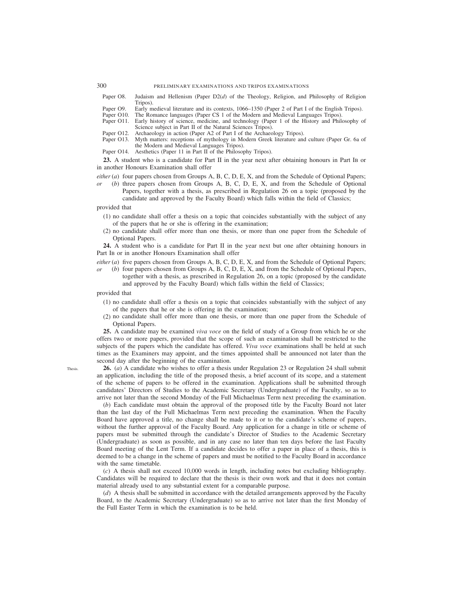300 PRELIMINARY EXAMINATIONS AND TRIPOS EXAMINATIONS

- Paper O8. Judaism and Hellenism (Paper D2(*d*) of the Theology, Religion, and Philosophy of Religion Tripos).
- Paper O9. Early medieval literature and its contexts, 1066–1350 (Paper 2 of Part I of the English Tripos).<br>Paper O10. The Romance languages (Paper CS 1 of the Modern and Medieval Languages Tripos).
- Paper O10. The Romance languages (Paper CS 1 of the Modern and Medieval Languages Tripos).<br>Paper O11. Early history of science, medicine, and technology (Paper 1 of the History and Philo
- Early history of science, medicine, and technology (Paper 1 of the History and Philosophy of Science subject in Part II of the Natural Sciences Tripos).
- Paper O12. Archaeology in action (Paper A2 of Part I of the Archaeology Tripos). Paper O13. Myth matters: receptions of mythology in Modern Greek literature and
- Myth matters: receptions of mythology in Modern Greek literature and culture (Paper Gr. 6a of the Modern and Medieval Languages Tripos).
- Paper O14. Aesthetics (Paper 11 in Part II of the Philosophy Tripos).

**23.** A student who is a candidate for Part II in the year next after obtaining honours in Part IB or in another Honours Examination shall offer

- *either* (*a*) four papers chosen from Groups A, B, C, D, E, X, and from the Schedule of Optional Papers;
- (*b*) three papers chosen from Groups A, B, C, D, E, X, and from the Schedule of Optional Papers, together with a thesis, as prescribed in Regulation 26 on a topic (proposed by the candidate and approved by the Faculty Board) which falls within the field of Classics;
- provided that
	- (1) no candidate shall offer a thesis on a topic that coincides substantially with the subject of any of the papers that he or she is offering in the examination;
	- (2) no candidate shall offer more than one thesis, or more than one paper from the Schedule of Optional Papers.

**24.** A student who is a candidate for Part II in the year next but one after obtaining honours in Part IB or in another Honours Examination shall offer

*either* (*a*) five papers chosen from Groups A, B, C, D, E, X, and from the Schedule of Optional Papers;

*or* (*b*) four papers chosen from Groups A, B, C, D, E, X, and from the Schedule of Optional Papers, together with a thesis, as prescribed in Regulation 26, on a topic (proposed by the candidate and approved by the Faculty Board) which falls within the field of Classics;

provided that

- (1) no candidate shall offer a thesis on a topic that coincides substantially with the subject of any of the papers that he or she is offering in the examination;
- (2) no candidate shall offer more than one thesis, or more than one paper from the Schedule of Optional Papers.

**25.** A candidate may be examined *viva voce* on the field of study of a Group from which he or she offers two or more papers, provided that the scope of such an examination shall be restricted to the subjects of the papers which the candidate has offered. *Viva voce* examinations shall be held at such times as the Examiners may appoint, and the times appointed shall be announced not later than the second day after the beginning of the examination.

**26.** (*a*) A candidate who wishes to offer a thesis under Regulation 23 or Regulation 24 shall submit an application, including the title of the proposed thesis, a brief account of its scope, and a statement of the scheme of papers to be offered in the examination. Applications shall be submitted through candidates' Directors of Studies to the Academic Secretary (Undergraduate) of the Faculty, so as to arrive not later than the second Monday of the Full Michaelmas Term next preceding the examination.

(*b*) Each candidate must obtain the approval of the proposed title by the Faculty Board not later than the last day of the Full Michaelmas Term next preceding the examination. When the Faculty Board have approved a title, no change shall be made to it or to the candidate's scheme of papers, without the further approval of the Faculty Board. Any application for a change in title or scheme of papers must be submitted through the candidate's Director of Studies to the Academic Secretary (Undergraduate) as soon as possible, and in any case no later than ten days before the last Faculty Board meeting of the Lent Term. If a candidate decides to offer a paper in place of a thesis, this is deemed to be a change in the scheme of papers and must be notified to the Faculty Board in accordance with the same timetable.

(*c*) A thesis shall not exceed 10,000 words in length, including notes but excluding bibliography. Candidates will be required to declare that the thesis is their own work and that it does not contain material already used to any substantial extent for a comparable purpose.

(*d*) A thesis shall be submitted in accordance with the detailed arrangements approved by the Faculty Board, to the Academic Secretary (Undergraduate) so as to arrive not later than the first Monday of the Full Easter Term in which the examination is to be held.

**Thesis**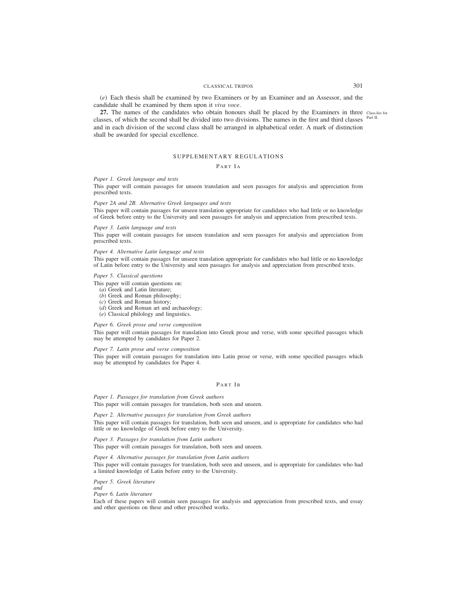# CLASSICAL TRIPOS 301

(*e*) Each thesis shall be examined by two Examiners or by an Examiner and an Assessor, and the candidate shall be examined by them upon it *viva voce*.

**27.** The names of the candidates who obtain honours shall be placed by the Examiners in three Class-list for classes, of which the second shall be divided into two divisions. The names in the first and third classes <sup>Part II.</sup> and in each division of the second class shall be arranged in alphabetical order. A mark of distinction shall be awarded for special excellence.

# SUPPLEMENTARY REGULATIONS

# PART IA

# *Paper 1. Greek language and texts*

This paper will contain passages for unseen translation and seen passages for analysis and appreciation from prescribed texts.

### *Paper 2A and 2B. Alternative Greek languages and texts*

This paper will contain passages for unseen translation appropriate for candidates who had little or no knowledge of Greek before entry to the University and seen passages for analysis and appreciation from prescribed texts.

### *Paper 3. Latin language and texts*

This paper will contain passages for unseen translation and seen passages for analysis and appreciation from prescribed texts.

### *Paper 4. Alternative Latin language and texts*

This paper will contain passages for unseen translation appropriate for candidates who had little or no knowledge of Latin before entry to the University and seen passages for analysis and appreciation from prescribed texts.

### *Paper 5. Classical questions*

This paper will contain questions on:

- (*a*) Greek and Latin literature;
- (*b*) Greek and Roman philosophy;
- (*c*) Greek and Roman history;
- (*d*) Greek and Roman art and archaeology;
- (*e*) Classical philology and linguistics.

# *Paper 6. Greek prose and verse composition*

This paper will contain passages for translation into Greek prose and verse, with some specified passages which may be attempted by candidates for Paper 2.

### *Paper 7. Latin prose and verse composition*

This paper will contain passages for translation into Latin prose or verse, with some specified passages which may be attempted by candidates for Paper 4.

# PART IB

*Paper 1. Passages for translation from Greek authors* This paper will contain passages for translation, both seen and unseen.

*Paper 2. Alternative passages for translation from Greek authors* This paper will contain passages for translation, both seen and unseen, and is appropriate for candidates who had little or no knowledge of Greek before entry to the University.

*Paper 3. Passages for translation from Latin authors* This paper will contain passages for translation, both seen and unseen.

*Paper 4. Alternative passages for translation from Latin authors* This paper will contain passages for translation, both seen and unseen, and is appropriate for candidates who had a limited knowledge of Latin before entry to the University.

*Paper 5. Greek literature*

*and Paper 6. Latin literature*

Each of these papers will contain seen passages for analysis and appreciation from prescribed texts, and essay and other questions on these and other prescribed works.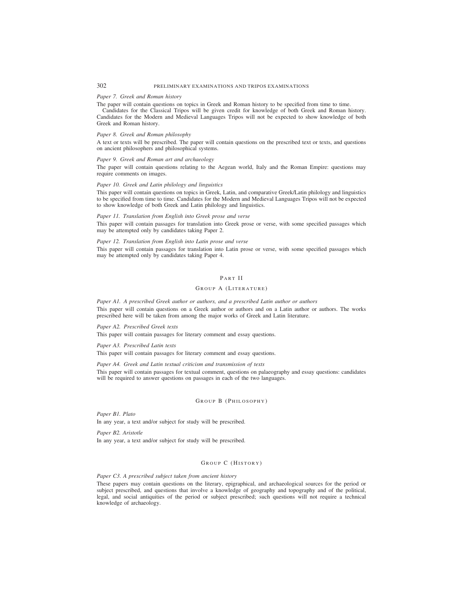# 302 PRELIMINARY EXAMINATIONS AND TRIPOS EXAMINATIONS

### *Paper 7. Greek and Roman history*

The paper will contain questions on topics in Greek and Roman history to be specified from time to time.

Candidates for the Classical Tripos will be given credit for knowledge of both Greek and Roman history. Candidates for the Modern and Medieval Languages Tripos will not be expected to show knowledge of both Greek and Roman history.

### *Paper 8. Greek and Roman philosophy*

A text or texts will be prescribed. The paper will contain questions on the prescribed text or texts, and questions on ancient philosophers and philosophical systems.

### *Paper 9. Greek and Roman art and archaeology*

The paper will contain questions relating to the Aegean world, Italy and the Roman Empire: questions may require comments on images.

# *Paper 10. Greek and Latin philology and linguistics*

This paper will contain questions on topics in Greek, Latin, and comparative Greek/Latin philology and linguistics to be specified from time to time. Candidates for the Modern and Medieval Languages Tripos will not be expected to show knowledge of both Greek and Latin philology and linguistics.

### *Paper 11. Translation from English into Greek prose and verse*

This paper will contain passages for translation into Greek prose or verse, with some specified passages which may be attempted only by candidates taking Paper 2.

# *Paper 12. Translation from English into Latin prose and verse*

This paper will contain passages for translation into Latin prose or verse, with some specified passages which may be attempted only by candidates taking Paper 4.

# PART II

# GROUP A (LITERATURE)

### *Paper A1. A prescribed Greek author or authors, and a prescribed Latin author or authors*

This paper will contain questions on a Greek author or authors and on a Latin author or authors. The works prescribed here will be taken from among the major works of Greek and Latin literature.

*Paper A2. Prescribed Greek texts*

This paper will contain passages for literary comment and essay questions.

*Paper A3. Prescribed Latin texts*

This paper will contain passages for literary comment and essay questions.

# *Paper A4. Greek and Latin textual criticism and transmission of texts*

This paper will contain passages for textual comment, questions on palaeography and essay questions: candidates will be required to answer questions on passages in each of the two languages.

# GROUP B (PHILOSOPHY)

*Paper B1. Plato* In any year, a text and/or subject for study will be prescribed.

*Paper B2. Aristotle* In any year, a text and/or subject for study will be prescribed.

# GROUP C (HISTORY)

### *Paper C3. A prescribed subject taken from ancient history*

These papers may contain questions on the literary, epigraphical, and archaeological sources for the period or subject prescribed, and questions that involve a knowledge of geography and topography and of the political, legal, and social antiquities of the period or subject prescribed; such questions will not require a technical knowledge of archaeology.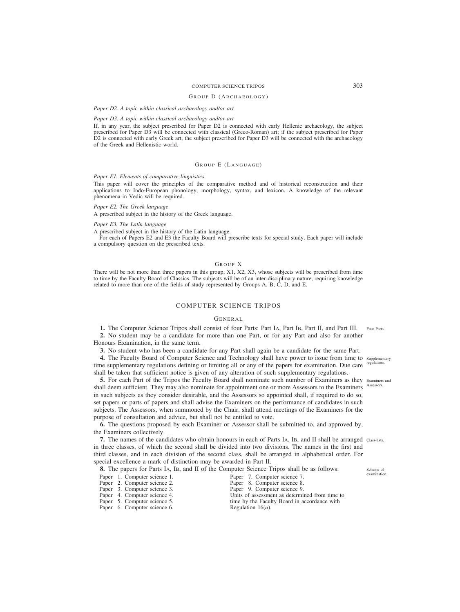# COMPUTER SCIENCE TRIPOS 303

### GROUP D (ARCHAEOLOGY )

### *Paper D2. A topic within classical archaeology and/or art*

# *Paper D3. A topic within classical archaeology and/or art*

If, in any year, the subject prescribed for Paper D2 is connected with early Hellenic archaeology, the subject prescribed for Paper D3 will be connected with classical (Greco-Roman) art; if the subject prescribed for Paper D2 is connected with early Greek art, the subject prescribed for Paper D3 will be connected with the archaeology of the Greek and Hellenistic world.

# GROUP E (LANGUAGE)

# *Paper E1. Elements of comparative linguistics*

This paper will cover the principles of the comparative method and of historical reconstruction and their applications to Indo-European phonology, morphology, syntax, and lexicon. A knowledge of the relevant phenomena in Vedic will be required.

### *Paper E2. The Greek language*

A prescribed subject in the history of the Greek language.

### *Paper E3. The Latin language*

A prescribed subject in the history of the Latin language.

For each of Papers E2 and E3 the Faculty Board will prescribe texts for special study. Each paper will include a compulsory question on the prescribed texts.

### GROUP X

There will be not more than three papers in this group,  $X1$ ,  $X2$ ,  $X3$ , whose subjects will be prescribed from time to time by the Faculty Board of Classics. The subjects will be of an inter-disciplinary nature, requiring knowledge related to more than one of the fields of study represented by Groups A, B, C, D, and E.

# COMPUTER SCIENCE TRIPOS

# GENERAL

**1.** The Computer Science Tripos shall consist of four Parts: Part IA, Part IB, Part II, and Part III. **2.** No student may be a candidate for more than one Part, or for any Part and also for another Four Parts.

Honours Examination, in the same term.

**3.** No student who has been a candidate for any Part shall again be a candidate for the same Part.

4. The Faculty Board of Computer Science and Technology shall have power to issue from time to supplementary time supplementary regulations defining or limiting all or any of the papers for examination. Due care shall be taken that sufficient notice is given of any alteration of such supplementary regulations.

**5.** For each Part of the Tripos the Faculty Board shall nominate such number of Examiners as they Examiners and shall deem sufficient. They may also nominate for appointment one or more Assessors to the Examiners Assessors. in such subjects as they consider desirable, and the Assessors so appointed shall, if required to do so, set papers or parts of papers and shall advise the Examiners on the performance of candidates in such subjects. The Assessors, when summoned by the Chair, shall attend meetings of the Examiners for the purpose of consultation and advice, but shall not be entitled to vote.

**6.** The questions proposed by each Examiner or Assessor shall be submitted to, and approved by, the Examiners collectively.

**7.** The names of the candidates who obtain honours in each of Parts IA, IB, and II shall be arranged class-lists. in three classes, of which the second shall be divided into two divisions. The names in the first and third classes, and in each division of the second class, shall be arranged in alphabetical order. For special excellence a mark of distinction may be awarded in Part II.

|                              | <b>8.</b> The papers for Parts IA, IB, and II of the Computer Science Tripos shall be as follows: |
|------------------------------|---------------------------------------------------------------------------------------------------|
| Paper 1. Computer science 1. | Paper 7. Computer science 7.                                                                      |
| Paper 2. Computer science 2. | Paper 8. Computer science 8.                                                                      |
| Paper 3. Computer science 3. | Paper 9. Computer science 9.                                                                      |
| Paper 4. Computer science 4. | Units of assessment as determined from time to                                                    |
| Paper 5. Computer science 5. | time by the Faculty Board in accordance with                                                      |
| Paper 6. Computer science 6. | Regulation $16(a)$ .                                                                              |
|                              |                                                                                                   |

regulations.

Scheme of examination.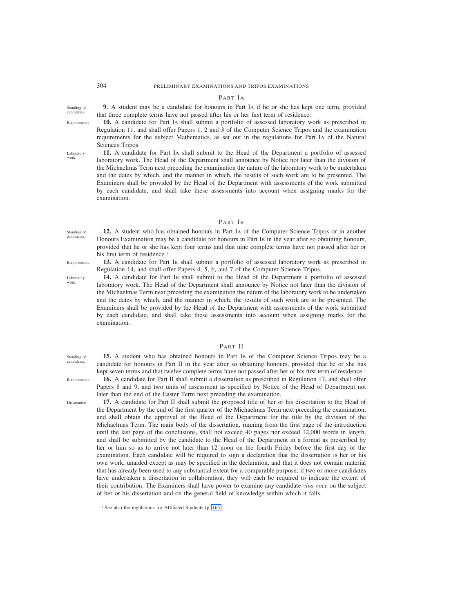# PART IA

**9.** A student may be a candidate for honours in Part IA if he or she has kept one term, provided that three complete terms have not passed after his or her first term of residence.

Standing of candidates. Requirements.

Laboratory work.

**10.** A candidate for Part IA shall submit a portfolio of assessed laboratory work as prescribed in Regulation 11, and shall offer Papers 1, 2 and 3 of the Computer Science Tripos and the examination requirements for the subject Mathematics, as set out in the regulations for Part IA of the Natural Sciences Tripos.

**11.** A candidate for Part IA shall submit to the Head of the Department a portfolio of assessed laboratory work. The Head of the Department shall announce by Notice not later than the division of the Michaelmas Term next preceding the examination the nature of the laboratory work to be undertaken and the dates by which, and the manner in which, the results of such work are to be presented. The Examiners shall be provided by the Head of the Department with assessments of the work submitted by each candidate, and shall take these assessments into account when assigning marks for the examination.

# PART IB

**12.** A student who has obtained honours in Part IA of the Computer Science Tripos or in another Honours Examination may be a candidate for honours in Part IB in the year after so obtaining honours, provided that he or she has kept four terms and that nine complete terms have not passed after her or his first term of residence.<sup>1</sup>

- **13.** A candidate for Part IB shall submit a portfolio of assessed laboratory work as prescribed in Regulation 14, and shall offer Papers 4, 5, 6, and 7 of the Computer Science Tripos.
	- **14.** A candidate for Part IB shall submit to the Head of the Department a portfolio of assessed laboratory work. The Head of the Department shall announce by Notice not later than the division of the Michaelmas Term next preceding the examination the nature of the laboratory work to be undertaken and the dates by which, and the manner in which, the results of such work are to be presented. The Examiners shall be provided by the Head of the Department with assessments of the work submitted by each candidate, and shall take these assessments into account when assigning marks for the examination.

# PART II

**15.** A student who has obtained honours in Part IB of the Computer Science Tripos may be a candidate for honours in Part II in the year after so obtaining honours, provided that he or she has kept seven terms and that twelve complete terms have not passed after her or his first term of residence.<sup>1</sup>

**16.** A candidate for Part II shall submit a dissertation as prescribed in Regulation 17, and shall offer Papers 8 and 9, and two units of assessment as specified by Notice of the Head of Department not later than the end of the Easter Term next preceding the examination.

**17.** A candidate for Part II shall submit the proposed title of her or his dissertation to the Head of the Department by the end of the first quarter of the Michaelmas Term next preceding the examination, and shall obtain the approval of the Head of the Department for the title by the division of the Michaelmas Term. The main body of the dissertation, running from the first page of the introduction until the last page of the conclusions, shall not exceed 40 pages nor exceed 12,000 words in length, and shall be submitted by the candidate to the Head of the Department in a format as prescribed by her or him so as to arrive not later than 12 noon on the fourth Friday before the first day of the examination. Each candidate will be required to sign a declaration that the dissertation is her or his own work, unaided except as may be specified in the declaration, and that it does not contain material that has already been used to any substantial extent for a comparable purpose; if two or more candidates have undertaken a dissertation in collaboration, they will each be required to indicate the extent of their contribution. The Examiners shall have power to examine any candidate *viva voce* on the subject of her or his dissertation and on the general field of knowledge within which it falls.

**Requirements** 

Standing of candidates.

Laboratory work.

Standing of candidate

Requirements.

**Dissertation** 

<sup>&</sup>lt;sup>1</sup> See also the regulations for Affiliated Students (p. 165).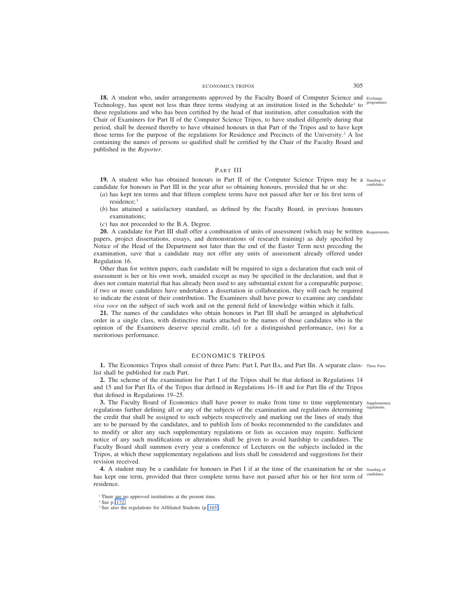# ECONOMICS TRIPOS 305

18. A student who, under arrangements approved by the Faculty Board of Computer Science and Exchange Technology, has spent not less than three terms studying at an institution listed in the Schedule<sup>1</sup> to <sup>programmes.</sup> these regulations and who has been certified by the head of that institution, after consultation with the Chair of Examiners for Part II of the Computer Science Tripos, to have studied diligently during that period, shall be deemed thereby to have obtained honours in that Part of the Tripos and to have kept those terms for the purpose of the regulations for Residence and Precincts of the University.2 A list containing the names of persons so qualified shall be certified by the Chair of the Faculty Board and published in the *Reporter*.

# PART III

19. A student who has obtained honours in Part II of the Computer Science Tripos may be a standing of candidate for honours in Part III in the year after so obtaining honours, provided that he or she: candidates.

- (*a*) has kept ten terms and that fifteen complete terms have not passed after her or his first term of residence; <sup>3</sup>
- (*b*) has attained a satisfactory standard, as defined by the Faculty Board, in previous honours examinations;
- (*c*) has not proceeded to the B.A. Degree.

20. A candidate for Part III shall offer a combination of units of assessment (which may be written Requirements. papers, project dissertations, essays, and demonstrations of research training) as duly specified by Notice of the Head of the Department not later than the end of the Easter Term next preceding the examination, save that a candidate may not offer any units of assessment already offered under Regulation 16.

Other than for written papers, each candidate will be required to sign a declaration that each unit of assessment is her or his own work, unaided except as may be specified in the declaration, and that it does not contain material that has already been used to any substantial extent for a comparable purpose; if two or more candidates have undertaken a dissertation in collaboration, they will each be required to indicate the extent of their contribution. The Examiners shall have power to examine any candidate *viva voce* on the subject of such work and on the general field of knowledge within which it falls.

**21.** The names of the candidates who obtain honours in Part III shall be arranged in alphabetical order in a single class, with distinctive marks attached to the names of those candidates who in the opinion of the Examiners deserve special credit, (*d*) for a distinguished performance, (*m*) for a meritorious performance.

### ECONOMICS TRIPOS

**1.** The Economics Tripos shall consist of three Parts: Part I, Part IIA, and Part IIB. A separate class-Three Parts. list shall be published for each Part.

**2.** The scheme of the examination for Part I of the Tripos shall be that defined in Regulations 14 and 15 and for Part IIA of the Tripos that defined in Regulations 16–18 and for Part IIB of the Tripos that defined in Regulations 19–25.

**3.** The Faculty Board of Economics shall have power to make from time to time supplementary supplementary regulations further defining all or any of the subjects of the examination and regulations determining the credit that shall be assigned to such subjects respectively and marking out the lines of study that are to be pursued by the candidates, and to publish lists of books recommended to the candidates and to modify or alter any such supplementary regulations or lists as occasion may require. Sufficient notice of any such modifications or alterations shall be given to avoid hardship to candidates. The Faculty Board shall summon every year a conference of Lecturers on the subjects included in the Tripos, at which these supplementary regulations and lists shall be considered and suggestions for their revision received. regulations.

4. A student may be a candidate for honours in Part I if at the time of the examination he or she standing of has kept one term, provided that three complete terms have not passed after his or her first term of candidates. residence.

<sup>&</sup>lt;sup>1</sup> There are no approved institutions at the present time.

<sup>2</sup> See p. 172.

<sup>&</sup>lt;sup>3</sup> See also the regulations for Affiliated Students (p. 165).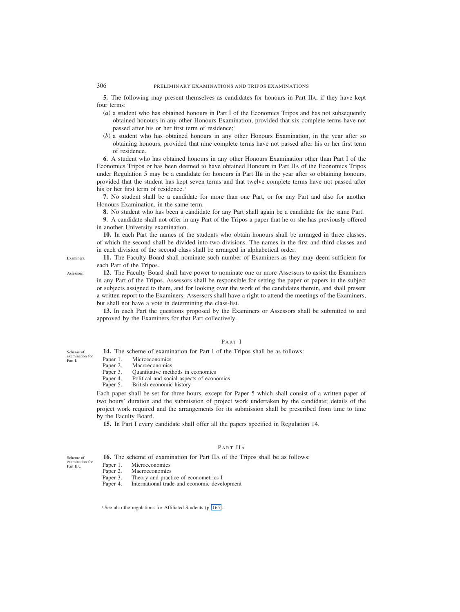**5.** The following may present themselves as candidates for honours in Part IIA, if they have kept four terms:

- (*a*) a student who has obtained honours in Part I of the Economics Tripos and has not subsequently obtained honours in any other Honours Examination, provided that six complete terms have not passed after his or her first term of residence;<sup>1</sup>
- (*b*) a student who has obtained honours in any other Honours Examination, in the year after so obtaining honours, provided that nine complete terms have not passed after his or her first term of residence.

**6.** A student who has obtained honours in any other Honours Examination other than Part I of the Economics Tripos or has been deemed to have obtained Honours in Part IIA of the Economics Tripos under Regulation 5 may be a candidate for honours in Part IIB in the year after so obtaining honours, provided that the student has kept seven terms and that twelve complete terms have not passed after his or her first term of residence.<sup>1</sup>

**7.** No student shall be a candidate for more than one Part, or for any Part and also for another Honours Examination, in the same term.

**8.** No student who has been a candidate for any Part shall again be a candidate for the same Part.

**9.** A candidate shall not offer in any Part of the Tripos a paper that he or she has previously offered in another University examination.

**10.** In each Part the names of the students who obtain honours shall be arranged in three classes, of which the second shall be divided into two divisions. The names in the first and third classes and in each division of the second class shall be arranged in alphabetical order.

**11.** The Faculty Board shall nominate such number of Examiners as they may deem sufficient for each Part of the Tripos.

**12**. The Faculty Board shall have power to nominate one or more Assessors to assist the Examiners in any Part of the Tripos. Assessors shall be responsible for setting the paper or papers in the subject or subjects assigned to them, and for looking over the work of the candidates therein, and shall present a written report to the Examiners. Assessors shall have a right to attend the meetings of the Examiners, but shall not have a vote in determining the class-list.

**13.** In each Part the questions proposed by the Examiners or Assessors shall be submitted to and approved by the Examiners for that Part collectively.

# PART I

**14.** The scheme of examination for Part I of the Tripos shall be as follows:

Paper 1. Microeconomics<br>Paper 2. Macroeconomics

- Paper 2. Macroeconomics<br>Paper 3. Quantitative met
- Quantitative methods in economics
- Paper 4. Political and social aspects of economics
- Paper 5. British economic history

Each paper shall be set for three hours, except for Paper 5 which shall consist of a written paper of two hours' duration and the submission of project work undertaken by the candidate; details of the project work required and the arrangements for its submission shall be prescribed from time to time by the Faculty Board.

**15.** In Part I every candidate shall offer all the papers specified in Regulation 14.

# PART IIA

**16.** The scheme of examination for Part IIA of the Tripos shall be as follows: examination for

- Paper 1. Microeconomics
- Paper 2. Macroeconomics
- Paper 3. Theory and practice of econometrics I
- Paper 4. International trade and economic development

<sup>1</sup> See also the regulations for Affiliated Students (p. 165).

Examiners.

Assessors.

Scheme of examination for Part I.

Scheme of

Part IIA.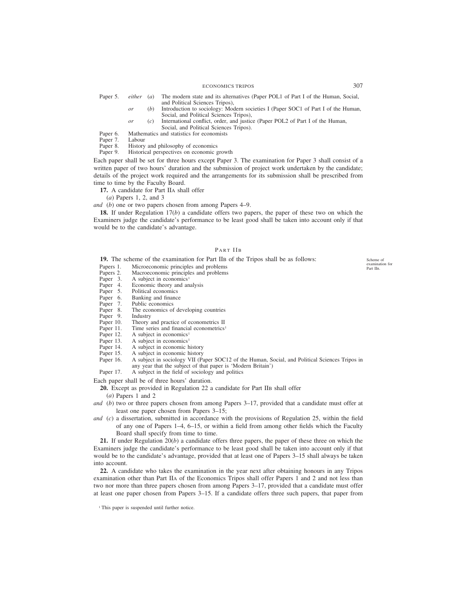ECONOMICS TRIPOS 307

- Paper 5. *either* (*a*) The modern state and its alternatives (Paper POL1 of Part I of the Human, Social, and Political Sciences Tripos),
	- *or* (*b*) Introduction to sociology: Modern societies I (Paper SOC1 of Part I of the Human, Social, and Political Sciences Tripos),
	- *or* (*c*) International conflict, order, and justice (Paper POL2 of Part I of the Human, Social, and Political Sciences Tripos).

Paper 6. Mathematics and statistics for economists

Paper 7. Labour<br>Paper 8. History

Paper 8. History and philosophy of economics<br>Paper 9. Historical perspectives on economic  $\epsilon$ 

Historical perspectives on economic growth

Each paper shall be set for three hours except Paper 3. The examination for Paper 3 shall consist of a written paper of two hours' duration and the submission of project work undertaken by the candidate; details of the project work required and the arrangements for its submission shall be prescribed from time to time by the Faculty Board.

**17.** A candidate for Part IIA shall offer

(*a*) Papers 1, 2, and 3

# *and* (*b*) one or two papers chosen from among Papers 4–9.

**18.** If under Regulation 17(*b*) a candidate offers two papers, the paper of these two on which the Examiners judge the candidate's performance to be least good shall be taken into account only if that would be to the candidate's advantage.

# PART IIB

**19.** The scheme of the examination for Part IIB of the Tripos shall be as follows:

- Papers 1. Microeconomic principles and problems
- Papers 2. Macroeconomic principles and problems<br>Paper 3. A subject in economics<sup>1</sup>
- Paper 3. A subject in economics<sup>1</sup><br>Paper 4. Economic theory and an
- Paper 4. Economic theory and analysis<br>Paper 5. Political economics
- Paper 5. Political economics<br>Paper 6. Banking and finance
- Paper 6. Banking and finance<br>Paper 7. Public economics
- 
- Paper 7. Public economics<br>Paper 8. The economics of The economics of developing countries
- Paper 9. Industry<br>Paper 10. Theory
- Paper 10. Theory and practice of econometrics II Paper 11. Time series and financial econometrics
- Time series and financial econometrics<sup>1</sup>
- Paper 12. A subject in economics<sup>1</sup><br>Paper 13. A subject in economics<sup>1</sup>
- A subject in economics<sup>1</sup>
- Paper 14. A subject in economic history<br>Paper 15. A subject in economic history
- Paper 15. A subject in economic history<br>Paper 16. A subject in sociology VII (Pa
- A subject in sociology VII (Paper SOC12 of the Human, Social, and Political Sciences Tripos in any year that the subject of that paper is 'Modern Britain')
- Paper 17. A subject in the field of sociology and politics

Each paper shall be of three hours' duration.

- **20.** Except as provided in Regulation 22 a candidate for Part IIB shall offer
	- (*a*) Papers 1 and 2
- *and* (*b*) two or three papers chosen from among Papers 3–17, provided that a candidate must offer at least one paper chosen from Papers 3–15;
- *and* (*c*) a dissertation, submitted in accordance with the provisions of Regulation 25, within the field of any one of Papers 1–4, 6–15, or within a field from among other fields which the Faculty Board shall specify from time to time.

**21.** If under Regulation 20(*b*) a candidate offers three papers, the paper of these three on which the Examiners judge the candidate's performance to be least good shall be taken into account only if that would be to the candidate's advantage, provided that at least one of Papers 3–15 shall always be taken into account.

**22.** A candidate who takes the examination in the year next after obtaining honours in any Tripos examination other than Part IIA of the Economics Tripos shall offer Papers 1 and 2 and not less than two nor more than three papers chosen from among Papers 3–17, provided that a candidate must offer at least one paper chosen from Papers 3–15. If a candidate offers three such papers, that paper from

<sup>1</sup> This paper is suspended until further notice.

Scheme of examination for Part IIB.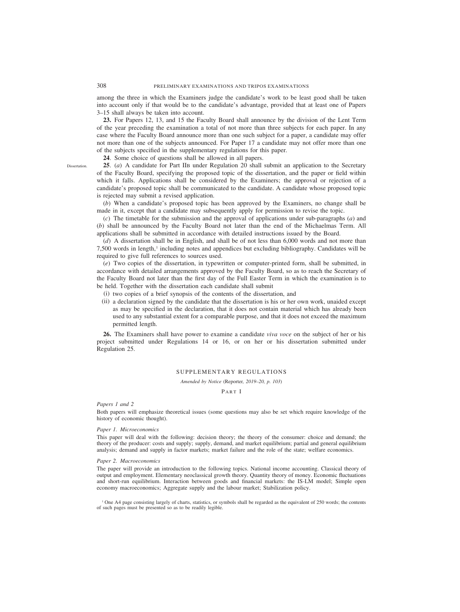among the three in which the Examiners judge the candidate's work to be least good shall be taken into account only if that would be to the candidate's advantage, provided that at least one of Papers 3–15 shall always be taken into account.

**23.** For Papers 12, 13, and 15 the Faculty Board shall announce by the division of the Lent Term of the year preceding the examination a total of not more than three subjects for each paper. In any case where the Faculty Board announce more than one such subject for a paper, a candidate may offer not more than one of the subjects announced. For Paper 17 a candidate may not offer more than one of the subjects specified in the supplementary regulations for this paper.

**24**. Some choice of questions shall be allowed in all papers.

**25**. (*a*) A candidate for Part IIB under Regulation 20 shall submit an application to the Secretary of the Faculty Board, specifying the proposed topic of the dissertation, and the paper or field within which it falls. Applications shall be considered by the Examiners; the approval or rejection of a candidate's proposed topic shall be communicated to the candidate. A candidate whose proposed topic is rejected may submit a revised application.

(*b*) When a candidate's proposed topic has been approved by the Examiners, no change shall be made in it, except that a candidate may subsequently apply for permission to revise the topic.

(*c*) The timetable for the submission and the approval of applications under sub-paragraphs (*a*) and (*b*) shall be announced by the Faculty Board not later than the end of the Michaelmas Term. All applications shall be submitted in accordance with detailed instructions issued by the Board.

(*d*) A dissertation shall be in English, and shall be of not less than 6,000 words and not more than 7,500 words in length,<sup>1</sup> including notes and appendices but excluding bibliography. Candidates will be required to give full references to sources used.

(*e*) Two copies of the dissertation, in typewritten or computer-printed form, shall be submitted, in accordance with detailed arrangements approved by the Faculty Board, so as to reach the Secretary of the Faculty Board not later than the first day of the Full Easter Term in which the examination is to be held. Together with the dissertation each candidate shall submit

- (i) two copies of a brief synopsis of the contents of the dissertation, and
- (ii) a declaration signed by the candidate that the dissertation is his or her own work, unaided except as may be specified in the declaration, that it does not contain material which has already been used to any substantial extent for a comparable purpose, and that it does not exceed the maximum permitted length.

**26.** The Examiners shall have power to examine a candidate *viva voce* on the subject of her or his project submitted under Regulations 14 or 16, or on her or his dissertation submitted under Regulation 25.

# SUPPLEMENTARY REGULATIONS

*Amended by Notice (*Reporter*, 2019–20, p. 103)*

PART I

### *Papers 1 and 2*

Both papers will emphasize theoretical issues (some questions may also be set which require knowledge of the history of economic thought).

### *Paper 1. Microeconomics*

This paper will deal with the following: decision theory; the theory of the consumer: choice and demand; the theory of the producer: costs and supply; supply, demand, and market equilibrium; partial and general equilibrium analysis; demand and supply in factor markets; market failure and the role of the state; welfare economics.

### *Paper 2. Macroeconomics*

The paper will provide an introduction to the following topics. National income accounting. Classical theory of output and employment. Elementary neoclassical growth theory. Quantity theory of money. Economic fluctuations and short-run equilibrium. Interaction between goods and financial markets: the IS-LM model; Simple open economy macroeconomics; Aggregate supply and the labour market; Stabilization policy.

<sup>1</sup> One A4 page consisting largely of charts, statistics, or symbols shall be regarded as the equivalent of 250 words; the contents of such pages must be presented so as to be readily legible.

Dissertation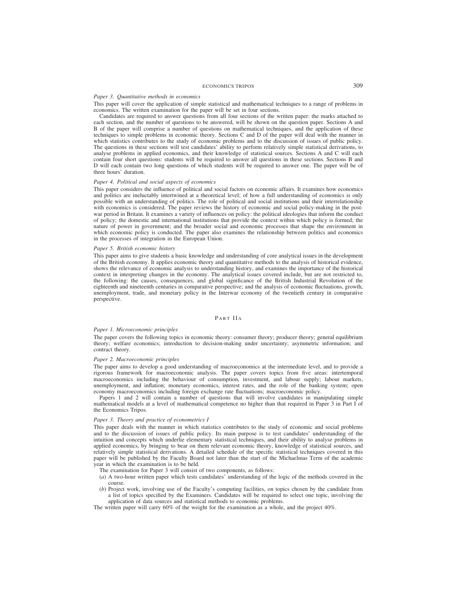# ECONOMICS TRIPOS 309

# *Paper 3. Quantitative methods in economics*

This paper will cover the application of simple statistical and mathematical techniques to a range of problems in economics. The written examination for the paper will be set in four sections.

Candidates are required to answer questions from all four sections of the written paper: the marks attached to each section, and the number of questions to be answered, will be shown on the question paper. Sections A and B of the paper will comprise a number of questions on mathematical techniques, and the application of these techniques to simple problems in economic theory. Sections C and D of the paper will deal with the manner in which statistics contributes to the study of economic problems and to the discussion of issues of public policy. The questions in these sections will test candidates' ability to perform relatively simple statistical derivations, to analyse problems in applied economics, and their knowledge of statistical sources. Sections A and C will each contain four short questions: students will be required to answer all questions in these sections. Sections B and D will each contain two long questions of which students will be required to answer one. The paper will be of three hours' duration.

### *Paper 4. Political and social aspects of economics*

This paper considers the influence of political and social factors on economic affairs. It examines how economics and politics are ineluctably intertwined at a theoretical level; of how a full understanding of economics is only possible with an understanding of politics. The role of political and social institutions and their interrelationship with economics is considered. The paper reviews the history of economic and social policy-making in the postwar period in Britain. It examines a variety of influences on policy: the political ideologies that inform the conduct of policy; the domestic and international institutions that provide the context within which policy is formed; the nature of power in government; and the broader social and economic processes that shape the environment in which economic policy is conducted. The paper also examines the relationship between politics and economics in the processes of integration in the European Union.

### *Paper 5. British economic history*

This paper aims to give students a basic knowledge and understanding of core analytical issues in the development of the British economy. It applies economic theory and quantitative methods to the analysis of historical evidence, shows the relevance of economic analysis to understanding history, and examines the importance of the historical context in interpreting changes in the economy. The analytical issues covered include, but are not restricted to, the following: the causes, consequences, and global significance of the British Industrial Revolution of the eighteenth and nineteenth centuries in comparative perspective; and the analysis of economic fluctuations, growth, unemployment, trade, and monetary policy in the Interwar economy of the twentieth century in comparative perspective.

### PART IIA

### *Paper 1. Microeconomic principles*

The paper covers the following topics in economic theory: consumer theory; producer theory; general equilibrium theory; welfare economics; introduction to decision-making under uncertainty; asymmetric information; and contract theory.

### *Paper 2. Macroeconomic principles*

The paper aims to develop a good understanding of macroeconomics at the intermediate level, and to provide a rigorous framework for macroeconomic analysis. The paper covers topics from five areas: intertemporal macroeconomics including the behaviour of consumption, investment, and labour supply; labour markets, unemployment, and inflation; monetary economics, interest rates, and the role of the banking system; open economy macroeconomics including foreign exchange rate fluctuations; macroeconomic policy.

Papers 1 and 2 will contain a number of questions that will involve candidates in manipulating simple mathematical models at a level of mathematical competence no higher than that required in Paper 3 in Part I of the Economics Tripos.

### *Paper 3. Theory and practice of econometrics I*

This paper deals with the manner in which statistics contributes to the study of economic and social problems and to the discussion of issues of public policy. Its main purpose is to test candidates' understanding of the intuition and concepts which underlie elementary statistical techniques, and their ability to analyse problems in applied economics, by bringing to bear on them relevant economic theory, knowledge of statistical sources, and relatively simple statistical derivations. A detailed schedule of the specific statistical techniques covered in this paper will be published by the Faculty Board not later than the start of the Michaelmas Term of the academic year in which the examination is to be held.

- The examination for Paper 3 will consist of two components, as follows:
- (*a*) A two-hour written paper which tests candidates' understanding of the logic of the methods covered in the course.
- (*b*) Project work, involving use of the Faculty's computing facilities, on topics chosen by the candidate from a list of topics specified by the Examiners. Candidates will be required to select one topic, involving the application of data sources and statistical methods to economic problems.

The written paper will carry 60% of the weight for the examination as a whole, and the project 40%.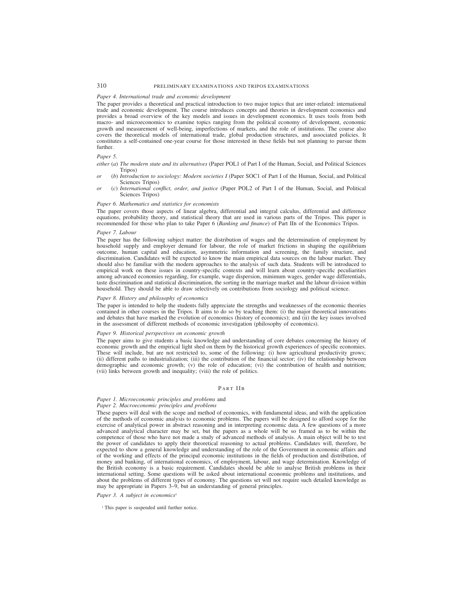# 310 PRELIMINARY EXAMINATIONS AND TRIPOS EXAMINATIONS

# *Paper 4. International trade and economic development*

The paper provides a theoretical and practical introduction to two major topics that are inter-related: international trade and economic development. The course introduces concepts and theories in development economics and provides a broad overview of the key models and issues in development economics. It uses tools from both macro- and microeconomics to examine topics ranging from the political economy of development, economic growth and measurement of well-being, imperfections of markets, and the role of institutions. The course also covers the theoretical models of international trade, global production structures, and associated policies. It constitutes a self-contained one-year course for those interested in these fields but not planning to pursue them further.

### *Paper 5.*

- *either* (*a*) *The modern state and its alternatives* (Paper POL1 of Part I of the Human, Social, and Political Sciences Tripos)
- *or* (*b*) *Introduction to sociology: Modern societies I* (Paper SOC1 of Part I of the Human, Social, and Political Sciences Tripos)
- *or* (*c*) *International conflict, order, and justice* (Paper POL2 of Part I of the Human, Social, and Political Sciences Tripos)

### *Paper 6. Mathematics and statistics for economists*

The paper covers those aspects of linear algebra, differential and integral calculus, differential and difference equations, probability theory, and statistical theory that are used in various parts of the Tripos. This paper is recommended for those who plan to take Paper 6 (*Banking and finance*) of Part IIB of the Economics Tripos.

### *Paper 7. Labour*

The paper has the following subject matter: the distribution of wages and the determination of employment by household supply and employer demand for labour, the role of market frictions in shaping the equilibrium outcome, human capital and education, asymmetric information and screening, the family structure, and discrimination. Candidates will be expected to know the main empirical data sources on the labour market. They should also be familiar with the modern approaches to the analysis of such data. Students will be introduced to empirical work on these issues in country-specific contexts and will learn about country-specific peculiarities among advanced economies regarding, for example, wage dispersion, minimum wages, gender wage differentials, taste discrimination and statistical discrimination, the sorting in the marriage market and the labour division within household. They should be able to draw selectively on contributions from sociology and political science.

# *Paper 8. History and philosophy of economics*

The paper is intended to help the students fully appreciate the strengths and weaknesses of the economic theories contained in other courses in the Tripos. It aims to do so by teaching them: (i) the major theoretical innovations and debates that have marked the evolution of economics (history of economics); and (ii) the key issues involved in the assessment of different methods of economic investigation (philosophy of economics).

### *Paper 9. Historical perspectives on economic growth*

The paper aims to give students a basic knowledge and understanding of core debates concerning the history of economic growth and the empirical light shed on them by the historical growth experiences of specific economies. These will include, but are not restricted to, some of the following: (i) how agricultural productivity grows; (ii) different paths to industrialization; (iii) the contribution of the financial sector; (iv) the relationship between demographic and economic growth; (v) the role of education; (vi) the contribution of health and nutrition; (vii) links between growth and inequality; (viii) the role of politics.

# PART IIB

# *Paper 1. Microeconomic principles and problems* and

# *Paper 2. Macroeconomic principles and problems*

These papers will deal with the scope and method of economics, with fundamental ideas, and with the application of the methods of economic analysis to economic problems. The papers will be designed to afford scope for the exercise of analytical power in abstract reasoning and in interpreting economic data. A few questions of a more advanced analytical character may be set, but the papers as a whole will be so framed as to be within the competence of those who have not made a study of advanced methods of analysis. A main object will be to test the power of candidates to apply their theoretical reasoning to actual problems. Candidates will, therefore, be expected to show a general knowledge and understanding of the role of the Government in economic affairs and of the working and effects of the principal economic institutions in the fields of production and distribution, of money and banking, of international economics, of employment, labour, and wage determination. Knowledge of the British economy is a basic requirement. Candidates should be able to analyse British problems in their international setting. Some questions will be asked about international economic problems and institutions, and about the problems of different types of economy. The questions set will not require such detailed knowledge as may be appropriate in Papers 3–9, but an understanding of general principles.

# *Paper 3. A subject in economics<sup>1</sup>*

<sup>1</sup> This paper is suspended until further notice.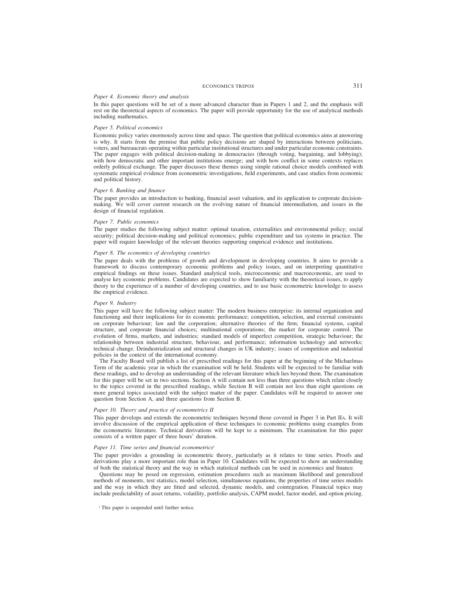# ECONOMICS TRIPOS 311

# *Paper 4. Economic theory and analysis*

In this paper questions will be set of a more advanced character than in Papers 1 and 2, and the emphasis will rest on the theoretical aspects of economics. The paper will provide opportunity for the use of analytical methods including mathematics.

### *Paper 5. Political economics*

Economic policy varies enormously across time and space. The question that political economics aims at answering is why. It starts from the premise that public policy decisions are shaped by interactions between politicians, voters, and bureaucrats operating within particular institutional structures and under particular economic constraints. The paper engages with political decision-making in democracies (through voting, bargaining, and lobbying); with how democratic and other important institutions emerge; and with how conflict in some contexts replaces orderly political exchange. The paper discusses these themes using simple rational choice models combined with systematic empirical evidence from econometric investigations, field experiments, and case studies from economic and political history.

### *Paper 6. Banking and finance*

The paper provides an introduction to banking, financial asset valuation, and its application to corporate decisionmaking. We will cover current research on the evolving nature of financial intermediation, and issues in the design of financial regulation.

### *Paper 7. Public economics*

The paper studies the following subject matter: optimal taxation, externalities and environmental policy; social security; political decision-making and political economics; public expenditure and tax systems in practice. The paper will require knowledge of the relevant theories supporting empirical evidence and institutions.

### *Paper 8. The economics of developing countries*

The paper deals with the problems of growth and development in developing countries. It aims to provide a framework to discuss contemporary economic problems and policy issues, and on interpreting quantitative empirical findings on these issues. Standard analytical tools, microeconomic and macroeconomic, are used to analyse key economic problems. Candidates are expected to show familiarity with the theoretical issues, to apply theory to the experience of a number of developing countries, and to use basic econometric knowledge to assess the empirical evidence.

# *Paper 9. Industry*

This paper will have the following subject matter: The modern business enterprise: its internal organization and functioning and their implications for its economic performance; competition, selection, and external constraints on corporate behaviour; law and the corporation; alternative theories of the firm; financial systems, capital structure, and corporate financial choices; multinational corporations; the market for corporate control. The evolution of firms, markets, and industries; standard models of imperfect competition, strategic behaviour; the relationship between industrial structure, behaviour, and performance; information technology and networks; technical change. Deindustrialization and structural changes in UK industry; issues of competition and industrial policies in the context of the international economy.

The Faculty Board will publish a list of prescribed readings for this paper at the beginning of the Michaelmas Term of the academic year in which the examination will be held. Students will be expected to be familiar with these readings, and to develop an understanding of the relevant literature which lies beyond them. The examination for this paper will be set in two sections. Section A will contain not less than three questions which relate closely to the topics covered in the prescribed readings, while Section B will contain not less than eight questions on more general topics associated with the subject matter of the paper. Candidates will be required to answer one question from Section A, and three questions from Section B.

### *Paper 10. Theory and practice of econometrics II*

This paper develops and extends the econometric techniques beyond those covered in Paper 3 in Part IIA. It will involve discussion of the empirical application of these techniques to economic problems using examples from the econometric literature. Technical derivations will be kept to a minimum. The examination for this paper consists of a written paper of three hours' duration.

# Paper 11. Time series and financial econometrics<sup>1</sup>

The paper provides a grounding in econometric theory, particularly as it relates to time series. Proofs and derivations play a more important role than in Paper 10. Candidates will be expected to show an understanding of both the statistical theory and the way in which statistical methods can be used in economics and finance.

Questions may be posed on regression, estimation procedures such as maximum likelihood and generalized methods of moments, test statistics, model selection, simultaneous equations, the properties of time series models and the way in which they are fitted and selected, dynamic models, and cointegration. Financial topics may include predictability of asset returns, volatility, portfolio analysis, CAPM model, factor model, and option pricing.

<sup>&</sup>lt;sup>1</sup> This paper is suspended until further notice.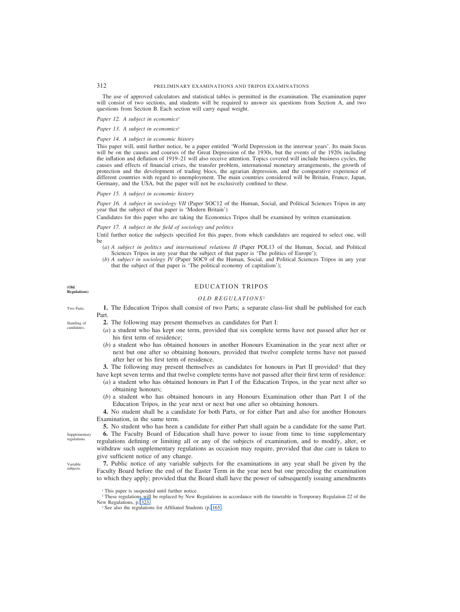312 PRELIMINARY EXAMINATIONS AND TRIPOS EXAMINATIONS

The use of approved calculators and statistical tables is permitted in the examination. The examination paper will consist of two sections, and students will be required to answer six questions from Section A, and two questions from Section B. Each section will carry equal weight.

*Paper 12. A subject in economics<sup>1</sup>* 

*Paper 13. A subject in economics<sup>1</sup>* 

### *Paper 14. A subject in economic history*

This paper will, until further notice, be a paper entitled 'World Depression in the interwar years'. Its main focus will be on the causes and courses of the Great Depression of the 1930s, but the events of the 1920s including the inflation and deflation of 1919–21 will also receive attention. Topics covered will include business cycles, the causes and effects of financial crises, the transfer problem, international monetary arrangements, the growth of protection and the development of trading blocs, the agrarian depression, and the comparative experience of different countries with regard to unemployment. The main countries considered will be Britain, France, Japan, Germany, and the USA, but the paper will not be exclusively confined to these.

### *Paper 15. A subject in economic history*

*Paper 16. A subject in sociology VII* (Paper SOC12 of the Human, Social, and Political Sciences Tripos in any year that the subject of that paper is 'Modern Britain')

Candidates for this paper who are taking the Economics Tripos shall be examined by written examination.

# *Paper 17. A subject in the field of sociology and politics*

Until further notice the subjects specified for this paper, from which candidates are required to select one, will be

- (*a*) *A subject in politics and international relations II* (Paper POL13 of the Human, Social, and Political Sciences Tripos in any year that the subject of that paper is 'The politics of Europe');
- (*b*) *A subject in sociology IV* (Paper SOC9 of the Human, Social, and Political Sciences Tripos in any year that the subject of that paper is 'The political economy of capitalism');

### **(Old Regulations)**

Two Parts.

Standing of candidates.

# EDUCATION TRIPOS

# *OLD REGULATIONS* <sup>2</sup>

**1.** The Education Tripos shall consist of two Parts; a separate class-list shall be published for each Part.

**2.** The following may present themselves as candidates for Part I:

- (*a*) a student who has kept one term, provided that six complete terms have not passed after her or his first term of residence;
- (*b*) a student who has obtained honours in another Honours Examination in the year next after or next but one after so obtaining honours, provided that twelve complete terms have not passed after her or his first term of residence.

**3.** The following may present themselves as candidates for honours in Part II provided<sup>3</sup> that they have kept seven terms and that twelve complete terms have not passed after their first term of residence:

- (*a*) a student who has obtained honours in Part I of the Education Tripos, in the year next after so obtaining honours;
- (*b*) a student who has obtained honours in any Honours Examination other than Part I of the Education Tripos, in the year next or next but one after so obtaining honours.

**4.** No student shall be a candidate for both Parts, or for either Part and also for another Honours Examination, in the same term.

**5.** No student who has been a candidate for either Part shall again be a candidate for the same Part.

**6.** The Faculty Board of Education shall have power to issue from time to time supplementary regulations defining or limiting all or any of the subjects of examination, and to modify, alter, or withdraw such supplementary regulations as occasion may require, provided that due care is taken to give sufficient notice of any change.

**7.** Public notice of any variable subjects for the examinations in any year shall be given by the Faculty Board before the end of the Easter Term in the year next but one preceding the examination to which they apply; provided that the Board shall have the power of subsequently issuing amendments

Supplementary regulations.

Variable subjects.

<sup>&</sup>lt;sup>1</sup> This paper is suspended until further notice.

<sup>&</sup>lt;sup>2</sup> These regulations will be replaced by New Regulations in accordance with the timetable in Temporary Regulation 22 of the New Regulations, p. 323.

<sup>&</sup>lt;sup>3</sup> See also the regulations for Affiliated Students (p. 165).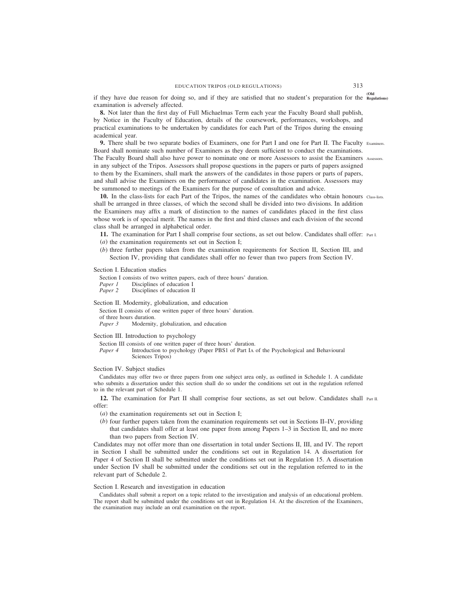**(Old** if they have due reason for doing so, and if they are satisfied that no student's preparation for the **Regulations)** examination is adversely affected.

**8.** Not later than the first day of Full Michaelmas Term each year the Faculty Board shall publish, by Notice in the Faculty of Education, details of the coursework, performances, workshops, and practical examinations to be undertaken by candidates for each Part of the Tripos during the ensuing academical year.

**9.** There shall be two separate bodies of Examiners, one for Part I and one for Part II. The Faculty Examiners. Board shall nominate such number of Examiners as they deem sufficient to conduct the examinations. The Faculty Board shall also have power to nominate one or more Assessors to assist the Examiners Assessors. in any subject of the Tripos. Assessors shall propose questions in the papers or parts of papers assigned to them by the Examiners, shall mark the answers of the candidates in those papers or parts of papers, and shall advise the Examiners on the performance of candidates in the examination. Assessors may be summoned to meetings of the Examiners for the purpose of consultation and advice.

**10.** In the class-lists for each Part of the Tripos, the names of the candidates who obtain honours Class-lists. shall be arranged in three classes, of which the second shall be divided into two divisions. In addition the Examiners may affix a mark of distinction to the names of candidates placed in the first class whose work is of special merit. The names in the first and third classes and each division of the second class shall be arranged in alphabetical order.

**11.** The examination for Part I shall comprise four sections, as set out below. Candidates shall offer: Part I.

- (*a*) the examination requirements set out in Section I;
- (*b*) three further papers taken from the examination requirements for Section II, Section III, and Section IV, providing that candidates shall offer no fewer than two papers from Section IV.

# Section I. Education studies

Section I consists of two written papers, each of three hours' duration.<br>Paper 1 Disciplines of education I

*Paper 1* Disciplines of education I<br>*Paper 2* Disciplines of education II

*Pisciplines* of education II

Section II. Modernity, globalization, and education

Section II consists of one written paper of three hours' duration. of three hours duration.<br>*Paper 3* Modernity Modernity, globalization, and education

Section III. Introduction to psychology

Section III consists of one written paper of three hours' duration.

*Paper 4* Introduction to psychology (Paper PBS1 of Part IA of the Psychological and Behavioural Sciences Tripos)

# Section IV. Subject studies

Candidates may offer two or three papers from one subject area only, as outlined in Schedule 1. A candidate who submits a dissertation under this section shall do so under the conditions set out in the regulation referred to in the relevant part of Schedule 1.

**12.** The examination for Part II shall comprise four sections, as set out below. Candidates shall Part II. offer:

(*a*) the examination requirements set out in Section I;

(*b*) four further papers taken from the examination requirements set out in Sections II–IV, providing that candidates shall offer at least one paper from among Papers 1–3 in Section II, and no more than two papers from Section IV.

Candidates may not offer more than one dissertation in total under Sections II, III, and IV. The report in Section I shall be submitted under the conditions set out in Regulation 14. A dissertation for Paper 4 of Section II shall be submitted under the conditions set out in Regulation 15. A dissertation under Section IV shall be submitted under the conditions set out in the regulation referred to in the relevant part of Schedule 2.

# Section I. Research and investigation in education

Candidates shall submit a report on a topic related to the investigation and analysis of an educational problem. The report shall be submitted under the conditions set out in Regulation 14. At the discretion of the Examiners, the examination may include an oral examination on the report.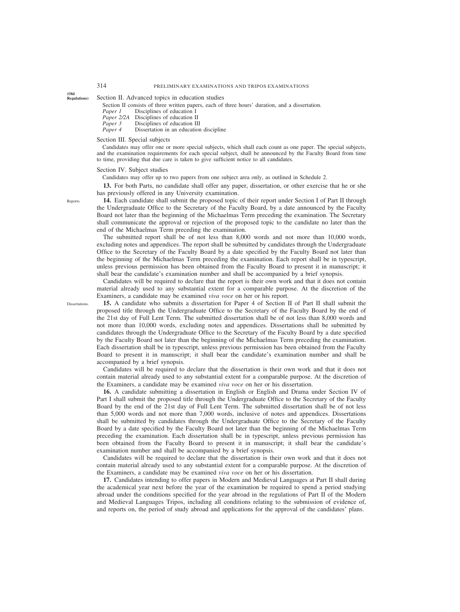Section II. Advanced topics in education studies

Section II consists of three written papers, each of three hours' duration, and a dissertation.<br>Paper 1 Disciplines of education I

- *Paper 1* Disciplines of education I<br>*Paper 2/2A* Disciplines of education II
- *Paper 2/2A* Disciplines of education II<br>*Paper 3* Disciplines of education II
- *Paper 3* Disciplines of education III<br>*Paper 4* Dissertation in an education

*Pissertation* in an education discipline

### Section III. Special subjects

Candidates may offer one or more special subjects, which shall each count as one paper. The special subjects, and the examination requirements for each special subject, shall be announced by the Faculty Board from time to time, providing that due care is taken to give sufficient notice to all candidates.

### Section IV. Subject studies

Candidates may offer up to two papers from one subject area only, as outlined in Schedule 2.

**13.** For both Parts, no candidate shall offer any paper, dissertation, or other exercise that he or she has previously offered in any University examination.

**14.** Each candidate shall submit the proposed topic of their report under Section I of Part II through the Undergraduate Office to the Secretary of the Faculty Board, by a date announced by the Faculty Board not later than the beginning of the Michaelmas Term preceding the examination. The Secretary shall communicate the approval or rejection of the proposed topic to the candidate no later than the end of the Michaelmas Term preceding the examination.

The submitted report shall be of not less than 8,000 words and not more than 10,000 words, excluding notes and appendices. The report shall be submitted by candidates through the Undergraduate Office to the Secretary of the Faculty Board by a date specified by the Faculty Board not later than the beginning of the Michaelmas Term preceding the examination. Each report shall be in typescript, unless previous permission has been obtained from the Faculty Board to present it in manuscript; it shall bear the candidate's examination number and shall be accompanied by a brief synopsis.

Candidates will be required to declare that the report is their own work and that it does not contain material already used to any substantial extent for a comparable purpose. At the discretion of the Examiners, a candidate may be examined *viva voce* on her or his report.

**15.** A candidate who submits a dissertation for Paper 4 of Section II of Part II shall submit the proposed title through the Undergraduate Office to the Secretary of the Faculty Board by the end of the 21st day of Full Lent Term. The submitted dissertation shall be of not less than 8,000 words and not more than 10,000 words, excluding notes and appendices. Dissertations shall be submitted by candidates through the Undergraduate Office to the Secretary of the Faculty Board by a date specified by the Faculty Board not later than the beginning of the Michaelmas Term preceding the examination. Each dissertation shall be in typescript, unless previous permission has been obtained from the Faculty Board to present it in manuscript; it shall bear the candidate's examination number and shall be accompanied by a brief synopsis.

Candidates will be required to declare that the dissertation is their own work and that it does not contain material already used to any substantial extent for a comparable purpose. At the discretion of the Examiners, a candidate may be examined *viva voce* on her or his dissertation.

**16.** A candidate submitting a dissertation in English or English and Drama under Section IV of Part I shall submit the proposed title through the Undergraduate Office to the Secretary of the Faculty Board by the end of the 21st day of Full Lent Term. The submitted dissertation shall be of not less than 5,000 words and not more than 7,000 words, inclusive of notes and appendices. Dissertations shall be submitted by candidates through the Undergraduate Office to the Secretary of the Faculty Board by a date specified by the Faculty Board not later than the beginning of the Michaelmas Term preceding the examination. Each dissertation shall be in typescript, unless previous permission has been obtained from the Faculty Board to present it in manuscript; it shall bear the candidate's examination number and shall be accompanied by a brief synopsis.

Candidates will be required to declare that the dissertation is their own work and that it does not contain material already used to any substantial extent for a comparable purpose. At the discretion of the Examiners, a candidate may be examined *viva voce* on her or his dissertation.

**17.** Candidates intending to offer papers in Modern and Medieval Languages at Part II shall during the academical year next before the year of the examination be required to spend a period studying abroad under the conditions specified for the year abroad in the regulations of Part II of the Modern and Medieval Languages Tripos, including all conditions relating to the submission of evidence of, and reports on, the period of study abroad and applications for the approval of the candidates' plans.

Reports.

**(Old**

**Dissertations**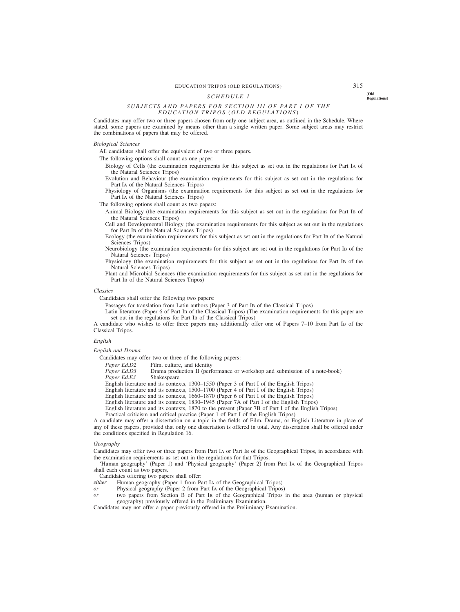# EDUCATION TRIPOS (OLD REGULATIONS) 315

# **(Old** *SCHEDULE 1* **Regulations)**

# *SUBJECTS AND PAPERS FOR SECTION III OF PART I OF THE EDUCATION TRIPOS (OLD REGULATIONS)*

Candidates may offer two or three papers chosen from only one subject area, as outlined in the Schedule. Where stated, some papers are examined by means other than a single written paper. Some subject areas may restrict the combinations of papers that may be offered.

# *Biological Sciences*

All candidates shall offer the equivalent of two or three papers.

The following options shall count as one paper:

- Biology of Cells (the examination requirements for this subject as set out in the regulations for Part IA of the Natural Sciences Tripos)
- Evolution and Behaviour (the examination requirements for this subject as set out in the regulations for Part IA of the Natural Sciences Tripos)
- Physiology of Organisms (the examination requirements for this subject as set out in the regulations for Part IA of the Natural Sciences Tripos)

The following options shall count as two papers:

- Animal Biology (the examination requirements for this subject as set out in the regulations for Part IB of the Natural Sciences Tripos)
- Cell and Developmental Biology (the examination requirements for this subject as set out in the regulations for Part IB of the Natural Sciences Tripos)
- Ecology (the examination requirements for this subject as set out in the regulations for Part IB of the Natural Sciences Tripos)
- Neurobiology (the examination requirements for this subject are set out in the regulations for Part IB of the Natural Sciences Tripos)
- Physiology (the examination requirements for this subject as set out in the regulations for Part IB of the Natural Sciences Tripos)
- Plant and Microbial Sciences (the examination requirements for this subject as set out in the regulations for Part IB of the Natural Sciences Tripos)

### *Classics*

Candidates shall offer the following two papers:

Passages for translation from Latin authors (Paper 3 of Part IB of the Classical Tripos)

Latin literature (Paper 6 of Part IB of the Classical Tripos) (The examination requirements for this paper are set out in the regulations for Part IB of the Classical Tripos)

A candidate who wishes to offer three papers may additionally offer one of Papers 7–10 from Part IB of the Classical Tripos.

# *English*

# *English and Drama*

Candidates may offer two or three of the following papers:

*Paper Ed.D2* Film, culture, and identity<br>*Paper Ed.D3* Drama production II (perf

*Prama production II (performance or workshop and submission of a note-book)* Shakespeare Paper Ed.E3

English literature and its contexts, 1300–1550 (Paper 3 of Part I of the English Tripos)

English literature and its contexts, 1500–1700 (Paper 4 of Part I of the English Tripos)

English literature and its contexts, 1660–1870 (Paper 6 of Part I of the English Tripos)

English literature and its contexts, 1830–1945 (Paper 7A of Part I of the English Tripos)

English literature and its contexts, 1870 to the present (Paper 7B of Part I of the English Tripos)

Practical criticism and critical practice (Paper  $\hat{1}$  of Part I of the English Tripos)

A candidate may offer a dissertation on a topic in the fields of Film, Drama, or English Literature in place of any of these papers, provided that only one dissertation is offered in total. Any dissertation shall be offered under the conditions specified in Regulation 16.

### *Geography*

Candidates may offer two or three papers from Part IA or Part IB of the Geographical Tripos, in accordance with the examination requirements as set out in the regulations for that Tripos.

'Human geography' (Paper 1) and 'Physical geography' (Paper 2) from Part IA of the Geographical Tripos shall each count as two papers.

Candidates offering two papers shall offer:<br> *either* Human geography (Paper 1 from Pa

- Human geography (Paper 1 from Part I<sub>A</sub> of the Geographical Tripos)
- *or* Physical geography (Paper 2 from Part IA of the Geographical Tripos)
- *or* two papers from Section B of Part IB of the Geographical Tripos in the area (human or physical geography) previously offered in the Preliminary Examination.

Candidates may not offer a paper previously offered in the Preliminary Examination.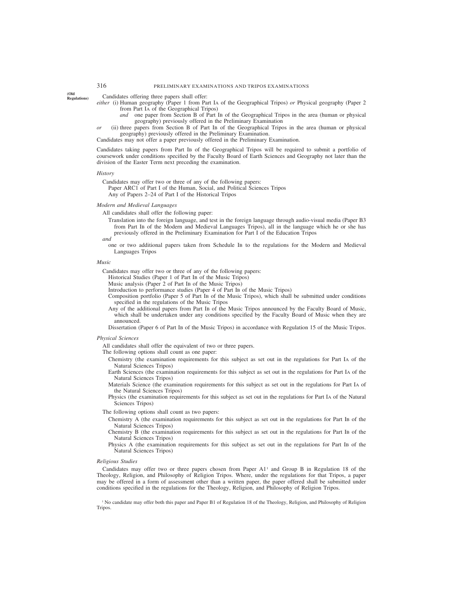**(Old Regulations)**

- Candidates offering three papers shall offer:
- *either* (i) Human geography (Paper 1 from Part IA of the Geographical Tripos) *or* Physical geography (Paper 2 from Part IA of the Geographical Tripos)
	- *and* one paper from Section B of Part IB of the Geographical Tripos in the area (human or physical geography) previously offered in the Preliminary Examination
- *or* (ii) three papers from Section B of Part IB of the Geographical Tripos in the area (human or physical geography) previously offered in the Preliminary Examination.
- Candidates may not offer a paper previously offered in the Preliminary Examination.

Candidates taking papers from Part IB of the Geographical Tripos will be required to submit a portfolio of coursework under conditions specified by the Faculty Board of Earth Sciences and Geography not later than the division of the Easter Term next preceding the examination.

### *History*

Candidates may offer two or three of any of the following papers:

Paper ARC1 of Part I of the Human, Social, and Political Sciences Tripos Any of Papers 2–24 of Part I of the Historical Tripos

# *Modern and Medieval Languages*

All candidates shall offer the following paper:

Translation into the foreign language, and test in the foreign language through audio-visual media (Paper B3 from Part IB of the Modern and Medieval Languages Tripos), all in the language which he or she has previously offered in the Preliminary Examination for Part I of the Education Tripos

### *and*

one or two additional papers taken from Schedule IB to the regulations for the Modern and Medieval Languages Tripos

### *Music*

Candidates may offer two or three of any of the following papers:

- Historical Studies (Paper 1 of Part IB of the Music Tripos)
- Music analysis (Paper 2 of Part IB of the Music Tripos)
- Introduction to performance studies (Paper 4 of Part IB of the Music Tripos)
- Composition portfolio (Paper 5 of Part IB of the Music Tripos), which shall be submitted under conditions specified in the regulations of the Music Tripos
- Any of the additional papers from Part IB of the Music Tripos announced by the Faculty Board of Music, which shall be undertaken under any conditions specified by the Faculty Board of Music when they are announced.

Dissertation (Paper 6 of Part IB of the Music Tripos) in accordance with Regulation 15 of the Music Tripos.

### *Physical Sciences*

All candidates shall offer the equivalent of two or three papers.

The following options shall count as one paper:

- Chemistry (the examination requirements for this subject as set out in the regulations for Part IA of the Natural Sciences Tripos)
- Earth Sciences (the examination requirements for this subject as set out in the regulations for Part IA of the Natural Sciences Tripos)
- Materials Science (the examination requirements for this subject as set out in the regulations for Part IA of the Natural Sciences Tripos)
- Physics (the examination requirements for this subject as set out in the regulations for Part IA of the Natural Sciences Tripos)

The following options shall count as two papers:

- Chemistry A (the examination requirements for this subject as set out in the regulations for Part IB of the Natural Sciences Tripos)
- Chemistry B (the examination requirements for this subject as set out in the regulations for Part IB of the Natural Sciences Tripos)
- Physics A (the examination requirements for this subject as set out in the regulations for Part IB of the Natural Sciences Tripos)

### *Religious Studies*

Candidates may offer two or three papers chosen from Paper A11 and Group B in Regulation 18 of the Theology, Religion, and Philosophy of Religion Tripos. Where, under the regulations for that Tripos, a paper may be offered in a form of assessment other than a written paper, the paper offered shall be submitted under conditions specified in the regulations for the Theology, Religion, and Philosophy of Religion Tripos.

<sup>1</sup> No candidate may offer both this paper and Paper B1 of Regulation 18 of the Theology, Religion, and Philosophy of Religion Tripos.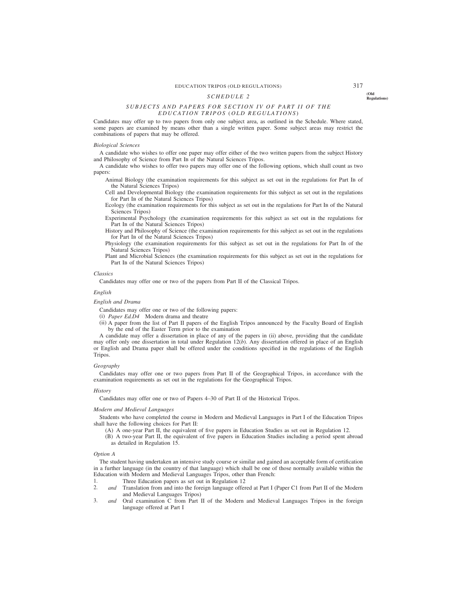# EDUCATION TRIPOS (OLD REGULATIONS) 317

# **(Old** *SCHEDULE 2* **Regulations)**

# *SUBJECTS AND PAPERS FOR SECTION IV OF PART II OF THE EDUCATION TRIPOS (OLD REGULATIONS)*

Candidates may offer up to two papers from only one subject area, as outlined in the Schedule. Where stated, some papers are examined by means other than a single written paper. Some subject areas may restrict the combinations of papers that may be offered.

### *Biological Sciences*

A candidate who wishes to offer one paper may offer either of the two written papers from the subject History and Philosophy of Science from Part IB of the Natural Sciences Tripos.

A candidate who wishes to offer two papers may offer one of the following options, which shall count as two papers:

Animal Biology (the examination requirements for this subject as set out in the regulations for Part IB of the Natural Sciences Tripos)

Cell and Developmental Biology (the examination requirements for this subject as set out in the regulations for Part IB of the Natural Sciences Tripos)

Ecology (the examination requirements for this subject as set out in the regulations for Part IB of the Natural Sciences Tripos)

Experimental Psychology (the examination requirements for this subject as set out in the regulations for Part IB of the Natural Sciences Tripos)

History and Philosophy of Science (the examination requirements for this subject as set out in the regulations for Part IB of the Natural Sciences Tripos)

Physiology (the examination requirements for this subject as set out in the regulations for Part IB of the Natural Sciences Tripos)

Plant and Microbial Sciences (the examination requirements for this subject as set out in the regulations for Part IB of the Natural Sciences Tripos)

### *Classics*

Candidates may offer one or two of the papers from Part II of the Classical Tripos.

### *English*

### *English and Drama*

Candidates may offer one or two of the following papers:

- (i) *Paper Ed.D4* Modern drama and theatre
- (ii) A paper from the list of Part II papers of the English Tripos announced by the Faculty Board of English by the end of the Easter Term prior to the examination

A candidate may offer a dissertation in place of any of the papers in (ii) above, providing that the candidate may offer only one dissertation in total under Regulation 12(*b*). Any dissertation offered in place of an English or English and Drama paper shall be offered under the conditions specified in the regulations of the English Tripos.

### *Geography*

Candidates may offer one or two papers from Part II of the Geographical Tripos, in accordance with the examination requirements as set out in the regulations for the Geographical Tripos.

### *History*

Candidates may offer one or two of Papers 4–30 of Part II of the Historical Tripos.

### *Modern and Medieval Languages*

Students who have completed the course in Modern and Medieval Languages in Part I of the Education Tripos shall have the following choices for Part II:

(A) A one-year Part II, the equivalent of five papers in Education Studies as set out in Regulation 12.

(B) A two-year Part II, the equivalent of five papers in Education Studies including a period spent abroad as detailed in Regulation 15.

### *Option A*

The student having undertaken an intensive study course or similar and gained an acceptable form of certification in a further language (in the country of that language) which shall be one of those normally available within the Education with Modern and Medieval Languages Tripos, other than French:<br>1. Three Education papers as set out in Regulation 12

- 1. Three Education papers as set out in Regulation 12<br>2. and Translation from and into the foreign language offer
- 2. *and* Translation from and into the foreign language offered at Part I (Paper C1 from Part II of the Modern and Medieval Languages Tripos)
- 3. *and* Oral examination C from Part II of the Modern and Medieval Languages Tripos in the foreign language offered at Part I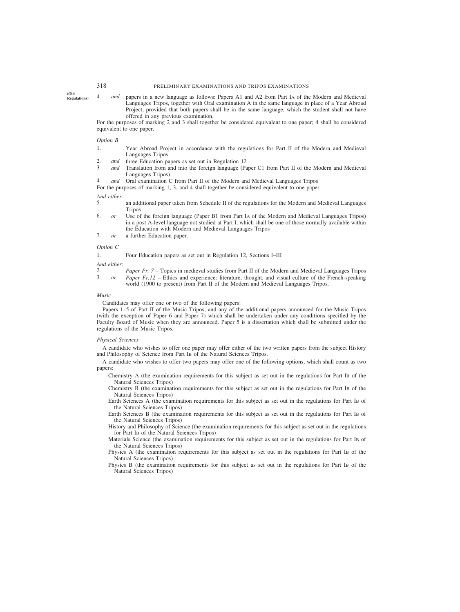**(Old**

**Regulations)** 4. *and* papers in a new language as follows: Papers A1 and A2 from Part IA of the Modern and Medieval Languages Tripos, together with Oral examination A in the same language in place of a Year Abroad Project, provided that both papers shall be in the same language, which the student shall not have offered in any previous examination.

For the purposes of marking 2 and 3 shall together be considered equivalent to one paper; 4 shall be considered equivalent to one paper.

### *Option B*

- 1. Year Abroad Project in accordance with the regulations for Part II of the Modern and Medieval Languages Tripos
- 2. *and* three Education papers as set out in Regulation 12
- 3. *and* Translation from and into the foreign language (Paper C1 from Part II of the Modern and Medieval Languages Tripos)
- 4. *and* Oral examination C from Part II of the Modern and Medieval Languages Tripos

For the purposes of marking 1, 3, and 4 shall together be considered equivalent to one paper.

### *And either:*

- 5. an additional paper taken from Schedule II of the regulations for the Modern and Medieval Languages Tripos
- 6. *or* Use of the foreign language (Paper B1 from Part IA of the Modern and Medieval Languages Tripos) in a post A-level language not studied at Part I, which shall be one of those normally available within the Education with Modern and Medieval Languages Tripos
- 7. *or* a further Education paper.

# *Option C*

| 1. |  |  | Four Education papers as set out in Regulation 12, Sections I-III |
|----|--|--|-------------------------------------------------------------------|
|----|--|--|-------------------------------------------------------------------|

*And either:*

2. *Paper Fr. 7* – Topics in medieval studies from Part II of the Modern and Medieval Languages Tripos 3. *or Paper Fr 12* – Ethics and experience: literature, thought, and visual culture of the French-speaking 3. *or Paper Fr.12 –* Ethics and experience: literature, thought, and visual culture of the French-speaking world (1900 to present) from Part II of the Modern and Medieval Languages Tripos.

### *Music*

Candidates may offer one or two of the following papers:

Papers 1–5 of Part II of the Music Tripos, and any of the additional papers announced for the Music Tripos (with the exception of Paper 6 and Paper 7) which shall be undertaken under any conditions specified by the Faculty Board of Music when they are announced. Paper 5 is a dissertation which shall be submitted under the regulations of the Music Tripos.

### *Physical Sciences*

A candidate who wishes to offer one paper may offer either of the two written papers from the subject History and Philosophy of Science from Part IB of the Natural Sciences Tripos.

A candidate who wishes to offer two papers may offer one of the following options, which shall count as two papers:

- Chemistry A (the examination requirements for this subject as set out in the regulations for Part IB of the Natural Sciences Tripos)
- Chemistry B (the examination requirements for this subject as set out in the regulations for Part IB of the Natural Sciences Tripos)
- Earth Sciences A (the examination requirements for this subject as set out in the regulations for Part IB of the Natural Sciences Tripos)
- Earth Sciences B (the examination requirements for this subject as set out in the regulations for Part IB of the Natural Sciences Tripos)
- History and Philosophy of Science (the examination requirements for this subject as set out in the regulations for Part IB of the Natural Sciences Tripos)
- Materials Science (the examination requirements for this subject as set out in the regulations for Part IB of the Natural Sciences Tripos)
- Physics A (the examination requirements for this subject as set out in the regulations for Part IB of the Natural Sciences Tripos)
- Physics B (the examination requirements for this subject as set out in the regulations for Part IB of the Natural Sciences Tripos)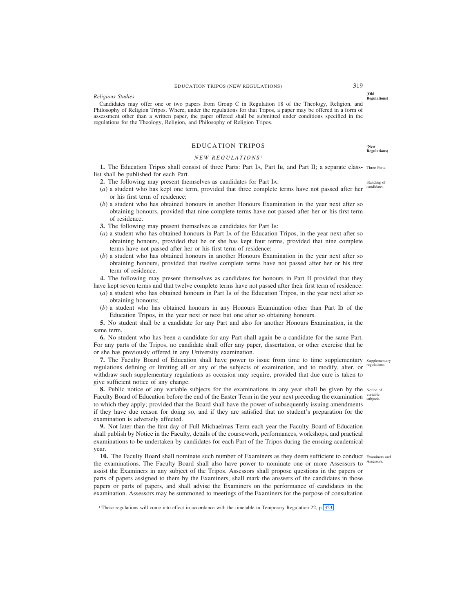# EDUCATION TRIPOS (NEW REGULATIONS) 319

### *Religious Studies*

Candidates may offer one or two papers from Group C in Regulation 18 of the Theology, Religion, and Philosophy of Religion Tripos. Where, under the regulations for that Tripos, a paper may be offered in a form of assessment other than a written paper, the paper offered shall be submitted under conditions specified in the regulations for the Theology, Religion, and Philosophy of Religion Tripos.

# EDUCATION TRIPOS

# *NEW REGULATIONS* <sup>1</sup>

1. The Education Tripos shall consist of three Parts: Part IA, Part IB, and Part II; a separate class- Three Parts. list shall be published for each Part.

- **2.** The following may present themselves as candidates for Part IA:
- (*a*) a student who has kept one term, provided that three complete terms have not passed after her candidates. or his first term of residence;
- (*b*) a student who has obtained honours in another Honours Examination in the year next after so obtaining honours, provided that nine complete terms have not passed after her or his first term of residence.
- **3.** The following may present themselves as candidates for Part IB:
- (*a*) a student who has obtained honours in Part IA of the Education Tripos, in the year next after so obtaining honours, provided that he or she has kept four terms, provided that nine complete terms have not passed after her or his first term of residence;
- (*b*) a student who has obtained honours in another Honours Examination in the year next after so obtaining honours, provided that twelve complete terms have not passed after her or his first term of residence.

**4.** The following may present themselves as candidates for honours in Part II provided that they have kept seven terms and that twelve complete terms have not passed after their first term of residence:

- (*a*) a student who has obtained honours in Part IB of the Education Tripos, in the year next after so obtaining honours;
- (*b*) a student who has obtained honours in any Honours Examination other than Part IB of the Education Tripos, in the year next or next but one after so obtaining honours.

**5.** No student shall be a candidate for any Part and also for another Honours Examination, in the same term.

**6.** No student who has been a candidate for any Part shall again be a candidate for the same Part. For any parts of the Tripos, no candidate shall offer any paper, dissertation, or other exercise that he or she has previously offered in any University examination.

**7.** The Faculty Board of Education shall have power to issue from time to time supplementary supplementary regulations defining or limiting all or any of the subjects of examination, and to modify, alter, or regulations. withdraw such supplementary regulations as occasion may require, provided that due care is taken to give sufficient notice of any change.

**8.** Public notice of any variable subjects for the examinations in any year shall be given by the Notice of Faculty Board of Education before the end of the Easter Term in the year next preceding the examination subjects. to which they apply; provided that the Board shall have the power of subsequently issuing amendments if they have due reason for doing so, and if they are satisfied that no student's preparation for the examination is adversely affected.

**9.** Not later than the first day of Full Michaelmas Term each year the Faculty Board of Education shall publish by Notice in the Faculty, details of the coursework, performances, workshops, and practical examinations to be undertaken by candidates for each Part of the Tripos during the ensuing academical year.

10. The Faculty Board shall nominate such number of Examiners as they deem sufficient to conduct Examiners and the examinations. The Faculty Board shall also have power to nominate one or more Assessors to assist the Examiners in any subject of the Tripos. Assessors shall propose questions in the papers or parts of papers assigned to them by the Examiners, shall mark the answers of the candidates in those papers or parts of papers, and shall advise the Examiners on the performance of candidates in the examination. Assessors may be summoned to meetings of the Examiners for the purpose of consultation Assessors.

Standing of

**(Old Regulations)**

**(New Regulations)**

<sup>1</sup> These regulations will come into effect in accordance with the timetable in Temporary Regulation 22, p. 323.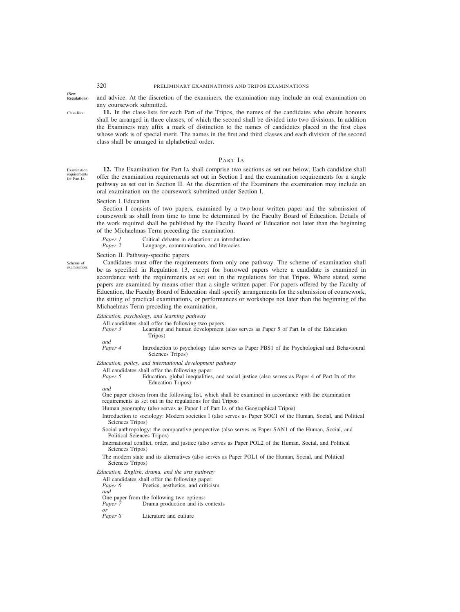# 320 PRELIMINARY EXAMINATIONS AND TRIPOS EXAMINATIONS

**(New**

Class-lists.

and advice. At the discretion of the examiners, the examination may include an oral examination on any coursework submitted.

Examination requirements for Part IA.

**11.** In the class-lists for each Part of the Tripos, the names of the candidates who obtain honours shall be arranged in three classes, of which the second shall be divided into two divisions. In addition the Examiners may affix a mark of distinction to the names of candidates placed in the first class whose work is of special merit. The names in the first and third classes and each division of the second class shall be arranged in alphabetical order.

# PART IA

**12.** The Examination for Part IA shall comprise two sections as set out below. Each candidate shall offer the examination requirements set out in Section I and the examination requirements for a single pathway as set out in Section II. At the discretion of the Examiners the examination may include an oral examination on the coursework submitted under Section I.

### Section I. Education

Section I consists of two papers, examined by a two-hour written paper and the submission of coursework as shall from time to time be determined by the Faculty Board of Education. Details of the work required shall be published by the Faculty Board of Education not later than the beginning of the Michaelmas Term preceding the examination.

*Paper 1* Critical debates in education: an introduction *Paper 2* Language, communication, and literacies Language, communication, and literacies

Section II. Pathway-specific papers

Scheme of examination.

Candidates must offer the requirements from only one pathway. The scheme of examination shall be as specified in Regulation 13, except for borrowed papers where a candidate is examined in accordance with the requirements as set out in the regulations for that Tripos. Where stated, some papers are examined by means other than a single written paper. For papers offered by the Faculty of Education, the Faculty Board of Education shall specify arrangements for the submission of coursework, the sitting of practical examinations, or performances or workshops not later than the beginning of the Michaelmas Term preceding the examination.

*Education, psychology, and learning pathway*

All candidates shall offer the following two papers:

*Paper 3* Learning and human development (also serves as Paper 5 of Part IB of the Education Tripos) *and*

*Paper 4* Introduction to psychology (also serves as Paper PBS1 of the Psychological and Behavioural Sciences Tripos)

*Education, policy, and international development pathway*

All candidates shall offer the following paper:

| Paper 5 | Education, global inequalities, and social justice (also serves as Paper 4 of Part IB of the |  |  |  |  |  |  |  |
|---------|----------------------------------------------------------------------------------------------|--|--|--|--|--|--|--|
|         | Education Tripos)                                                                            |  |  |  |  |  |  |  |

*and*

One paper chosen from the following list, which shall be examined in accordance with the examination requirements as set out in the regulations for that Tripos:

Human geography (also serves as Paper I of Part IA of the Geographical Tripos)

- Introduction to sociology: Modern societies I (also serves as Paper SOC1 of the Human, Social, and Political Sciences Tripos)
- Social anthropology: the comparative perspective (also serves as Paper SAN1 of the Human, Social, and Political Sciences Tripos)
- International conflict, order, and justice (also serves as Paper POL2 of the Human, Social, and Political Sciences Tripos)

The modern state and its alternatives (also serves as Paper POL1 of the Human, Social, and Political Sciences Tripos)

# *Education, English, drama, and the arts pathway*

All candidates shall offer the following paper:<br>*Paper 6* Poetics, aesthetics, and criticis Poetics, aesthetics, and criticism *and* One paper from the following two options: *Paper 7* Drama production and its contexts *or Paper 8* Literature and culture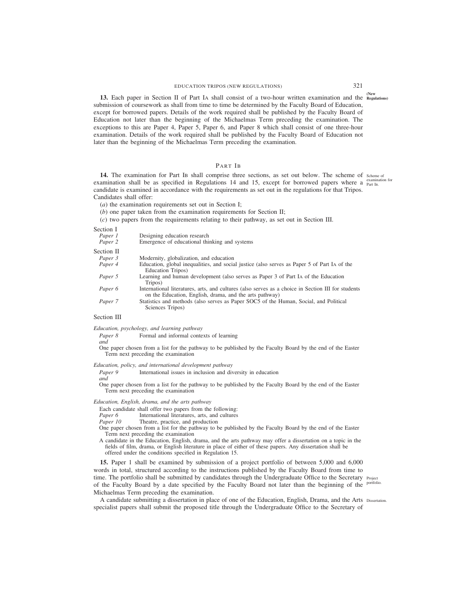# EDUCATION TRIPOS (NEW REGULATIONS) 321

**(New 13.** Each paper in Section II of Part IA shall consist of a two-hour written examination and the **Regulations)** submission of coursework as shall from time to time be determined by the Faculty Board of Education, except for borrowed papers. Details of the work required shall be published by the Faculty Board of Education not later than the beginning of the Michaelmas Term preceding the examination. The exceptions to this are Paper 4, Paper 5, Paper 6, and Paper 8 which shall consist of one three-hour examination. Details of the work required shall be published by the Faculty Board of Education not later than the beginning of the Michaelmas Term preceding the examination.

# PART IB

**14.** The examination for Part IB shall comprise three sections, as set out below. The scheme of scheme of examination shall be as specified in Regulations 14 and 15, except for borrowed papers where a  $_{\text{Part IB}}^{\text{examm}}$ candidate is examined in accordance with the requirements as set out in the regulations for that Tripos. Candidates shall offer: examination for

(*a*) the examination requirements set out in Section I;

(*b*) one paper taken from the examination requirements for Section II;

(*c*) two papers from the requirements relating to their pathway, as set out in Section III.

Section I

| Designing education research<br>Emergence of educational thinking and systems                                                                                 |
|---------------------------------------------------------------------------------------------------------------------------------------------------------------|
|                                                                                                                                                               |
| Modernity, globalization, and education                                                                                                                       |
| Education, global inequalities, and social justice (also serves as Paper 5 of Part IA of the<br>Education Tripos)                                             |
| Learning and human development (also serves as Paper 3 of Part IA of the Education<br>Tripos)                                                                 |
| International literatures, arts, and cultures (also serves as a choice in Section III for students<br>on the Education, English, drama, and the arts pathway) |
| Statistics and methods (also serves as Paper SOC5 of the Human, Social, and Political<br>Sciences Tripos)                                                     |
|                                                                                                                                                               |

Section III

*and*

*Education, psychology, and learning pathway*

*Paper 8* Formal and informal contexts of learning

One paper chosen from a list for the pathway to be published by the Faculty Board by the end of the Easter Term next preceding the examination

*Education, policy, and international development pathway*

*Paper 9* International issues in inclusion and diversity in education

*and* One paper chosen from a list for the pathway to be published by the Faculty Board by the end of the Easter Term next preceding the examination

*Education, English, drama, and the arts pathway*

Each candidate shall offer two papers from the following:<br>Paper 6 International literatures, arts, and cultures

*Paper 6* International literatures, arts, and cultures *Paper 10* Theatre. practice, and production

Theatre, practice, and production

One paper chosen from a list for the pathway to be published by the Faculty Board by the end of the Easter Term next preceding the examination

A candidate in the Education, English, drama, and the arts pathway may offer a dissertation on a topic in the fields of film, drama, or English literature in place of either of these papers. Any dissertation shall be offered under the conditions specified in Regulation 15.

**15.** Paper 1 shall be examined by submission of a project portfolio of between 5,000 and 6,000 words in total, structured according to the instructions published by the Faculty Board from time to time. The portfolio shall be submitted by candidates through the Undergraduate Office to the Secretary Project of the Faculty Board by a date specified by the Faculty Board not later than the beginning of the portfolio. Michaelmas Term preceding the examination.

A candidate submitting a dissertation in place of one of the Education, English, Drama, and the Arts Dissertation.specialist papers shall submit the proposed title through the Undergraduate Office to the Secretary of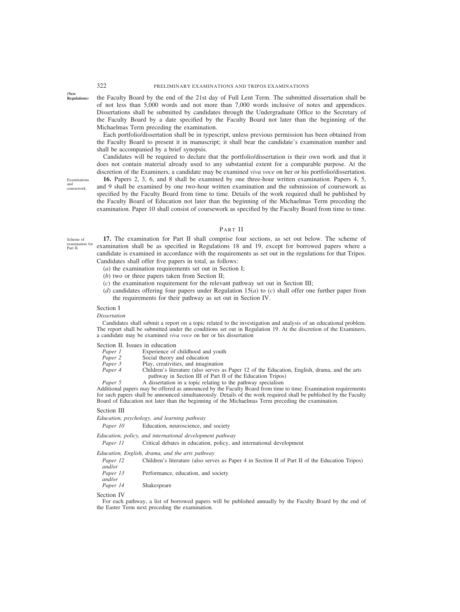**(New**

**Regulations)** the Faculty Board by the end of the 21st day of Full Lent Term. The submitted dissertation shall be of not less than 5,000 words and not more than 7,000 words inclusive of notes and appendices. Dissertations shall be submitted by candidates through the Undergraduate Office to the Secretary of the Faculty Board by a date specified by the Faculty Board not later than the beginning of the Michaelmas Term preceding the examination.

Each portfolio/dissertation shall be in typescript, unless previous permission has been obtained from the Faculty Board to present it in manuscript; it shall bear the candidate's examination number and shall be accompanied by a brief synopsis.

Candidates will be required to declare that the portfolio/dissertation is their own work and that it does not contain material already used to any substantial extent for a comparable purpose. At the discretion of the Examiners, a candidate may be examined *viva voce* on her or his portfolio/dissertation.

Examinations and coursework.

**16.** Papers 2, 3, 6, and 8 shall be examined by one three-hour written examination. Papers 4, 5, and 9 shall be examined by one two-hour written examination and the submission of coursework as specified by the Faculty Board from time to time. Details of the work required shall be published by the Faculty Board of Education not later than the beginning of the Michaelmas Term preceding the examination. Paper 10 shall consist of coursework as specified by the Faculty Board from time to time.

# PART II

Scheme of examination for Part II.

**17.** The examination for Part II shall comprise four sections, as set out below. The scheme of examination shall be as specified in Regulations 18 and 19, except for borrowed papers where a candidate is examined in accordance with the requirements as set out in the regulations for that Tripos. Candidates shall offer five papers in total, as follows:

(*a*) the examination requirements set out in Section I;

- (*b*) two or three papers taken from Section II;
- (*c*) the examination requirement for the relevant pathway set out in Section III;
- (*d*) candidates offering four papers under Regulation 15(*a*) to (*c*) shall offer one further paper from the requirements for their pathway as set out in Section IV.

# Section I

### *Dissertation*

Candidates shall submit a report on a topic related to the investigation and analysis of an educational problem. The report shall be submitted under the conditions set out in Regulation 19. At the discretion of the Examiners, a candidate may be examined *viva voce* on her or his dissertation

# Section II. Issues in education<br>*Paper 1* Experience of

- *Paper 1* Experience of childhood and youth *Paper 2* Social theory and education
- *Paper 2* Social theory and education<br>*Paper 3* Play, creativities, and imagi
- Play, creativities, and imagination
- *Paper 4* Children's literature (also serves as Paper 12 of the Education, English, drama, and the arts pathway in Section III of Part II of the Education Tripos)
- *Paper 5* A dissertation in a topic relating to the pathway specialism

Additional papers may be offered as announced by the Faculty Board from time to time. Examination requirements for such papers shall be announced simultaneously. Details of the work required shall be published by the Faculty Board of Education not later than the beginning of the Michaelmas Term preceding the examination.

### Section III

*Education, psychology, and learning pathway*

*Paper 10* Education, neuroscience, and society

*Education, policy, and international development pathway*

*Paper 11* Critical debates in education, policy, and international development

### *Education, English, drama, and the arts pathway*

| Paper 12 | Children's literature (also serves as Paper 4 in Section II of Part II of the Education Tripos) |
|----------|-------------------------------------------------------------------------------------------------|
| and/or   |                                                                                                 |
| Paper 13 | Performance, education, and society                                                             |
| and/or   |                                                                                                 |
| Paper 14 | <b>Shakespeare</b>                                                                              |

### Section IV

For each pathway, a list of borrowed papers will be published annually by the Faculty Board by the end of the Easter Term next preceding the examination.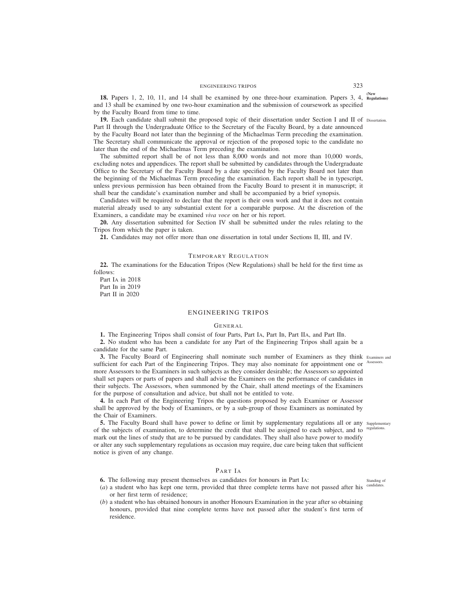ENGINEERING TRIPOS 323

**(New 18.** Papers 1, 2, 10, 11, and 14 shall be examined by one three-hour examination. Papers 3, 4, **Regulations)** and 13 shall be examined by one two-hour examination and the submission of coursework as specified by the Faculty Board from time to time.

**19.** Each candidate shall submit the proposed topic of their dissertation under Section I and II of Dissertation. Part II through the Undergraduate Office to the Secretary of the Faculty Board, by a date announced by the Faculty Board not later than the beginning of the Michaelmas Term preceding the examination. The Secretary shall communicate the approval or rejection of the proposed topic to the candidate no later than the end of the Michaelmas Term preceding the examination.

The submitted report shall be of not less than 8,000 words and not more than 10,000 words, excluding notes and appendices. The report shall be submitted by candidates through the Undergraduate Office to the Secretary of the Faculty Board by a date specified by the Faculty Board not later than the beginning of the Michaelmas Term preceding the examination. Each report shall be in typescript, unless previous permission has been obtained from the Faculty Board to present it in manuscript; it shall bear the candidate's examination number and shall be accompanied by a brief synopsis.

Candidates will be required to declare that the report is their own work and that it does not contain material already used to any substantial extent for a comparable purpose. At the discretion of the Examiners, a candidate may be examined *viva voce* on her or his report.

**20.** Any dissertation submitted for Section IV shall be submitted under the rules relating to the Tripos from which the paper is taken.

**21.** Candidates may not offer more than one dissertation in total under Sections II, III, and IV.

# TEMPORARY REGULATION

**22.** The examinations for the Education Tripos (New Regulations) shall be held for the first time as follows:

Part IA in 2018 Part I<sub>B</sub> in 2019 Part II in 2020

# ENGINEERING TRIPOS

### GENERAL

**1.** The Engineering Tripos shall consist of four Parts, Part IA, Part IB, Part IIA, and Part IIB.

**2.** No student who has been a candidate for any Part of the Engineering Tripos shall again be a candidate for the same Part.

**3.** The Faculty Board of Engineering shall nominate such number of Examiners as they think Examiners and sufficient for each Part of the Engineering Tripos. They may also nominate for appointment one or more Assessors to the Examiners in such subjects as they consider desirable; the Assessors so appointed shall set papers or parts of papers and shall advise the Examiners on the performance of candidates in their subjects. The Assessors, when summoned by the Chair, shall attend meetings of the Examiners for the purpose of consultation and advice, but shall not be entitled to vote.

**4.** In each Part of the Engineering Tripos the questions proposed by each Examiner or Assessor shall be approved by the body of Examiners, or by a sub-group of those Examiners as nominated by the Chair of Examiners.

**5.** The Faculty Board shall have power to define or limit by supplementary regulations all or any supplementary of the subjects of examination, to determine the credit that shall be assigned to each subject, and to regulations. mark out the lines of study that are to be pursued by candidates. They shall also have power to modify or alter any such supplementary regulations as occasion may require, due care being taken that sufficient notice is given of any change.

# PART IA

**6.** The following may present themselves as candidates for honours in Part IA:

(*a*) a student who has kept one term, provided that three complete terms have not passed after his <sup>candidates.</sup> or her first term of residence;

(*b*) a student who has obtained honours in another Honours Examination in the year after so obtaining honours, provided that nine complete terms have not passed after the student's first term of residence.

Assessors.

Standing of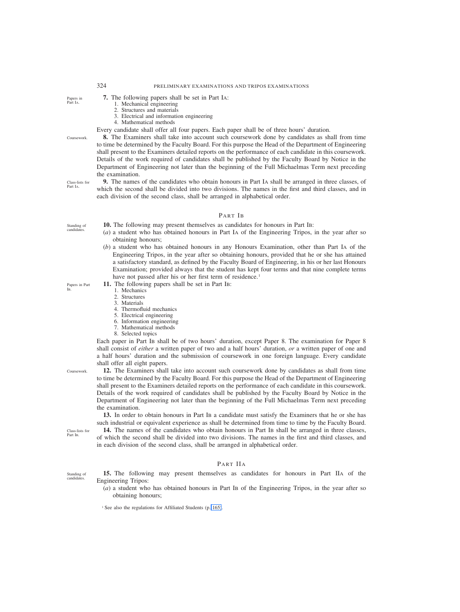# 324 PRELIMINARY EXAMINATIONS AND TRIPOS EXAMINATIONS

- **7.** The following papers shall be set in Part IA:
	- 1. Mechanical engineering
	- 2. Structures and materials
	- 3. Electrical and information engineering
	- 4. Mathematical methods

Every candidate shall offer all four papers. Each paper shall be of three hours' duration.

**8.** The Examiners shall take into account such coursework done by candidates as shall from time to time be determined by the Faculty Board. For this purpose the Head of the Department of Engineering shall present to the Examiners detailed reports on the performance of each candidate in this coursework. Details of the work required of candidates shall be published by the Faculty Board by Notice in the Department of Engineering not later than the beginning of the Full Michaelmas Term next preceding the examination.

**9.** The names of the candidates who obtain honours in Part IA shall be arranged in three classes, of which the second shall be divided into two divisions. The names in the first and third classes, and in each division of the second class, shall be arranged in alphabetical order. Class-lists for

### PART IB

- **10.** The following may present themselves as candidates for honours in Part IB:
- (*a*) a student who has obtained honours in Part IA of the Engineering Tripos, in the year after so obtaining honours;
- (*b*) a student who has obtained honours in any Honours Examination, other than Part IA of the Engineering Tripos, in the year after so obtaining honours, provided that he or she has attained a satisfactory standard, as defined by the Faculty Board of Engineering, in his or her last Honours Examination; provided always that the student has kept four terms and that nine complete terms have not passed after his or her first term of residence.<sup>1</sup>

**11.** The following papers shall be set in Part IB:

- 1. Mechanics
- 2. Structures
- 3. Materials
- 4. Thermofluid mechanics
- 5. Electrical engineering
- 6. Information engineering 7. Mathematical methods
- 8. Selected topics

Each paper in Part IB shall be of two hours' duration, except Paper 8. The examination for Paper 8 shall consist of *either* a written paper of two and a half hours' duration, *or* a written paper of one and a half hours' duration and the submission of coursework in one foreign language. Every candidate shall offer all eight papers.

**12.** The Examiners shall take into account such coursework done by candidates as shall from time to time be determined by the Faculty Board. For this purpose the Head of the Department of Engineering shall present to the Examiners detailed reports on the performance of each candidate in this coursework. Details of the work required of candidates shall be published by the Faculty Board by Notice in the Department of Engineering not later than the beginning of the Full Michaelmas Term next preceding the examination.

**13.** In order to obtain honours in Part IB a candidate must satisfy the Examiners that he or she has such industrial or equivalent experience as shall be determined from time to time by the Faculty Board.

14. The names of the candidates who obtain honours in Part IB shall be arranged in three classes, of which the second shall be divided into two divisions. The names in the first and third classes, and in each division of the second class, shall be arranged in alphabetical order.

# PART IIA

**15.** The following may present themselves as candidates for honours in Part IIA of the Engineering Tripos:

(*a*) a student who has obtained honours in Part IB of the Engineering Tripos, in the year after so obtaining honours;

Standing of

candidates.

Part IA.

Papers in Part IB.

Coursework.

Class-lists for Part IB.

Standing of candidates.

Coursework.

Papers in Part IA.

<sup>&</sup>lt;sup>1</sup> See also the regulations for Affiliated Students (p. 165).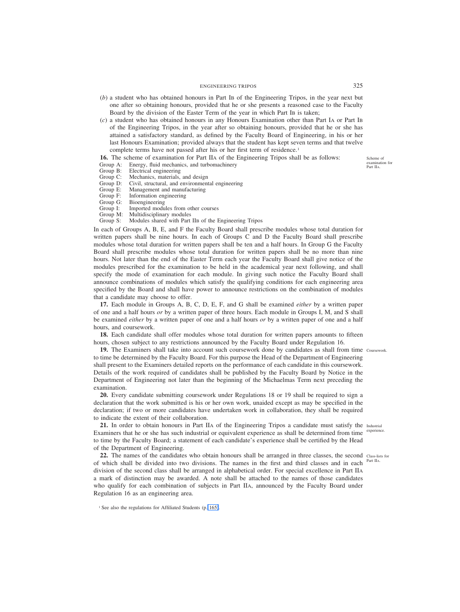- (*b*) a student who has obtained honours in Part IB of the Engineering Tripos, in the year next but one after so obtaining honours, provided that he or she presents a reasoned case to the Faculty Board by the division of the Easter Term of the year in which Part IB is taken;
- (*c*) a student who has obtained honours in any Honours Examination other than Part IA or Part IB of the Engineering Tripos, in the year after so obtaining honours, provided that he or she has attained a satisfactory standard, as defined by the Faculty Board of Engineering, in his or her last Honours Examination; provided always that the student has kept seven terms and that twelve complete terms have not passed after his or her first term of residence.<sup>1</sup>

**16.** The scheme of examination for Part IIA of the Engineering Tripos shall be as follows: Group A: Energy, fluid mechanics, and turbomachinery

- Group A: Energy, fluid mechanics, and turbomachinery<br>Group B: Electrical engineering
- Group B: Electrical engineering<br>Group C: Mechanics, materials,
- 
- Group C: Mechanics, materials, and design<br>Group D: Civil, structural, and environment Group D: Civil, structural, and environmental engineering<br>Group E: Management and manufacturing
- Group E: Management and manufacturing<br>Group F: Information engineering
- Information engineering
- Group G: Bioengineering<br>Group I: Imported modu
- Imported modules from other courses

Group M: Multidisciplinary modules<br>Group S: Modules shared with Part

Modules shared with Part IIB of the Engineering Tripos

In each of Groups A, B, E, and F the Faculty Board shall prescribe modules whose total duration for written papers shall be nine hours. In each of Groups C and D the Faculty Board shall prescribe modules whose total duration for written papers shall be ten and a half hours. In Group G the Faculty Board shall prescribe modules whose total duration for written papers shall be no more than nine hours. Not later than the end of the Easter Term each year the Faculty Board shall give notice of the modules prescribed for the examination to be held in the academical year next following, and shall specify the mode of examination for each module. In giving such notice the Faculty Board shall announce combinations of modules which satisfy the qualifying conditions for each engineering area specified by the Board and shall have power to announce restrictions on the combination of modules that a candidate may choose to offer.

**17.** Each module in Groups A, B, C, D, E, F, and G shall be examined *either* by a written paper of one and a half hours *or* by a written paper of three hours. Each module in Groups I, M, and S shall be examined *either* by a written paper of one and a half hours *or* by a written paper of one and a half hours, and coursework.

**18.** Each candidate shall offer modules whose total duration for written papers amounts to fifteen hours, chosen subject to any restrictions announced by the Faculty Board under Regulation 16.

**19.** The Examiners shall take into account such coursework done by candidates as shall from time Coursework. to time be determined by the Faculty Board. For this purpose the Head of the Department of Engineering shall present to the Examiners detailed reports on the performance of each candidate in this coursework. Details of the work required of candidates shall be published by the Faculty Board by Notice in the Department of Engineering not later than the beginning of the Michaelmas Term next preceding the examination.

**20.** Every candidate submitting coursework under Regulations 18 or 19 shall be required to sign a declaration that the work submitted is his or her own work, unaided except as may be specified in the declaration; if two or more candidates have undertaken work in collaboration, they shall be required to indicate the extent of their collaboration.

21. In order to obtain honours in Part IIA of the Engineering Tripos a candidate must satisfy the Industrial Examiners that he or she has such industrial or equivalent experience as shall be determined from time experience. to time by the Faculty Board; a statement of each candidate's experience shall be certified by the Head of the Department of Engineering.

22. The names of the candidates who obtain honours shall be arranged in three classes, the second class-lists for of which shall be divided into two divisions. The names in the first and third classes and in each division of the second class shall be arranged in alphabetical order. For special excellence in Part IIA a mark of distinction may be awarded. A note shall be attached to the names of those candidates who qualify for each combination of subjects in Part IIA, announced by the Faculty Board under Regulation 16 as an engineering area. Part IIA.

Scheme of examination for Part IIA.

<sup>&</sup>lt;sup>1</sup> See also the regulations for Affiliated Students (p. 165).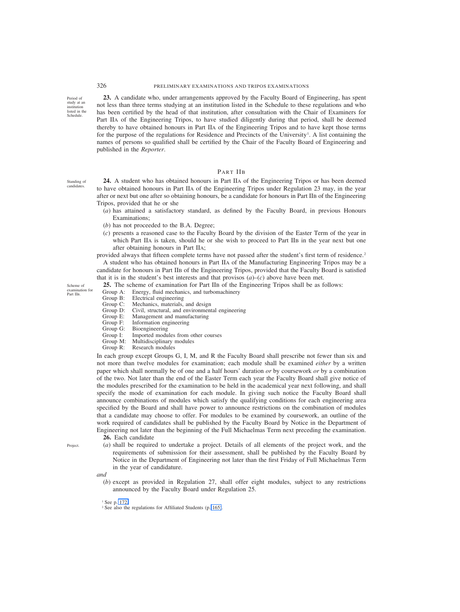Period of study at an institution listed in the Schedule.

Standing of candidates.

Scheme of examination for Part IIB.

**23.** A candidate who, under arrangements approved by the Faculty Board of Engineering, has spent not less than three terms studying at an institution listed in the Schedule to these regulations and who has been certified by the head of that institution, after consultation with the Chair of Examiners for Part IIA of the Engineering Tripos, to have studied diligently during that period, shall be deemed thereby to have obtained honours in Part IIA of the Engineering Tripos and to have kept those terms for the purpose of the regulations for Residence and Precincts of the University<sup>1</sup>. A list containing the names of persons so qualified shall be certified by the Chair of the Faculty Board of Engineering and published in the *Reporter*.

PART IIB

**24.** A student who has obtained honours in Part IIA of the Engineering Tripos or has been deemed to have obtained honours in Part IIA of the Engineering Tripos under Regulation 23 may, in the year after or next but one after so obtaining honours, be a candidate for honours in Part IIB of the Engineering Tripos, provided that he or she

- (*a*) has attained a satisfactory standard, as defined by the Faculty Board, in previous Honours Examinations;
- (*b*) has not proceeded to the B.A. Degree;
- (*c*) presents a reasoned case to the Faculty Board by the division of the Easter Term of the year in which Part IIA is taken, should he or she wish to proceed to Part IIB in the year next but one after obtaining honours in Part IIA;

provided always that fifteen complete terms have not passed after the student's first term of residence.<sup>2</sup> A student who has obtained honours in Part IIA of the Manufacturing Engineering Tripos may be a candidate for honours in Part IIB of the Engineering Tripos, provided that the Faculty Board is satisfied that it is in the student's best interests and that provisos  $(a)$ – $(c)$  above have been met.

**25.** The scheme of examination for Part IIB of the Engineering Tripos shall be as follows:

- Group A: Energy, fluid mechanics, and turbomachinery<br>Group B: Electrical engineering
- Group B: Electrical engineering<br>Group C: Mechanics, materials,
- Mechanics, materials, and design
- Group D: Civil, structural, and environmental engineering<br>Group E: Management and manufacturing
- Group E: Management and manufacturing<br>Group F: Information engineering
- Group F: Information engineering<br>Group G: Bioengineering
- Group G: Bioengineering<br>Group I: Imported modu
- Imported modules from other courses
- Group M: Multidisciplinary modules
- Group R: Research modules

In each group except Groups G, I, M, and R the Faculty Board shall prescribe not fewer than six and not more than twelve modules for examination; each module shall be examined *either* by a written paper which shall normally be of one and a half hours' duration *or* by coursework *or* by a combination of the two. Not later than the end of the Easter Term each year the Faculty Board shall give notice of the modules prescribed for the examination to be held in the academical year next following, and shall specify the mode of examination for each module. In giving such notice the Faculty Board shall announce combinations of modules which satisfy the qualifying conditions for each engineering area specified by the Board and shall have power to announce restrictions on the combination of modules that a candidate may choose to offer. For modules to be examined by coursework, an outline of the work required of candidates shall be published by the Faculty Board by Notice in the Department of Engineering not later than the beginning of the Full Michaelmas Term next preceding the examination.

**26.** Each candidate

(*a*) shall be required to undertake a project. Details of all elements of the project work, and the requirements of submission for their assessment, shall be published by the Faculty Board by Notice in the Department of Engineering not later than the first Friday of Full Michaelmas Term in the year of candidature.

*and*

(*b*) except as provided in Regulation 27, shall offer eight modules, subject to any restrictions announced by the Faculty Board under Regulation 25.

<sup>1</sup> See p. 172.

Project.

<sup>2</sup> See also the regulations for Affiliated Students (p. 165).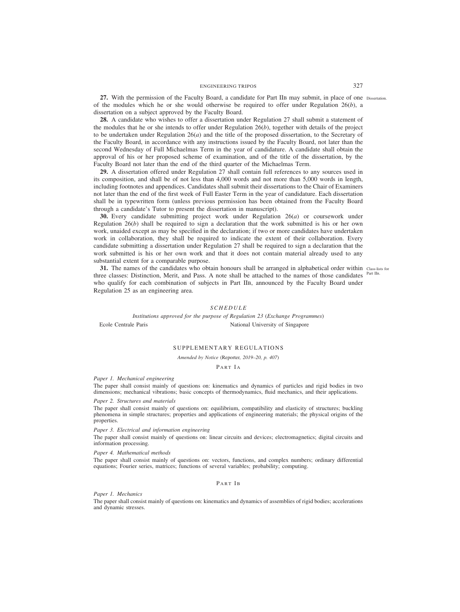ENGINEERING TRIPOS 327

27. With the permission of the Faculty Board, a candidate for Part IIB may submit, in place of one Dissertation. of the modules which he or she would otherwise be required to offer under Regulation 26(*b*), a dissertation on a subject approved by the Faculty Board.

**28.** A candidate who wishes to offer a dissertation under Regulation 27 shall submit a statement of the modules that he or she intends to offer under Regulation  $26(b)$ , together with details of the project to be undertaken under Regulation 26(*a*) and the title of the proposed dissertation, to the Secretary of the Faculty Board, in accordance with any instructions issued by the Faculty Board, not later than the second Wednesday of Full Michaelmas Term in the year of candidature. A candidate shall obtain the approval of his or her proposed scheme of examination, and of the title of the dissertation, by the Faculty Board not later than the end of the third quarter of the Michaelmas Term.

**29.** A dissertation offered under Regulation 27 shall contain full references to any sources used in its composition, and shall be of not less than 4,000 words and not more than 5,000 words in length, including footnotes and appendices. Candidates shall submit their dissertations to the Chair of Examiners not later than the end of the first week of Full Easter Term in the year of candidature. Each dissertation shall be in typewritten form (unless previous permission has been obtained from the Faculty Board through a candidate's Tutor to present the dissertation in manuscript).

**30.** Every candidate submitting project work under Regulation 26(*a*) or coursework under Regulation  $26(b)$  shall be required to sign a declaration that the work submitted is his or her own work, unaided except as may be specified in the declaration; if two or more candidates have undertaken work in collaboration, they shall be required to indicate the extent of their collaboration. Every candidate submitting a dissertation under Regulation 27 shall be required to sign a declaration that the work submitted is his or her own work and that it does not contain material already used to any substantial extent for a comparable purpose.

**31.** The names of the candidates who obtain honours shall be arranged in alphabetical order within Class-lists for three classes: Distinction, Merit, and Pass. A note shall be attached to the names of those candidates <sup>Part IIB.</sup> who qualify for each combination of subjects in Part IIB, announced by the Faculty Board under Regulation 25 as an engineering area.

### *SCHEDULE*

*Institutions approved for the purpose of Regulation 23 (Exchange Programmes)* Ecole Centrale Paris National University of Singapore

### SUPPLEMENTARY REGULATIONS

*Amended by Notice (*Reporter*, 2019–20, p. 407)*

# PART IA

### *Paper 1. Mechanical engineering*

The paper shall consist mainly of questions on: kinematics and dynamics of particles and rigid bodies in two dimensions; mechanical vibrations; basic concepts of thermodynamics, fluid mechanics, and their applications.

### *Paper 2. Structures and materials*

The paper shall consist mainly of questions on: equilibrium, compatibility and elasticity of structures; buckling phenomena in simple structures; properties and applications of engineering materials; the physical origins of the properties.

# *Paper 3. Electrical and information engineering*

The paper shall consist mainly of questions on: linear circuits and devices; electromagnetics; digital circuits and information processing.

# *Paper 4. Mathematical methods*

The paper shall consist mainly of questions on: vectors, functions, and complex numbers; ordinary differential equations; Fourier series, matrices; functions of several variables; probability; computing.

### PART IB

*Paper 1. Mechanics*

The paper shall consist mainly of questions on: kinematics and dynamics of assemblies of rigid bodies; accelerations and dynamic stresses.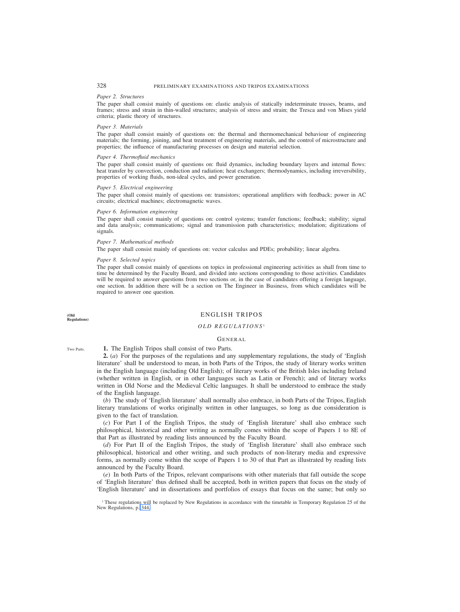### *Paper 2. Structures*

The paper shall consist mainly of questions on: elastic analysis of statically indeterminate trusses, beams, and frames; stress and strain in thin-walled structures; analysis of stress and strain; the Tresca and von Mises yield criteria; plastic theory of structures.

### *Paper 3. Materials*

The paper shall consist mainly of questions on: the thermal and thermomechanical behaviour of engineering materials; the forming, joining, and heat treatment of engineering materials, and the control of microstructure and properties; the influence of manufacturing processes on design and material selection.

# *Paper 4. Thermofluid mechanics*

The paper shall consist mainly of questions on: fluid dynamics, including boundary layers and internal flows: heat transfer by convection, conduction and radiation; heat exchangers; thermodynamics, including irreversibility, properties of working fluids, non-ideal cycles, and power generation.

### *Paper 5. Electrical engineering*

The paper shall consist mainly of questions on: transistors; operational amplifiers with feedback; power in AC circuits; electrical machines; electromagnetic waves.

### *Paper 6. Information engineering*

The paper shall consist mainly of questions on: control systems; transfer functions; feedback; stability; signal and data analysis; communications; signal and transmission path characteristics; modulation; digitizations of signals.

# *Paper 7. Mathematical methods*

The paper shall consist mainly of questions on: vector calculus and PDEs; probability; linear algebra.

### *Paper 8. Selected topics*

The paper shall consist mainly of questions on topics in professional engineering activities as shall from time to time be determined by the Faculty Board, and divided into sections corresponding to those activities. Candidates will be required to answer questions from two sections or, in the case of candidates offering a foreign language, one section. In addition there will be a section on The Engineer in Business, from which candidates will be required to answer one question.

**(Old Regulations)**

# ENGLISH TRIPOS

### *OLD REGULATIONS* <sup>1</sup>

### GENERAL

Two Parts.

**1.** The English Tripos shall consist of two Parts.

**2.** (*a*) For the purposes of the regulations and any supplementary regulations, the study of 'English literature' shall be understood to mean, in both Parts of the Tripos, the study of literary works written in the English language (including Old English); of literary works of the British Isles including Ireland (whether written in English, or in other languages such as Latin or French); and of literary works written in Old Norse and the Medieval Celtic languages. It shall be understood to embrace the study of the English language.

(*b*) The study of 'English literature' shall normally also embrace, in both Parts of the Tripos, English literary translations of works originally written in other languages, so long as due consideration is given to the fact of translation.

(*c*) For Part I of the English Tripos, the study of 'English literature' shall also embrace such philosophical, historical and other writing as normally comes within the scope of Papers 1 to 8E of that Part as illustrated by reading lists announced by the Faculty Board.

(*d*) For Part II of the English Tripos, the study of 'English literature' shall also embrace such philosophical, historical and other writing, and such products of non-literary media and expressive forms, as normally come within the scope of Papers 1 to 30 of that Part as illustrated by reading lists announced by the Faculty Board.

(*e*) In both Parts of the Tripos, relevant comparisons with other materials that fall outside the scope of 'English literature' thus defined shall be accepted, both in written papers that focus on the study of 'English literature' and in dissertations and portfolios of essays that focus on the same; but only so

<sup>1</sup> These regulations will be replaced by New Regulations in accordance with the timetable in Temporary Regulation 25 of the New Regulations, p. 344.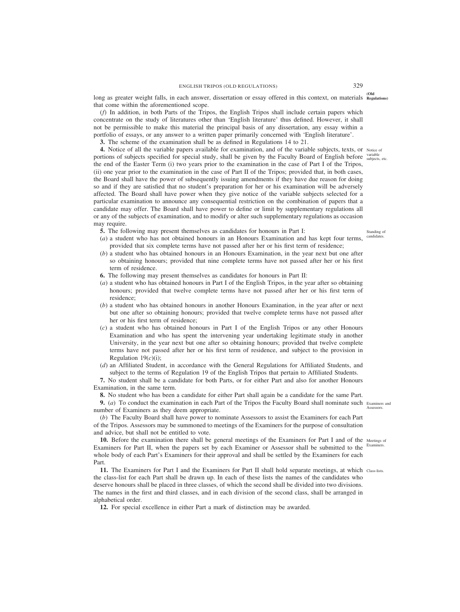**(Old** long as greater weight falls, in each answer, dissertation or essay offered in this context, on materials **Regulations)** that come within the aforementioned scope.

(*f*) In addition, in both Parts of the Tripos, the English Tripos shall include certain papers which concentrate on the study of literatures other than 'English literature' thus defined. However, it shall not be permissible to make this material the principal basis of any dissertation, any essay within a portfolio of essays, or any answer to a written paper primarily concerned with 'English literature'.

**3.** The scheme of the examination shall be as defined in Regulations 14 to 21.

**4.** Notice of all the variable papers available for examination, and of the variable subjects, texts, or Notice of portions of subjects specified for special study, shall be given by the Faculty Board of English before subjects, etc. the end of the Easter Term (i) two years prior to the examination in the case of Part I of the Tripos, (ii) one year prior to the examination in the case of Part II of the Tripos; provided that, in both cases, the Board shall have the power of subsequently issuing amendments if they have due reason for doing so and if they are satisfied that no student's preparation for her or his examination will be adversely affected. The Board shall have power when they give notice of the variable subjects selected for a particular examination to announce any consequential restriction on the combination of papers that a candidate may offer. The Board shall have power to define or limit by supplementary regulations all or any of the subjects of examination, and to modify or alter such supplementary regulations as occasion may require.

**5.** The following may present themselves as candidates for honours in Part I:

- (*a*) a student who has not obtained honours in an Honours Examination and has kept four terms, provided that six complete terms have not passed after her or his first term of residence;
- (*b*) a student who has obtained honours in an Honours Examination, in the year next but one after so obtaining honours; provided that nine complete terms have not passed after her or his first term of residence.
- **6.** The following may present themselves as candidates for honours in Part II:
- (*a*) a student who has obtained honours in Part I of the English Tripos, in the year after so obtaining honours; provided that twelve complete terms have not passed after her or his first term of residence;
- (*b*) a student who has obtained honours in another Honours Examination, in the year after or next but one after so obtaining honours; provided that twelve complete terms have not passed after her or his first term of residence;
- (*c*) a student who has obtained honours in Part I of the English Tripos or any other Honours Examination and who has spent the intervening year undertaking legitimate study in another University, in the year next but one after so obtaining honours; provided that twelve complete terms have not passed after her or his first term of residence, and subject to the provision in Regulation 19(*c*)(i);
- (*d*) an Affiliated Student, in accordance with the General Regulations for Affiliated Students, and subject to the terms of Regulation 19 of the English Tripos that pertain to Affiliated Students.

**7.** No student shall be a candidate for both Parts, or for either Part and also for another Honours Examination, in the same term.

**8.** No student who has been a candidate for either Part shall again be a candidate for the same Part.

**9.** (*a*) To conduct the examination in each Part of the Tripos the Faculty Board shall nominate such Examiners and number of Examiners as they deem appropriate.

(*b*) The Faculty Board shall have power to nominate Assessors to assist the Examiners for each Part of the Tripos. Assessors may be summoned to meetings of the Examiners for the purpose of consultation and advice, but shall not be entitled to vote.

10. Before the examination there shall be general meetings of the Examiners for Part I and of the Meetings of Examiners for Part II, when the papers set by each Examiner or Assessor shall be submitted to the whole body of each Part's Examiners for their approval and shall be settled by the Examiners for each Part. Examiners.

11. The Examiners for Part I and the Examiners for Part II shall hold separate meetings, at which Class-lists. the class-list for each Part shall be drawn up. In each of these lists the names of the candidates who deserve honours shall be placed in three classes, of which the second shall be divided into two divisions. The names in the first and third classes, and in each division of the second class, shall be arranged in alphabetical order.

**12.** For special excellence in either Part a mark of distinction may be awarded.

candidates.

**Assessors.** 

Standing of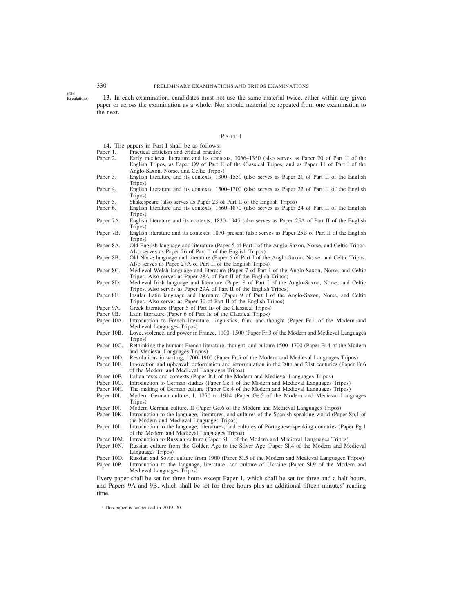**(Old Regulations)**

**13.** In each examination, candidates must not use the same material twice, either within any given paper or across the examination as a whole. Nor should material be repeated from one examination to the next.

### PART I

**14.** The papers in Part I shall be as follows:<br>Paper 1. Practical criticism and critical practice

- 
- Paper 1. Practical criticism and critical practice<br>Paper 2. Early medieval literature and its cont Early medieval literature and its contexts, 1066–1350 (also serves as Paper 20 of Part II of the English Tripos, as Paper O9 of Part II of the Classical Tripos, and as Paper 11 of Part I of the Anglo-Saxon, Norse, and Celtic Tripos)
- Paper 3. English literature and its contexts, 1300–1550 (also serves as Paper 21 of Part II of the English Tripos)
- Paper 4. English literature and its contexts, 1500–1700 (also serves as Paper 22 of Part II of the English Tripos)
- Paper 5. Shakespeare (also serves as Paper 23 of Part II of the English Tripos)<br>Paper 6. English literature and its contexts. 1660–1870 (also serves as Paper
- Paper 6. English literature and its contexts, 1660–1870 (also serves as Paper 24 of Part II of the English Tripos)
- Paper 7A. English literature and its contexts, 1830–1945 (also serves as Paper 25A of Part II of the English Tripos)
- Paper 7B. English literature and its contexts, 1870–present (also serves as Paper 25B of Part II of the English Tripos)
- Paper 8A. Old English language and literature (Paper 5 of Part I of the Anglo-Saxon, Norse, and Celtic Tripos. Also serves as Paper 26 of Part II of the English Tripos)
- Paper 8B. Old Norse language and literature (Paper 6 of Part I of the Anglo-Saxon, Norse, and Celtic Tripos. Also serves as Paper 27A of Part II of the English Tripos)
- Paper 8C. Medieval Welsh language and literature (Paper 7 of Part I of the Anglo-Saxon, Norse, and Celtic Tripos. Also serves as Paper 28A of Part II of the English Tripos)
- Paper 8D. Medieval Irish language and literature (Paper 8 of Part I of the Anglo-Saxon, Norse, and Celtic Tripos. Also serves as Paper 29A of Part II of the English Tripos)
- Paper 8E. Insular Latin language and literature (Paper 9 of Part I of the Anglo-Saxon, Norse, and Celtic Tripos. Also serves as Paper 30 of Part II of the English Tripos)
- Paper 9A. Greek literature (Paper 5 of Part IB of the Classical Tripos)
- Paper 9B. Latin literature (Paper 6 of Part IB of the Classical Tripos) Paper 10A. Introduction to French literature, linguistics, film, and the
- Introduction to French literature, linguistics, film, and thought (Paper Fr.1 of the Modern and Medieval Languages Tripos)
- Paper 10B. Love, violence, and power in France, 1100–1500 (Paper Fr.3 of the Modern and Medieval Languages Tripos)
- Paper 10C. Rethinking the human: French literature, thought, and culture 1500–1700 (Paper Fr.4 of the Modern and Medieval Languages Tripos)
- Paper 10D. Revolutions in writing, 1700–1900 (Paper Fr.5 of the Modern and Medieval Languages Tripos) Paper 10E. Innovation and upheaval: deformation and reformulation in the 20th and 21st centuries (Paper F
- Innovation and upheaval: deformation and reformulation in the 20th and 21st centuries (Paper Fr.6 of the Modern and Medieval Languages Tripos)
- Paper 10F. Italian texts and contexts (Paper It.1 of the Modern and Medieval Languages Tripos)<br>Paper 10G. Introduction to German studies (Paper Ge.1 of the Modern and Medieval Languages
- Introduction to German studies (Paper Ge.1 of the Modern and Medieval Languages Tripos)
- 
- Paper 10H. The making of German culture (Paper Ge.4 of the Modern and Medieval Languages Tripos)<br>Paper 10I. Modern German culture, I, 1750 to 1914 (Paper Ge.5 of the Modern and Medieval Lang Modern German culture, I, 1750 to 1914 (Paper Ge.5 of the Modern and Medieval Languages Tripos)
- Paper 10J. Modern German culture, II (Paper Ge.6 of the Modern and Medieval Languages Tripos) Paper 10K. Introduction to the language, literatures, and cultures of the Spanish-speaking world (Pap
- Introduction to the language, literatures, and cultures of the Spanish-speaking world (Paper Sp.1 of the Modern and Medieval Languages Tripos)
- Paper 10L. Introduction to the language, literatures, and cultures of Portuguese-speaking countries (Paper Pg.1 of the Modern and Medieval Languages Tripos)
- 
- Paper 10M. Introduction to Russian culture (Paper Sl.1 of the Modern and Medieval Languages Tripos)<br>Paper 10N. Russian culture from the Golden Age to the Silver Age (Paper Sl.4 of the Modern and M Russian culture from the Golden Age to the Silver Age (Paper Sl.4 of the Modern and Medieval Languages Tripos)
- Paper 10O. Russian and Soviet culture from 1900 (Paper Sl.5 of the Modern and Medieval Languages Tripos)<sup>1</sup> Paper 10P. Introduction to the language, literature, and culture of Ukraine (Paper Sl.9 of the Modern and
- Medieval Languages Tripos) Every paper shall be set for three hours except Paper 1, which shall be set for three and a half hours, and Papers 9A and 9B, which shall be set for three hours plus an additional fifteen minutes' reading

<sup>1</sup> This paper is suspended in 2019–20.

time.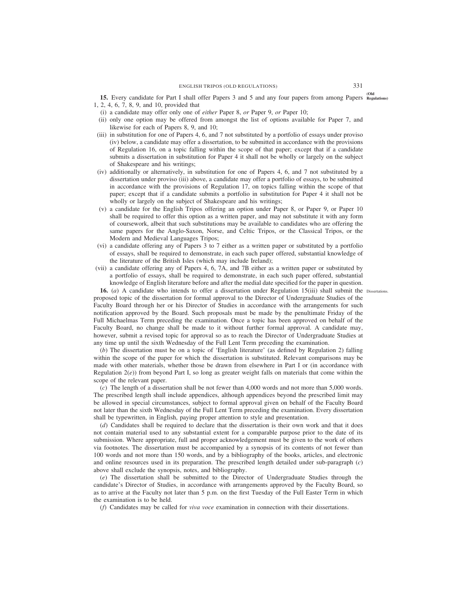**(Old 15.** Every candidate for Part I shall offer Papers 3 and 5 and any four papers from among Papers **Regulations)** 1, 2, 4, 6, 7, 8, 9, and 10, provided that

- (i) a candidate may offer only one of *either* Paper 8, *or* Paper 9, *or* Paper 10;
- (ii) only one option may be offered from amongst the list of options available for Paper 7, and likewise for each of Papers 8, 9, and 10;
- (iii) in substitution for one of Papers 4, 6, and 7 not substituted by a portfolio of essays under proviso (iv) below, a candidate may offer a dissertation, to be submitted in accordance with the provisions of Regulation 16, on a topic falling within the scope of that paper; except that if a candidate submits a dissertation in substitution for Paper 4 it shall not be wholly or largely on the subject of Shakespeare and his writings;
- (iv) additionally or alternatively, in substitution for one of Papers 4, 6, and 7 not substituted by a dissertation under proviso (iii) above, a candidate may offer a portfolio of essays, to be submitted in accordance with the provisions of Regulation 17, on topics falling within the scope of that paper; except that if a candidate submits a portfolio in substitution for Paper 4 it shall not be wholly or largely on the subject of Shakespeare and his writings;
- (v) a candidate for the English Tripos offering an option under Paper 8, or Paper 9, or Paper 10 shall be required to offer this option as a written paper, and may not substitute it with any form of coursework, albeit that such substitutions may be available to candidates who are offering the same papers for the Anglo-Saxon, Norse, and Celtic Tripos, or the Classical Tripos, or the Modern and Medieval Languages Tripos;
- (vi) a candidate offering any of Papers 3 to 7 either as a written paper or substituted by a portfolio of essays, shall be required to demonstrate, in each such paper offered, substantial knowledge of the literature of the British Isles (which may include Ireland);
- (vii) a candidate offering any of Papers 4, 6, 7A, and 7B either as a written paper or substituted by a portfolio of essays, shall be required to demonstrate, in each such paper offered, substantial knowledge of English literature before and after the medial date specified for the paper in question.

**16.** (*a*) A candidate who intends to offer a dissertation under Regulation 15(iii) shall submit the Dissertations. proposed topic of the dissertation for formal approval to the Director of Undergraduate Studies of the Faculty Board through her or his Director of Studies in accordance with the arrangements for such notification approved by the Board. Such proposals must be made by the penultimate Friday of the Full Michaelmas Term preceding the examination. Once a topic has been approved on behalf of the Faculty Board, no change shall be made to it without further formal approval. A candidate may, however, submit a revised topic for approval so as to reach the Director of Undergraduate Studies at any time up until the sixth Wednesday of the Full Lent Term preceding the examination.

(*b*) The dissertation must be on a topic of 'English literature' (as defined by Regulation 2) falling within the scope of the paper for which the dissertation is substituted. Relevant comparisons may be made with other materials, whether those be drawn from elsewhere in Part I or (in accordance with Regulation  $2(e)$ ) from beyond Part I, so long as greater weight falls on materials that come within the scope of the relevant paper.

(*c*) The length of a dissertation shall be not fewer than 4,000 words and not more than 5,000 words. The prescribed length shall include appendices, although appendices beyond the prescribed limit may be allowed in special circumstances, subject to formal approval given on behalf of the Faculty Board not later than the sixth Wednesday of the Full Lent Term preceding the examination. Every dissertation shall be typewritten, in English, paying proper attention to style and presentation.

(*d*) Candidates shall be required to declare that the dissertation is their own work and that it does not contain material used to any substantial extent for a comparable purpose prior to the date of its submission. Where appropriate, full and proper acknowledgement must be given to the work of others via footnotes. The dissertation must be accompanied by a synopsis of its contents of not fewer than 100 words and not more than 150 words, and by a bibliography of the books, articles, and electronic and online resources used in its preparation. The prescribed length detailed under sub-paragraph (*c*) above shall exclude the synopsis, notes, and bibliography.

(*e*) The dissertation shall be submitted to the Director of Undergraduate Studies through the candidate's Director of Studies, in accordance with arrangements approved by the Faculty Board, so as to arrive at the Faculty not later than 5 p.m. on the first Tuesday of the Full Easter Term in which the examination is to be held.

(*f*) Candidates may be called for *viva voce* examination in connection with their dissertations.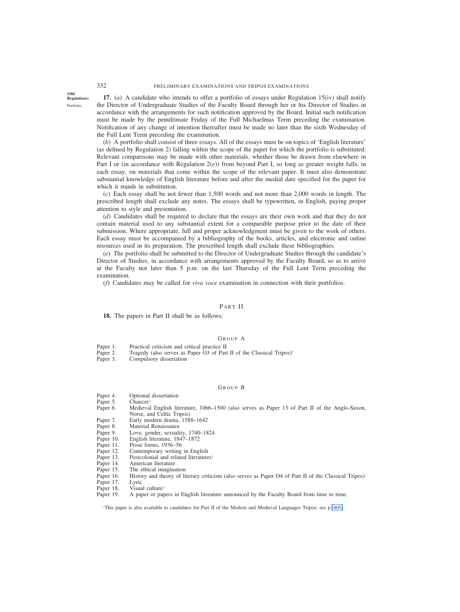**(Old Regulations)**

Portfolio.

**17.** (*a*) A candidate who intends to offer a portfolio of essays under Regulation 15(iv) shall notify the Director of Undergraduate Studies of the Faculty Board through her or his Director of Studies in accordance with the arrangements for such notification approved by the Board. Initial such notification must be made by the penultimate Friday of the Full Michaelmas Term preceding the examination. Notification of any change of intention thereafter must be made no later than the sixth Wednesday of the Full Lent Term preceding the examination.

(*b*) A portfolio shall consist of three essays. All of the essays must be on topics of 'English literature' (as defined by Regulation 2) falling within the scope of the paper for which the portfolio is substituted. Relevant comparisons may be made with other materials, whether those be drawn from elsewhere in Part I or (in accordance with Regulation 2(*e*)) from beyond Part I, so long as greater weight falls, in each essay, on materials that come within the scope of the relevant paper. It must also demonstrate substantial knowledge of English literature before and after the medial date specified for the paper for which it stands in substitution.

(*c*) Each essay shall be not fewer than 1,500 words and not more than 2,000 words in length. The prescribed length shall exclude any notes. The essays shall be typewritten, in English, paying proper attention to style and presentation.

(*d*) Candidates shall be required to declare that the essays are their own work and that they do not contain material used to any substantial extent for a comparable purpose prior to the date of their submission. Where appropriate, full and proper acknowledgment must be given to the work of others. Each essay must be accompanied by a bibliography of the books, articles, and electronic and online resources used in its preparation. The prescribed length shall exclude these bibliographies.

(*e*) The portfolio shall be submitted to the Director of Undergraduate Studies through the candidate's Director of Studies, in accordance with arrangements approved by the Faculty Board, so as to arrive at the Faculty not later than 5 p.m. on the last Thursday of the Full Lent Term preceding the examination.

(*f*) Candidates may be called for *viva voce* examination in connection with their portfolios.

#### PART II

**18.** The papers in Part II shall be as follows:

#### GROUP A

- Paper 1. Practical criticism and critical practice II<br>Paper 2. Tragedy (also serves as Paper O3 of Part
- Paper 2. Tragedy (also serves as Paper O3 of Part II of the Classical Tripos)<sup>1</sup> Paper 3. Compulsory dissertation
- Compulsory dissertation

#### GROUP B

- Paper 4. Optional dissertation
- 
- Paper 5. Chaucer<sup>1</sup><br>Paper 6. Medieva Medieval English literature, 1066–1500 (also serves as Paper 13 of Part II of the Anglo-Saxon, Norse, and Celtic Tripos)
- Paper 7. Early modern drama, 1588–1642<br>Paper 8. Material Renaissance
- Paper 8. Material Renaissance<br>Paper 9. Love, gender, sexuali
- Paper 9. Love, gender, sexuality, 1740–1824<br>Paper 10. English literature, 1847–1872
- English literature, 1847–1872
- 
- Paper 11. Prose forms, 1936–56<br>Paper 12. Contemporary writing Paper 12. Contemporary writing in English<br>Paper 13. Postcolonial and related literature
- Paper 13. Postcolonial and related literatures<sup>1</sup><br>Paper 14. American literature
- Paper 14. American literature<br>Paper 15. The ethical imagina
- The ethical imagination
- Paper 16. History and theory of literary criticism (also serves as Paper O4 of Part II of the Classical Tripos)
- Paper 17. Lyric
- 
- Paper 18. Visual culture<sup>1</sup><br>Paper 19. A paper or pap A paper or papers in English literature announced by the Faculty Board from time to time.

<sup>1</sup> This paper is also available to candidates for Part II of the Modern and Medieval Languages Tripos; see p. 405.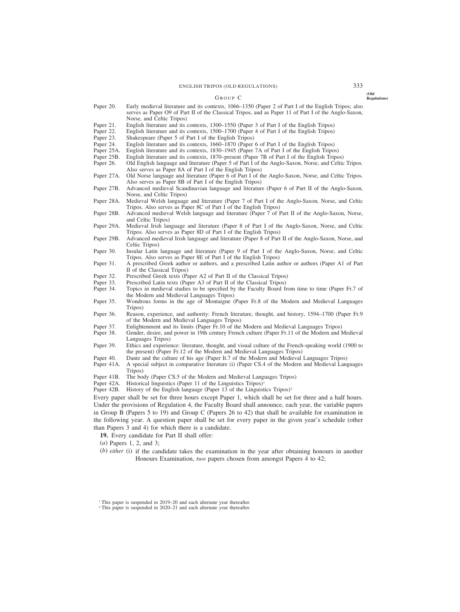ENGLISH TRIPOS (OLD REGULATIONS) 333

#### GROUP C

- Paper 20. Early medieval literature and its contexts, 1066–1350 (Paper 2 of Part I of the English Tripos; also serves as Paper O9 of Part II of the Classical Tripos, and as Paper 11 of Part I of the Anglo-Saxon, Norse, and Celtic Tripos)
- Paper 21. English literature and its contexts, 1300–1550 (Paper 3 of Part I of the English Tripos)<br>Paper 22. English literature and its contexts, 1500–1700 (Paper 4 of Part I of the English Tripos)
- Paper 22. English literature and its contexts, 1500–1700 (Paper 4 of Part I of the English Tripos)<br>Paper 23. Shakespeare (Paper 5 of Part I of the English Tripos)
- Paper 23. Shakespeare (Paper 5 of Part I of the English Tripos)<br>Paper 24. English literature and its contexts, 1660–1870 (Paper
- Paper 24. English literature and its contexts, 1660–1870 (Paper 6 of Part I of the English Tripos) Paper 25A. English literature and its contexts, 1830–1945 (Paper 7A of Part I of the English Tripos)
- Paper 25A. English literature and its contexts, 1830–1945 (Paper 7A of Part I of the English Tripos) Paper 25B. English literature and its contexts, 1870–present (Paper 7B of Part I of the English Tripos)
- Paper 25B. English literature and its contexts, 1870–present (Paper 7B of Part I of the English Tripos) Paper 26. Old English language and literature (Paper 5 of Part I of the Anglo-Saxon, Norse, and Celtic
- Old English language and literature (Paper 5 of Part I of the Anglo-Saxon, Norse, and Celtic Tripos. Also serves as Paper 8A of Part I of the English Tripos)
- Paper 27A. Old Norse language and literature (Paper 6 of Part I of the Anglo-Saxon, Norse, and Celtic Tripos. Also serves as Paper 8B of Part I of the English Tripos)
- Paper 27B. Advanced medieval Scandinavian language and literature (Paper 6 of Part II of the Anglo-Saxon, Norse, and Celtic Tripos)
- Paper 28A. Medieval Welsh language and literature (Paper 7 of Part I of the Anglo-Saxon, Norse, and Celtic Tripos. Also serves as Paper 8C of Part I of the English Tripos)
- Paper 28B. Advanced medieval Welsh language and literature (Paper 7 of Part II of the Anglo-Saxon, Norse, and Celtic Tripos)
- Paper 29A. Medieval Irish language and literature (Paper 8 of Part I of the Anglo-Saxon, Norse, and Celtic Tripos. Also serves as Paper 8D of Part I of the English Tripos)
- Paper 29B. Advanced medieval Irish language and literature (Paper 8 of Part II of the Anglo-Saxon, Norse, and Celtic Tripos)
- Paper 30. Insular Latin language and literature (Paper 9 of Part I of the Anglo-Saxon, Norse, and Celtic Tripos. Also serves as Paper 8E of Part I of the English Tripos)
- Paper 31. A prescribed Greek author or authors, and a prescribed Latin author or authors (Paper A1 of Part II of the Classical Tripos)
- Paper 32. Prescribed Greek texts (Paper A2 of Part II of the Classical Tripos)<br>Paper 33. Prescribed Latin texts (Paper A3 of Part II of the Classical Tripos)
- Paper 33. Prescribed Latin texts (Paper A3 of Part II of the Classical Tripos) Paper 34. Topics in medieval studies to be specified by the Faculty Board fr
- Topics in medieval studies to be specified by the Faculty Board from time to time (Paper Fr.7 of the Modern and Medieval Languages Tripos)
- Paper 35. Wondrous forms in the age of Montaigne (Paper Fr.8 of the Modern and Medieval Languages Tripos)
- Paper 36. Reason, experience, and authority: French literature, thought, and history, 1594–1700 (Paper Fr.9 of the Modern and Medieval Languages Tripos)
- Paper 37. Enlightenment and its limits (Paper Fr.10 of the Modern and Medieval Languages Tripos)<br>Paper 38. Gender, desire, and power in 19th century French culture (Paper Fr.11 of the Modern and N
- Gender, desire, and power in 19th century French culture (Paper Fr.11 of the Modern and Medieval Languages Tripos)
- Paper 39. Ethics and experience: literature, thought, and visual culture of the French-speaking world (1900 to the present) (Paper Fr.12 of the Modern and Medieval Languages Tripos)
- Paper 40. Dante and the culture of his age (Paper It.7 of the Modern and Medieval Languages Tripos)
- Paper 41A. A special subject in comparative literature (i) (Paper CS.4 of the Modern and Medieval Languages Tripos)
- Paper 41B. The body (Paper CS.5 of the Modern and Medieval Languages Tripos)<br>Paper 42A. Historical linguistics (Paper 11 of the Linguistics Tripos)<sup>1</sup>
- Historical linguistics (Paper 11 of the Linguistics Tripos)<sup>1</sup>
- Paper 42B. History of the English language (Paper 13 of the Linguistics Tripos)<sup>2</sup>

Every paper shall be set for three hours except Paper 1, which shall be set for three and a half hours. Under the provisions of Regulation 4, the Faculty Board shall announce, each year, the variable papers in Group B (Papers 5 to 19) and Group C (Papers 26 to 42) that shall be available for examination in the following year. A question paper shall be set for every paper in the given year's schedule (other than Papers 3 and 4) for which there is a candidate.

- **19.** Every candidate for Part II shall offer:
- (*a*) Papers 1, 2, and 3;
- (*b*) *either* (i) if the candidate takes the examination in the year after obtaining honours in another Honours Examination, *two* papers chosen from amongst Papers 4 to 42;

**(Old Regulations)**

<sup>&</sup>lt;sup>1</sup> This paper is suspended in 2019–20 and each alternate year thereafter.

<sup>&</sup>lt;sup>2</sup> This paper is suspended in 2020–21 and each alternate year thereafter.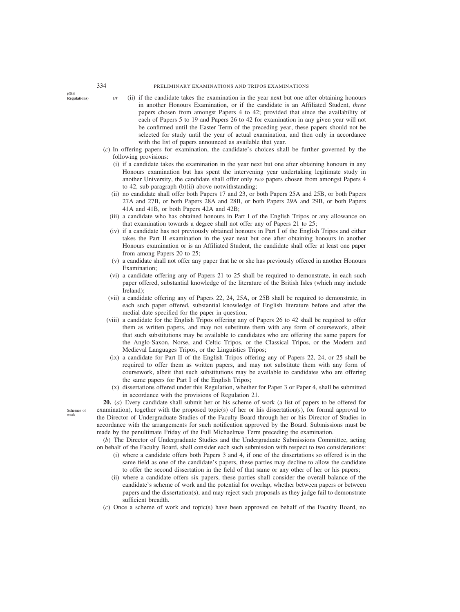**(Old**

- **Regulations)** *or* (ii) if the candidate takes the examination in the year next but one after obtaining honours in another Honours Examination, or if the candidate is an Affiliated Student, *three* papers chosen from amongst Papers 4 to 42; provided that since the availability of each of Papers 5 to 19 and Papers 26 to 42 for examination in any given year will not be confirmed until the Easter Term of the preceding year, these papers should not be selected for study until the year of actual examination, and then only in accordance with the list of papers announced as available that year.
- (*c*) In offering papers for examination, the candidate's choices shall be further governed by the following provisions:
	- (i) if a candidate takes the examination in the year next but one after obtaining honours in any Honours examination but has spent the intervening year undertaking legitimate study in another University, the candidate shall offer only *two* papers chosen from amongst Papers 4 to 42, sub-paragraph (b)(ii) above notwithstanding;
	- (ii) no candidate shall offer both Papers 17 and 23, or both Papers 25A and 25B, or both Papers 27A and 27B, or both Papers 28A and 28B, or both Papers 29A and 29B, or both Papers 41A and 41B, or both Papers 42A and 42B;
	- (iii) a candidate who has obtained honours in Part I of the English Tripos or any allowance on that examination towards a degree shall not offer any of Papers 21 to 25;
	- (iv) if a candidate has not previously obtained honours in Part I of the English Tripos and either takes the Part II examination in the year next but one after obtaining honours in another Honours examination or is an Affiliated Student, the candidate shall offer at least one paper from among Papers 20 to 25;
	- (v) a candidate shall not offer any paper that he or she has previously offered in another Honours Examination:
	- (vi) a candidate offering any of Papers 21 to 25 shall be required to demonstrate, in each such paper offered, substantial knowledge of the literature of the British Isles (which may include Ireland);
	- (vii) a candidate offering any of Papers 22, 24, 25A, or 25B shall be required to demonstrate, in each such paper offered, substantial knowledge of English literature before and after the medial date specified for the paper in question;
	- (viii) a candidate for the English Tripos offering any of Papers 26 to 42 shall be required to offer them as written papers, and may not substitute them with any form of coursework, albeit that such substitutions may be available to candidates who are offering the same papers for the Anglo-Saxon, Norse, and Celtic Tripos, or the Classical Tripos, or the Modern and Medieval Languages Tripos, or the Linguistics Tripos;
		- (ix) a candidate for Part II of the English Tripos offering any of Papers 22, 24, or 25 shall be required to offer them as written papers, and may not substitute them with any form of coursework, albeit that such substitutions may be available to candidates who are offering the same papers for Part I of the English Tripos;
		- (x) dissertations offered under this Regulation, whether for Paper 3 or Paper 4, shall be submitted in accordance with the provisions of Regulation 21.

**20.** (*a*) Every candidate shall submit her or his scheme of work (a list of papers to be offered for examination), together with the proposed topic(s) of her or his dissertation(s), for formal approval to the Director of Undergraduate Studies of the Faculty Board through her or his Director of Studies in accordance with the arrangements for such notification approved by the Board. Submissions must be made by the penultimate Friday of the Full Michaelmas Term preceding the examination.

(*b*) The Director of Undergraduate Studies and the Undergraduate Submissions Committee, acting on behalf of the Faculty Board, shall consider each such submission with respect to two considerations:

- (i) where a candidate offers both Papers 3 and 4, if one of the dissertations so offered is in the same field as one of the candidate's papers, these parties may decline to allow the candidate to offer the second dissertation in the field of that same or any other of her or his papers;
- (ii) where a candidate offers six papers, these parties shall consider the overall balance of the candidate's scheme of work and the potential for overlap, whether between papers or between papers and the dissertation(s), and may reject such proposals as they judge fail to demonstrate sufficient breadth.
- (*c*) Once a scheme of work and topic(s) have been approved on behalf of the Faculty Board, no

Schemes of work.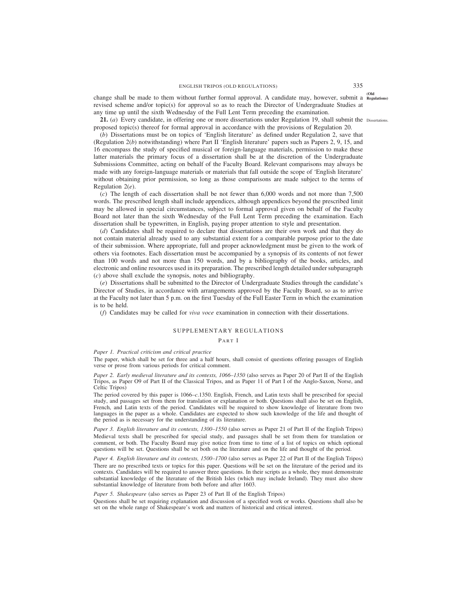**(Old** change shall be made to them without further formal approval. A candidate may, however, submit a **Regulations)** revised scheme and/or topic(s) for approval so as to reach the Director of Undergraduate Studies at any time up until the sixth Wednesday of the Full Lent Term preceding the examination.

21. (*a*) Every candidate, in offering one or more dissertations under Regulation 19, shall submit the Dissertations. proposed topic(s) thereof for formal approval in accordance with the provisions of Regulation 20.

(*b*) Dissertations must be on topics of 'English literature' as defined under Regulation 2, save that (Regulation 2(*b*) notwithstanding) where Part II 'English literature' papers such as Papers 2, 9, 15, and 16 encompass the study of specified musical or foreign-language materials, permission to make these latter materials the primary focus of a dissertation shall be at the discretion of the Undergraduate Submissions Committee, acting on behalf of the Faculty Board. Relevant comparisons may always be made with any foreign-language materials or materials that fall outside the scope of 'English literature' without obtaining prior permission, so long as those comparisons are made subject to the terms of Regulation 2(*e*).

(*c*) The length of each dissertation shall be not fewer than 6,000 words and not more than 7,500 words. The prescribed length shall include appendices, although appendices beyond the prescribed limit may be allowed in special circumstances, subject to formal approval given on behalf of the Faculty Board not later than the sixth Wednesday of the Full Lent Term preceding the examination. Each dissertation shall be typewritten, in English, paying proper attention to style and presentation.

(*d*) Candidates shall be required to declare that dissertations are their own work and that they do not contain material already used to any substantial extent for a comparable purpose prior to the date of their submission. Where appropriate, full and proper acknowledgment must be given to the work of others via footnotes. Each dissertation must be accompanied by a synopsis of its contents of not fewer than 100 words and not more than 150 words, and by a bibliography of the books, articles, and electronic and online resources used in its preparation. The prescribed length detailed under subparagraph (*c*) above shall exclude the synopsis, notes and bibliography.

(*e*) Dissertations shall be submitted to the Director of Undergraduate Studies through the candidate's Director of Studies, in accordance with arrangements approved by the Faculty Board, so as to arrive at the Faculty not later than 5 p.m. on the first Tuesday of the Full Easter Term in which the examination is to be held.

(*f*) Candidates may be called for *viva voce* examination in connection with their dissertations.

# SUPPLEMENTARY REGULATIONS

## PART I

## *Paper 1. Practical criticism and critical practice*

The paper, which shall be set for three and a half hours, shall consist of questions offering passages of English verse or prose from various periods for critical comment.

*Paper 2. Early medieval literature and its contexts, 1066–1350* (also serves as Paper 20 of Part II of the English Tripos, as Paper O9 of Part II of the Classical Tripos, and as Paper 11 of Part I of the Anglo-Saxon, Norse, and Celtic Tripos)

The period covered by this paper is 1066–*c*.1350. English, French, and Latin texts shall be prescribed for special study, and passages set from them for translation or explanation or both. Questions shall also be set on English, French, and Latin texts of the period. Candidates will be required to show knowledge of literature from two languages in the paper as a whole. Candidates are expected to show such knowledge of the life and thought of the period as is necessary for the understanding of its literature.

*Paper 3. English literature and its contexts, 1300–1550* (also serves as Paper 21 of Part II of the English Tripos) Medieval texts shall be prescribed for special study, and passages shall be set from them for translation or comment, or both. The Faculty Board may give notice from time to time of a list of topics on which optional questions will be set. Questions shall be set both on the literature and on the life and thought of the period.

*Paper 4. English literature and its contexts, 1500–1700* (also serves as Paper 22 of Part II of the English Tripos) There are no prescribed texts or topics for this paper. Questions will be set on the literature of the period and its contexts. Candidates will be required to answer three questions. In their scripts as a whole, they must demonstrate substantial knowledge of the literature of the British Isles (which may include Ireland). They must also show substantial knowledge of literature from both before and after 1603.

*Paper 5. Shakespeare* (also serves as Paper 23 of Part II of the English Tripos)

Questions shall be set requiring explanation and discussion of a specified work or works. Questions shall also be set on the whole range of Shakespeare's work and matters of historical and critical interest.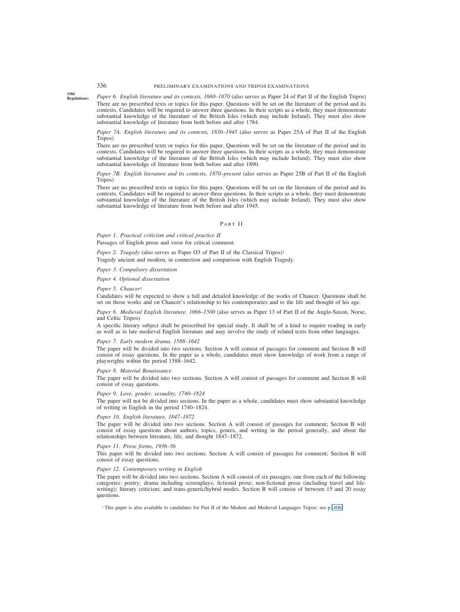# 336 PRELIMINARY EXAMINATIONS AND TRIPOS EXAMINATIONS

**(Old Regulations)**

*Paper 6. English literature and its contexts, 1660–1870* (also serves as Paper 24 of Part II of the English Tripos) There are no prescribed texts or topics for this paper. Questions will be set on the literature of the period and its contexts. Candidates will be required to answer three questions. In their scripts as a whole, they must demonstrate substantial knowledge of the literature of the British Isles (which may include Ireland). They must also show substantial knowledge of literature from both before and after 1784.

*Paper 7A. English literature and its contexts, 1830–1945* (also serves as Paper 25A of Part II of the English Tripos)

There are no prescribed texts or topics for this paper. Questions will be set on the literature of the period and its contexts. Candidates will be required to answer three questions. In their scripts as a whole, they must demonstrate substantial knowledge of the literature of the British Isles (which may include Ireland). They must also show substantial knowledge of literature from both before and after 1890.

*Paper 7B. English literature and its contexts, 1870–present* (also serves as Paper 25B of Part II of the English Tripos)

There are no prescribed texts or topics for this paper. Questions will be set on the literature of the period and its contexts. Candidates will be required to answer three questions. In their scripts as a whole, they must demonstrate substantial knowledge of the literature of the British Isles (which may include Ireland). They must also show substantial knowledge of literature from both before and after 1945.

#### PART II

*Paper 1. Practical criticism and critical practice II* Passages of English prose and verse for critical comment.

*Paper 2. Tragedy* (also serves as Paper O3 of Part II of the Classical Tripos)<sup>1</sup>

Tragedy ancient and modern, in connection and comparison with English Tragedy.

*Paper 3. Compulsory dissertation*

*Paper 4. Optional dissertation*

#### *Paper 5. Chaucer*<sup>1</sup>

Candidates will be expected to show a full and detailed knowledge of the works of Chaucer. Questions shall be set on those works and on Chaucer's relationship to his contemporaries and to the life and thought of his age.

## *Paper 6. Medieval English literature, 1066–1500* (also serves as Paper 13 of Part II of the Anglo-Saxon, Norse, and Celtic Tripos)

A specific literary subject shall be prescribed for special study. It shall be of a kind to require reading in early as well as in late medieval English literature and may involve the study of related texts from other languages.

#### *Paper 7. Early modern drama, 1588–1642*

The paper will be divided into two sections. Section A will consist of passages for comment and Section B will consist of essay questions. In the paper as a whole, candidates must show knowledge of work from a range of playwrights within the period 1588–1642.

## *Paper 8. Material Renaissance*

The paper will be divided into two sections. Section A will consist of passages for comment and Section B will consist of essay questions.

#### *Paper 9. Love, gender, sexuality, 1740–1824*

The paper will not be divided into sections. In the paper as a whole, candidates must show substantial knowledge of writing in English in the period 1740–1824.

#### *Paper 10. English literature, 1847–1872*

The paper will be divided into two sections. Section A will consist of passages for comment; Section B will consist of essay questions about authors, topics, genres, and writing in the period generally, and about the relationships between literature, life, and thought 1847–1872.

## *Paper 11. Prose forms*, *1936–56*

This paper will be divided into two sections. Section A will consist of passages for comment; Section B will consist of essay questions.

## *Paper 12. Contemporary writing in English*

The paper will be divided into two sections. Section A will consist of six passages, one from each of the following categories: poetry; drama including screenplays; fictional prose; non-fictional prose (including travel and lifewriting); literary criticism; and trans-generic/hybrid modes. Section B will consist of between 15 and 20 essay questions.

<sup>1</sup> This paper is also available to candidates for Part II of the Modern and Medieval Languages Tripos; see p. 406.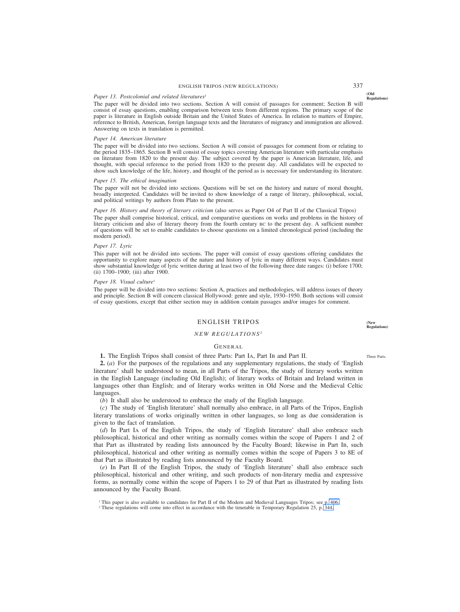# ENGLISH TRIPOS (NEW REGULATIONS) 337

## Paper 13. Postcolonial and related literatures<sup>1</sup>

The paper will be divided into two sections. Section A will consist of passages for comment; Section B will consist of essay questions, enabling comparison between texts from different regions. The primary scope of the paper is literature in English outside Britain and the United States of America. In relation to matters of Empire, reference to British, American, foreign language texts and the literatures of migrancy and immigration are allowed. Answering on texts in translation is permitted.

#### *Paper 14. American literature*

The paper will be divided into two sections. Section A will consist of passages for comment from or relating to the period 1835–1865*.* Section B will consist of essay topics covering American literature with particular emphasis on literature from 1820 to the present day. The subject covered by the paper is American literature, life, and thought, with special reference to the period from 1820 to the present day. All candidates will be expected to show such knowledge of the life, history, and thought of the period as is necessary for understanding its literature.

#### *Paper 15. The ethical imagination*

The paper will not be divided into sections. Questions will be set on the history and nature of moral thought, broadly interpreted. Candidates will be invited to show knowledge of a range of literary, philosophical, social, and political writings by authors from Plato to the present.

## *Paper 16. History and theory of literary criticism* (also serves as Paper O4 of Part II of the Classical Tripos)

The paper shall comprise historical, critical, and comparative questions on works and problems in the history of literary criticism and also of literary theory from the fourth century BC to the present day. A sufficient number of questions will be set to enable candidates to choose questions on a limited chronological period (including the modern period).

## *Paper 17. Lyric*

This paper will not be divided into sections. The paper will consist of essay questions offering candidates the opportunity to explore many aspects of the nature and history of lyric in many different ways. Candidates must show substantial knowledge of lyric written during at least two of the following three date ranges: (i) before 1700; (ii) 1700–1900; (iii) after 1900.

## *Paper 18. Visual culture*<sup>1</sup>

The paper will be divided into two sections: Section A, practices and methodologies, will address issues of theory and principle. Section B will concern classical Hollywood: genre and style, 1930–1950. Both sections will consist of essay questions, except that either section may in addition contain passages and/or images for comment.

## ENGLISH TRIPOS

## *NEW REGULATIONS* <sup>2</sup>

## GENERAL

**1.** The English Tripos shall consist of three Parts: Part IA, Part IB and Part II.

**2.** (*a*) For the purposes of the regulations and any supplementary regulations, the study of 'English literature' shall be understood to mean, in all Parts of the Tripos, the study of literary works written in the English Language (including Old English); of literary works of Britain and Ireland written in languages other than English; and of literary works written in Old Norse and the Medieval Celtic languages.

(*b*) It shall also be understood to embrace the study of the English language.

(*c*) The study of 'English literature' shall normally also embrace, in all Parts of the Tripos, English literary translations of works originally written in other languages, so long as due consideration is given to the fact of translation.

(*d*) In Part IA of the English Tripos, the study of 'English literature' shall also embrace such philosophical, historical and other writing as normally comes within the scope of Papers 1 and 2 of that Part as illustrated by reading lists announced by the Faculty Board; likewise in Part IB, such philosophical, historical and other writing as normally comes within the scope of Papers 3 to 8E of that Part as illustrated by reading lists announced by the Faculty Board.

(*e*) In Part II of the English Tripos, the study of 'English literature' shall also embrace such philosophical, historical and other writing, and such products of non-literary media and expressive forms, as normally come within the scope of Papers 1 to 29 of that Part as illustrated by reading lists announced by the Faculty Board.

**(New**

**Regulations)**

Three Parts.

**(Old Regulations)**

<sup>1</sup> This paper is also available to candidates for Part II of the Modern and Medieval Languages Tripos; see p. 406.

<sup>2</sup> These regulations will come into effect in accordance with the timetable in Temporary Regulation 25, p. 344.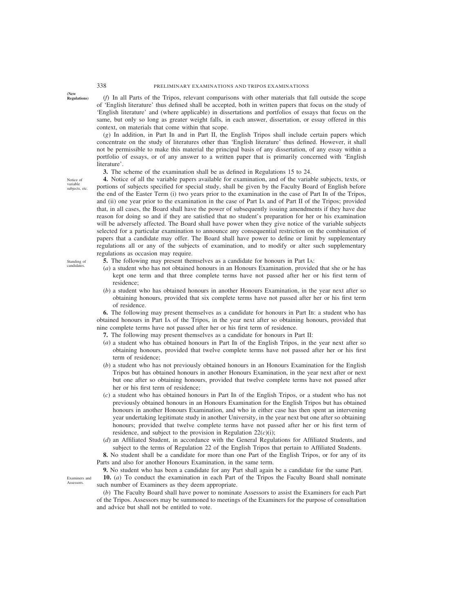**Regulations)** (*f*) In all Parts of the Tripos, relevant comparisons with other materials that fall outside the scope of 'English literature' thus defined shall be accepted, both in written papers that focus on the study of 'English literature' and (where applicable) in dissertations and portfolios of essays that focus on the same, but only so long as greater weight falls, in each answer, dissertation, or essay offered in this context, on materials that come within that scope.

(*g*) In addition, in Part IB and in Part II, the English Tripos shall include certain papers which concentrate on the study of literatures other than 'English literature' thus defined. However, it shall not be permissible to make this material the principal basis of any dissertation, of any essay within a portfolio of essays, or of any answer to a written paper that is primarily concerned with 'English literature'.

**3.** The scheme of the examination shall be as defined in Regulations 15 to 24.

**4.** Notice of all the variable papers available for examination, and of the variable subjects, texts, or portions of subjects specified for special study, shall be given by the Faculty Board of English before the end of the Easter Term (i) two years prior to the examination in the case of Part IB of the Tripos, and (ii) one year prior to the examination in the case of Part IA and of Part II of the Tripos; provided that, in all cases, the Board shall have the power of subsequently issuing amendments if they have due reason for doing so and if they are satisfied that no student's preparation for her or his examination will be adversely affected. The Board shall have power when they give notice of the variable subjects selected for a particular examination to announce any consequential restriction on the combination of papers that a candidate may offer. The Board shall have power to define or limit by supplementary regulations all or any of the subjects of examination, and to modify or alter such supplementary regulations as occasion may require.

- **5.** The following may present themselves as a candidate for honours in Part IA:
- (*a*) a student who has not obtained honours in an Honours Examination, provided that she or he has kept one term and that three complete terms have not passed after her or his first term of residence;
- (*b*) a student who has obtained honours in another Honours Examination, in the year next after so obtaining honours, provided that six complete terms have not passed after her or his first term of residence.

**6.** The following may present themselves as a candidate for honours in Part IB: a student who has obtained honours in Part IA of the Tripos, in the year next after so obtaining honours, provided that nine complete terms have not passed after her or his first term of residence.

- **7.** The following may present themselves as a candidate for honours in Part II:
- (*a*) a student who has obtained honours in Part IB of the English Tripos, in the year next after so obtaining honours, provided that twelve complete terms have not passed after her or his first term of residence;
- (*b*) a student who has not previously obtained honours in an Honours Examination for the English Tripos but has obtained honours in another Honours Examination, in the year next after or next but one after so obtaining honours, provided that twelve complete terms have not passed after her or his first term of residence;
- (*c*) a student who has obtained honours in Part IB of the English Tripos, or a student who has not previously obtained honours in an Honours Examination for the English Tripos but has obtained honours in another Honours Examination, and who in either case has then spent an intervening year undertaking legitimate study in another University, in the year next but one after so obtaining honours; provided that twelve complete terms have not passed after her or his first term of residence, and subject to the provision in Regulation  $22(c)(i)$ ;
- (*d*) an Affiliated Student, in accordance with the General Regulations for Affiliated Students, and subject to the terms of Regulation 22 of the English Tripos that pertain to Affiliated Students.

**8.** No student shall be a candidate for more than one Part of the English Tripos, or for any of its Parts and also for another Honours Examination, in the same term.

**9.** No student who has been a candidate for any Part shall again be a candidate for the same Part. **10.** (*a*) To conduct the examination in each Part of the Tripos the Faculty Board shall nominate such number of Examiners as they deem appropriate.

(*b*) The Faculty Board shall have power to nominate Assessors to assist the Examiners for each Part of the Tripos. Assessors may be summoned to meetings of the Examiners for the purpose of consultation and advice but shall not be entitled to vote.

Notice of variable subjects, etc.

**(New**

Standing of candidates.

Examiners and Assessors.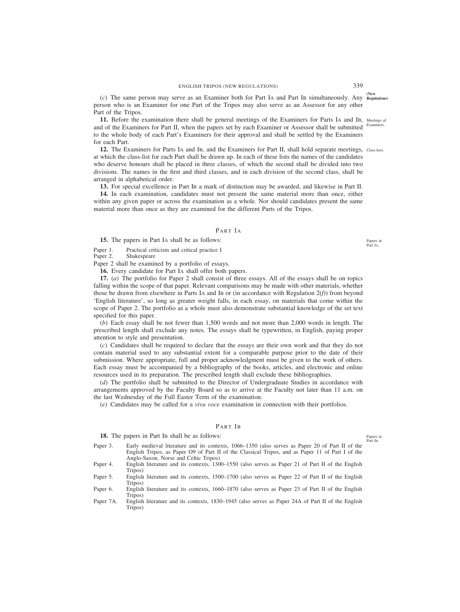**(New** (*c*) The same person may serve as an Examiner both for Part IA and Part IB simultaneously. Any **Regulations)** person who is an Examiner for one Part of the Tripos may also serve as an Assessor for any other Part of the Tripos.

**11.** Before the examination there shall be general meetings of the Examiners for Parts IA and IB, Meetings of and of the Examiners for Part II, when the papers set by each Examiner or Assessor shall be submitted to the whole body of each Part's Examiners for their approval and shall be settled by the Examiners for each Part. Examiners.

12. The Examiners for Parts IA and IB, and the Examiners for Part II, shall hold separate meetings, Class-lists. at which the class-list for each Part shall be drawn up. In each of these lists the names of the candidates who deserve honours shall be placed in three classes, of which the second shall be divided into two divisions. The names in the first and third classes, and in each division of the second class, shall be arranged in alphabetical order.

**13.** For special excellence in Part IB a mark of distinction may be awarded, and likewise in Part II.

**14.** In each examination, candidates must not present the same material more than once, either within any given paper or across the examination as a whole. Nor should candidates present the same material more than once as they are examined for the different Parts of the Tripos.

## PART IA

**15.** The papers in Part IA shall be as follows:

Paper 1. Practical criticism and critical practice I<br>Paper 2. Shakespeare

Shakespeare

Paper 2 shall be examined by a portfolio of essays.

**16.** Every candidate for Part IA shall offer both papers.

**17.** (*a*) The portfolio for Paper 2 shall consist of three essays. All of the essays shall be on topics falling within the scope of that paper. Relevant comparisons may be made with other materials, whether those be drawn from elsewhere in Parts IA and IB or (in accordance with Regulation 2(*f*)) from beyond 'English literature', so long as greater weight falls, in each essay, on materials that come within the scope of Paper 2. The portfolio as a whole must also demonstrate substantial knowledge of the set text specified for this paper.

(*b*) Each essay shall be not fewer than 1,500 words and not more than 2,000 words in length. The prescribed length shall exclude any notes. The essays shall be typewritten, in English, paying proper attention to style and presentation.

(*c*) Candidates shall be required to declare that the essays are their own work and that they do not contain material used to any substantial extent for a comparable purpose prior to the date of their submission. Where appropriate, full and proper acknowledgment must be given to the work of others. Each essay must be accompanied by a bibliography of the books, articles, and electronic and online resources used in its preparation. The prescribed length shall exclude these bibliographies.

(*d*) The portfolio shall be submitted to the Director of Undergraduate Studies in accordance with arrangements approved by the Faculty Board so as to arrive at the Faculty not later than 11 a.m. on the last Wednesday of the Full Easter Term of the examination.

(*e*) Candidates may be called for a *viva voce* examination in connection with their portfolios.

## PART IB

18. The papers in Part IB shall be as follows:

Paper 3. Early medieval literature and its contexts, 1066–1350 (also serves as Paper 20 of Part II of the English Tripos, as Paper O9 of Part II of the Classical Tripos, and as Paper 11 of Part I of the Anglo-Saxon, Norse and Celtic Tripos)

Paper 4. English literature and its contexts, 1300–1550 (also serves as Paper 21 of Part II of the English Tripos)

Paper 5. English literature and its contexts, 1500–1700 (also serves as Paper 22 of Part II of the English Tripos)

Paper 6. English literature and its contexts, 1660–1870 (also serves as Paper 23 of Part II of the English Tripos)

Paper 7A. English literature and its contexts, 1830–1945 (also serves as Paper 24A of Part II of the English Tripos)

Papers in Part IB.

Papers in Part IA.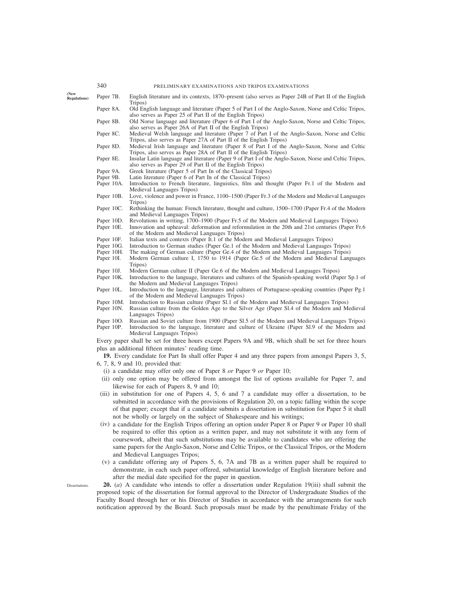| 340 | PRELIMINARY EXAMINATIONS AND TRIPOS EXAMINATIONS |  |  |
|-----|--------------------------------------------------|--|--|
|     |                                                  |  |  |

**(New**

Dissertations.

- Paper 7B. English literature and its contexts, 1870–present (also serves as Paper 24B of Part II of the English Tripos)
- Paper 8A. Old English language and literature (Paper 5 of Part I of the Anglo-Saxon, Norse and Celtic Tripos, also serves as Paper 25 of Part II of the English Tripos)
- Paper 8B. Old Norse language and literature (Paper 6 of Part I of the Anglo-Saxon, Norse and Celtic Tripos, also serves as Paper 26A of Part II of the English Tripos)
- Paper 8C. Medieval Welsh language and literature (Paper 7 of Part I of the Anglo-Saxon, Norse and Celtic Tripos, also serves as Paper 27A of Part II of the English Tripos)
- Paper 8D. Medieval Irish language and literature (Paper 8 of Part I of the Anglo-Saxon, Norse and Celtic Tripos, also serves as Paper 28A of Part II of the English Tripos)
- Paper 8E. Insular Latin language and literature (Paper 9 of Part I of the Anglo-Saxon, Norse and Celtic Tripos, also serves as Paper 29 of Part II of the English Tripos)
- Paper 9A. Greek literature (Paper 5 of Part IB of the Classical Tripos)<br>Paper 9B. Latin literature (Paper 6 of Part IB of the Classical Tripos)
- Latin literature (Paper 6 of Part IB of the Classical Tripos)
- Paper 10A. Introduction to French literature, linguistics, film and thought (Paper Fr.1 of the Modern and Medieval Languages Tripos)
- Paper 10B. Love, violence and power in France, 1100–1500 (Paper Fr.3 of the Modern and Medieval Languages Tripos)
- Paper 10C. Rethinking the human: French literature, thought and culture, 1500–1700 (Paper Fr.4 of the Modern and Medieval Languages Tripos)
- Paper 10D. Revolutions in writing, 1700–1900 (Paper Fr.5 of the Modern and Medieval Languages Tripos) Paper 10E. Innovation and upheaval: deformation and reformulation in the 20th and 21st centuries (Paper F
- Innovation and upheaval: deformation and reformulation in the 20th and 21st centuries (Paper Fr.6) of the Modern and Medieval Languages Tripos)
- Paper 10F. Italian texts and contexts (Paper It.1 of the Modern and Medieval Languages Tripos)
- Paper 10G. Introduction to German studies (Paper Ge.1 of the Modern and Medieval Languages Tripos)
- Paper 10H. The making of German culture (Paper Ge.4 of the Modern and Medieval Languages Tripos)
- Paper 10I. Modern German culture I, 1750 to 1914 (Paper Ge.5 of the Modern and Medieval Languages Tripos)
- Paper 10J. Modern German culture II (Paper Ge.6 of the Modern and Medieval Languages Tripos)
- Paper 10K. Introduction to the language, literatures and cultures of the Spanish-speaking world (Paper Sp.1 of the Modern and Medieval Languages Tripos)
- Paper 10L. Introduction to the language, literatures and cultures of Portuguese-speaking countries (Paper Pg.1 of the Modern and Medieval Languages Tripos)
- Paper 10M. Introduction to Russian culture (Paper Sl.1 of the Modern and Medieval Languages Tripos)<br>Paper 10N. Russian culture from the Golden Age to the Silver Age (Paper Sl.4 of the Modern and M
- Russian culture from the Golden Age to the Silver Age (Paper Sl.4 of the Modern and Medieval Languages Tripos)
- Paper 10O. Russian and Soviet culture from 1900 (Paper Sl.5 of the Modern and Medieval Languages Tripos)
- Paper 10P. Introduction to the language, literature and culture of Ukraine (Paper Sl.9 of the Modern and Medieval Languages Tripos)

Every paper shall be set for three hours except Papers 9A and 9B, which shall be set for three hours plus an additional fifteen minutes' reading time.

**19.** Every candidate for Part IB shall offer Paper 4 and any three papers from amongst Papers 3, 5, 6, 7, 8, 9 and 10, provided that:

- (i) a candidate may offer only one of Paper 8 *or* Paper 9 *or* Paper 10;
- (ii) only one option may be offered from amongst the list of options available for Paper 7, and likewise for each of Papers 8, 9 and 10;
- (iii) in substitution for one of Papers 4, 5, 6 and 7 a candidate may offer a dissertation, to be submitted in accordance with the provisions of Regulation 20, on a topic falling within the scope of that paper; except that if a candidate submits a dissertation in substitution for Paper 5 it shall not be wholly or largely on the subject of Shakespeare and his writings;
- (iv) a candidate for the English Tripos offering an option under Paper 8 or Paper 9 or Paper 10 shall be required to offer this option as a written paper, and may not substitute it with any form of coursework, albeit that such substitutions may be available to candidates who are offering the same papers for the Anglo-Saxon, Norse and Celtic Tripos, or the Classical Tripos, or the Modern and Medieval Languages Tripos;
- (v) a candidate offering any of Papers 5, 6, 7A and 7B as a written paper shall be required to demonstrate, in each such paper offered, substantial knowledge of English literature before and after the medial date specified for the paper in question.

**20.** (*a*) A candidate who intends to offer a dissertation under Regulation 19(iii) shall submit the proposed topic of the dissertation for formal approval to the Director of Undergraduate Studies of the Faculty Board through her or his Director of Studies in accordance with the arrangements for such notification approved by the Board. Such proposals must be made by the penultimate Friday of the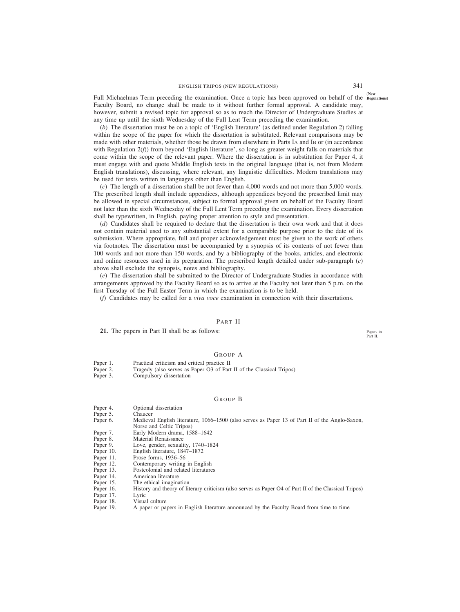**(New** Full Michaelmas Term preceding the examination. Once a topic has been approved on behalf of the **Regulations)** Faculty Board, no change shall be made to it without further formal approval. A candidate may, however, submit a revised topic for approval so as to reach the Director of Undergraduate Studies at any time up until the sixth Wednesday of the Full Lent Term preceding the examination.

(*b*) The dissertation must be on a topic of 'English literature' (as defined under Regulation 2) falling within the scope of the paper for which the dissertation is substituted. Relevant comparisons may be made with other materials, whether those be drawn from elsewhere in Parts IA and IB or (in accordance with Regulation  $2(f)$ ) from beyond 'English literature', so long as greater weight falls on materials that come within the scope of the relevant paper. Where the dissertation is in substitution for Paper 4, it must engage with and quote Middle English texts in the original language (that is, not from Modern English translations), discussing, where relevant, any linguistic difficulties. Modern translations may be used for texts written in languages other than English.

(*c*) The length of a dissertation shall be not fewer than 4,000 words and not more than 5,000 words. The prescribed length shall include appendices, although appendices beyond the prescribed limit may be allowed in special circumstances, subject to formal approval given on behalf of the Faculty Board not later than the sixth Wednesday of the Full Lent Term preceding the examination. Every dissertation shall be typewritten, in English, paying proper attention to style and presentation.

(*d*) Candidates shall be required to declare that the dissertation is their own work and that it does not contain material used to any substantial extent for a comparable purpose prior to the date of its submission. Where appropriate, full and proper acknowledgement must be given to the work of others via footnotes. The dissertation must be accompanied by a synopsis of its contents of not fewer than 100 words and not more than 150 words, and by a bibliography of the books, articles, and electronic and online resources used in its preparation. The prescribed length detailed under sub-paragraph (*c*) above shall exclude the synopsis, notes and bibliography.

(*e*) The dissertation shall be submitted to the Director of Undergraduate Studies in accordance with arrangements approved by the Faculty Board so as to arrive at the Faculty not later than 5 p.m. on the first Tuesday of the Full Easter Term in which the examination is to be held.

(*f*) Candidates may be called for a *viva voce* examination in connection with their dissertations.

#### PART II

**21.** The papers in Part II shall be as follows:

# GROUP A

- Paper 1. Practical criticism and critical practice II
- Paper 2. Tragedy (also serves as Paper O3 of Part II of the Classical Tripos)<br>Paper 3. Compulsory dissertation
- Compulsory dissertation

#### GROUP B

- Paper 4. Optional dissertation<br>Paper 5. Chaucer
- Paper 5.
- Paper 6. Medieval English literature, 1066–1500 (also serves as Paper 13 of Part II of the Anglo-Saxon, Norse and Celtic Tripos)
- Paper 7. Early Modern drama, 1588–1642<br>Paper 8. Material Renaissance
- Paper 8. Material Renaissance<br>Paper 9. Love, gender, sexuali
- Love, gender, sexuality, 1740–1824
- Paper 10. English literature, 1847–1872
- Paper 11. Prose forms, 1936–56
- 
- Paper 12. Contemporary writing in English<br>Paper 13. Postcolonial and related literature Paper 13. Postcolonial and related literatures<br>Paper 14. American literature
- Paper 14. American literature<br>Paper 15. The ethical imagina
- 
- Paper 15. The ethical imagination<br>Paper 16. History and theory of lit History and theory of literary criticism (also serves as Paper O4 of Part II of the Classical Tripos)
- Paper 17. Lyric<br>Paper 18. Visua
- 
- Paper 18. Visual culture<br>Paper 19. A paper or pa A paper or papers in English literature announced by the Faculty Board from time to time

Papers in Part II.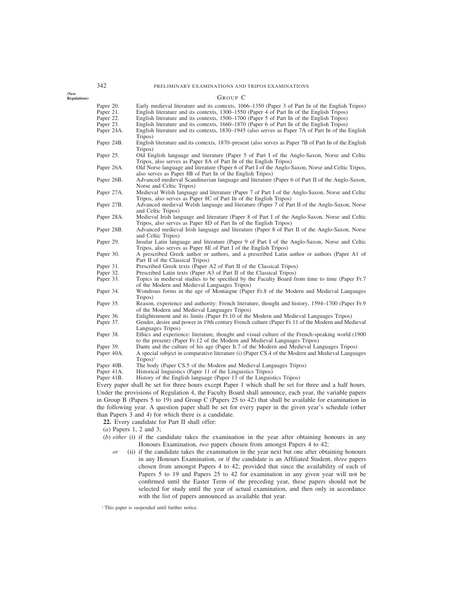**(New Regulations)**

|            | Group C                                                                                                                                                                        |
|------------|--------------------------------------------------------------------------------------------------------------------------------------------------------------------------------|
| Paper 20.  | Early medieval literature and its contexts, 1066–1350 (Paper 3 of Part IB of the English Tripos)                                                                               |
| Paper 21.  | English literature and its contexts, 1300–1550 (Paper 4 of Part IB of the English Tripos)                                                                                      |
| Paper 22.  | English literature and its contexts, 1500–1700 (Paper 5 of Part In of the English Tripos)                                                                                      |
| Paper 23.  | English literature and its contexts, 1660–1870 (Paper 6 of Part IB of the English Tripos)                                                                                      |
| Paper 24A. | English literature and its contexts, 1830–1945 (also serves as Paper 7A of Part IB of the English<br>Tripos)                                                                   |
| Paper 24B. | English literature and its contexts, 1870–present (also serves as Paper 7B of Part IB of the English<br>Tripos)                                                                |
| Paper 25.  | Old English language and literature (Paper 5 of Part I of the Anglo-Saxon, Norse and Celtic<br>Tripos, also serves as Paper 8A of Part IB of the English Tripos)               |
| Paper 26A. | Old Norse language and literature (Paper 6 of Part I of the Anglo-Saxon, Norse and Celtic Tripos,<br>also serves as Paper 8B of Part IB of the English Tripos)                 |
| Paper 26B. | Advanced medieval Scandinavian language and literature (Paper 6 of Part II of the Anglo-Saxon,<br>Norse and Celtic Tripos)                                                     |
| Paper 27A. | Medieval Welsh language and literature (Paper 7 of Part I of the Anglo-Saxon, Norse and Celtic<br>Tripos, also serves as Paper 8C of Part IB of the English Tripos)            |
| Paper 27B. | Advanced medieval Welsh language and literature (Paper 7 of Part II of the Anglo-Saxon, Norse                                                                                  |
| Paper 28A. | and Celtic Tripos)<br>Medieval Irish language and literature (Paper 8 of Part I of the Anglo-Saxon, Norse and Celtic                                                           |
| Paper 28B. | Tripos, also serves as Paper 8D of Part IB of the English Tripos)<br>Advanced medieval Irish language and literature (Paper 8 of Part II of the Anglo-Saxon, Norse             |
| Paper 29.  | and Celtic Tripos)<br>Insular Latin language and literature (Paper 9 of Part I of the Anglo-Saxon, Norse and Celtic                                                            |
|            | Tripos, also serves as Paper 8E of Part I of the English Tripos)                                                                                                               |
| Paper 30.  | A prescribed Greek author or authors, and a prescribed Latin author or authors (Paper A1 of<br>Part II of the Classical Tripos)                                                |
| Paper 31.  | Prescribed Greek texts (Paper A2 of Part II of the Classical Tripos)                                                                                                           |
| Paper 32.  | Prescribed Latin texts (Paper A3 of Part II of the Classical Tripos)                                                                                                           |
| Paper 33.  | Topics in medieval studies to be specified by the Faculty Board from time to time (Paper Fr.7)<br>of the Modern and Medieval Languages Tripos)                                 |
| Paper 34.  | Wondrous forms in the age of Montaigne (Paper Fr.8 of the Modern and Medieval Languages<br>Tripos)                                                                             |
| Paper 35.  | Reason, experience and authority: French literature, thought and history, 1594–1700 (Paper Fr.9)<br>of the Modern and Medieval Languages Tripos)                               |
| Paper 36.  | Enlightenment and its limits (Paper Fr.10 of the Modern and Medieval Languages Tripos)                                                                                         |
| Paper 37.  | Gender, desire and power in 19th century French culture (Paper Fr.11 of the Modern and Medieval<br>Languages Tripos)                                                           |
| Paper 38.  | Ethics and experience: literature, thought and visual culture of the French-speaking world (1900)<br>to the present) (Paper Fr.12 of the Modern and Medieval Languages Tripos) |
| Paper 39.  | Dante and the culture of his age (Paper It.7 of the Modern and Medieval Languages Tripos)                                                                                      |
| Paper 40A. | A special subject in comparative literature (i) (Paper CS.4 of the Modern and Medieval Languages                                                                               |
|            | $Tripos)^1$                                                                                                                                                                    |
| Paper 40B. | The body (Paper CS.5 of the Modern and Medieval Languages Tripos)                                                                                                              |
| Paper 41A. | Historical linguistics (Paper 11 of the Linguistics Tripos)                                                                                                                    |
| Paper 41B. | History of the English language (Paper 13 of the Linguistics Tripos)                                                                                                           |
|            | Every paper shall be set for three hours except Paper 1 which shall be set for three and a half hours.                                                                         |
|            | Under the provisions of Regulation 4, the Faculty Board shall announce, each year, the variable papers                                                                         |
|            | in Group B (Papers 5 to 19) and Group C (Papers 25 to 42) that shall be available for examination in                                                                           |

Under the provisions of Regulation 4, the Faculty Board shall announce, each year, the variable papers in Group B (Papers 5 to 19) and Group C (Papers 25 to 42) that shall be available for examination in the following year. A question paper shall be set for every paper in the given year's schedule (other than Papers 3 and 4) for which there is a candidate.

**22.** Every candidate for Part II shall offer:

- (*a*) Papers 1, 2 and 3;
- (*b*) *either* (i) if the candidate takes the examination in the year after obtaining honours in any Honours Examination, *two* papers chosen from amongst Papers 4 to 42;
	- *or* (ii) if the candidate takes the examination in the year next but one after obtaining honours in any Honours Examination, or if the candidate is an Affiliated Student, *three* papers chosen from amongst Papers 4 to 42; provided that since the availability of each of Papers 5 to 19 and Papers 25 to 42 for examination in any given year will not be confirmed until the Easter Term of the preceding year, these papers should not be selected for study until the year of actual examination, and then only in accordance with the list of papers announced as available that year.

<sup>1</sup> This paper is suspended until further notice.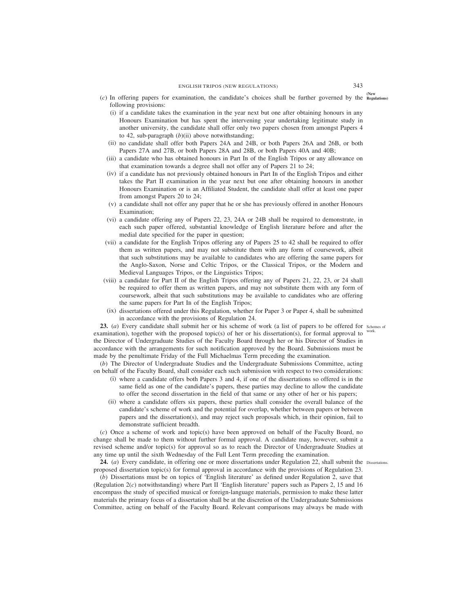- **(New** (*c*) In offering papers for examination, the candidate's choices shall be further governed by the **Regulations)** following provisions:
	- (i) if a candidate takes the examination in the year next but one after obtaining honours in any Honours Examination but has spent the intervening year undertaking legitimate study in another university, the candidate shall offer only two papers chosen from amongst Papers 4 to 42, sub-paragraph (*b*)(ii) above notwithstanding;
	- (ii) no candidate shall offer both Papers 24A and 24B, or both Papers 26A and 26B, or both Papers 27A and 27B, or both Papers 28A and 28B, or both Papers 40A and 40B;
	- (iii) a candidate who has obtained honours in Part IB of the English Tripos or any allowance on that examination towards a degree shall not offer any of Papers 21 to 24;
	- (iv) if a candidate has not previously obtained honours in Part IB of the English Tripos and either takes the Part II examination in the year next but one after obtaining honours in another Honours Examination or is an Affiliated Student, the candidate shall offer at least one paper from amongst Papers 20 to 24;
	- (v) a candidate shall not offer any paper that he or she has previously offered in another Honours Examination;
	- (vi) a candidate offering any of Papers 22, 23, 24A or 24B shall be required to demonstrate, in each such paper offered, substantial knowledge of English literature before and after the medial date specified for the paper in question;
	- (vii) a candidate for the English Tripos offering any of Papers 25 to 42 shall be required to offer them as written papers, and may not substitute them with any form of coursework, albeit that such substitutions may be available to candidates who are offering the same papers for the Anglo-Saxon, Norse and Celtic Tripos, or the Classical Tripos, or the Modern and Medieval Languages Tripos, or the Linguistics Tripos;
- (viii) a candidate for Part II of the English Tripos offering any of Papers 21, 22, 23, or 24 shall be required to offer them as written papers, and may not substitute them with any form of coursework, albeit that such substitutions may be available to candidates who are offering the same papers for Part IB of the English Tripos;
	- (ix) dissertations offered under this Regulation, whether for Paper 3 or Paper 4, shall be submitted in accordance with the provisions of Regulation 24.

**23.** (*a*) Every candidate shall submit her or his scheme of work (a list of papers to be offered for schemes of examination), together with the proposed topic(s) of her or his dissertation(s), for formal approval to the Director of Undergraduate Studies of the Faculty Board through her or his Director of Studies in accordance with the arrangements for such notification approved by the Board. Submissions must be made by the penultimate Friday of the Full Michaelmas Term preceding the examination. work.

(*b*) The Director of Undergraduate Studies and the Undergraduate Submissions Committee, acting on behalf of the Faculty Board, shall consider each such submission with respect to two considerations:

- (i) where a candidate offers both Papers 3 and 4, if one of the dissertations so offered is in the same field as one of the candidate's papers, these parties may decline to allow the candidate to offer the second dissertation in the field of that same or any other of her or his papers;
- (ii) where a candidate offers six papers, these parties shall consider the overall balance of the candidate's scheme of work and the potential for overlap, whether between papers or between papers and the dissertation(s), and may reject such proposals which, in their opinion, fail to demonstrate sufficient breadth.

(*c*) Once a scheme of work and topic(s) have been approved on behalf of the Faculty Board, no change shall be made to them without further formal approval. A candidate may, however, submit a revised scheme and/or topic(s) for approval so as to reach the Director of Undergraduate Studies at any time up until the sixth Wednesday of the Full Lent Term preceding the examination.

24. (a) Every candidate, in offering one or more dissertations under Regulation 22, shall submit the Dissertations. proposed dissertation topic(s) for formal approval in accordance with the provisions of Regulation 23.

(*b*) Dissertations must be on topics of 'English literature' as defined under Regulation 2, save that (Regulation 2(*c*) notwithstanding) where Part II 'English literature' papers such as Papers 2, 15 and 16 encompass the study of specified musical or foreign-language materials, permission to make these latter materials the primary focus of a dissertation shall be at the discretion of the Undergraduate Submissions Committee, acting on behalf of the Faculty Board. Relevant comparisons may always be made with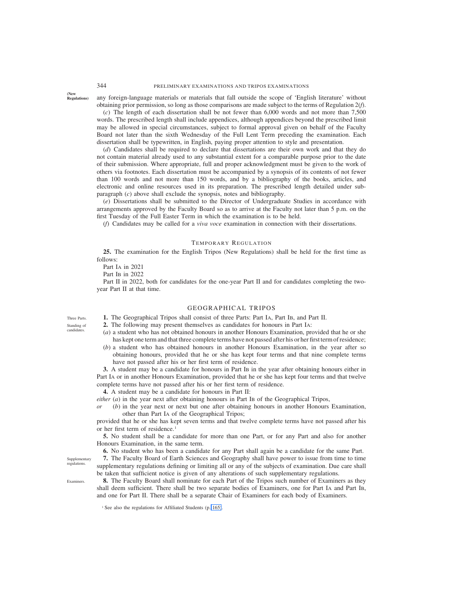**(New Regulations)**

any foreign-language materials or materials that fall outside the scope of 'English literature' without obtaining prior permission, so long as those comparisons are made subject to the terms of Regulation 2(*f*).

(*c*) The length of each dissertation shall be not fewer than 6,000 words and not more than 7,500 words. The prescribed length shall include appendices, although appendices beyond the prescribed limit may be allowed in special circumstances, subject to formal approval given on behalf of the Faculty Board not later than the sixth Wednesday of the Full Lent Term preceding the examination. Each dissertation shall be typewritten, in English, paying proper attention to style and presentation.

(*d*) Candidates shall be required to declare that dissertations are their own work and that they do not contain material already used to any substantial extent for a comparable purpose prior to the date of their submission. Where appropriate, full and proper acknowledgment must be given to the work of others via footnotes. Each dissertation must be accompanied by a synopsis of its contents of not fewer than 100 words and not more than 150 words, and by a bibliography of the books, articles, and electronic and online resources used in its preparation. The prescribed length detailed under subparagraph (*c*) above shall exclude the synopsis, notes and bibliography.

(*e*) Dissertations shall be submitted to the Director of Undergraduate Studies in accordance with arrangements approved by the Faculty Board so as to arrive at the Faculty not later than 5 p.m. on the first Tuesday of the Full Easter Term in which the examination is to be held.

(*f*) Candidates may be called for a *viva voce* examination in connection with their dissertations.

## TEMPORARY REGULATION

**25.** The examination for the English Tripos (New Regulations) shall be held for the first time as follows:

Part IA in 2021

Part IB in 2022

Part II in 2022, both for candidates for the one-year Part II and for candidates completing the twoyear Part II at that time.

#### GEOGRAPHICAL TRIPOS

**1.** The Geographical Tripos shall consist of three Parts: Part IA, Part IB, and Part II.

- **2.** The following may present themselves as candidates for honours in Part IA:
- (*a*) a student who has not obtained honours in another Honours Examination, provided that he or she has kept one term and that three complete terms have not passed after his or her first term of residence;
- (*b*) a student who has obtained honours in another Honours Examination, in the year after so obtaining honours, provided that he or she has kept four terms and that nine complete terms have not passed after his or her first term of residence.

**3.** A student may be a candidate for honours in Part IB in the year after obtaining honours either in Part IA or in another Honours Examination, provided that he or she has kept four terms and that twelve complete terms have not passed after his or her first term of residence.

**4.** A student may be a candidate for honours in Part II:

*either* (*a*) in the year next after obtaining honours in Part IB of the Geographical Tripos,

*or* (*b*) in the year next or next but one after obtaining honours in another Honours Examination, other than Part IA of the Geographical Tripos;

provided that he or she has kept seven terms and that twelve complete terms have not passed after his or her first term of residence.<sup>1</sup>

**5.** No student shall be a candidate for more than one Part, or for any Part and also for another Honours Examination, in the same term.

**6.** No student who has been a candidate for any Part shall again be a candidate for the same Part.

**7.** The Faculty Board of Earth Sciences and Geography shall have power to issue from time to time supplementary regulations defining or limiting all or any of the subjects of examination. Due care shall be taken that sufficient notice is given of any alterations of such supplementary regulations.

**8.** The Faculty Board shall nominate for each Part of the Tripos such number of Examiners as they shall deem sufficient. There shall be two separate bodies of Examiners, one for Part IA and Part IB, and one for Part II. There shall be a separate Chair of Examiners for each body of Examiners.

Three Parts. Standing of candidate

**Supplementary** regulations.

Examiners.

<sup>&</sup>lt;sup>1</sup> See also the regulations for Affiliated Students (p. 165).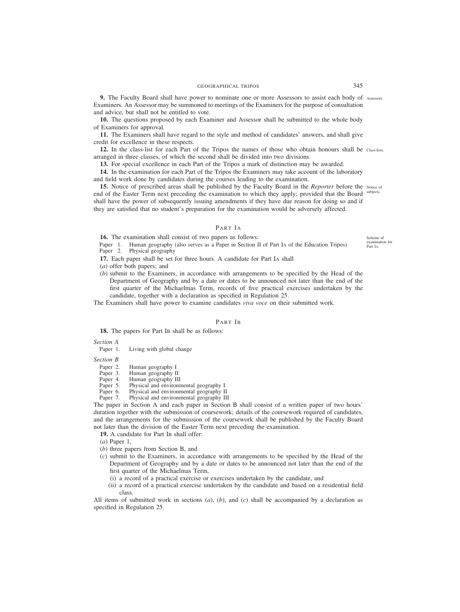**9.** The Faculty Board shall have power to nominate one or more Assessors to assist each body of Assessors. Examiners. An Assessor may be summoned to meetings of the Examiners for the purpose of consultation and advice, but shall not be entitled to vote.

**10.** The questions proposed by each Examiner and Assessor shall be submitted to the whole body of Examiners for approval.

**11.** The Examiners shall have regard to the style and method of candidates' answers, and shall give credit for excellence in these respects.

**12.** In the class-list for each Part of the Tripos the names of those who obtain honours shall be Class-lists. arranged in three classes, of which the second shall be divided into two divisions.

**13.** For special excellence in each Part of the Tripos a mark of distinction may be awarded.

**14.** In the examination for each Part of the Tripos the Examiners may take account of the laboratory and field work done by candidates during the courses leading to the examination.

**15.** Notice of prescribed areas shall be published by the Faculty Board in the *Reporter* before the Notice of end of the Easter Term next preceding the examination to which they apply; provided that the Board subjects. shall have the power of subsequently issuing amendments if they have due reason for doing so and if they are satisfied that no student's preparation for the examination would be adversely affected.

# PART IA

**16.** The examination shall consist of two papers as follows:

Paper 1. Human geography (also serves as a Paper in Section II of Part IA of the Education Tripos) Paper 2. Physical geography Physical geography

**17.** Each paper shall be set for three hours. A candidate for Part IA shall

- (*a*) offer both papers; and
- (*b*) submit to the Examiners, in accordance with arrangements to be specified by the Head of the Department of Geography and by a date or dates to be announced not later than the end of the first quarter of the Michaelmas Term, records of five practical exercises undertaken by the candidate, together with a declaration as specified in Regulation 25.

The Examiners shall have power to examine candidates *viva voce* on their submitted work.

## PART IB

**18.** The papers for Part IB shall be as follows:

*Section A*

Paper 1. Living with global change

- *Section B*
	- Paper 2. Human geography I
	- Paper 3. Human geography II<br>Paper 4. Human geography II
	- Paper 4. Human geography III<br>Paper 5. Physical and environn
	- Paper 5. Physical and environmental geography I<br>Paper 6. Physical and environmental geography II
	- Paper 6. Physical and environmental geography II Paper 7. Physical and environmental geography II
	- Physical and environmental geography III

The paper in Section A and each paper in Section B shall consist of a written paper of two hours' duration together with the submission of coursework; details of the coursework required of candidates, and the arrangements for the submission of the coursework shall be published by the Faculty Board not later than the division of the Easter Term next preceding the examination.

19. A candidate for Part IB shall offer:

- (*a*) Paper 1,
- (*b*) three papers from Section B, and
- (*c*) submit to the Examiners, in accordance with arrangements to be specified by the Head of the Department of Geography and by a date or dates to be announced not later than the end of the first quarter of the Michaelmas Term,
	- (i) a record of a practical exercise or exercises undertaken by the candidate, and
	- (ii) a record of a practical exercise undertaken by the candidate and based on a residential field class.

All items of submitted work in sections (*a*), (*b*), and (*c*) shall be accompanied by a declaration as specified in Regulation 25.

Scheme of examination for Part IA.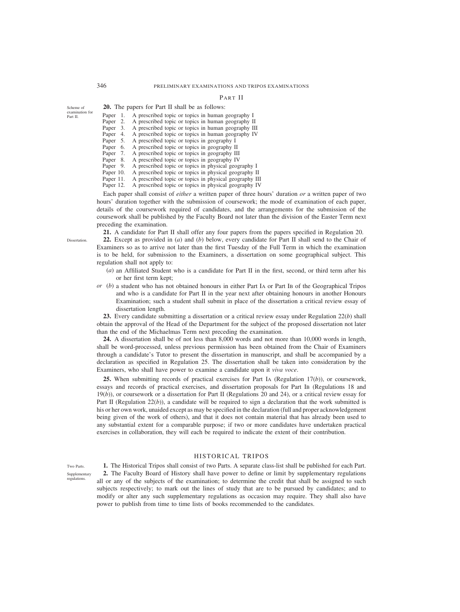# 346 PRELIMINARY EXAMINATIONS AND TRIPOS EXAMINATIONS

# PART II

| of       |           | <b>20.</b> The papers for Part II shall be as follows: |
|----------|-----------|--------------------------------------------------------|
| tion for | Paper 1.  | A prescribed topic or topics in human geography I      |
|          | Paper 2.  | A prescribed topic or topics in human geography II     |
|          | Paper 3.  | A prescribed topic or topics in human geography III    |
|          | Paper 4.  | A prescribed topic or topics in human geography IV     |
|          | Paper 5.  | A prescribed topic or topics in geography I            |
|          | Paper 6.  | A prescribed topic or topics in geography II           |
|          | Paper 7.  | A prescribed topic or topics in geography III          |
|          | Paper 8.  | A prescribed topic or topics in geography IV           |
|          | Paper 9.  | A prescribed topic or topics in physical geography I   |
|          | Paper 10. | A prescribed topic or topics in physical geography II  |
|          | Paper 11. | A prescribed topic or topics in physical geography III |
|          | Paper 12. | A prescribed topic or topics in physical geography IV  |

Each paper shall consist of *either* a written paper of three hours' duration *or* a written paper of two hours' duration together with the submission of coursework; the mode of examination of each paper, details of the coursework required of candidates, and the arrangements for the submission of the coursework shall be published by the Faculty Board not later than the division of the Easter Term next preceding the examination.

**21.** A candidate for Part II shall offer any four papers from the papers specified in Regulation 20.

**22.** Except as provided in (*a*) and (*b*) below, every candidate for Part II shall send to the Chair of Examiners so as to arrive not later than the first Tuesday of the Full Term in which the examination is to be held, for submission to the Examiners, a dissertation on some geographical subject. This regulation shall not apply to:

- (*a*) an Affiliated Student who is a candidate for Part II in the first, second, or third term after his or her first term kept;
- *or* (*b*) a student who has not obtained honours in either Part IA or Part IB of the Geographical Tripos and who is a candidate for Part II in the year next after obtaining honours in another Honours Examination; such a student shall submit in place of the dissertation a critical review essay of dissertation length.

**23.** Every candidate submitting a dissertation or a critical review essay under Regulation 22(*b*) shall obtain the approval of the Head of the Department for the subject of the proposed dissertation not later than the end of the Michaelmas Term next preceding the examination.

**24.** A dissertation shall be of not less than 8,000 words and not more than 10,000 words in length, shall be word-processed, unless previous permission has been obtained from the Chair of Examiners through a candidate's Tutor to present the dissertation in manuscript, and shall be accompanied by a declaration as specified in Regulation 25. The dissertation shall be taken into consideration by the Examiners, who shall have power to examine a candidate upon it *viva voce*.

**25.** When submitting records of practical exercises for Part IA (Regulation 17(*b*)), or coursework, essays and records of practical exercises, and dissertation proposals for Part IB (Regulations 18 and 19(*b*)), or coursework or a dissertation for Part II (Regulations 20 and 24), or a critical review essay for Part II (Regulation 22(*b*)), a candidate will be required to sign a declaration that the work submitted is his or her own work, unaided except as may be specified in the declaration (full and proper acknowledgement being given of the work of others), and that it does not contain material that has already been used to any substantial extent for a comparable purpose; if two or more candidates have undertaken practical exercises in collaboration, they will each be required to indicate the extent of their contribution.

# HISTORICAL TRIPOS

Two Parts. Supplementary regulations.

**1.** The Historical Tripos shall consist of two Parts. A separate class-list shall be published for each Part. **2.** The Faculty Board of History shall have power to define or limit by supplementary regulations all or any of the subjects of the examination; to determine the credit that shall be assigned to such subjects respectively; to mark out the lines of study that are to be pursued by candidates; and to modify or alter any such supplementary regulations as occasion may require. They shall also have power to publish from time to time lists of books recommended to the candidates.

Dissertation.

Scheme examine Part II.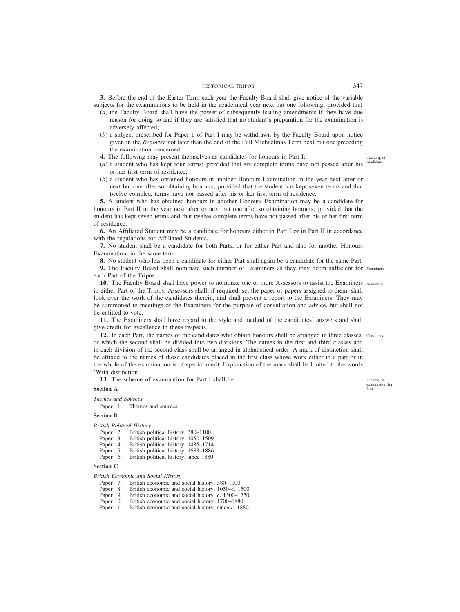# HISTORICAL TRIPOS 347

**3.** Before the end of the Easter Term each year the Faculty Board shall give notice of the variable subjects for the examinations to be held in the academical year next but one following; provided that

- (*a*) the Faculty Board shall have the power of subsequently issuing amendments if they have due reason for doing so and if they are satisfied that no student's preparation for the examination is adversely affected;
- (*b*) a subject prescribed for Paper 1 of Part I may be withdrawn by the Faculty Board upon notice given in the *Reporter* not later than the end of the Full Michaelmas Term next but one preceding the examination concerned.
- **4.** The following may present themselves as candidates for honours in Part I:
- (*a*) a student who has kept four terms; provided that six complete terms have not passed after his or her first term of residence;
- (*b*) a student who has obtained honours in another Honours Examination in the year next after or next but one after so obtaining honours; provided that the student has kept seven terms and that twelve complete terms have not passed after his or her first term of residence.

**5.** A student who has obtained honours in another Honours Examination may be a candidate for honours in Part II in the year next after or next but one after so obtaining honours; provided that the student has kept seven terms and that twelve complete terms have not passed after his or her first term of residence.

**6.** An Affiliated Student may be a candidate for honours either in Part I or in Part II in accordance with the regulations for Affiliated Students.

**7.** No student shall be a candidate for both Parts, or for either Part and also for another Honours Examination, in the same term.

**8.** No student who has been a candidate for either Part shall again be a candidate for the same Part.

**9.** The Faculty Board shall nominate such number of Examiners as they may deem sufficient for Examiners. each Part of the Tripos.

10. The Faculty Board shall have power to nominate one or more Assessors to assist the Examiners Assessors. in either Part of the Tripos. Assessors shall, if required, set the paper or papers assigned to them, shall look over the work of the candidates therein, and shall present a report to the Examiners. They may be summoned to meetings of the Examiners for the purpose of consultation and advice, but shall not be entitled to vote.

**11.** The Examiners shall have regard to the style and method of the candidates' answers and shall give credit for excellence in these respects.

12. In each Part, the names of the candidates who obtain honours shall be arranged in three classes, class-lists. of which the second shall be divided into two divisions. The names in the first and third classes and in each division of the second class shall be arranged in alphabetical order. A mark of distinction shall be affixed to the names of those candidates placed in the first class whose work either in a part or in the whole of the examination is of special merit. Explanation of the mark shall be limited to the words 'With distinction'.

**13.** The scheme of examination for Part I shall be:

#### **Section A**

*Themes and Sources*

Paper 1. Themes and sources

# **Section B**

*British Political History*

- Paper 2. British political history, 380–1100<br>Paper 3. British political history, 1050–150
- British political history, 1050–1509
- Paper 4. British political history, 1485–1714<br>Paper 5. British political history, 1688–1886
- British political history, 1688-1886
- Paper 6. British political history, since 1880

#### **Section C**

*British Economic and Social History*

- Paper 7. British economic and social history, 380–1100<br>Paper 8. British economic and social history, 1050–c. 1.
- Paper 8. British economic and social history, 1050–*c*. 1500<br>Paper 9. British economic and social history, *c*. 1500–1750
- Paper 9. British economic and social history, *c*. 1500–1750<br>Paper 10. British economic and social history, 1700–1880
- British economic and social history, 1700–1880
- Paper 11. British economic and social history, since *c*. 1880

Standing of candidates.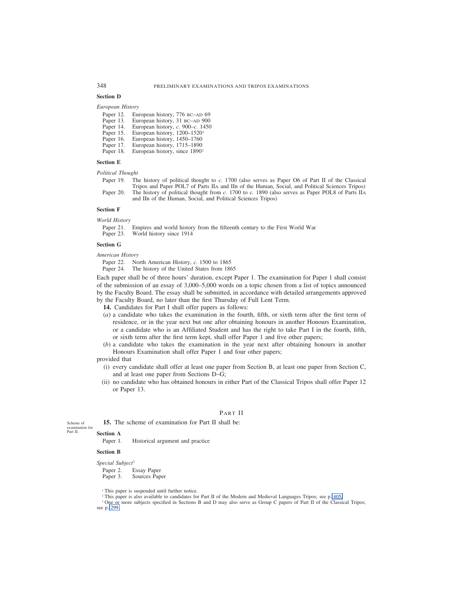#### **Section D**

#### *European History*

| Paper 12. |  | European history, 776 BC-AD 69             |
|-----------|--|--------------------------------------------|
| Paper 13. |  | European history, 31 BC-AD 900             |
| Paper 14. |  | European history, c. 900–c. 1450           |
| Paper 15. |  | European history, $1200-1520$ <sup>1</sup> |
| Paper 16. |  | European history, 1450–1760                |
| Paper 17. |  | European history, 1715–1890                |

Paper 18. European history, since 1890<sup>2</sup>

#### **Section E**

*Political Thought*

Paper 19. The history of political thought to *c.* 1700 (also serves as Paper O6 of Part II of the Classical Tripos and Paper POL7 of Parts IIA and IIB of the Human, Social, and Political Sciences Tripos) Paper 20. The history of political thought from *c.* 1700 to *c.* 1890 (also serves as Paper POL8 of Parts IIA

#### **Section F**

*World History*

Paper 21. Empires and world history from the fifteenth century to the First World War

and IIB of the Human, Social, and Political Sciences Tripos)

Paper 23. World history since 1914

#### **Section G**

*American History*

Paper 22. North American History, *c*. 1500 to 1865

Paper 24. The history of the United States from 1865

Each paper shall be of three hours' duration, except Paper 1. The examination for Paper 1 shall consist of the submission of an essay of 3,000–5,000 words on a topic chosen from a list of topics announced by the Faculty Board. The essay shall be submitted, in accordance with detailed arrangements approved by the Faculty Board, no later than the first Thursday of Full Lent Term.

**14.** Candidates for Part I shall offer papers as follows:

- (*a*) a candidate who takes the examination in the fourth, fifth, or sixth term after the first term of residence, or in the year next but one after obtaining honours in another Honours Examination, or a candidate who is an Affiliated Student and has the right to take Part I in the fourth, fifth, or sixth term after the first term kept, shall offer Paper 1 and five other papers;
- (*b*) a candidate who takes the examination in the year next after obtaining honours in another Honours Examination shall offer Paper 1 and four other papers;

provided that

- (i) every candidate shall offer at least one paper from Section B, at least one paper from Section C, and at least one paper from Sections D–G;
- (ii) no candidate who has obtained honours in either Part of the Classical Tripos shall offer Paper 12 or Paper 13.

# PART II

**15.** The scheme of examination for Part II shall be:

Scheme of examination for Part II.

**Section A**

Paper 1. Historical argument and practice

#### **Section B**

#### *Special Subject*<sup>3</sup>

Paper 2. Essay Paper<br>Paper 3. Sources Pap

Sources Paper

<sup>1</sup> This paper is suspended until further notice.

<sup>2</sup> This paper is also available to candidates for Part II of the Modern and Medieval Languages Tripos; see p. 405.

<sup>3</sup> One or more subjects specified in Sections B and D may also serve as Group C papers of Part II of the Classical Tripos; see p. 299.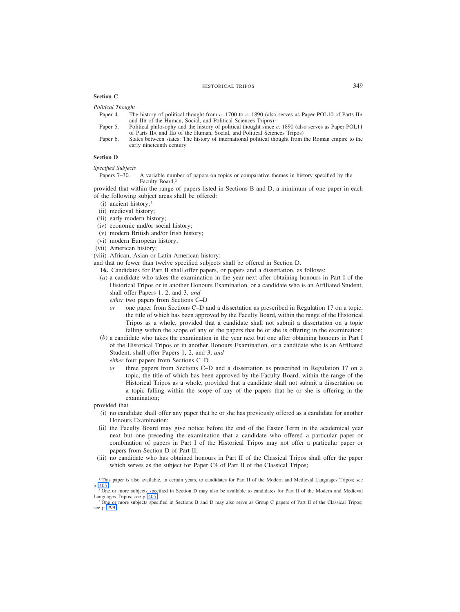## **Section C**

*Political Thought*

- Paper 4. The history of political thought from *c*. 1700 to *c*. 1890 (also serves as Paper POL10 of Parts IIA and IIB of the Human, Social, and Political Sciences Tripos)<sup>1</sup>
- Paper 5. Political philosophy and the history of political thought since *c*. 1890 (also serves as Paper POL11 of Parts IIA and IIB of the Human, Social, and Political Sciences Tripos)
- Paper 6. States between states: The history of international political thought from the Roman empire to the early nineteenth century

## **Section D**

*Specified Subjects*

Papers 7–30. A variable number of papers on topics or comparative themes in history specified by the Faculty Board,<sup>2</sup>

provided that within the range of papers listed in Sections B and D, a minimum of one paper in each of the following subject areas shall be offered:

- (i) ancient history; <sup>3</sup>
- (ii) medieval history;
- (iii) early modern history;
- (iv) economic and/or social history;
- (v) modern British and/or Irish history;
- (vi) modern European history;
- (vii) American history;
- (viii) African, Asian or Latin-American history;

and that no fewer than twelve specified subjects shall be offered in Section D.

- **16.** Candidates for Part II shall offer papers, or papers and a dissertation, as follows:
- (*a*) a candidate who takes the examination in the year next after obtaining honours in Part I of the Historical Tripos or in another Honours Examination, or a candidate who is an Affiliated Student, shall offer Papers 1, 2, and 3, *and*
	- *either* two papers from Sections C–D
	- *or* one paper from Sections C–D and a dissertation as prescribed in Regulation 17 on a topic, the title of which has been approved by the Faculty Board, within the range of the Historical Tripos as a whole, provided that a candidate shall not submit a dissertation on a topic falling within the scope of any of the papers that he or she is offering in the examination;
- (*b*) a candidate who takes the examination in the year next but one after obtaining honours in Part I of the Historical Tripos or in another Honours Examination, or a candidate who is an Affiliated Student, shall offer Papers 1, 2, and 3, *and*

*either* four papers from Sections C–D

*or* three papers from Sections C–D and a dissertation as prescribed in Regulation 17 on a topic, the title of which has been approved by the Faculty Board, within the range of the Historical Tripos as a whole, provided that a candidate shall not submit a dissertation on a topic falling within the scope of any of the papers that he or she is offering in the examination;

provided that

- (i) no candidate shall offer any paper that he or she has previously offered as a candidate for another Honours Examination;
- (ii) the Faculty Board may give notice before the end of the Easter Term in the academical year next but one preceding the examination that a candidate who offered a particular paper or combination of papers in Part I of the Historical Tripos may not offer a particular paper or papers from Section D of Part II;
- (iii) no candidate who has obtained honours in Part II of the Classical Tripos shall offer the paper which serves as the subject for Paper C4 of Part II of the Classical Tripos;

<sup>&</sup>lt;sup>1</sup> This paper is also available, in certain years, to candidates for Part II of the Modern and Medieval Languages Tripos; see p. 405.

<sup>2</sup> One or more subjects specified in Section D may also be available to candidates for Part II of the Modern and Medieval Languages Tripos; see p. 405.

<sup>&</sup>lt;sup>3</sup> One or more subjects specified in Sections B and D may also serve as Group C papers of Part II of the Classical Tripos; see p. 299.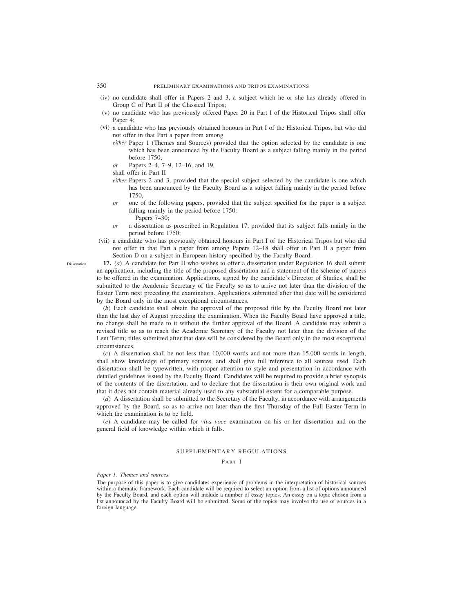- (iv) no candidate shall offer in Papers 2 and 3, a subject which he or she has already offered in Group C of Part II of the Classical Tripos;
- (v) no candidate who has previously offered Paper 20 in Part I of the Historical Tripos shall offer Paper 4;
- (vi) a candidate who has previously obtained honours in Part I of the Historical Tripos, but who did not offer in that Part a paper from among
	- *either* Paper 1 (Themes and Sources) provided that the option selected by the candidate is one which has been announced by the Faculty Board as a subject falling mainly in the period before 1750;
	- *or* Papers 2–4, 7–9, 12–16, and 19,
	- shall offer in Part II
	- *either* Papers 2 and 3, provided that the special subject selected by the candidate is one which has been announced by the Faculty Board as a subject falling mainly in the period before 1750,
	- *or* one of the following papers, provided that the subject specified for the paper is a subject falling mainly in the period before 1750:
		- Papers 7–30;
	- *or* a dissertation as prescribed in Regulation 17, provided that its subject falls mainly in the period before 1750;
- (vii) a candidate who has previously obtained honours in Part I of the Historical Tripos but who did not offer in that Part a paper from among Papers 12–18 shall offer in Part II a paper from Section D on a subject in European history specified by the Faculty Board.
- **17.** (*a*) A candidate for Part II who wishes to offer a dissertation under Regulation 16 shall submit an application, including the title of the proposed dissertation and a statement of the scheme of papers to be offered in the examination. Applications, signed by the candidate's Director of Studies, shall be submitted to the Academic Secretary of the Faculty so as to arrive not later than the division of the Easter Term next preceding the examination. Applications submitted after that date will be considered by the Board only in the most exceptional circumstances.

(*b*) Each candidate shall obtain the approval of the proposed title by the Faculty Board not later than the last day of August preceding the examination. When the Faculty Board have approved a title, no change shall be made to it without the further approval of the Board. A candidate may submit a revised title so as to reach the Academic Secretary of the Faculty not later than the division of the Lent Term; titles submitted after that date will be considered by the Board only in the most exceptional circumstances.

(*c*) A dissertation shall be not less than 10,000 words and not more than 15,000 words in length, shall show knowledge of primary sources, and shall give full reference to all sources used. Each dissertation shall be typewritten, with proper attention to style and presentation in accordance with detailed guidelines issued by the Faculty Board. Candidates will be required to provide a brief synopsis of the contents of the dissertation, and to declare that the dissertation is their own original work and that it does not contain material already used to any substantial extent for a comparable purpose.

(*d*) A dissertation shall be submitted to the Secretary of the Faculty, in accordance with arrangements approved by the Board, so as to arrive not later than the first Thursday of the Full Easter Term in which the examination is to be held.

(*e*) A candidate may be called for *viva voce* examination on his or her dissertation and on the general field of knowledge within which it falls.

# SUPPLEMENTARY REGULATIONS

P ART I

*Paper 1. Themes and sources*

The purpose of this paper is to give candidates experience of problems in the interpretation of historical sources within a thematic framework. Each candidate will be required to select an option from a list of options announced by the Faculty Board, and each option will include a number of essay topics. An essay on a topic chosen from a list announced by the Faculty Board will be submitted. Some of the topics may involve the use of sources in a foreign language.

**Dissertation**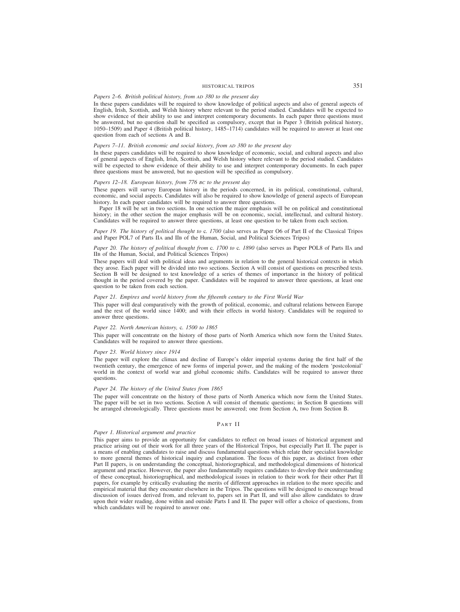# HISTORICAL TRIPOS 351

## *Papers 2–6. British political history, from AD 380 to the present day*

In these papers candidates will be required to show knowledge of political aspects and also of general aspects of English, Irish, Scottish, and Welsh history where relevant to the period studied. Candidates will be expected to show evidence of their ability to use and interpret contemporary documents. In each paper three questions must be answered, but no question shall be specified as compulsory, except that in Paper 3 (British political history, 1050–1509) and Paper 4 (British political history, 1485–1714) candidates will be required to answer at least one question from each of sections A and B.

## *Papers 7–11. British economic and social history, from AD 380 to the present day*

In these papers candidates will be required to show knowledge of economic, social, and cultural aspects and also of general aspects of English, Irish, Scottish, and Welsh history where relevant to the period studied. Candidates will be expected to show evidence of their ability to use and interpret contemporary documents. In each paper three questions must be answered, but no question will be specified as compulsory.

## *Papers 12–18. European history, from 776 BC to the present day*

These papers will survey European history in the periods concerned, in its political, constitutional, cultural, economic, and social aspects. Candidates will also be required to show knowledge of general aspects of European history. In each paper candidates will be required to answer three questions.

Paper 18 will be set in two sections. In one section the major emphasis will be on political and constitutional history; in the other section the major emphasis will be on economic, social, intellectual, and cultural history. Candidates will be required to answer three questions, at least one question to be taken from each section.

## *Paper 19. The history of political thought to* c*. 1700* (also serves as Paper O6 of Part II of the Classical Tripos and Paper POL7 of Parts IIA and IIB of the Human, Social, and Political Sciences Tripos)

## *Paper 20. The history of political thought from* c*. 1700 to* c*. 1890* (also serves as Paper POL8 of Parts IIA and IIB of the Human, Social, and Political Sciences Tripos)

These papers will deal with political ideas and arguments in relation to the general historical contexts in which they arose. Each paper will be divided into two sections. Section A will consist of questions on prescribed texts. Section B will be designed to test knowledge of a series of themes of importance in the history of political thought in the period covered by the paper. Candidates will be required to answer three questions, at least one question to be taken from each section.

## *Paper 21. Empires and world history from the fifteenth century to the First World War*

This paper will deal comparatively with the growth of political, economic, and cultural relations between Europe and the rest of the world since 1400; and with their effects in world history. Candidates will be required to answer three questions.

#### *Paper 22. North American history,* c*. 1500 to 1865*

This paper will concentrate on the history of those parts of North America which now form the United States. Candidates will be required to answer three questions.

#### *Paper 23. World history since 1914*

The paper will explore the climax and decline of Europe's older imperial systems during the first half of the twentieth century, the emergence of new forms of imperial power, and the making of the modern 'postcolonial' world in the context of world war and global economic shifts. Candidates will be required to answer three questions.

#### *Paper 24. The history of the United States from 1865*

The paper will concentrate on the history of those parts of North America which now form the United States. The paper will be set in two sections. Section A will consist of thematic questions; in Section B questions will be arranged chronologically. Three questions must be answered; one from Section A, two from Section B.

#### PART II

#### *Paper 1. Historical argument and practice*

This paper aims to provide an opportunity for candidates to reflect on broad issues of historical argument and practice arising out of their work for all three years of the Historical Tripos, but especially Part II. The paper is a means of enabling candidates to raise and discuss fundamental questions which relate their specialist knowledge to more general themes of historical inquiry and explanation. The focus of this paper, as distinct from other Part II papers, is on understanding the conceptual, historiographical, and methodological dimensions of historical argument and practice. However, the paper also fundamentally requires candidates to develop their understanding of these conceptual, historiographical, and methodological issues in relation to their work for their other Part II papers, for example by critically evaluating the merits of different approaches in relation to the more specific and empirical material that they encounter elsewhere in the Tripos. The questions will be designed to encourage broad discussion of issues derived from, and relevant to, papers set in Part II, and will also allow candidates to draw upon their wider reading, done within and outside Parts I and II. The paper will offer a choice of questions, from which candidates will be required to answer one.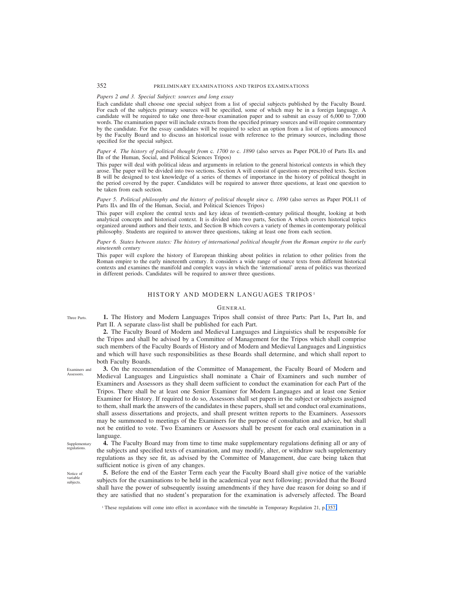# 352 PRELIMINARY EXAMINATIONS AND TRIPOS EXAMINATIONS

# *Papers 2 and 3. Special Subject: sources and long essay*

Each candidate shall choose one special subject from a list of special subjects published by the Faculty Board. For each of the subjects primary sources will be specified, some of which may be in a foreign language. A candidate will be required to take one three-hour examination paper and to submit an essay of 6,000 to 7,000 words. The examination paper will include extracts from the specified primary sources and will require commentary by the candidate. For the essay candidates will be required to select an option from a list of options announced by the Faculty Board and to discuss an historical issue with reference to the primary sources, including those specified for the special subject.

*Paper 4. The history of political thought from* c*. 1700 to* c. *1890* (also serves as Paper POL10 of Parts IIA and IIB of the Human, Social, and Political Sciences Tripos)

This paper will deal with political ideas and arguments in relation to the general historical contexts in which they arose. The paper will be divided into two sections. Section A will consist of questions on prescribed texts. Section B will be designed to test knowledge of a series of themes of importance in the history of political thought in the period covered by the paper. Candidates will be required to answer three questions, at least one question to be taken from each section.

## *Paper 5. Political philosophy and the history of political thought since c. 1890* (also serves as Paper POL11 of Parts IIA and IIB of the Human, Social, and Political Sciences Tripos)

This paper will explore the central texts and key ideas of twentieth-century political thought, looking at both analytical concepts and historical context. It is divided into two parts, Section A which covers historical topics organized around authors and their texts, and Section B which covers a variety of themes in contemporary political philosophy. Students are required to answer three questions, taking at least one from each section.

*Paper 6. States between states: The history of international political thought from the Roman empire to the early nineteenth century*

This paper will explore the history of European thinking about polities in relation to other polities from the Roman empire to the early nineteenth century. It considers a wide range of source texts from different historical contexts and examines the manifold and complex ways in which the 'international' arena of politics was theorized in different periods. Candidates will be required to answer three questions.

# HISTORY AND MODERN LANGUAGES TRIPOS<sup>1</sup>

## GENERAL

**1.** The History and Modern Languages Tripos shall consist of three Parts: Part IA, Part IB, and Part II. A separate class-list shall be published for each Part.

**2.** The Faculty Board of Modern and Medieval Languages and Linguistics shall be responsible for the Tripos and shall be advised by a Committee of Management for the Tripos which shall comprise such members of the Faculty Boards of History and of Modern and Medieval Languages and Linguistics and which will have such responsibilities as these Boards shall determine, and which shall report to both Faculty Boards.

**3.** On the recommendation of the Committee of Management, the Faculty Board of Modern and Medieval Languages and Linguistics shall nominate a Chair of Examiners and such number of Examiners and Assessors as they shall deem sufficient to conduct the examination for each Part of the Tripos. There shall be at least one Senior Examiner for Modern Languages and at least one Senior Examiner for History. If required to do so, Assessors shall set papers in the subject or subjects assigned to them, shall mark the answers of the candidates in these papers, shall set and conduct oral examinations, shall assess dissertations and projects, and shall present written reports to the Examiners. Assessors may be summoned to meetings of the Examiners for the purpose of consultation and advice, but shall not be entitled to vote. Two Examiners or Assessors shall be present for each oral examination in a language.

Supplementary regulations.

**4.** The Faculty Board may from time to time make supplementary regulations defining all or any of the subjects and specified texts of examination, and may modify, alter, or withdraw such supplementary regulations as they see fit, as advised by the Committee of Management, due care being taken that sufficient notice is given of any changes.

**5.** Before the end of the Easter Term each year the Faculty Board shall give notice of the variable subjects for the examinations to be held in the academical year next following; provided that the Board shall have the power of subsequently issuing amendments if they have due reason for doing so and if they are satisfied that no student's preparation for the examination is adversely affected. The Board

<sup>1</sup> These regulations will come into effect in accordance with the timetable in Temporary Regulation 21, p. 357.

Examiners and Assessors.

Three Parts.

Notice of variable subjects.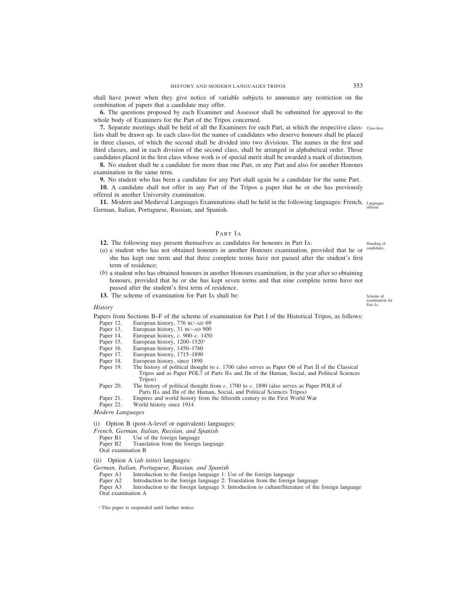shall have power when they give notice of variable subjects to announce any restriction on the combination of papers that a candidate may offer.

**6.** The questions proposed by each Examiner and Assessor shall be submitted for approval to the whole body of Examiners for the Part of the Tripos concerned.

**7.** Separate meetings shall be held of all the Examiners for each Part, at which the respective class- Class-lists. lists shall be drawn up. In each class-list the names of candidates who deserve honours shall be placed in three classes, of which the second shall be divided into two divisions. The names in the first and third classes, and in each division of the second class, shall be arranged in alphabetical order. Those candidates placed in the first class whose work is of special merit shall be awarded a mark of distinction.

**8.** No student shall be a candidate for more than one Part, or any Part and also for another Honours examination in the same term.

**9.** No student who has been a candidate for any Part shall again be a candidate for the same Part.

**10.** A candidate shall not offer in any Part of the Tripos a paper that he or she has previously offered in another University examination.

11. Modern and Medieval Languages Examinations shall be held in the following languages: French, Languages German, Italian, Portuguese, Russian, and Spanish. offered.

# PART IA

**12.** The following may present themselves as candidates for honours in Part IA:

- (*a*) a student who has not obtained honours in another Honours examination, provided that he or she has kept one term and that three complete terms have not passed after the student's first term of residence;
- (*b*) a student who has obtained honours in another Honours examination, in the year after so obtaining honours, provided that he or she has kept seven terms and that nine complete terms have not passed after the student's first term of residence.
- **13.** The scheme of examination for Part IA shall be:

## *History*

Papers from Sections B–F of the scheme of examination for Part I of the Historical Tripos, as follows:<br>Paper 12. European history, 776 BC–AD 69

- Paper 12. European history, 776 BC–AD 69<br>Paper 13. European history, 31 BC–AD 900
- European history, 31 BC–AD 900
- Paper 14. European history, *c*. 900–*c*. 1450
- Paper 15. European history, 1200–1520<sup>1</sup>
- Paper 16. European history, 1450–1760
- Paper 17. European history, 1715–1890
- Paper 18. European history, since 1890<br>Paper 19. The history of political though
- The history of political thought to *c*. 1700 (also serves as Paper O6 of Part II of the Classical Tripos and as Paper POL7 of Parts IIA and IIB of the Human, Social, and Political Sciences Tripos)
- Paper 20. The history of political thought from *c*. 1700 to *c*. 1890 (also serves as Paper POL8 of Parts IIA and IIB of the Human, Social, and Political Sciences Tripos)
- Paper 21. Empires and world history from the fifteenth century to the First World War
- Paper 22. World history since 1914
- *Modern Languages*
- (i) Option B (post-A-level or equivalent) languages:
- *French, German, Italian, Russian, and Spanish*
- Paper B1 Use of the foreign language<br>Paper B2 Translation from the foreign
- Translation from the foreign language
- Oral examination B
- (ii) Option A (*ab initio*) languages:
- *German, Italian, Portuguese, Russian, and Spanish*
	- Paper A1 Introduction to the foreign language 1: Use of the foreign language Paper A2 Introduction to the foreign language 2: Translation from the foreign
	- Introduction to the foreign language 2: Translation from the foreign language

Paper A3 Introduction to the foreign language 3: Introduction to culture/literature of the foreign language Oral examination A

<sup>1</sup> This paper is suspended until further notice.

Scheme of

examination for Part IA.

Standing of candidate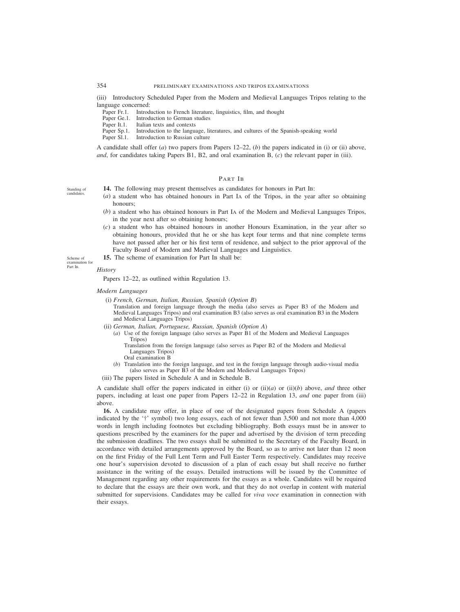(iii) Introductory Scheduled Paper from the Modern and Medieval Languages Tripos relating to the language concerned:

- Paper Fr.1. Introduction to French literature, linguistics, film, and thought Paper Ge.1. Introduction to German studies
- Paper Ge.1. Introduction to German studies<br>Paper It.1. Italian texts and contexts
- Italian texts and contexts
- Paper Sp.1. Introduction to the language, literatures, and cultures of the Spanish-speaking world Paper Sl.1. Introduction to Russian culture
- Introduction to Russian culture

A candidate shall offer (*a*) two papers from Papers 12–22, (*b*) the papers indicated in (i) or (ii) above, *and*, for candidates taking Papers B1, B2, and oral examination B, (*c*) the relevant paper in (iii).

# PART IB

- **14.** The following may present themselves as candidates for honours in Part IB:
- (*a*) a student who has obtained honours in Part IA of the Tripos, in the year after so obtaining honours;
- (*b*) a student who has obtained honours in Part IA of the Modern and Medieval Languages Tripos, in the year next after so obtaining honours;
- (*c*) a student who has obtained honours in another Honours Examination, in the year after so obtaining honours, provided that he or she has kept four terms and that nine complete terms have not passed after her or his first term of residence, and subject to the prior approval of the Faculty Board of Modern and Medieval Languages and Linguistics.
- **15.** The scheme of examination for Part IB shall be:

## *History*

Papers 12–22, as outlined within Regulation 13.

#### *Modern Languages*

- (i) *French, German, Italian, Russian, Spanish* (*Option B*) Translation and foreign language through the media (also serves as Paper B3 of the Modern and Medieval Languages Tripos) and oral examination B3 (also serves as oral examination B3 in the Modern and Medieval Languages Tripos)
- (ii) *German, Italian, Portuguese, Russian, Spanish* (*Option A*)
	- (*a*) Use of the foreign language (also serves as Paper B1 of the Modern and Medieval Languages Tripos)

Translation from the foreign language (also serves as Paper B2 of the Modern and Medieval Languages Tripos)

Oral examination B

- (*b*) Translation into the foreign language, and test in the foreign language through audio-visual media (also serves as Paper B3 of the Modern and Medieval Languages Tripos)
- (iii) The papers listed in Schedule A and in Schedule B.

A candidate shall offer the papers indicated in either (i) or (ii)(*a*) or (ii)(*b*) above, *and* three other papers, including at least one paper from Papers 12–22 in Regulation 13, *and* one paper from (iii) above.

**16.** A candidate may offer, in place of one of the designated papers from Schedule A (papers indicated by the '†' symbol) two long essays, each of not fewer than 3,500 and not more than 4,000 words in length including footnotes but excluding bibliography. Both essays must be in answer to questions prescribed by the examiners for the paper and advertised by the division of term preceding the submission deadlines. The two essays shall be submitted to the Secretary of the Faculty Board, in accordance with detailed arrangements approved by the Board, so as to arrive not later than 12 noon on the first Friday of the Full Lent Term and Full Easter Term respectively. Candidates may receive one hour's supervision devoted to discussion of a plan of each essay but shall receive no further assistance in the writing of the essays. Detailed instructions will be issued by the Committee of Management regarding any other requirements for the essays as a whole. Candidates will be required to declare that the essays are their own work, and that they do not overlap in content with material submitted for supervisions. Candidates may be called for *viva voce* examination in connection with their essays.

Standing of candidates.

Scheme of examination for Part IB.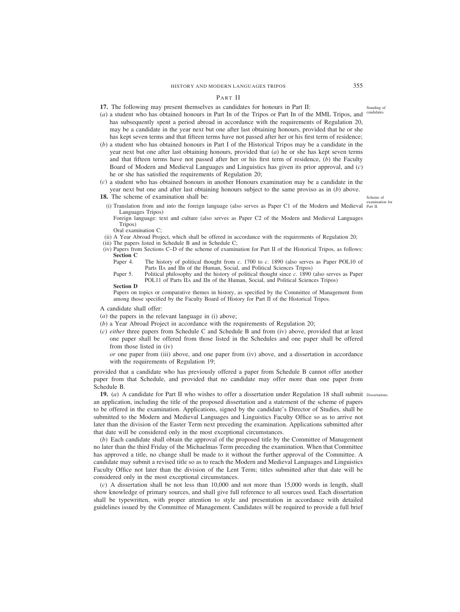# PART II

**17.** The following may present themselves as candidates for honours in Part II:

- (*a*) a student who has obtained honours in Part IB of the Tripos or Part IB of the MML Tripos, and has subsequently spent a period abroad in accordance with the requirements of Regulation 20, may be a candidate in the year next but one after last obtaining honours, provided that he or she has kept seven terms and that fifteen terms have not passed after her or his first term of residence;
- (*b*) a student who has obtained honours in Part I of the Historical Tripos may be a candidate in the year next but one after last obtaining honours, provided that (*a*) he or she has kept seven terms and that fifteen terms have not passed after her or his first term of residence, (*b*) the Faculty Board of Modern and Medieval Languages and Linguistics has given its prior approval, and (*c*) he or she has satisfied the requirements of Regulation 20;
- (*c*) a student who has obtained honours in another Honours examination may be a candidate in the year next but one and after last obtaining honours subject to the same proviso as in (*b*) above.

**18.** The scheme of examination shall be:

Scheme of examination for

- (i) Translation from and into the foreign language (also serves as Paper C1 of the Modern and Medieval Part II. Languages Tripos) Foreign language: text and culture (also serves as Paper C2 of the Modern and Medieval Languages
- Tripos)
- Oral examination C;
- (ii) A Year Abroad Project, which shall be offered in accordance with the requirements of Regulation 20;
- (iii) The papers listed in Schedule B and in Schedule C;
- (iv) Papers from Sections C–D of the scheme of examination for Part II of the Historical Tripos, as follows: **Section C**
	- Paper 4. The history of political thought from *c*. 1700 to *c*. 1890 (also serves as Paper POL10 of Parts IIA and IIB of the Human, Social, and Political Sciences Tripos)
	- Paper 5. Political philosophy and the history of political thought since *c*. 1890 (also serves as Paper POL11 of Parts IIA and IIB of the Human, Social, and Political Sciences Tripos)

## **Section D**

Papers on topics or comparative themes in history, as specified by the Committee of Management from among those specified by the Faculty Board of History for Part II of the Historical Tripos.

A candidate shall offer:

- (*a*) the papers in the relevant language in (i) above;
- (*b*) a Year Abroad Project in accordance with the requirements of Regulation 20;
- (*c*) *either* three papers from Schedule C and Schedule B and from (iv) above, provided that at least one paper shall be offered from those listed in the Schedules and one paper shall be offered from those listed in (iv)

*or* one paper from (iii) above, and one paper from (iv) above, and a dissertation in accordance with the requirements of Regulation 19;

provided that a candidate who has previously offered a paper from Schedule B cannot offer another paper from that Schedule, and provided that no candidate may offer more than one paper from Schedule B.

**19.** (*a*) A candidate for Part II who wishes to offer a dissertation under Regulation 18 shall submit Dissertations. an application, including the title of the proposed dissertation and a statement of the scheme of papers to be offered in the examination. Applications, signed by the candidate's Director of Studies, shall be submitted to the Modern and Medieval Languages and Linguistics Faculty Office so as to arrive not later than the division of the Easter Term next preceding the examination. Applications submitted after that date will be considered only in the most exceptional circumstances.

(*b*) Each candidate shall obtain the approval of the proposed title by the Committee of Management no later than the third Friday of the Michaelmas Term preceding the examination. When that Committee has approved a title, no change shall be made to it without the further approval of the Committee. A candidate may submit a revised title so as to reach the Modern and Medieval Languages and Linguistics Faculty Office not later than the division of the Lent Term; titles submitted after that date will be considered only in the most exceptional circumstances.

(*c*) A dissertation shall be not less than 10,000 and not more than 15,000 words in length, shall show knowledge of primary sources, and shall give full reference to all sources used. Each dissertation shall be typewritten, with proper attention to style and presentation in accordance with detailed guidelines issued by the Committee of Management. Candidates will be required to provide a full brief

Standing of candidat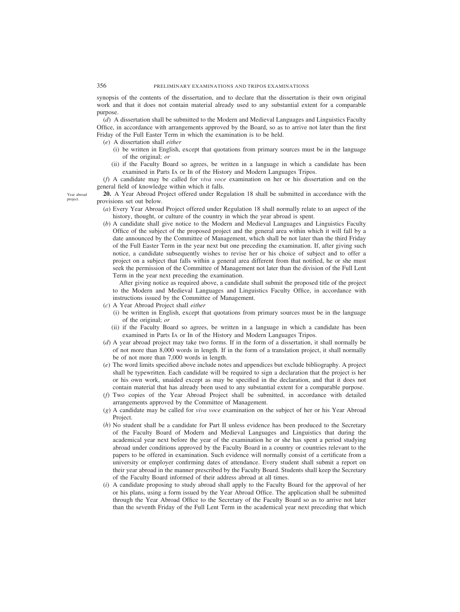synopsis of the contents of the dissertation, and to declare that the dissertation is their own original work and that it does not contain material already used to any substantial extent for a comparable purpose.

(*d*) A dissertation shall be submitted to the Modern and Medieval Languages and Linguistics Faculty Office, in accordance with arrangements approved by the Board, so as to arrive not later than the first Friday of the Full Easter Term in which the examination is to be held.

(*e*) A dissertation shall *either*

- (i) be written in English, except that quotations from primary sources must be in the language of the original; *or*
- (ii) if the Faculty Board so agrees, be written in a language in which a candidate has been examined in Parts IA or IB of the History and Modern Languages Tripos.

(*f*) A candidate may be called for *viva voce* examination on her or his dissertation and on the general field of knowledge within which it falls.

**20.** A Year Abroad Project offered under Regulation 18 shall be submitted in accordance with the provisions set out below.

- (*a*) Every Year Abroad Project offered under Regulation 18 shall normally relate to an aspect of the history, thought, or culture of the country in which the year abroad is spent.
- (*b*) A candidate shall give notice to the Modern and Medieval Languages and Linguistics Faculty Office of the subject of the proposed project and the general area within which it will fall by a date announced by the Committee of Management, which shall be not later than the third Friday of the Full Easter Term in the year next but one preceding the examination. If, after giving such notice, a candidate subsequently wishes to revise her or his choice of subject and to offer a project on a subject that falls within a general area different from that notified, he or she must seek the permission of the Committee of Management not later than the division of the Full Lent Term in the year next preceding the examination.

After giving notice as required above, a candidate shall submit the proposed title of the project to the Modern and Medieval Languages and Linguistics Faculty Office, in accordance with instructions issued by the Committee of Management.

- (*c*) A Year Abroad Project shall *either*
	- (i) be written in English, except that quotations from primary sources must be in the language of the original; *or*
	- (ii) if the Faculty Board so agrees, be written in a language in which a candidate has been examined in Parts IA or IB of the History and Modern Languages Tripos.
- (*d*) A year abroad project may take two forms. If in the form of a dissertation, it shall normally be of not more than 8,000 words in length. If in the form of a translation project, it shall normally be of not more than 7,000 words in length.
- (*e*) The word limits specified above include notes and appendices but exclude bibliography. A project shall be typewritten. Each candidate will be required to sign a declaration that the project is her or his own work, unaided except as may be specified in the declaration, and that it does not contain material that has already been used to any substantial extent for a comparable purpose.
- (*f*) Two copies of the Year Abroad Project shall be submitted, in accordance with detailed arrangements approved by the Committee of Management.
- (*g*) A candidate may be called for *viva voce* examination on the subject of her or his Year Abroad Project.
- (*h*) No student shall be a candidate for Part II unless evidence has been produced to the Secretary of the Faculty Board of Modern and Medieval Languages and Linguistics that during the academical year next before the year of the examination he or she has spent a period studying abroad under conditions approved by the Faculty Board in a country or countries relevant to the papers to be offered in examination. Such evidence will normally consist of a certificate from a university or employer confirming dates of attendance. Every student shall submit a report on their year abroad in the manner prescribed by the Faculty Board. Students shall keep the Secretary of the Faculty Board informed of their address abroad at all times.
- (*i*) A candidate proposing to study abroad shall apply to the Faculty Board for the approval of her or his plans, using a form issued by the Year Abroad Office. The application shall be submitted through the Year Abroad Office to the Secretary of the Faculty Board so as to arrive not later than the seventh Friday of the Full Lent Term in the academical year next preceding that which

Year abroad project.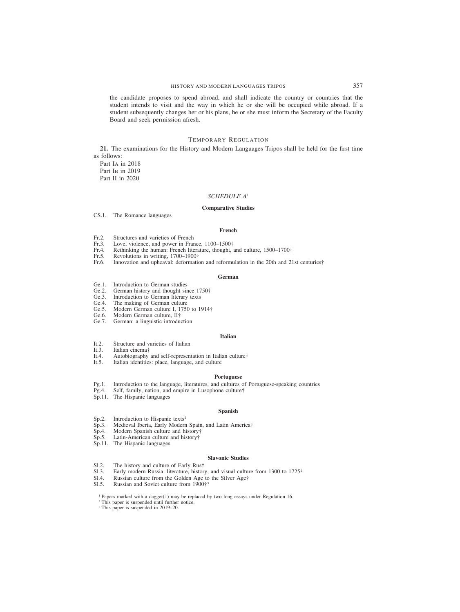the candidate proposes to spend abroad, and shall indicate the country or countries that the student intends to visit and the way in which he or she will be occupied while abroad. If a student subsequently changes her or his plans, he or she must inform the Secretary of the Faculty Board and seek permission afresh.

# TEMPORARY REGULATION

**21.** The examinations for the History and Modern Languages Tripos shall be held for the first time as follows:

Part IA in 2018 Part I<sub>B</sub> in 2019 Part II in 2020

## *SCHEDULE A*<sup>1</sup>

## **Comparative Studies**

CS.1. The Romance languages

#### **French**

- Fr.2. Structures and varieties of French<br>Fr.3. Love violence, and nower in Frau
- Fr.3. Love, violence, and power in France, 1100–1500†<br>Fr.4. Rethinking the human: French literature, thought.
- Fr.4. Rethinking the human: French literature, thought, and culture, 1500–1700†<br>Fr.5 Revolutions in writing 1700–1900†
- Fr.5. Revolutions in writing, 1700–1900†<br>Fr.6. Innovation and upheaval: deformation
- Innovation and upheaval: deformation and reformulation in the 20th and 21st centuries†

#### **German**

- Ge.1. Introduction to German studies<br>Ge.2. German history and thought sin
- Ge.2. German history and thought since  $1750^{\circ}$ <br>Ge.3. Introduction to German literary texts
- Introduction to German literary texts
- Ge.4. The making of German culture<br>Ge.5. Modern German culture I, 1750
- Ge.5. Modern German culture I, 1750 to 1914†<br>Ge.6. Modern German culture II†
- Modern German culture, II<sup>+</sup>
- Ge.7. German: a linguistic introduction

## **Italian**

- It.2. Structure and varieties of Italian It.3. Italian cinema<sup>†</sup>
- Italian cinema<sup>†</sup>
- It.4. Autobiography and self-representation in Italian culture†<br>It.5. Italian identities: place, language, and culture
- Italian identities: place, language, and culture

## **Portuguese**

- Pg.1. Introduction to the language, literatures, and cultures of Portuguese-speaking countries
- Pg.4. Self, family, nation, and empire in Lusophone culture†
- Sp.11. The Hispanic languages

#### **Spanish**

- 
- Sp.2. Introduction to Hispanic texts<sup>2</sup><br>Sp.3. Medieval Iberia, Early Modern Sp.3. Medieval Iberia, Early Modern Spain, and Latin America† Sp.4. Modern Spanish culture and history†
- Modern Spanish culture and history†
- Sp.5. Latin-American culture and history†
- Sp.11. The Hispanic languages

## **Slavonic Studies**

- Sl.2. The history and culture of Early Rus†<br>Sl.3. Early modern Russia: literature, histor
- Early modern Russia: literature, history, and visual culture from 1300 to  $1725<sup>2</sup>$
- Sl.4. Russian culture from the Golden Age to the Silver Age† Sl.5. Russian and Soviet culture from  $1900<sup>†3</sup>$
- Russian and Soviet culture from  $1900$ <sup>+3</sup>

<sup>1</sup> Papers marked with a dagger(†) may be replaced by two long essays under Regulation 16.

- <sup>2</sup> This paper is suspended until further notice.
- <sup>3</sup> This paper is suspended in 2019–20.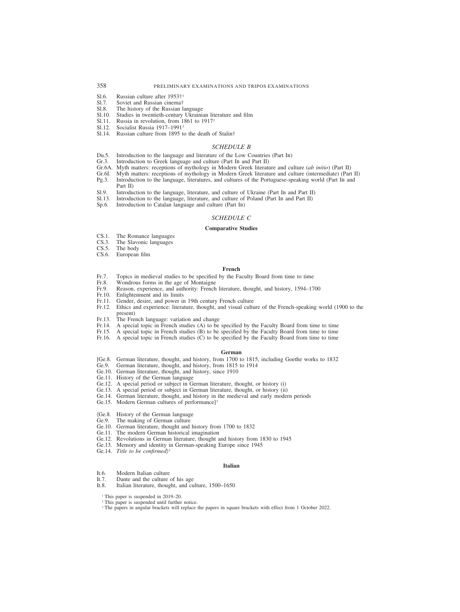# 358 PRELIMINARY EXAMINATIONS AND TRIPOS EXAMINATIONS

- Sl.6. Russian culture after 1953†<sup>1</sup><br>Sl.7. Soviet and Russian cinema†
- Sl.7. Soviet and Russian cinema†<br>Sl.8. The history of the Russian la
- Sl.8. The history of the Russian language Sl.10. Studies in twentieth-century Ukrainis
- Sl.10. Studies in twentieth-century Ukrainian literature and film Sl.11. Russia in revolution, from 1861 to 1917<sup>2</sup>
- Sl.11. Russia in revolution, from 1861 to 1917<sup>2</sup><br>Sl.12. Socialist Russia  $1917-1991^2$
- Socialist Russia 1917–1991<sup>2</sup>
- Sl.14. Russian culture from 1895 to the death of Stalin†

## *SCHEDULE B*

- Du.5. Introduction to the language and literature of the Low Countries (Part IB)<br>Gr. 3. Introduction to Greek language and culture (Part IB and Part II)
- Introduction to Greek language and culture (Part IB and Part II)
- Gr.6A. Myth matters: receptions of mythology in Modern Greek literature and culture (*ab initio*) (Part II)
- Gr.6I. Myth matters: receptions of mythology in Modern Greek literature and culture (intermediate) (Part II) Pg.3. Introduction to the language, literatures, and cultures of the Portuguese-speaking world (Part IB and
- Pg.3. Introduction to the language, literatures, and cultures of the Portuguese-speaking world (Part IB and Part II)
- Sl.9. Introduction to the language, literature, and culture of Ukraine (Part IB and Part II)
- Sl.13. Introduction to the language, literature, and culture of Poland (Part IB and Part II) Sp.6. Introduction to Catalan language and culture (Part IB)
- Introduction to Catalan language and culture (Part IB)

#### *SCHEDULE C*

#### **Comparative Studies**

- CS.1. The Romance languages<br>CS.3. The Slavonic languages
- CS.3. The Slavonic languages<br>CS.5. The body
- The body
- CS.6. European film

#### **French**

- Fr.7. Topics in medieval studies to be specified by the Faculty Board from time to time Fr.8. Wondrous forms in the age of Montaigne
- Fr.8. Wondrous forms in the age of Montaigne<br>Fr.9. Reason, experience, and authority: French
- Reason, experience, and authority: French literature, thought, and history, 1594–1700
- Fr.10. Enlightenment and its limits
- Fr.11. Gender, desire, and power in 19th century French culture
- Fr.12. Ethics and experience: literature, thought, and visual culture of the French-speaking world (1900 to the present)
- Fr.13. The French language: variation and change
- Fr.14. A special topic in French studies (A) to be specified by the Faculty Board from time to time
- Fr.15. A special topic in French studies (B) to be specified by the Faculty Board from time to time
- Fr.16. A special topic in French studies (C) to be specified by the Faculty Board from time to time

#### **German**

- [Ge.8. German literature, thought, and history, from 1700 to 1815, including Goethe works to 1832<br>Ge.9. German literature, thought, and history, from 1815 to 1914
- German literature, thought, and history, from 1815 to 1914
- Ge.10. German literature, thought, and history, since 1910
- Ge.11. History of the German language
- Ge.12. A special period or subject in German literature, thought, or history (i)
- Ge.13. A special period or subject in German literature, thought, or history (ii)
- Ge.14. German literature, thought, and history in the medieval and early modern periods
- Ge.15. Modern German cultures of performance]<sup>3</sup>
- (Ge.8. History of the German language
- The making of German culture
- Ge.10. German literature, thought and history from 1700 to 1832
- Ge.11. The modern German historical imagination
- Ge.12. Revolutions in German literature, thought and history from 1830 to 1945
- Ge.13. Memory and identity in German-speaking Europe since 1945<br>Ge.14. *Title to be confirmed*<sup>3</sup>
- 

#### **Italian**

- It.6. Modern Italian culture
- 
- It.7. Dante and the culture of his age It.8. Italian literature, thought, and cu Italian literature, thought, and culture, 1500–1650

<sup>1</sup> This paper is suspended in 2019–20.

- <sup>2</sup> This paper is suspended until further notice.
- <sup>3</sup> The papers in angular brackets will replace the papers in square brackets with effect from 1 October 2022.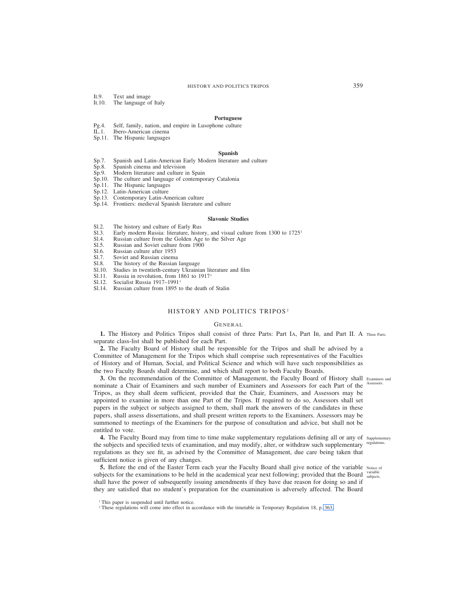- It.9. Text and image<br>It 10. The language of
- The language of Italy

## **Portuguese**

- Pg.4. Self, family, nation, and empire in Lusophone culture
- Ibero-American cinema
- Sp.11. The Hispanic languages

## **Spanish**

- Sp.7. Spanish and Latin-American Early Modern literature and culture Sp.8. Spanish cinema and television
- Sp.8. Spanish cinema and television<br>Sp.9. Modern literature and culture i
- Modern literature and culture in Spain
- Sp.10. The culture and language of contemporary Catalonia
- Sp.11. The Hispanic languages
- Sp.12. Latin-American culture
- Sp.13. Contemporary Latin-American culture
- Sp.14. Frontiers: medieval Spanish literature and culture

## **Slavonic Studies**

- Sl.2. The history and culture of Early Rus<br>Sl.3. Early modern Russia: literature, histo
- Sl.3. Early modern Russia: literature, history, and visual culture from 1300 to  $1725<sup>T</sup>$ <br>Sl.4. Russian culture from the Golden Age to the Silver Age
- Sl.4. Russian culture from the Golden Age to the Silver Age Sl.5. Russian and Soviet culture from 1900
- Russian and Soviet culture from 1900
- Sl.6. Russian culture after 1953<br>Sl.7. Soviet and Russian cinema
- Sl.7. Soviet and Russian cinema<br>Sl.8. The history of the Russian
- Sl.8. The history of the Russian language<br>Sl.10. Studies in twentieth-century Ukrainis
- Studies in twentieth-century Ukrainian literature and film
- Sl.11. Russia in revolution, from 1861 to 1917<sup>1</sup><br>Sl.12. Socialist Russia  $1917-1991$ <sup>1</sup><br>Sl.14. Russian culture from 1895 to the death of
- Socialist Russia 1917–1991<sup>1</sup>
- Russian culture from 1895 to the death of Stalin

# HISTORY AND POLITICS TRIPOS<sup>2</sup>

#### GENERAL

1. The History and Politics Tripos shall consist of three Parts: Part IA, Part IB, and Part II. A Three Parts. separate class-list shall be published for each Part.

**2.** The Faculty Board of History shall be responsible for the Tripos and shall be advised by a Committee of Management for the Tripos which shall comprise such representatives of the Faculties of History and of Human, Social, and Political Science and which will have such responsibilities as the two Faculty Boards shall determine, and which shall report to both Faculty Boards.

**3.** On the recommendation of the Committee of Management, the Faculty Board of History shall Examiners and nominate a Chair of Examiners and such number of Examiners and Assessors for each Part of the Assessors. Tripos, as they shall deem sufficient, provided that the Chair, Examiners, and Assessors may be appointed to examine in more than one Part of the Tripos. If required to do so, Assessors shall set papers in the subject or subjects assigned to them, shall mark the answers of the candidates in these papers, shall assess dissertations, and shall present written reports to the Examiners. Assessors may be summoned to meetings of the Examiners for the purpose of consultation and advice, but shall not be entitled to vote.

4. The Faculty Board may from time to time make supplementary regulations defining all or any of supplementary the subjects and specified texts of examination, and may modify, alter, or withdraw such supplementary regulations. regulations as they see fit, as advised by the Committee of Management, due care being taken that sufficient notice is given of any changes.

**5.** Before the end of the Easter Term each year the Faculty Board shall give notice of the variable Notice of subjects for the examinations to be held in the academical year next following; provided that the Board  $\frac{\text{variable}}{\text{subjects}}$ shall have the power of subsequently issuing amendments if they have due reason for doing so and if they are satisfied that no student's preparation for the examination is adversely affected. The Board

<sup>2</sup> These regulations will come into effect in accordance with the timetable in Temporary Regulation 18, p. 363.

<sup>&</sup>lt;sup>1</sup> This paper is suspended until further notice.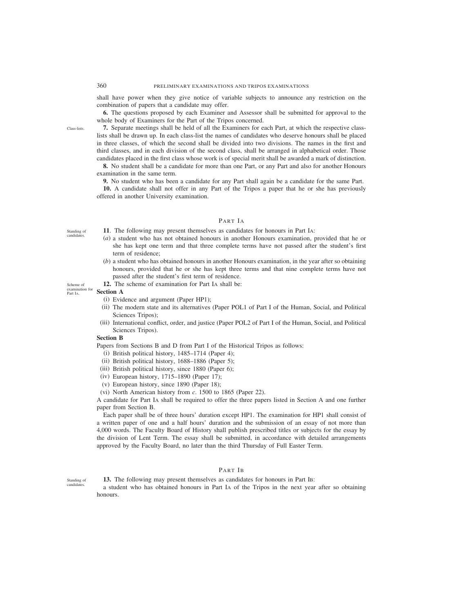shall have power when they give notice of variable subjects to announce any restriction on the combination of papers that a candidate may offer.

**6.** The questions proposed by each Examiner and Assessor shall be submitted for approval to the whole body of Examiners for the Part of the Tripos concerned.

**7.** Separate meetings shall be held of all the Examiners for each Part, at which the respective classlists shall be drawn up. In each class-list the names of candidates who deserve honours shall be placed in three classes, of which the second shall be divided into two divisions. The names in the first and third classes, and in each division of the second class, shall be arranged in alphabetical order. Those candidates placed in the first class whose work is of special merit shall be awarded a mark of distinction.

**8.** No student shall be a candidate for more than one Part, or any Part and also for another Honours examination in the same term.

**9.** No student who has been a candidate for any Part shall again be a candidate for the same Part.

**10.** A candidate shall not offer in any Part of the Tripos a paper that he or she has previously offered in another University examination.

# PART IA

- **11**. The following may present themselves as candidates for honours in Part IA:
- (*a*) a student who has not obtained honours in another Honours examination, provided that he or she has kept one term and that three complete terms have not passed after the student's first term of residence;
- (*b*) a student who has obtained honours in another Honours examination, in the year after so obtaining honours, provided that he or she has kept three terms and that nine complete terms have not passed after the student's first term of residence.
- **12.** The scheme of examination for Part IA shall be:

## **Section A**

- (i) Evidence and argument (Paper HP1);
- (ii) The modern state and its alternatives (Paper POL1 of Part I of the Human, Social, and Political Sciences Tripos);
- (iii) International conflict, order, and justice (Paper POL2 of Part I of the Human, Social, and Political Sciences Tripos).

# **Section B**

Papers from Sections B and D from Part I of the Historical Tripos as follows:

- (i) British political history, 1485–1714 (Paper 4);
- (ii) British political history, 1688–1886 (Paper 5);
- (iii) British political history, since 1880 (Paper 6);
- (iv) European history, 1715–1890 (Paper 17);
- (v) European history, since 1890 (Paper 18);
- (vi) North American history from *c*. 1500 to 1865 (Paper 22).

A candidate for Part IA shall be required to offer the three papers listed in Section A and one further paper from Section B.

Each paper shall be of three hours' duration except HP1. The examination for HP1 shall consist of a written paper of one and a half hours' duration and the submission of an essay of not more than 4,000 words. The Faculty Board of History shall publish prescribed titles or subjects for the essay by the division of Lent Term. The essay shall be submitted, in accordance with detailed arrangements approved by the Faculty Board, no later than the third Thursday of Full Easter Term.

# PART IB

**13.** The following may present themselves as candidates for honours in Part IB:

a student who has obtained honours in Part IA of the Tripos in the next year after so obtaining honours.

Standing of candidates.

Scheme of examination for Part IA.

Standing of candidates.

Class-lists.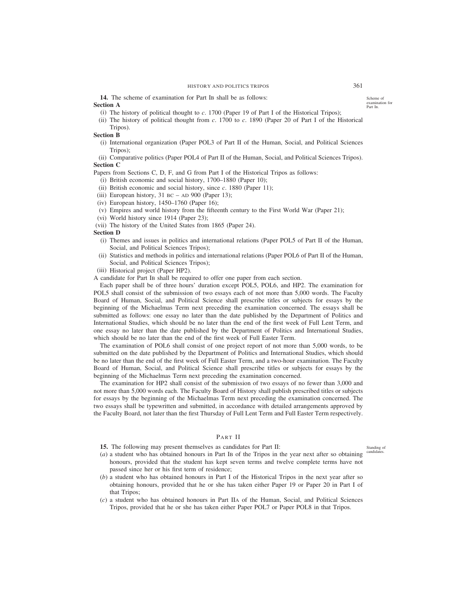**14.** The scheme of examination for Part IB shall be as follows:

## **Section A**

(i) The history of political thought to *c*. 1700 (Paper 19 of Part I of the Historical Tripos);

(ii) The history of political thought from *c*. 1700 to *c*. 1890 (Paper 20 of Part I of the Historical Tripos).

## **Section B**

- (i) International organization (Paper POL3 of Part II of the Human, Social, and Political Sciences Tripos);
- (ii) Comparative politics (Paper POL4 of Part II of the Human, Social, and Political Sciences Tripos). **Section C**

Papers from Sections C, D, F, and G from Part I of the Historical Tripos as follows:

- (i) British economic and social history, 1700–1880 (Paper 10);
- (ii) British economic and social history, since *c*. 1880 (Paper 11);
- (iii) European history,  $31$  BC AD 900 (Paper 13);
- (iv) European history,  $1450-1760$  (Paper 16);
- (v) Empires and world history from the fifteenth century to the First World War (Paper 21);
- (vi) World history since 1914 (Paper 23);
- (vii) The history of the United States from 1865 (Paper 24).

## **Section D**

- (i) Themes and issues in politics and international relations (Paper POL5 of Part II of the Human, Social, and Political Sciences Tripos);
- (ii) Statistics and methods in politics and international relations (Paper POL6 of Part II of the Human, Social, and Political Sciences Tripos);
- (iii) Historical project (Paper HP2).

A candidate for Part IB shall be required to offer one paper from each section.

Each paper shall be of three hours' duration except POL5, POL6, and HP2. The examination for POL5 shall consist of the submission of two essays each of not more than 5,000 words. The Faculty Board of Human, Social, and Political Science shall prescribe titles or subjects for essays by the beginning of the Michaelmas Term next preceding the examination concerned. The essays shall be submitted as follows: one essay no later than the date published by the Department of Politics and International Studies, which should be no later than the end of the first week of Full Lent Term, and one essay no later than the date published by the Department of Politics and International Studies, which should be no later than the end of the first week of Full Easter Term.

The examination of POL6 shall consist of one project report of not more than 5,000 words, to be submitted on the date published by the Department of Politics and International Studies, which should be no later than the end of the first week of Full Easter Term, and a two-hour examination. The Faculty Board of Human, Social, and Political Science shall prescribe titles or subjects for essays by the beginning of the Michaelmas Term next preceding the examination concerned.

The examination for HP2 shall consist of the submission of two essays of no fewer than 3,000 and not more than 5,000 words each. The Faculty Board of History shall publish prescribed titles or subjects for essays by the beginning of the Michaelmas Term next preceding the examination concerned. The two essays shall be typewritten and submitted, in accordance with detailed arrangements approved by the Faculty Board, not later than the first Thursday of Full Lent Term and Full Easter Term respectively.

# PART II

- **15.** The following may present themselves as candidates for Part II:
- (*a*) a student who has obtained honours in Part IB of the Tripos in the year next after so obtaining honours, provided that the student has kept seven terms and twelve complete terms have not passed since her or his first term of residence;
- (*b*) a student who has obtained honours in Part I of the Historical Tripos in the next year after so obtaining honours, provided that he or she has taken either Paper 19 or Paper 20 in Part I of that Tripos;
- (*c*) a student who has obtained honours in Part IIA of the Human, Social, and Political Sciences Tripos, provided that he or she has taken either Paper POL7 or Paper POL8 in that Tripos.

Scheme of examination for Part IB.

Standing of candidat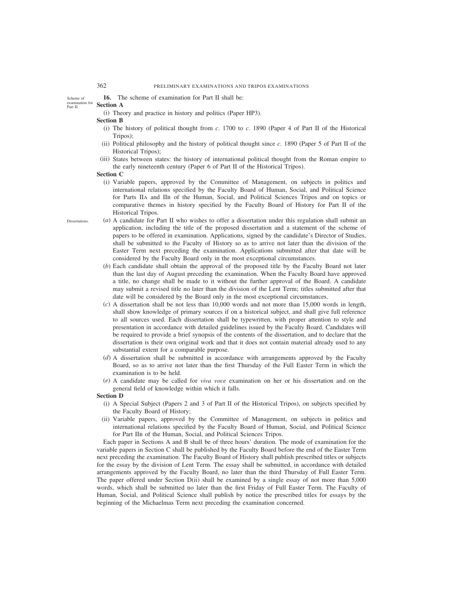**16.** The scheme of examination for Part II shall be:

Scheme of examination for Part II.

Dissertations.

(i) Theory and practice in history and politics (Paper HP3).

# **Section B**

**Section A**

- (i) The history of political thought from *c*. 1700 to *c*. 1890 (Paper 4 of Part II of the Historical Tripos);
- (ii) Political philosophy and the history of political thought since *c*. 1890 (Paper 5 of Part II of the Historical Tripos);
- (iii) States between states: the history of international political thought from the Roman empire to the early nineteenth century (Paper 6 of Part II of the Historical Tripos).

## **Section C**

- (i) Variable papers, approved by the Committee of Management, on subjects in politics and international relations specified by the Faculty Board of Human, Social, and Political Science for Parts IIA and IIB of the Human, Social, and Political Sciences Tripos and on topics or comparative themes in history specified by the Faculty Board of History for Part II of the Historical Tripos.
- (*a*) A candidate for Part II who wishes to offer a dissertation under this regulation shall submit an application, including the title of the proposed dissertation and a statement of the scheme of papers to be offered in examination. Applications, signed by the candidate's Director of Studies, shall be submitted to the Faculty of History so as to arrive not later than the division of the Easter Term next preceding the examination. Applications submitted after that date will be considered by the Faculty Board only in the most exceptional circumstances.
	- (*b*) Each candidate shall obtain the approval of the proposed title by the Faculty Board not later than the last day of August preceding the examination. When the Faculty Board have approved a title, no change shall be made to it without the further approval of the Board. A candidate may submit a revised title no later than the division of the Lent Term; titles submitted after that date will be considered by the Board only in the most exceptional circumstances.
	- (*c*) A dissertation shall be not less than 10,000 words and not more than 15,000 words in length, shall show knowledge of primary sources if on a historical subject, and shall give full reference to all sources used. Each dissertation shall be typewritten, with proper attention to style and presentation in accordance with detailed guidelines issued by the Faculty Board. Candidates will be required to provide a brief synopsis of the contents of the dissertation, and to declare that the dissertation is their own original work and that it does not contain material already used to any substantial extent for a comparable purpose.
	- (*d*) A dissertation shall be submitted in accordance with arrangements approved by the Faculty Board, so as to arrive not later than the first Thursday of the Full Easter Term in which the examination is to be held.
	- (*e*) A candidate may be called for *viva voce* examination on her or his dissertation and on the general field of knowledge within which it falls.

## **Section D**

- (i) A Special Subject (Papers 2 and 3 of Part II of the Historical Tripos), on subjects specified by the Faculty Board of History;
- (ii) Variable papers, approved by the Committee of Management, on subjects in politics and international relations specified by the Faculty Board of Human, Social, and Political Science for Part IIB of the Human, Social, and Political Sciences Tripos.

Each paper in Sections A and B shall be of three hours' duration. The mode of examination for the variable papers in Section C shall be published by the Faculty Board before the end of the Easter Term next preceding the examination. The Faculty Board of History shall publish prescribed titles or subjects for the essay by the division of Lent Term. The essay shall be submitted, in accordance with detailed arrangements approved by the Faculty Board, no later than the third Thursday of Full Easter Term. The paper offered under Section D(ii) shall be examined by a single essay of not more than 5,000 words, which shall be submitted no later than the first Friday of Full Easter Term. The Faculty of Human, Social, and Political Science shall publish by notice the prescribed titles for essays by the beginning of the Michaelmas Term next preceding the examination concerned.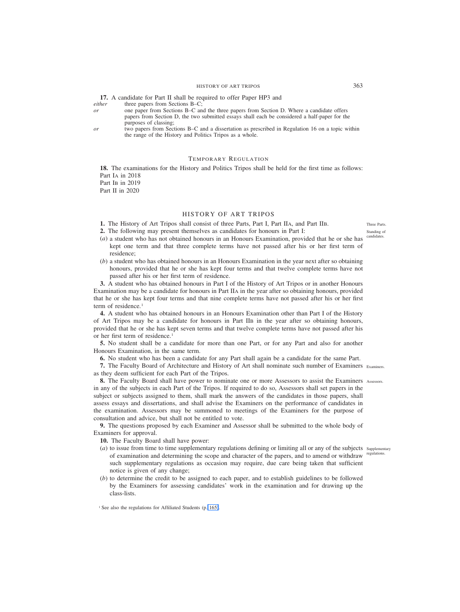**17.** A candidate for Part II shall be required to offer Paper HP3 and *either* three papers from Sections B–C;

*either* three papers from Sections B–C;<br>
or one paper from Sections B–C and

- *or* one paper from Sections B–C and the three papers from Section D. Where a candidate offers papers from Section D, the two submitted essays shall each be considered a half-paper for the purposes of classing;
- *or* two papers from Sections B–C and a dissertation as prescribed in Regulation 16 on a topic within the range of the History and Politics Tripos as a whole.

# TEMPORARY REGULATION

**18.** The examinations for the History and Politics Tripos shall be held for the first time as follows: Part IA in 2018 Part IB in 2019 Part II in 2020

# HISTORY OF ART TRIPOS

- **1.** The History of Art Tripos shall consist of three Parts, Part I, Part IIA, and Part IIB.
- **2.** The following may present themselves as candidates for honours in Part I:
- (*a*) a student who has not obtained honours in an Honours Examination, provided that he or she has kept one term and that three complete terms have not passed after his or her first term of residence;
- (*b*) a student who has obtained honours in an Honours Examination in the year next after so obtaining honours, provided that he or she has kept four terms and that twelve complete terms have not passed after his or her first term of residence.

**3.** A student who has obtained honours in Part I of the History of Art Tripos or in another Honours Examination may be a candidate for honours in Part IIA in the year after so obtaining honours, provided that he or she has kept four terms and that nine complete terms have not passed after his or her first term of residence.<sup>1</sup>

**4.** A student who has obtained honours in an Honours Examination other than Part I of the History of Art Tripos may be a candidate for honours in Part IIB in the year after so obtaining honours, provided that he or she has kept seven terms and that twelve complete terms have not passed after his or her first term of residence.1

**5.** No student shall be a candidate for more than one Part, or for any Part and also for another Honours Examination, in the same term.

**6.** No student who has been a candidate for any Part shall again be a candidate for the same Part.

**7.** The Faculty Board of Architecture and History of Art shall nominate such number of Examiners Examiners. as they deem sufficient for each Part of the Tripos.

**8.** The Faculty Board shall have power to nominate one or more Assessors to assist the Examiners Assessors. in any of the subjects in each Part of the Tripos. If required to do so, Assessors shall set papers in the subject or subjects assigned to them, shall mark the answers of the candidates in those papers, shall assess essays and dissertations, and shall advise the Examiners on the performance of candidates in the examination. Assessors may be summoned to meetings of the Examiners for the purpose of consultation and advice, but shall not be entitled to vote.

**9.** The questions proposed by each Examiner and Assessor shall be submitted to the whole body of Examiners for approval.

**10.** The Faculty Board shall have power:

- (*a*) to issue from time to time supplementary regulations defining or limiting all or any of the subjects supplementary of examination and determining the scope and character of the papers, and to amend or withdraw regulations. such supplementary regulations as occasion may require, due care being taken that sufficient notice is given of any change;
- (*b*) to determine the credit to be assigned to each paper, and to establish guidelines to be followed by the Examiners for assessing candidates' work in the examination and for drawing up the class-lists.

Three Parts. Standing of candidates.

<sup>&</sup>lt;sup>1</sup> See also the regulations for Affiliated Students (p. 165).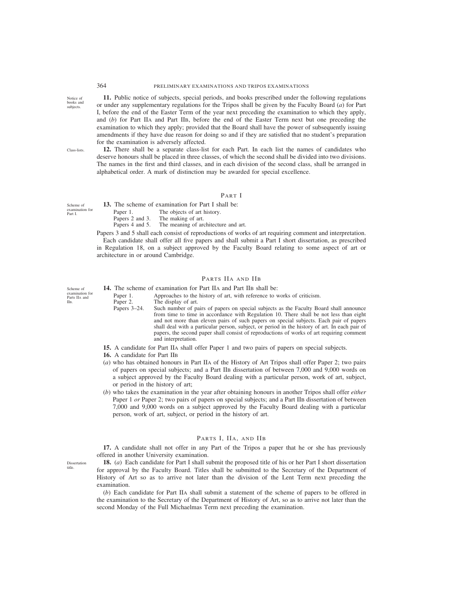364 PRELIMINARY EXAMINATIONS AND TRIPOS EXAMINATIONS

**11.** Public notice of subjects, special periods, and books prescribed under the following regulations or under any supplementary regulations for the Tripos shall be given by the Faculty Board (*a*) for Part I, before the end of the Easter Term of the year next preceding the examination to which they apply, and (*b*) for Part IIA and Part IIB, before the end of the Easter Term next but one preceding the examination to which they apply; provided that the Board shall have the power of subsequently issuing amendments if they have due reason for doing so and if they are satisfied that no student's preparation for the examination is adversely affected.

Class-lists.

Scheme of

Scheme of examination for Parts IIA and IIB.

Part I.

Notice of books and subjects.

> **12.** There shall be a separate class-list for each Part. In each list the names of candidates who deserve honours shall be placed in three classes, of which the second shall be divided into two divisions. The names in the first and third classes, and in each division of the second class, shall be arranged in alphabetical order. A mark of distinction may be awarded for special excellence.

## PART I

**13.** The scheme of examination for Part I shall be: Paper 1. The objects of art history. Papers 2 and 3. The making of art.<br>Papers 4 and 5. The meaning of art. The meaning of architecture and art. examination for

Papers 3 and 5 shall each consist of reproductions of works of art requiring comment and interpretation. Each candidate shall offer all five papers and shall submit a Part I short dissertation, as prescribed in Regulation 18, on a subject approved by the Faculty Board relating to some aspect of art or architecture in or around Cambridge.

## PARTS IIA AND IIB

14. The scheme of examination for Part IIA and Part IIB shall be:

Paper 1. Approaches to the history of art, with reference to works of criticism.<br>Paper 2. The display of art.

- 
- Paper 2. The display of art.<br>Papers 3–24. Such number of p Such number of pairs of papers on special subjects as the Faculty Board shall announce from time to time in accordance with Regulation 10. There shall be not less than eight and not more than eleven pairs of such papers on special subjects. Each pair of papers shall deal with a particular person, subject, or period in the history of art. In each pair of papers, the second paper shall consist of reproductions of works of art requiring comment and interpretation.
- **15.** A candidate for Part IIA shall offer Paper 1 and two pairs of papers on special subjects.
- **16.** A candidate for Part IIB
- (*a*) who has obtained honours in Part IIA of the History of Art Tripos shall offer Paper 2; two pairs of papers on special subjects; and a Part IIB dissertation of between 7,000 and 9,000 words on a subject approved by the Faculty Board dealing with a particular person, work of art, subject, or period in the history of art;
- (*b*) who takes the examination in the year after obtaining honours in another Tripos shall offer *either* Paper 1 *or* Paper 2; two pairs of papers on special subjects; and a Part IIB dissertation of between 7,000 and 9,000 words on a subject approved by the Faculty Board dealing with a particular person, work of art, subject, or period in the history of art.

# PARTS I, IIA, AND IIB

**17.** A candidate shall not offer in any Part of the Tripos a paper that he or she has previously offered in another University examination.

**18.** (*a*) Each candidate for Part I shall submit the proposed title of his or her Part I short dissertation for approval by the Faculty Board. Titles shall be submitted to the Secretary of the Department of History of Art so as to arrive not later than the division of the Lent Term next preceding the examination.

(*b*) Each candidate for Part IIA shall submit a statement of the scheme of papers to be offered in the examination to the Secretary of the Department of History of Art, so as to arrive not later than the second Monday of the Full Michaelmas Term next preceding the examination.

Dissertation title.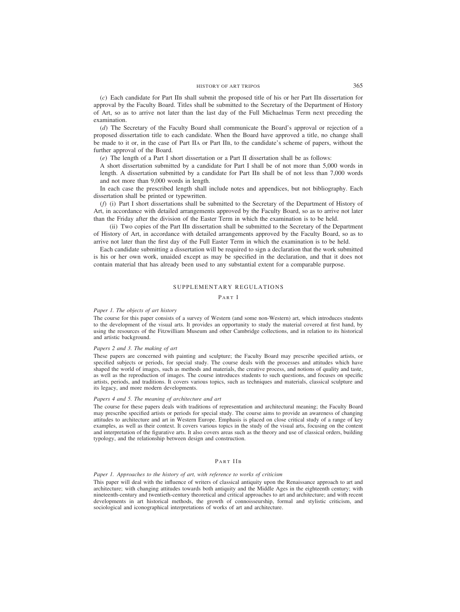(*c*) Each candidate for Part IIB shall submit the proposed title of his or her Part IIB dissertation for approval by the Faculty Board. Titles shall be submitted to the Secretary of the Department of History of Art, so as to arrive not later than the last day of the Full Michaelmas Term next preceding the examination.

(*d*) The Secretary of the Faculty Board shall communicate the Board's approval or rejection of a proposed dissertation title to each candidate. When the Board have approved a title, no change shall be made to it or, in the case of Part IIA or Part IIB, to the candidate's scheme of papers, without the further approval of the Board.

(*e*) The length of a Part I short dissertation or a Part II dissertation shall be as follows:

A short dissertation submitted by a candidate for Part I shall be of not more than 5,000 words in length. A dissertation submitted by a candidate for Part IIB shall be of not less than 7,000 words and not more than 9,000 words in length.

In each case the prescribed length shall include notes and appendices, but not bibliography. Each dissertation shall be printed or typewritten.

(*f*) (i) Part I short dissertations shall be submitted to the Secretary of the Department of History of Art, in accordance with detailed arrangements approved by the Faculty Board, so as to arrive not later than the Friday after the division of the Easter Term in which the examination is to be held.

(ii) Two copies of the Part IIB dissertation shall be submitted to the Secretary of the Department of History of Art, in accordance with detailed arrangements approved by the Faculty Board, so as to arrive not later than the first day of the Full Easter Term in which the examination is to be held.

Each candidate submitting a dissertation will be required to sign a declaration that the work submitted is his or her own work, unaided except as may be specified in the declaration, and that it does not contain material that has already been used to any substantial extent for a comparable purpose.

# SUPPLEMENTARY REGULATIONS

PART I

#### *Paper 1. The objects of art history*

The course for this paper consists of a survey of Western (and some non-Western) art, which introduces students to the development of the visual arts. It provides an opportunity to study the material covered at first hand, by using the resources of the Fitzwilliam Museum and other Cambridge collections, and in relation to its historical and artistic background.

#### *Papers 2 and 3. The making of art*

These papers are concerned with painting and sculpture; the Faculty Board may prescribe specified artists, or specified subjects or periods, for special study. The course deals with the processes and attitudes which have shaped the world of images, such as methods and materials, the creative process, and notions of quality and taste, as well as the reproduction of images. The course introduces students to such questions, and focuses on specific artists, periods, and traditions. It covers various topics, such as techniques and materials, classical sculpture and its legacy, and more modern developments.

## *Papers 4 and 5. The meaning of architecture and art*

The course for these papers deals with traditions of representation and architectural meaning; the Faculty Board may prescribe specified artists or periods for special study. The course aims to provide an awareness of changing attitudes to architecture and art in Western Europe. Emphasis is placed on close critical study of a range of key examples, as well as their context. It covers various topics in the study of the visual arts, focusing on the content and interpretation of the figurative arts. It also covers areas such as the theory and use of classical orders, building typology, and the relationship between design and construction.

# PART IIB

## *Paper 1. Approaches to the history of art, with reference to works of criticism*

This paper will deal with the influence of writers of classical antiquity upon the Renaissance approach to art and architecture; with changing attitudes towards both antiquity and the Middle Ages in the eighteenth century; with nineteenth-century and twentieth-century theoretical and critical approaches to art and architecture; and with recent developments in art historical methods, the growth of connoisseurship, formal and stylistic criticism, and sociological and iconographical interpretations of works of art and architecture.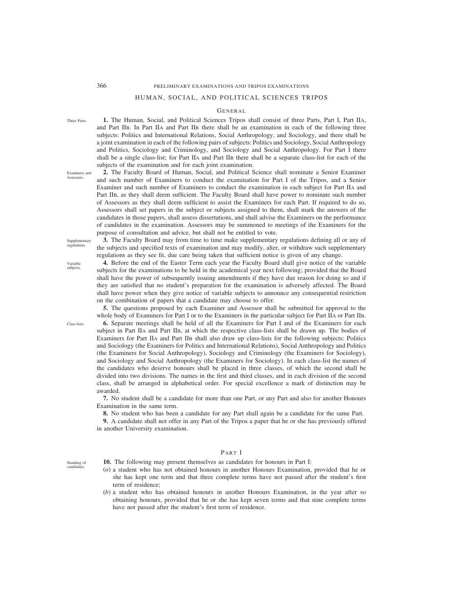Three Parts.

Examiners and **Assessors** 

# 366 PRELIMINARY EXAMINATIONS AND TRIPOS EXAMINATIONS

# HUMAN, SOCIAL, AND POLITICAL SCIENCES TRIPOS

## GENERAL

**1.** The Human, Social, and Political Sciences Tripos shall consist of three Parts, Part I, Part IIA, and Part IIB. In Part IIA and Part IIB there shall be an examination in each of the following three subjects: Politics and International Relations, Social Anthropology, and Sociology, and there shall be a joint examination in each of the following pairs of subjects: Politics and Sociology, Social Anthropology and Politics, Sociology and Criminology, and Sociology and Social Anthropology. For Part I there shall be a single class-list; for Part IIA and Part IIB there shall be a separate class-list for each of the subjects of the examination and for each joint examination.

**2.** The Faculty Board of Human, Social, and Political Science shall nominate a Senior Examiner and such number of Examiners to conduct the examination for Part I of the Tripos, and a Senior Examiner and such number of Examiners to conduct the examination in each subject for Part IIA and Part IIB, as they shall deem sufficient. The Faculty Board shall have power to nominate such number of Assessors as they shall deem sufficient to assist the Examiners for each Part. If required to do so, Assessors shall set papers in the subject or subjects assigned to them, shall mark the answers of the candidates in those papers, shall assess dissertations, and shall advise the Examiners on the performance of candidates in the examination. Assessors may be summoned to meetings of the Examiners for the purpose of consultation and advice, but shall not be entitled to vote.

Supplementary regulations.

**3.** The Faculty Board may from time to time make supplementary regulations defining all or any of the subjects and specified texts of examination and may modify, alter, or withdraw such supplementary regulations as they see fit, due care being taken that sufficient notice is given of any change.

**4.** Before the end of the Easter Term each year the Faculty Board shall give notice of the variable subjects for the examinations to be held in the academical year next following; provided that the Board shall have the power of subsequently issuing amendments if they have due reason for doing so and if they are satisfied that no student's preparation for the examination is adversely affected. The Board shall have power when they give notice of variable subjects to announce any consequential restriction on the combination of papers that a candidate may choose to offer.

**5.** The questions proposed by each Examiner and Assessor shall be submitted for approval to the whole body of Examiners for Part I or to the Examiners in the particular subject for Part IIA or Part IIB. **6.** Separate meetings shall be held of all the Examiners for Part I and of the Examiners for each subject in Part IIA and Part IIB, at which the respective class-lists shall be drawn up. The bodies of Examiners for Part IIA and Part IIB shall also draw up class-lists for the following subjects: Politics and Sociology (the Examiners for Politics and International Relations), Social Anthropology and Politics (the Examiners for Social Anthropology), Sociology and Criminology (the Examiners for Sociology), and Sociology and Social Anthropology (the Examiners for Sociology). In each class-list the names of the candidates who deserve honours shall be placed in three classes, of which the second shall be divided into two divisions. The names in the first and third classes, and in each division of the second class, shall be arranged in alphabetical order. For special excellence a mark of distinction may be awarded.

**7.** No student shall be a candidate for more than one Part, or any Part and also for another Honours Examination in the same term.

**8.** No student who has been a candidate for any Part shall again be a candidate for the same Part.

**9.** A candidate shall not offer in any Part of the Tripos a paper that he or she has previously offered in another University examination.

Standing of candidates.

# PART I

- **10.** The following may present themselves as candidates for honours in Part I:
- (*a*) a student who has not obtained honours in another Honours Examination, provided that he or she has kept one term and that three complete terms have not passed after the student's first term of residence;
- (*b*) a student who has obtained honours in another Honours Examination, in the year after so obtaining honours, provided that he or she has kept seven terms and that nine complete terms have not passed after the student's first term of residence.

Class-lists.

Variable subjects.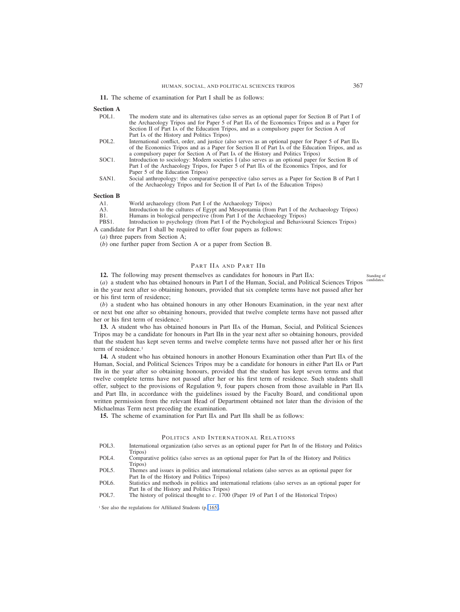**11.** The scheme of examination for Part I shall be as follows:

# **Section A**

| POL <sub>1</sub> . | The modern state and its alternatives (also serves as an optional paper for Section B of Part I of |
|--------------------|----------------------------------------------------------------------------------------------------|
|                    | the Archaeology Tripos and for Paper 5 of Part IIA of the Economics Tripos and as a Paper for      |
|                    | Section II of Part IA of the Education Tripos, and as a compulsory paper for Section A of          |
|                    | Part IA of the History and Politics Tripos)                                                        |

- POL2. International conflict, order, and justice (also serves as an optional paper for Paper 5 of Part IIA of the Economics Tripos and as a Paper for Section II of Part IA of the Education Tripos, and as a compulsory paper for Section A of Part IA of the History and Politics Tripos)
- SOC1. Introduction to sociology: Modern societies I (also serves as an optional paper for Section B of Part I of the Archaeology Tripos, for Paper 5 of Part IIA of the Economics Tripos, and for Paper 5 of the Education Tripos)
- SAN1. Social anthropology: the comparative perspective (also serves as a Paper for Section B of Part I of the Archaeology Tripos and for Section II of Part IA of the Education Tripos)

## **Section B**

- A1. World archaeology (from Part I of the Archaeology Tripos)<br>A3 Introduction to the cultures of Egypt and Mesonotamia (from
- A3. Introduction to the cultures of Egypt and Mesopotamia (from Part I of the Archaeology Tripos)<br>B1. Humans in biological perspective (from Part I of the Archaeology Tripos)
- B1. Humans in biological perspective (from Part I of the Archaeology Tripos)<br>PBS1. Introduction to psychology (from Part I of the Psychological and Behavior
- Introduction to psychology (from Part I of the Psychological and Behavioural Sciences Tripos) A candidate for Part I shall be required to offer four papers as follows:

(*a*) three papers from Section A;

(*b*) one further paper from Section A or a paper from Section B.

## PART IIA AND PART IIB

**12.** The following may present themselves as candidates for honours in Part IIA:

(*a*) a student who has obtained honours in Part I of the Human, Social, and Political Sciences Tripos in the year next after so obtaining honours, provided that six complete terms have not passed after her or his first term of residence; candidates<sup>.</sup>

(*b*) a student who has obtained honours in any other Honours Examination, in the year next after or next but one after so obtaining honours, provided that twelve complete terms have not passed after her or his first term of residence.<sup>1</sup>

**13.** A student who has obtained honours in Part IIA of the Human, Social, and Political Sciences Tripos may be a candidate for honours in Part IIB in the year next after so obtaining honours, provided that the student has kept seven terms and twelve complete terms have not passed after her or his first term of residence.<sup>1</sup>

**14.** A student who has obtained honours in another Honours Examination other than Part IIA of the Human, Social, and Political Sciences Tripos may be a candidate for honours in either Part IIA or Part IIB in the year after so obtaining honours, provided that the student has kept seven terms and that twelve complete terms have not passed after her or his first term of residence. Such students shall offer, subject to the provisions of Regulation 9, four papers chosen from those available in Part IIA and Part IIB, in accordance with the guidelines issued by the Faculty Board, and conditional upon written permission from the relevant Head of Department obtained not later than the division of the Michaelmas Term next preceding the examination.

**15.** The scheme of examination for Part IIA and Part IIB shall be as follows:

# POLITICS AND INTERNATIONAL RELATIONS

- POL3. International organization (also serves as an optional paper for Part IB of the History and Politics Tripos)
- POL4. Comparative politics (also serves as an optional paper for Part IB of the History and Politics Tripos)
- POL5. Themes and issues in politics and international relations (also serves as an optional paper for Part IB of the History and Politics Tripos)
- POL6. Statistics and methods in politics and international relations (also serves as an optional paper for Part IB of the History and Politics Tripos)
- POL7. The history of political thought to *c*. 1700 (Paper 19 of Part I of the Historical Tripos)

<sup>1</sup> See also the regulations for Affiliated Students (p. 165).

Standing of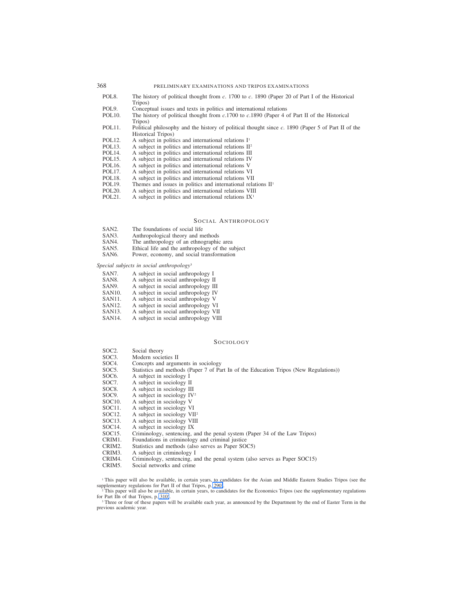- POL8. The history of political thought from *c*. 1700 to *c*. 1890 (Paper 20 of Part I of the Historical Tripos)
- POL9. Conceptual issues and texts in politics and international relations POL10. The history of political thought from  $c.1700$  to  $c.1890$  (Paper 4 c
- The history of political thought from  $c.1700$  to  $c.1890$  (Paper 4 of Part II of the Historical Tripos)
- POL11. Political philosophy and the history of political thought since *c*. 1890 (Paper 5 of Part II of the Historical Tripos)
- POL12. A subject in politics and international relations  $I<sup>1</sup>$ <br>POL13. A subject in politics and international relations  $II<sup>2</sup>$
- POL13. A subject in politics and international relations II<sup>2</sup><br>POL14. A subject in politics and international relations III
- POL14. A subject in politics and international relations III<br>POL15. A subject in politics and international relations IV
- POL15. A subject in politics and international relations IV<br>POL16. A subject in politics and international relations V
- POL16. A subject in politics and international relations V<br>POL17. A subject in politics and international relations V
- POL17. A subject in politics and international relations VI<br>POL18. A subject in politics and international relations VI
- POL18. A subject in politics and international relations VII<br>POL19. Themes and issues in politics and international rela
- POL19. Themes and issues in politics and international relations  $\Pi$ <sup>1</sup><br>POL20. A subject in politics and international relations VIII
- POL20. A subject in politics and international relations  $VIII$ <br>POL21. A subject in politics and international relations  $IX<sup>T</sup>$
- A subject in politics and international relations  $IX<sup>1</sup>$

# SOCIAL ANTHROPOLOGY

- SAN2. The foundations of social life
- SAN3. Anthropological theory and methods<br>SAN4. The anthropology of an ethnographic
- SAN4. The anthropology of an ethnographic area<br>SAN5. Ethical life and the anthropology of the su
- SAN5. Ethical life and the anthropology of the subject SAN6. Power, economy, and social transformation
- Power, economy, and social transformation

*Special subjects in social anthropology*<sup>3</sup>

- 
- SAN7. A subject in social anthropology I<br>SAN8. A subject in social anthropology I
- SAN8. A subject in social anthropology II<br>SAN9. A subject in social anthropology II
- SAN9. A subject in social anthropology III<br>SAN10. A subject in social anthropology IV SAN10. A subject in social anthropology IV<br>SAN11. A subject in social anthropology V
- A subject in social anthropology V
- 
- SAN12. A subject in social anthropology VI<br>SAN13. A subject in social anthropology VI
- SAN13. A subject in social anthropology VII<br>SAN14. A subject in social anthropology VII A subject in social anthropology VIII

#### SOCIOLOGY

- SOC2. Social theory<br>SOC3. Modern socie
- SOC3. Modern societies II<br>SOC4. Concepts and argun
- Concepts and arguments in sociology
- SOC5. Statistics and methods (Paper 7 of Part IB of the Education Tripos (New Regulations))<br>SOC6. A subject in sociology I
- A subject in sociology I
- SOC7. A subject in sociology II
- 
- SOC8. A subject in sociology III<br>SOC9. A subject in sociology IV
- SOC9. A subject in sociology  $IV^2$ <br>SOC10. A subject in sociology V
- SOC10. A subject in sociology V<br>SOC11. A subject in sociology V
- SOC11. A subject in sociology VI<br>SOC12. A subject in sociology VI
- SOC12. A subject in sociology VII<sup>2</sup><br>SOC13. A subject in sociology VIII
- SOC13. A subject in sociology VIII<br>SOC14. A subject in sociology IX
- SOC14. A subject in sociology IX<br>SOC15. Criminology, sentencing, a SOC15. Criminology, sentencing, and the penal system (Paper 34 of the Law Tripos) CRIM1. Foundations in criminology and criminal justice
- CRIM1. Foundations in criminology and criminal justice
- Statistics and methods (also serves as Paper SOC5)
- CRIM3. A subject in criminology I
- CRIM4. Criminology, sentencing, and the penal system (also serves as Paper SOC15)
- Social networks and crime

<sup>1</sup> This paper will also be available, in certain years, to candidates for the Asian and Middle Eastern Studies Tripos (see the supplementary regulations for Part II of that Tripos, p. 290).

<sup>2</sup> This paper will also be available, in certain years, to candidates for the Economics Tripos (see the supplementary regulations for Part IIB of that Tripos, p. 310).

<sup>3</sup> Three or four of these papers will be available each year, as announced by the Department by the end of Easter Term in the previous academic year.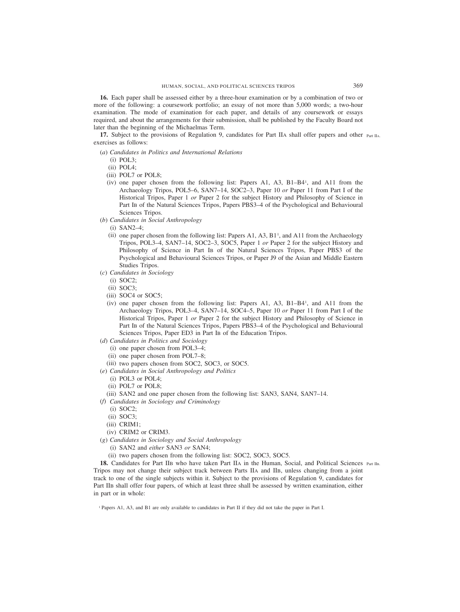**16.** Each paper shall be assessed either by a three-hour examination or by a combination of two or more of the following: a coursework portfolio; an essay of not more than 5,000 words; a two-hour examination. The mode of examination for each paper, and details of any coursework or essays required, and about the arrangements for their submission, shall be published by the Faculty Board not later than the beginning of the Michaelmas Term.

**17.** Subject to the provisions of Regulation 9, candidates for Part IIA shall offer papers and other Part IIA. exercises as follows:

- (*a*) *Candidates in Politics and International Relations*
	- (i) POL3;
	- (ii) POL4;
	- (iii) POL7 or POL8;
	- (iv) one paper chosen from the following list: Papers A1, A3, B1–B41 , and A11 from the Archaeology Tripos, POL5–6, SAN7–14, SOC2–3, Paper 10 *or* Paper 11 from Part I of the Historical Tripos, Paper 1 *or* Paper 2 for the subject History and Philosophy of Science in Part IB of the Natural Sciences Tripos, Papers PBS3–4 of the Psychological and Behavioural Sciences Tripos.
- (*b*) *Candidates in Social Anthropology*
	- (i) SAN2–4;
	- (ii) one paper chosen from the following list: Papers A1, A3,  $B1<sup>1</sup>$ , and A11 from the Archaeology Tripos, POL3–4, SAN7–14, SOC2–3, SOC5, Paper 1 *or* Paper 2 for the subject History and Philosophy of Science in Part IB of the Natural Sciences Tripos, Paper PBS3 of the Psychological and Behavioural Sciences Tripos, or Paper J9 of the Asian and Middle Eastern Studies Tripos.
- (*c*) *Candidates in Sociology*
	- (i) SOC2;
	- (ii) SOC3;
	- (iii) SOC4 or SOC5;
	- (iv) one paper chosen from the following list: Papers A1, A3, B1–B41 , and A11 from the Archaeology Tripos, POL3–4, SAN7–14, SOC4–5, Paper 10 *or* Paper 11 from Part I of the Historical Tripos, Paper 1 *or* Paper 2 for the subject History and Philosophy of Science in Part IB of the Natural Sciences Tripos, Papers PBS3–4 of the Psychological and Behavioural Sciences Tripos, Paper ED3 in Part IB of the Education Tripos.
- (*d*) *Candidates in Politics and Sociology*
	- (i) one paper chosen from POL3–4;
	- (ii) one paper chosen from POL7–8;
	- (iii) two papers chosen from SOC2, SOC3, or SOC5.
- (*e*) *Candidates in Social Anthropology and Politics*
	- (i) POL3 or POL4;
	- (ii) POL7 or POL8;
- (iii) SAN2 and one paper chosen from the following list: SAN3, SAN4, SAN7–14.
- (*f*) *Candidates in Sociology and Criminology*
	- (i) SOC2;
	- (ii) SOC3;
	- (iii) CRIM1;
	- (iv) CRIM2 or CRIM3.
- (*g*) *Candidates in Sociology and Social Anthropology*
	- (i) SAN2 and *either* SAN3 *or* SAN4;
	- (ii) two papers chosen from the following list: SOC2, SOC3, SOC5.

18. Candidates for Part IIB who have taken Part IIA in the Human, Social, and Political Sciences Part IIB. Tripos may not change their subject track between Parts IIA and IIB, unless changing from a joint track to one of the single subjects within it. Subject to the provisions of Regulation 9, candidates for Part IIB shall offer four papers, of which at least three shall be assessed by written examination, either in part or in whole:

<sup>1</sup> Papers A1, A3, and B1 are only available to candidates in Part II if they did not take the paper in Part I.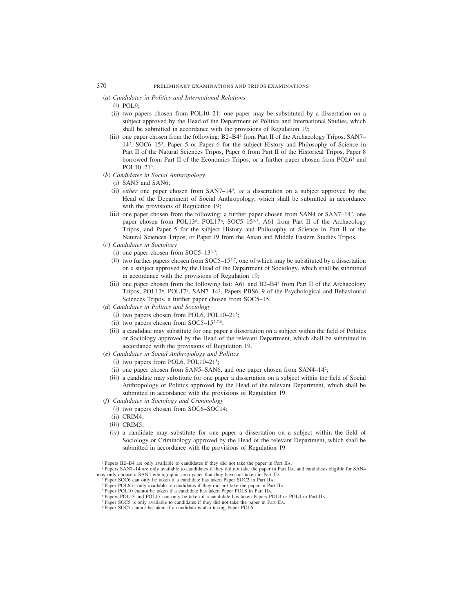- (*a*) *Candidates in Politics and International Relations*
	- $(i)$  POL9 $\cdot$
	- (ii) two papers chosen from POL10–21; one paper may be substituted by a dissertation on a subject approved by the Head of the Department of Politics and International Studies, which shall be submitted in accordance with the provisions of Regulation 19;
	- (iii) one paper chosen from the following: B2–B41 from Part II of the Archaeology Tripos, SAN7– 142 , SOC6–153 , Paper 5 or Paper 6 for the subject History and Philosophy of Science in Part II of the Natural Sciences Tripos, Paper 6 from Part II of the Historical Tripos, Paper 8 borrowed from Part II of the Economics Tripos, or a further paper chosen from POL64 and POL10–21<sup>5</sup>.
- (*b*) *Candidates in Social Anthropology*
	- (i) SAN5 and SAN6;
	- (ii) *either* one paper chosen from SAN7–142 , *or* a dissertation on a subject approved by the Head of the Department of Social Anthropology, which shall be submitted in accordance with the provisions of Regulation 19;
	- (iii) one paper chosen from the following: a further paper chosen from SAN4 or SAN7–142 , one paper chosen from POL13<sup>6</sup>, POL17<sup>6</sup>, SOC5–15<sup>3,7</sup>, A61 from Part II of the Archaeology Tripos, and Paper 5 for the subject History and Philosophy of Science in Part II of the Natural Sciences Tripos, or Paper J9 from the Asian and Middle Eastern Studies Tripos.
- (*c*) *Candidates in Sociology*
	- (i) one paper chosen from SOC5–13 $3,7$ ;
	- (ii) two further papers chosen from  $SOC5-15^{3.7}$ , one of which may be substituted by a dissertation on a subject approved by the Head of the Department of Sociology, which shall be submitted in accordance with the provisions of Regulation 19;
	- (iii) one paper chosen from the following list: A61 and  $B2-B4$ <sup>1</sup> from Part II of the Archaeology Tripos, POL13<sup>6</sup>, POL17<sup>6</sup>, SAN7–14<sup>2</sup>, Papers PBS6–9 of the Psychological and Behavioural Sciences Tripos, a further paper chosen from SOC5–15.
- (*d*) *Candidates in Politics and Sociology*
	- (i) two papers chosen from POL6, POL10-21<sup>5</sup>;
	- (ii) two papers chosen from SOC5–15 $3,7,8$ ;
	- (iii) a candidate may substitute for one paper a dissertation on a subject within the field of Politics or Sociology approved by the Head of the relevant Department, which shall be submitted in accordance with the provisions of Regulation 19.
- (*e*) *Candidates in Social Anthropology and Politics*
	- $(i)$  two papers from POL6, POL10-21<sup>5</sup>;
	- (ii) one paper chosen from SAN5–SAN6, and one paper chosen from SAN4–142 ;
	- (iii) a candidate may substitute for one paper a dissertation on a subject within the field of Social Anthropology or Politics approved by the Head of the relevant Department, which shall be submitted in accordance with the provisions of Regulation 19.
- (*f*) *Candidates in Sociology and Criminology*
	- (i) two papers chosen from SOC6–SOC14;
	- (ii) CRIM4;
	- (iii) CRIM5;
	- (iv) a candidate may substitute for one paper a dissertation on a subject within the field of Sociology or Criminology approved by the Head of the relevant Department, which shall be submitted in accordance with the provisions of Regulation 19.

- Paper SOC6 can only be taken if a candidate has taken Paper SOC2 in Part IIA.
- <sup>4</sup> Paper POL6 is only available to candidates if they did not take the paper in Part IIA.
- <sup>5</sup> Paper POL10 cannot be taken if a candidate has taken Paper POL8 in Part IIA.
- <sup>6</sup> Papers POL13 and POL17 can only be taken if a candidate has taken Papers POL3 or POL4 in Part IIA.
- <sup>7</sup> Paper SOC5 is only available to candidates if they did not take the paper in Part IIA.
- <sup>8</sup> Paper SOC5 cannot be taken if a candidate is also taking Paper POL6.

<sup>1</sup> Papers B2–B4 are only available to candidates if they did not take the paper in Part IIA.

<sup>2</sup> Papers SAN7–14 are only available to candidates if they did not take the paper in Part IIA, and candidates eligible for SAN4 may only choose a SAN4 ethnographic area paper that they have not taken in Part IIA.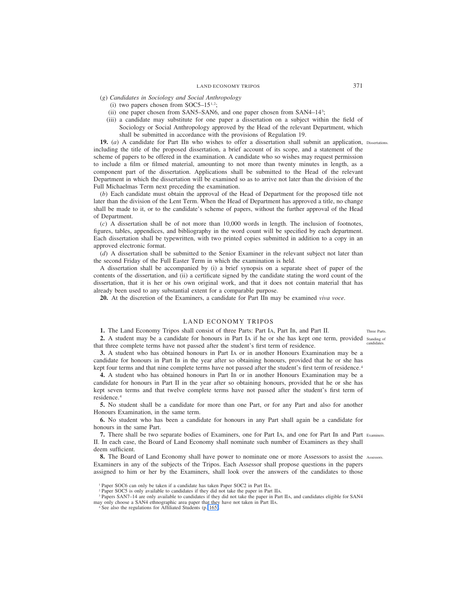- (*g*) *Candidates in Sociology and Social Anthropology*
	- (i) two papers chosen from  $SOC5-15^{1,2}$ ;
	- (ii) one paper chosen from SAN5–SAN6, and one paper chosen from SAN4–143 ;
	- (iii) a candidate may substitute for one paper a dissertation on a subject within the field of Sociology or Social Anthropology approved by the Head of the relevant Department, which shall be submitted in accordance with the provisions of Regulation 19.

**19.** (*a*) A candidate for Part IIB who wishes to offer a dissertation shall submit an application, Dissertations. including the title of the proposed dissertation, a brief account of its scope, and a statement of the scheme of papers to be offered in the examination. A candidate who so wishes may request permission to include a film or filmed material, amounting to not more than twenty minutes in length, as a component part of the dissertation. Applications shall be submitted to the Head of the relevant Department in which the dissertation will be examined so as to arrive not later than the division of the Full Michaelmas Term next preceding the examination.

(*b*) Each candidate must obtain the approval of the Head of Department for the proposed title not later than the division of the Lent Term. When the Head of Department has approved a title, no change shall be made to it, or to the candidate's scheme of papers, without the further approval of the Head of Department.

(*c*) A dissertation shall be of not more than 10,000 words in length. The inclusion of footnotes, figures, tables, appendices, and bibliography in the word count will be specified by each department. Each dissertation shall be typewritten, with two printed copies submitted in addition to a copy in an approved electronic format.

(*d*) A dissertation shall be submitted to the Senior Examiner in the relevant subject not later than the second Friday of the Full Easter Term in which the examination is held.

A dissertation shall be accompanied by (i) a brief synopsis on a separate sheet of paper of the contents of the dissertation, and (ii) a certificate signed by the candidate stating the word count of the dissertation, that it is her or his own original work, and that it does not contain material that has already been used to any substantial extent for a comparable purpose.

**20.** At the discretion of the Examiners, a candidate for Part IIB may be examined *viva voce*.

#### LAND ECONOMY TRIPOS

**1.** The Land Economy Tripos shall consist of three Parts: Part IA, Part IB, and Part II.

2. A student may be a candidate for honours in Part IA if he or she has kept one term, provided standing of that three complete terms have not passed after the student's first term of residence. candidates.

**3.** A student who has obtained honours in Part IA or in another Honours Examination may be a candidate for honours in Part IB in the year after so obtaining honours, provided that he or she has kept four terms and that nine complete terms have not passed after the student's first term of residence.<sup>4</sup>

**4.** A student who has obtained honours in Part IB or in another Honours Examination may be a candidate for honours in Part II in the year after so obtaining honours, provided that he or she has kept seven terms and that twelve complete terms have not passed after the student's first term of residence.4

**5.** No student shall be a candidate for more than one Part, or for any Part and also for another Honours Examination, in the same term.

**6.** No student who has been a candidate for honours in any Part shall again be a candidate for honours in the same Part.

**7.** There shall be two separate bodies of Examiners, one for Part IA, and one for Part IB and Part Examiners. II. In each case, the Board of Land Economy shall nominate such number of Examiners as they shall deem sufficient.

**8.** The Board of Land Economy shall have power to nominate one or more Assessors to assist the Assessors.Examiners in any of the subjects of the Tripos. Each Assessor shall propose questions in the papers assigned to him or her by the Examiners, shall look over the answers of the candidates to those

<sup>3</sup> Papers SAN7–14 are only available to candidates if they did not take the paper in Part IIA, and candidates eligible for SAN4 may only choose a SAN4 ethnographic area paper that they have not taken in Part IIA.

<sup>4</sup> See also the regulations for Affiliated Students (p. 165).

Three Parts.

<sup>&</sup>lt;sup>1</sup> Paper SOC6 can only be taken if a candidate has taken Paper SOC2 in Part IIA.

<sup>&</sup>lt;sup>2</sup> Paper SOC5 is only available to candidates if they did not take the paper in Part IIA.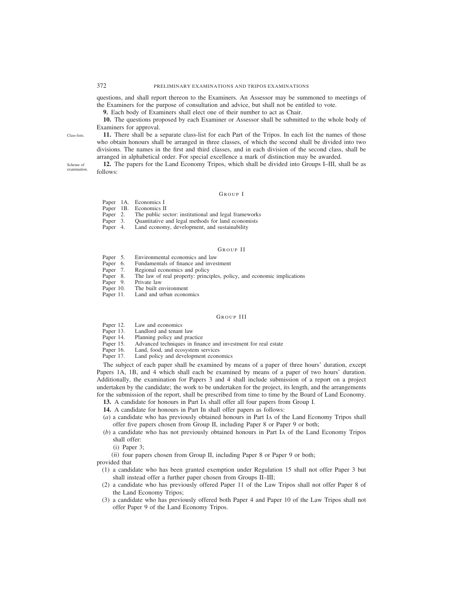questions, and shall report thereon to the Examiners. An Assessor may be summoned to meetings of the Examiners for the purpose of consultation and advice, but shall not be entitled to vote.

**9.** Each body of Examiners shall elect one of their number to act as Chair.

**10.** The questions proposed by each Examiner or Assessor shall be submitted to the whole body of Examiners for approval.

**11.** There shall be a separate class-list for each Part of the Tripos. In each list the names of those who obtain honours shall be arranged in three classes, of which the second shall be divided into two divisions. The names in the first and third classes, and in each division of the second class, shall be arranged in alphabetical order. For special excellence a mark of distinction may be awarded.

**12.** The papers for the Land Economy Tripos, which shall be divided into Groups I–III, shall be as follows:

### GROUP I

| Paper | 1A. | Economics I |  |
|-------|-----|-------------|--|
|       |     |             |  |

- Paper 1B. Economics II<br>Paper 2. The public se
- Paper 2. The public sector: institutional and legal frameworks<br>Paper 3. Ouantitative and legal methods for land economists
- Paper 3. Quantitative and legal methods for land economists<br>Paper 4. Land economy, development, and sustainability
- Land economy, development, and sustainability

#### GROUP II

- Paper 5. Environmental economics and law<br>Paper 6. Fundamentals of finance and inves
- Paper 6. Fundamentals of finance and investment<br>Paper 7. Regional economics and policy
- Paper 7. Regional economics and policy<br>Paper 8. The law of real property: princi
- The law of real property: principles, policy, and economic implications Private law
- Paper 9.<br>Paper 10.
- The built environment
- Paper 11. Land and urban economics

## GROUP III

- Paper 12. Law and economics<br>Paper 13. Landlord and tenant
- Paper 13. Landlord and tenant law<br>Paper 14. Planning policy and pract
- Paper 14. Planning policy and practice<br>Paper 15. Advanced techniques in final
- Paper 15. Advanced techniques in finance and investment for real estate Paper 16. Land, food, and ecosystem services
- Land, food, and ecosystem services
- Paper 17. Land policy and development economics

The subject of each paper shall be examined by means of a paper of three hours' duration, except Papers 1A, 1B, and 4 which shall each be examined by means of a paper of two hours' duration. Additionally, the examination for Papers 3 and 4 shall include submission of a report on a project undertaken by the candidate; the work to be undertaken for the project, its length, and the arrangements for the submission of the report, shall be prescribed from time to time by the Board of Land Economy.

- **13.** A candidate for honours in Part IA shall offer all four papers from Group I.
- **14.** A candidate for honours in Part IB shall offer papers as follows:
- (*a*) a candidate who has previously obtained honours in Part IA of the Land Economy Tripos shall offer five papers chosen from Group II, including Paper 8 or Paper 9 or both;
- (*b*) a candidate who has not previously obtained honours in Part IA of the Land Economy Tripos shall offer:
	- (i) Paper 3;

(ii) four papers chosen from Group II, including Paper 8 or Paper 9 or both;

provided that

- (1) a candidate who has been granted exemption under Regulation 15 shall not offer Paper 3 but shall instead offer a further paper chosen from Groups II–III;
- (2) a candidate who has previously offered Paper 11 of the Law Tripos shall not offer Paper 8 of the Land Economy Tripos;
- (3) a candidate who has previously offered both Paper 4 and Paper 10 of the Law Tripos shall not offer Paper 9 of the Land Economy Tripos.

Class-lists.

Scheme of examination.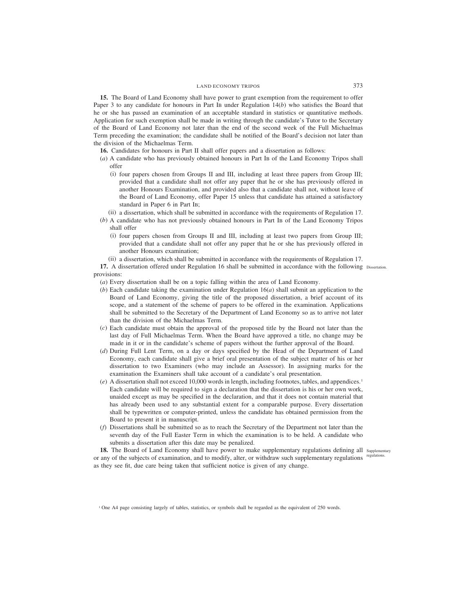**15.** The Board of Land Economy shall have power to grant exemption from the requirement to offer Paper 3 to any candidate for honours in Part IB under Regulation 14(*b*) who satisfies the Board that he or she has passed an examination of an acceptable standard in statistics or quantitative methods. Application for such exemption shall be made in writing through the candidate's Tutor to the Secretary of the Board of Land Economy not later than the end of the second week of the Full Michaelmas Term preceding the examination; the candidate shall be notified of the Board's decision not later than the division of the Michaelmas Term.

**16.** Candidates for honours in Part II shall offer papers and a dissertation as follows:

- (*a*) A candidate who has previously obtained honours in Part IB of the Land Economy Tripos shall offer
	- (i) four papers chosen from Groups II and III, including at least three papers from Group III; provided that a candidate shall not offer any paper that he or she has previously offered in another Honours Examination, and provided also that a candidate shall not, without leave of the Board of Land Economy, offer Paper 15 unless that candidate has attained a satisfactory standard in Paper 6 in Part IB;
	- (ii) a dissertation, which shall be submitted in accordance with the requirements of Regulation 17.
- (*b*) A candidate who has not previously obtained honours in Part IB of the Land Economy Tripos shall offer
	- (i) four papers chosen from Groups II and III, including at least two papers from Group III; provided that a candidate shall not offer any paper that he or she has previously offered in another Honours examination;
	- (ii) a dissertation, which shall be submitted in accordance with the requirements of Regulation 17.

**17.** A dissertation offered under Regulation 16 shall be submitted in accordance with the following Dissertation. provisions:

(*a*) Every dissertation shall be on a topic falling within the area of Land Economy.

- (*b*) Each candidate taking the examination under Regulation 16(*a*) shall submit an application to the Board of Land Economy, giving the title of the proposed dissertation, a brief account of its scope, and a statement of the scheme of papers to be offered in the examination. Applications shall be submitted to the Secretary of the Department of Land Economy so as to arrive not later than the division of the Michaelmas Term.
- (*c*) Each candidate must obtain the approval of the proposed title by the Board not later than the last day of Full Michaelmas Term. When the Board have approved a title, no change may be made in it or in the candidate's scheme of papers without the further approval of the Board.
- (*d*) During Full Lent Term, on a day or days specified by the Head of the Department of Land Economy, each candidate shall give a brief oral presentation of the subject matter of his or her dissertation to two Examiners (who may include an Assessor). In assigning marks for the examination the Examiners shall take account of a candidate's oral presentation.
- (*e*) A dissertation shall not exceed 10,000 words in length, including footnotes, tables, and appendices.1 Each candidate will be required to sign a declaration that the dissertation is his or her own work, unaided except as may be specified in the declaration, and that it does not contain material that has already been used to any substantial extent for a comparable purpose. Every dissertation shall be typewritten or computer-printed, unless the candidate has obtained permission from the Board to present it in manuscript.
- (*f*) Dissertations shall be submitted so as to reach the Secretary of the Department not later than the seventh day of the Full Easter Term in which the examination is to be held. A candidate who submits a dissertation after this date may be penalized.

18. The Board of Land Economy shall have power to make supplementary regulations defining all supplementary or any of the subjects of examination, and to modify, alter, or withdraw such supplementary regulations regulations. as they see fit, due care being taken that sufficient notice is given of any change.

<sup>1</sup> One A4 page consisting largely of tables, statistics, or symbols shall be regarded as the equivalent of 250 words.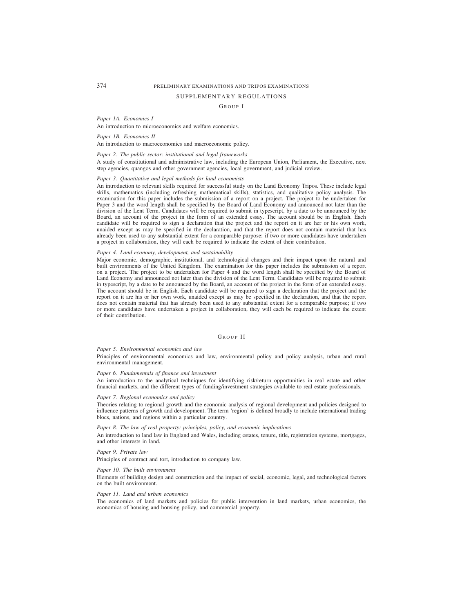#### SUPPLEMENTARY REGULATIONS

### GROUP I

#### *Paper 1A. Economics I*

An introduction to microeconomics and welfare economics.

## *Paper 1B. Economics II*

An introduction to macroeconomics and macroeconomic policy.

### *Paper 2. The public sector: institutional and legal frameworks*

A study of constitutional and administrative law, including the European Union, Parliament, the Executive, next step agencies, quangos and other government agencies, local government, and judicial review.

### *Paper 3. Quantitative and legal methods for land economists*

An introduction to relevant skills required for successful study on the Land Economy Tripos. These include legal skills, mathematics (including refreshing mathematical skills), statistics, and qualitative policy analysis. The examination for this paper includes the submission of a report on a project. The project to be undertaken for Paper 3 and the word length shall be specified by the Board of Land Economy and announced not later than the division of the Lent Term. Candidates will be required to submit in typescript, by a date to be announced by the Board, an account of the project in the form of an extended essay. The account should be in English. Each candidate will be required to sign a declaration that the project and the report on it are her or his own work, unaided except as may be specified in the declaration, and that the report does not contain material that has already been used to any substantial extent for a comparable purpose; if two or more candidates have undertaken a project in collaboration, they will each be required to indicate the extent of their contribution.

#### *Paper 4. Land economy, development, and sustainability*

Major economic, demographic, institutional, and technological changes and their impact upon the natural and built environments of the United Kingdom. The examination for this paper includes the submission of a report on a project. The project to be undertaken for Paper 4 and the word length shall be specified by the Board of Land Economy and announced not later than the division of the Lent Term. Candidates will be required to submit in typescript, by a date to be announced by the Board, an account of the project in the form of an extended essay. The account should be in English. Each candidate will be required to sign a declaration that the project and the report on it are his or her own work, unaided except as may be specified in the declaration, and that the report does not contain material that has already been used to any substantial extent for a comparable purpose; if two or more candidates have undertaken a project in collaboration, they will each be required to indicate the extent of their contribution.

## GROUP II

#### *Paper 5. Environmental economics and law*

Principles of environmental economics and law, environmental policy and policy analysis, urban and rural environmental management.

## *Paper 6. Fundamentals of finance and investment*

An introduction to the analytical techniques for identifying risk/return opportunities in real estate and other financial markets, and the different types of funding/investment strategies available to real estate professionals.

#### *Paper 7. Regional economics and policy*

Theories relating to regional growth and the economic analysis of regional development and policies designed to influence patterns of growth and development. The term 'region' is defined broadly to include international trading blocs, nations, and regions within a particular country.

## *Paper 8. The law of real property: principles, policy, and economic implications*

An introduction to land law in England and Wales, including estates, tenure, title, registration systems, mortgages, and other interests in land.

#### *Paper 9. Private law*

Principles of contract and tort, introduction to company law.

#### *Paper 10. The built environment*

Elements of building design and construction and the impact of social, economic, legal, and technological factors on the built environment.

#### *Paper 11. Land and urban economics*

The economics of land markets and policies for public intervention in land markets, urban economics, the economics of housing and housing policy, and commercial property.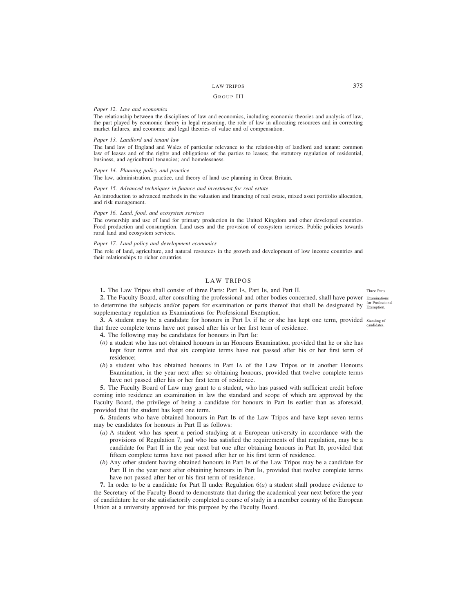### GROUP III

### *Paper 12. Law and economics*

The relationship between the disciplines of law and economics, including economic theories and analysis of law, the part played by economic theory in legal reasoning, the role of law in allocating resources and in correcting market failures, and economic and legal theories of value and of compensation.

#### *Paper 13. Landlord and tenant law*

The land law of England and Wales of particular relevance to the relationship of landlord and tenant: common law of leases and of the rights and obligations of the parties to leases; the statutory regulation of residential, business, and agricultural tenancies; and homelessness.

#### *Paper 14. Planning policy and practice*

The law, administration, practice, and theory of land use planning in Great Britain.

#### *Paper 15. Advanced techniques in finance and investment for real estate*

An introduction to advanced methods in the valuation and financing of real estate, mixed asset portfolio allocation, and risk management.

#### *Paper 16. Land, food, and ecosystem services*

The ownership and use of land for primary production in the United Kingdom and other developed countries. Food production and consumption. Land uses and the provision of ecosystem services. Public policies towards rural land and ecosystem services.

#### *Paper 17. Land policy and development economics*

The role of land, agriculture, and natural resources in the growth and development of low income countries and their relationships to richer countries.

## LAW TRIPOS

**1.** The Law Tripos shall consist of three Parts: Part IA, Part IB, and Part II.

2. The Faculty Board, after consulting the professional and other bodies concerned, shall have power Examinations to determine the subjects and/or papers for examination or parts thereof that shall be designated by <sup>for Professional</sup> supplementary regulation as Examinations for Professional Exemption.

**3.** A student may be a candidate for honours in Part IA if he or she has kept one term, provided standing of that three complete terms have not passed after his or her first term of residence. candidates.

- **4.** The following may be candidates for honours in Part IB:
- (*a*) a student who has not obtained honours in an Honours Examination, provided that he or she has kept four terms and that six complete terms have not passed after his or her first term of residence;
- (*b*) a student who has obtained honours in Part IA of the Law Tripos or in another Honours Examination, in the year next after so obtaining honours, provided that twelve complete terms have not passed after his or her first term of residence.

**5.** The Faculty Board of Law may grant to a student, who has passed with sufficient credit before coming into residence an examination in law the standard and scope of which are approved by the Faculty Board, the privilege of being a candidate for honours in Part IB earlier than as aforesaid, provided that the student has kept one term.

**6.** Students who have obtained honours in Part IB of the Law Tripos and have kept seven terms may be candidates for honours in Part II as follows:

- (*a*) A student who has spent a period studying at a European university in accordance with the provisions of Regulation 7, and who has satisfied the requirements of that regulation, may be a candidate for Part II in the year next but one after obtaining honours in Part IB, provided that fifteen complete terms have not passed after her or his first term of residence.
- (*b*) Any other student having obtained honours in Part IB of the Law Tripos may be a candidate for Part II in the year next after obtaining honours in Part IB, provided that twelve complete terms have not passed after her or his first term of residence.

**7.** In order to be a candidate for Part II under Regulation 6(*a*) a student shall produce evidence to the Secretary of the Faculty Board to demonstrate that during the academical year next before the year of candidature he or she satisfactorily completed a course of study in a member country of the European Union at a university approved for this purpose by the Faculty Board.

Three Parts.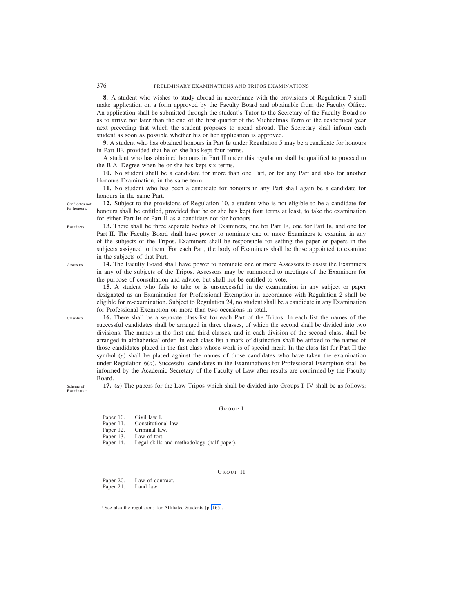**8.** A student who wishes to study abroad in accordance with the provisions of Regulation 7 shall make application on a form approved by the Faculty Board and obtainable from the Faculty Office. An application shall be submitted through the student's Tutor to the Secretary of the Faculty Board so as to arrive not later than the end of the first quarter of the Michaelmas Term of the academical year next preceding that which the student proposes to spend abroad. The Secretary shall inform each student as soon as possible whether his or her application is approved.

**9.** A student who has obtained honours in Part IB under Regulation 5 may be a candidate for honours in Part II<sup>1</sup>, provided that he or she has kept four terms.

A student who has obtained honours in Part II under this regulation shall be qualified to proceed to the B.A. Degree when he or she has kept six terms.

**10.** No student shall be a candidate for more than one Part, or for any Part and also for another Honours Examination, in the same term.

**11.** No student who has been a candidate for honours in any Part shall again be a candidate for honours in the same Part.

**12.** Subject to the provisions of Regulation 10, a student who is not eligible to be a candidate for honours shall be entitled, provided that he or she has kept four terms at least, to take the examination for either Part IB or Part II as a candidate not for honours.

**13.** There shall be three separate bodies of Examiners, one for Part IA, one for Part IB, and one for Part II. The Faculty Board shall have power to nominate one or more Examiners to examine in any of the subjects of the Tripos. Examiners shall be responsible for setting the paper or papers in the subjects assigned to them. For each Part, the body of Examiners shall be those appointed to examine in the subjects of that Part.

**14.** The Faculty Board shall have power to nominate one or more Assessors to assist the Examiners in any of the subjects of the Tripos. Assessors may be summoned to meetings of the Examiners for the purpose of consultation and advice, but shall not be entitled to vote.

**15.** A student who fails to take or is unsuccessful in the examination in any subject or paper designated as an Examination for Professional Exemption in accordance with Regulation 2 shall be eligible for re-examination. Subject to Regulation 24, no student shall be a candidate in any Examination for Professional Exemption on more than two occasions in total.

**16.** There shall be a separate class-list for each Part of the Tripos. In each list the names of the successful candidates shall be arranged in three classes, of which the second shall be divided into two divisions. The names in the first and third classes, and in each division of the second class, shall be arranged in alphabetical order. In each class-list a mark of distinction shall be affixed to the names of those candidates placed in the first class whose work is of special merit. In the class-list for Part II the symbol (*e*) shall be placed against the names of those candidates who have taken the examination under Regulation 6(*a*). Successful candidates in the Examinations for Professional Exemption shall be informed by the Academic Secretary of the Faculty of Law after results are confirmed by the Faculty Board.

Scheme of Examination.

### GROUP I

**17.** (*a*) The papers for the Law Tripos which shall be divided into Groups I–IV shall be as follows:

- Paper 10. Civil law I.<br>Paper 11. Constitution
- Paper 11. Constitutional law.<br>Paper 12. Criminal law.
- Criminal law.
- Paper 13. Law of tort.
- Paper 14. Legal skills and methodology (half-paper).

## GROUP II

Paper 20. Law of contract. Paper 21. Land law.

<sup>1</sup> See also the regulations for Affiliated Students (p. 165).

Examiners.

Candidates not for honours.

Assessors.

Class-lists.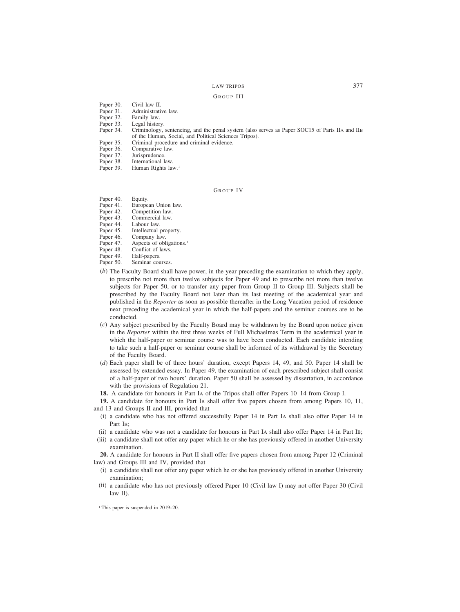### GROUP III

- Paper 30. Civil law II.<br>Paper 31. Administrativ
- Paper 31. Administrative law.<br>Paper 32. Family law.
- Paper 32. Family law.<br>Paper 33. Legal histor
- Paper 33. Legal history.<br>Paper 34. Criminology,
- Criminology, sentencing, and the penal system (also serves as Paper SOC15 of Parts IIA and IIB of the Human, Social, and Political Sciences Tripos).
- Paper 35. Criminal procedure and criminal evidence.<br>Paper 36. Comparative law.
- Paper 36. Comparative law.<br>Paper 37. Jurisprudence.
- Paper 37. Jurisprudence.<br>Paper 38. International la
- Paper 38. International law.<br>Paper 39. Human Rights lav
- Human Rights law.<sup>1</sup>

### GROUP IV

- Paper 40. Equity.<br>Paper 41. Europea
- European Union law.
- Paper 42. Competition law.<br>Paper 43. Commercial law.
- Paper 43. Commercial law.<br>Paper 44. Labour law.
- Paper 44. Labour law.<br>Paper 45. Intellectual
- Paper 45. Intellectual property.<br>Paper 46. Company law.
- Paper 46. Company law.<br>Paper 47. Aspects of obli
- Paper 47. Aspects of obligations.<sup>1</sup><br>Paper 48. Conflict of laws.
- Paper 48. Conflict of laws.<br>Paper 49. Half-papers.
- Paper 49. Half-papers.<br>Paper 50. Seminar cou
- Seminar courses.
- (*b*) The Faculty Board shall have power, in the year preceding the examination to which they apply, to prescribe not more than twelve subjects for Paper 49 and to prescribe not more than twelve subjects for Paper 50, or to transfer any paper from Group II to Group III. Subjects shall be prescribed by the Faculty Board not later than its last meeting of the academical year and published in the *Reporter* as soon as possible thereafter in the Long Vacation period of residence next preceding the academical year in which the half-papers and the seminar courses are to be conducted.
- (*c*) Any subject prescribed by the Faculty Board may be withdrawn by the Board upon notice given in the *Reporter* within the first three weeks of Full Michaelmas Term in the academical year in which the half-paper or seminar course was to have been conducted. Each candidate intending to take such a half-paper or seminar course shall be informed of its withdrawal by the Secretary of the Faculty Board.
- (*d*) Each paper shall be of three hours' duration, except Papers 14, 49, and 50. Paper 14 shall be assessed by extended essay. In Paper 49, the examination of each prescribed subject shall consist of a half-paper of two hours' duration. Paper 50 shall be assessed by dissertation, in accordance with the provisions of Regulation 21.
- **18.** A candidate for honours in Part IA of the Tripos shall offer Papers 10–14 from Group I.

**19.** A candidate for honours in Part IB shall offer five papers chosen from among Papers 10, 11, and 13 and Groups II and III, provided that

- (i) a candidate who has not offered successfully Paper 14 in Part IA shall also offer Paper 14 in Part I<sub>B</sub>:
- (ii) a candidate who was not a candidate for honours in Part IA shall also offer Paper 14 in Part IB;
- (iii) a candidate shall not offer any paper which he or she has previously offered in another University examination.

**20.** A candidate for honours in Part II shall offer five papers chosen from among Paper 12 (Criminal law) and Groups III and IV, provided that

- (i) a candidate shall not offer any paper which he or she has previously offered in another University examination;
- (ii) a candidate who has not previously offered Paper 10 (Civil law I) may not offer Paper 30 (Civil law II).

<sup>1</sup> This paper is suspended in 2019–20.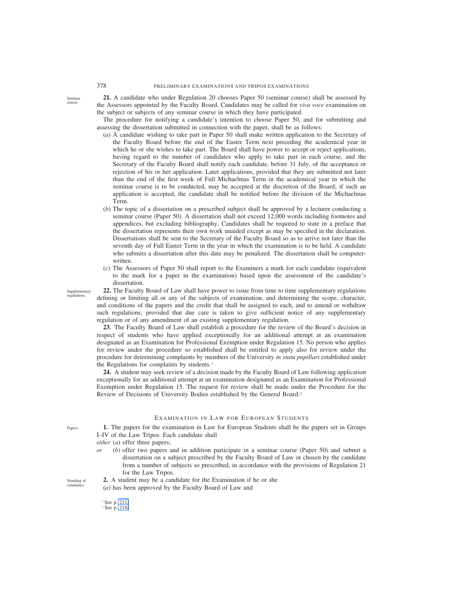**21.** A candidate who under Regulation 20 chooses Paper 50 (seminar course) shall be assessed by the Assessors appointed by the Faculty Board. Candidates may be called for *viva voce* examination on the subject or subjects of any seminar course in which they have participated.

The procedure for notifying a candidate's intention to choose Paper 50, and for submitting and assessing the dissertation submitted in connection with the paper, shall be as follows:

- (*a*) A candidate wishing to take part in Paper 50 shall make written application to the Secretary of the Faculty Board before the end of the Easter Term next preceding the academical year in which he or she wishes to take part. The Board shall have power to accept or reject applications, having regard to the number of candidates who apply to take part in each course, and the Secretary of the Faculty Board shall notify each candidate, before 31 July, of the acceptance or rejection of his or her application. Later applications, provided that they are submitted not later than the end of the first week of Full Michaelmas Term in the academical year in which the seminar course is to be conducted, may be accepted at the discretion of the Board; if such an application is accepted, the candidate shall be notified before the division of the Michaelmas Term.
- (*b*) The topic of a dissertation on a prescribed subject shall be approved by a lecturer conducting a seminar course (Paper 50). A dissertation shall not exceed 12,000 words including footnotes and appendices, but excluding bibliography. Candidates shall be required to state in a preface that the dissertation represents their own work unaided except as may be specified in the declaration. Dissertations shall be sent to the Secretary of the Faculty Board so as to arrive not later than the seventh day of Full Easter Term in the year in which the examination is to be held. A candidate who submits a dissertation after this date may be penalized. The dissertation shall be computerwritten.
- (*c*) The Assessors of Paper 50 shall report to the Examiners a mark for each candidate (equivalent to the mark for a paper in the examination) based upon the assessment of the candidate's dissertation.

**22.** The Faculty Board of Law shall have power to issue from time to time supplementary regulations defining or limiting all or any of the subjects of examination, and determining the scope, character, and conditions of the papers and the credit that shall be assigned to each, and to amend or withdraw such regulations; provided that due care is taken to give sufficient notice of any supplementary regulation or of any amendment of an existing supplementary regulation.

**23.** The Faculty Board of Law shall establish a procedure for the review of the Board's decision in respect of students who have applied exceptionally for an additional attempt at an examination designated as an Examination for Professional Exemption under Regulation 15. No person who applies for review under the procedure so established shall be entitled to apply also for review under the procedure for determining complaints by members of the University *in statu pupillari* established under the Regulations for complaints by students.<sup>1</sup>

**24.** A student may seek review of a decision made by the Faculty Board of Law following application exceptionally for an additional attempt at an examination designated as an Examination for Professional Exemption under Regulation 15. The request for review shall be made under the Procedure for the Review of Decisions of University Bodies established by the General Board.2

# EXAMINATION IN LAW FOR EUROPEAN STUDENTS

**1.** The papers for the examination in Law for European Students shall be the papers set in Groups I–IV of the Law Tripos. Each candidate shall

*either* (*a*) offer three papers;

- *or* (*b*) offer two papers and in addition participate in a seminar course (Paper 50) and submit a dissertation on a subject prescribed by the Faculty Board of Law or chosen by the candidate from a number of subjects so prescribed, in accordance with the provisions of Regulation 21 for the Law Tripos.
- **2.** A student may be a candidate for the Examination if he or she (*a*) has been approved by the Faculty Board of Law and Standing of candidate

Seminar course.

Supplementary regulations.

Papers.

<sup>&</sup>lt;sup>1</sup> See p. 211.

<sup>&</sup>lt;sup>2</sup> See p. 218.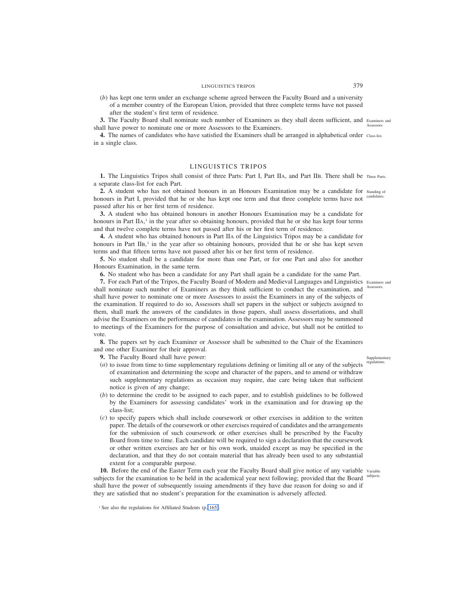(*b*) has kept one term under an exchange scheme agreed between the Faculty Board and a university of a member country of the European Union, provided that three complete terms have not passed after the student's first term of residence.

**3.** The Faculty Board shall nominate such number of Examiners as they shall deem sufficient, and Examiners and shall have power to nominate one or more Assessors to the Examiners. Assessors.

**4.** The names of candidates who have satisfied the Examiners shall be arranged in alphabetical order Class-list. in a single class.

## LINGUISTICS TRIPOS

1. The Linguistics Tripos shall consist of three Parts: Part I, Part IIA, and Part IIB. There shall be Three Parts. a separate class-list for each Part.

2. A student who has not obtained honours in an Honours Examination may be a candidate for standing of honours in Part I, provided that he or she has kept one term and that three complete terms have not candidates. passed after his or her first term of residence.

**3.** A student who has obtained honours in another Honours Examination may be a candidate for honours in Part IIA,<sup>1</sup> in the year after so obtaining honours, provided that he or she has kept four terms and that twelve complete terms have not passed after his or her first term of residence.

**4.** A student who has obtained honours in Part IIA of the Linguistics Tripos may be a candidate for honours in Part IIB,<sup>1</sup> in the year after so obtaining honours, provided that he or she has kept seven terms and that fifteen terms have not passed after his or her first term of residence.

**5.** No student shall be a candidate for more than one Part, or for one Part and also for another Honours Examination, in the same term.

**6.** No student who has been a candidate for any Part shall again be a candidate for the same Part.

**7.** For each Part of the Tripos, the Faculty Board of Modern and Medieval Languages and Linguistics Examiners and shall nominate such number of Examiners as they think sufficient to conduct the examination, and Assessors. shall have power to nominate one or more Assessors to assist the Examiners in any of the subjects of the examination. If required to do so, Assessors shall set papers in the subject or subjects assigned to them, shall mark the answers of the candidates in those papers, shall assess dissertations, and shall advise the Examiners on the performance of candidates in the examination. Assessors may be summoned to meetings of the Examiners for the purpose of consultation and advice, but shall not be entitled to vote.

**8.** The papers set by each Examiner or Assessor shall be submitted to the Chair of the Examiners and one other Examiner for their approval.

**9.** The Faculty Board shall have power:

- (*a*) to issue from time to time supplementary regulations defining or limiting all or any of the subjects of examination and determining the scope and character of the papers, and to amend or withdraw such supplementary regulations as occasion may require, due care being taken that sufficient notice is given of any change;
- (*b*) to determine the credit to be assigned to each paper, and to establish guidelines to be followed by the Examiners for assessing candidates' work in the examination and for drawing up the class-list;
- (*c*) to specify papers which shall include coursework or other exercises in addition to the written paper. The details of the coursework or other exercises required of candidates and the arrangements for the submission of such coursework or other exercises shall be prescribed by the Faculty Board from time to time. Each candidate will be required to sign a declaration that the coursework or other written exercises are her or his own work, unaided except as may be specified in the declaration, and that they do not contain material that has already been used to any substantial extent for a comparable purpose.

10. Before the end of the Easter Term each year the Faculty Board shall give notice of any variable variable subjects for the examination to be held in the academical year next following; provided that the Board subjects. shall have the power of subsequently issuing amendments if they have due reason for doing so and if they are satisfied that no student's preparation for the examination is adversely affected.

Supplementary regulations.

<sup>&</sup>lt;sup>1</sup> See also the regulations for Affiliated Students (p. 165).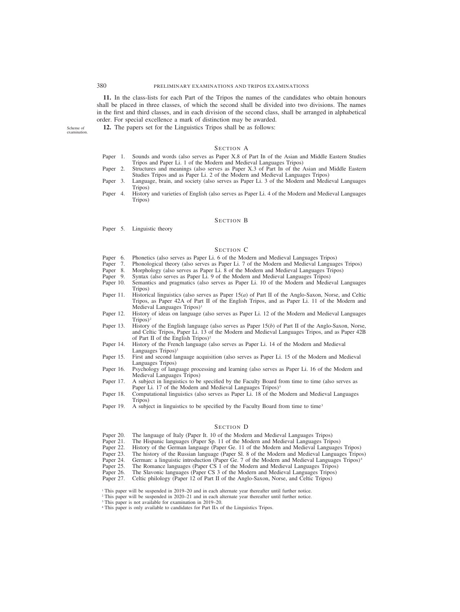**11.** In the class-lists for each Part of the Tripos the names of the candidates who obtain honours shall be placed in three classes, of which the second shall be divided into two divisions. The names in the first and third classes, and in each division of the second class, shall be arranged in alphabetical order. For special excellence a mark of distinction may be awarded.

Scheme of examination.

## SECTION A

**12.** The papers set for the Linguistics Tripos shall be as follows:

- Paper 1. Sounds and words (also serves as Paper X.8 of Part IB of the Asian and Middle Eastern Studies Tripos and Paper Li. 1 of the Modern and Medieval Languages Tripos)
- Paper 2. Structures and meanings (also serves as Paper X.3 of Part IB of the Asian and Middle Eastern Studies Tripos and as Paper Li. 2 of the Modern and Medieval Languages Tripos)
- Paper 3. Language, brain, and society (also serves as Paper Li. 3 of the Modern and Medieval Languages Tripos)
- Paper 4. History and varieties of English (also serves as Paper Li. 4 of the Modern and Medieval Languages Tripos)

## SECTION B

Paper 5. Linguistic theory

## SECTION C

- Paper 6. Phonetics (also serves as Paper Li. 6 of the Modern and Medieval Languages Tripos)<br>Paper 7. Phonological theory (also serves as Paper Li. 7 of the Modern and Medieval Languag
- Paper 7. Phonological theory (also serves as Paper Li. 7 of the Modern and Medieval Languages Tripos)<br>Paper 8. Morphology (also serves as Paper Li. 8 of the Modern and Medieval Languages Tripos)
- Paper 8. Morphology (also serves as Paper Li. 8 of the Modern and Medieval Languages Tripos)<br>Paper 9. Syntax (also serves as Paper Li. 9 of the Modern and Medieval Languages Tripos)
- Syntax (also serves as Paper Li. 9 of the Modern and Medieval Languages Tripos)
- Paper 10. Semantics and pragmatics (also serves as Paper Li. 10 of the Modern and Medieval Languages Tripos)
- Paper 11. Historical linguistics (also serves as Paper 15(*a*) of Part II of the Anglo-Saxon, Norse, and Celtic Tripos, as Paper 42A of Part II of the English Tripos, and as Paper Li. 11 of the Modern and Medieval Languages Tripos)<sup>1</sup>
- Paper 12. History of ideas on language (also serves as Paper Li. 12 of the Modern and Medieval Languages  $Tripos)^2$
- Paper 13. History of the English language (also serves as Paper 15(*b*) of Part II of the Anglo-Saxon, Norse, and Celtic Tripos, Paper Li. 13 of the Modern and Medieval Languages Tripos, and as Paper 42B of Part II of the English Tripos)2
- Paper 14. History of the French language (also serves as Paper Li. 14 of the Modern and Medieval Languages Tripos)<sup>1</sup>
- Paper 15. First and second language acquisition (also serves as Paper Li. 15 of the Modern and Medieval Languages Tripos)
- Paper 16. Psychology of language processing and learning (also serves as Paper Li. 16 of the Modern and Medieval Languages Tripos)
- Paper 17. A subject in linguistics to be specified by the Faculty Board from time to time (also serves as Paper Li. 17 of the Modern and Medieval Languages Tripos)<sup>3</sup>
- Paper 18. Computational linguistics (also serves as Paper Li. 18 of the Modern and Medieval Languages Tripos)
- Paper 19. A subject in linguistics to be specified by the Faculty Board from time to time<sup>3</sup>

### SECTION D

- Paper 20. The language of Italy (Paper It. 10 of the Modern and Medieval Languages Tripos)<br>Paper 21. The Hispanic languages (Paper Sp. 11 of the Modern and Medieval Languages Trip
- 
- Paper 21. The Hispanic languages (Paper Sp. 11 of the Modern and Medieval Languages Tripos)<br>Paper 22. History of the German language (Paper Ge. 11 of the Modern and Medieval Languages Paper 22. History of the German language (Paper Ge. 11 of the Modern and Medieval Languages Tripos)<br>Paper 23. The history of the Russian language (Paper Sl. 8 of the Modern and Medieval Languages Tripos
- Paper 23. The history of the Russian language (Paper Sl. 8 of the Modern and Medieval Languages Tripos)<br>Paper 24. German: a linguistic introduction (Paper Ge. 7 of the Modern and Medieval Languages Tripos)<sup>4</sup>
- German: a linguistic introduction (Paper Ge. 7 of the Modern and Medieval Languages Tripos)<sup>4</sup>
- Paper 25. The Romance languages (Paper CS 1 of the Modern and Medieval Languages Tripos) Paper 26. The Slavonic languages (Paper CS 3 of the Modern and Medieval Languages Tripos)
- Paper 26. The Slavonic languages (Paper CS 3 of the Modern and Medieval Languages Tripos)<br>Paper 27. Celtic philology (Paper 12 of Part II of the Anglo-Saxon, Norse, and Celtic Tripos)
- Celtic philology (Paper 12 of Part II of the Anglo-Saxon, Norse, and Celtic Tripos)

- <sup>2</sup> This paper will be suspended in 2020–21 and in each alternate year thereafter until further notice.
- <sup>3</sup> This paper is not available for examination in 2019–20.
- <sup>4</sup> This paper is only available to candidates for Part IIA of the Linguistics Tripos.

<sup>&</sup>lt;sup>1</sup> This paper will be suspended in 2019–20 and in each alternate year thereafter until further notice.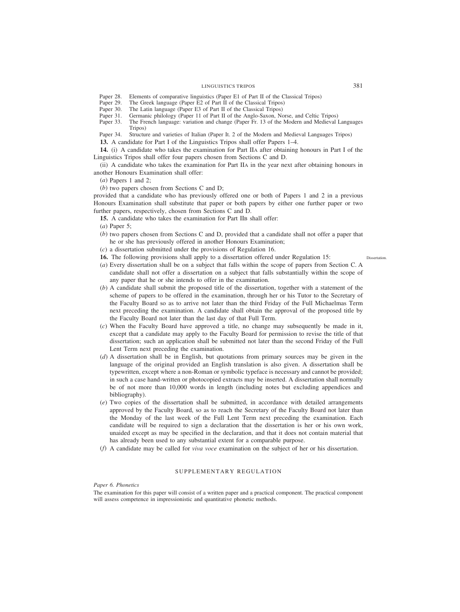- Paper 28. Elements of comparative linguistics (Paper E1 of Part II of the Classical Tripos)<br>Paper 29. The Greek language (Paper E2 of Part II of the Classical Tripos)
- Paper 29. The Greek language (Paper E2 of Part II of the Classical Tripos) Paper 30. The Latin language (Paper E3 of Part II of the Classical Tripos)
- Paper 30. The Latin language (Paper E3 of Part II of the Classical Tripos) Paper 31. Germanic philology (Paper 11 of Part II of the Anglo-Saxon, No
- Paper 31. Germanic philology (Paper 11 of Part II of the Anglo-Saxon, Norse, and Celtic Tripos)<br>Paper 33. The French language: variation and change (Paper Fr. 13 of the Modern and Medieval I
- The French language: variation and change (Paper Fr. 13 of the Modern and Medieval Languages Tripos)

Paper 34. Structure and varieties of Italian (Paper It. 2 of the Modern and Medieval Languages Tripos)

**13.** A candidate for Part I of the Linguistics Tripos shall offer Papers 1–4.

**14.** (i) A candidate who takes the examination for Part IIA after obtaining honours in Part I of the Linguistics Tripos shall offer four papers chosen from Sections C and D.

(ii) A candidate who takes the examination for Part IIA in the year next after obtaining honours in another Honours Examination shall offer:

(*a*) Papers 1 and 2;

(*b*) two papers chosen from Sections C and D;

provided that a candidate who has previously offered one or both of Papers 1 and 2 in a previous Honours Examination shall substitute that paper or both papers by either one further paper or two further papers, respectively, chosen from Sections C and D.

**15.** A candidate who takes the examination for Part IIB shall offer:

(*a*) Paper 5;

- (*b*) two papers chosen from Sections C and D, provided that a candidate shall not offer a paper that he or she has previously offered in another Honours Examination;
- (*c*) a dissertation submitted under the provisions of Regulation 16.
- **16.** The following provisions shall apply to a dissertation offered under Regulation 15:
- (*a*) Every dissertation shall be on a subject that falls within the scope of papers from Section C. A candidate shall not offer a dissertation on a subject that falls substantially within the scope of any paper that he or she intends to offer in the examination.
- (*b*) A candidate shall submit the proposed title of the dissertation, together with a statement of the scheme of papers to be offered in the examination, through her or his Tutor to the Secretary of the Faculty Board so as to arrive not later than the third Friday of the Full Michaelmas Term next preceding the examination. A candidate shall obtain the approval of the proposed title by the Faculty Board not later than the last day of that Full Term.
- (*c*) When the Faculty Board have approved a title, no change may subsequently be made in it, except that a candidate may apply to the Faculty Board for permission to revise the title of that dissertation; such an application shall be submitted not later than the second Friday of the Full Lent Term next preceding the examination.
- (*d*) A dissertation shall be in English, but quotations from primary sources may be given in the language of the original provided an English translation is also given. A dissertation shall be typewritten, except where a non-Roman or symbolic typeface is necessary and cannot be provided; in such a case hand-written or photocopied extracts may be inserted. A dissertation shall normally be of not more than 10,000 words in length (including notes but excluding appendices and bibliography).
- (*e*) Two copies of the dissertation shall be submitted, in accordance with detailed arrangements approved by the Faculty Board, so as to reach the Secretary of the Faculty Board not later than the Monday of the last week of the Full Lent Term next preceding the examination. Each candidate will be required to sign a declaration that the dissertation is her or his own work, unaided except as may be specified in the declaration, and that it does not contain material that has already been used to any substantial extent for a comparable purpose.
- (*f*) A candidate may be called for *viva voce* examination on the subject of her or his dissertation.

## SUPPLEMENTARY REGULATION

#### *Paper 6. Phonetics*

The examination for this paper will consist of a written paper and a practical component. The practical component will assess competence in impressionistic and quantitative phonetic methods.

Dissertation.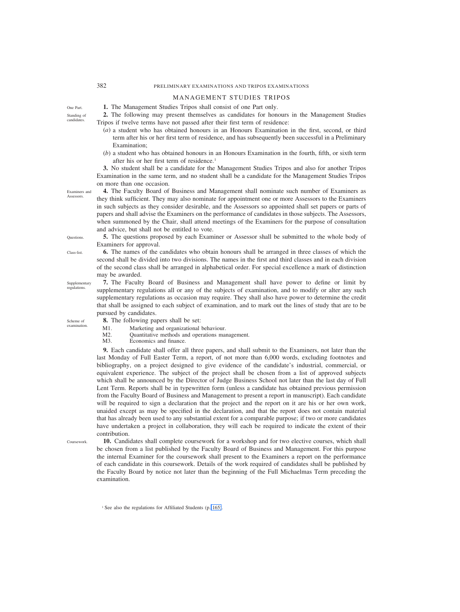# MANAGEMENT STUDIES TRIPOS

**1.** The Management Studies Tripos shall consist of one Part only.

**2.** The following may present themselves as candidates for honours in the Management Studies Tripos if twelve terms have not passed after their first term of residence:

- (*a*) a student who has obtained honours in an Honours Examination in the first, second, or third term after his or her first term of residence, and has subsequently been successful in a Preliminary Examination;
- (*b*) a student who has obtained honours in an Honours Examination in the fourth, fifth, or sixth term after his or her first term of residence.<sup>1</sup>

**3.** No student shall be a candidate for the Management Studies Tripos and also for another Tripos Examination in the same term, and no student shall be a candidate for the Management Studies Tripos on more than one occasion.

**4.** The Faculty Board of Business and Management shall nominate such number of Examiners as they think sufficient. They may also nominate for appointment one or more Assessors to the Examiners in such subjects as they consider desirable, and the Assessors so appointed shall set papers or parts of papers and shall advise the Examiners on the performance of candidates in those subjects. The Assessors, when summoned by the Chair, shall attend meetings of the Examiners for the purpose of consultation and advice, but shall not be entitled to vote.

**Questions** 

**5.** The questions proposed by each Examiner or Assessor shall be submitted to the whole body of Examiners for approval.

**6.** The names of the candidates who obtain honours shall be arranged in three classes of which the second shall be divided into two divisions. The names in the first and third classes and in each division of the second class shall be arranged in alphabetical order. For special excellence a mark of distinction may be awarded.

**7.** The Faculty Board of Business and Management shall have power to define or limit by supplementary regulations all or any of the subjects of examination, and to modify or alter any such supplementary regulations as occasion may require. They shall also have power to determine the credit that shall be assigned to each subject of examination, and to mark out the lines of study that are to be pursued by candidates. Supplementary regulations.

Scheme of examination.

- **8.** The following papers shall be set:
- M1. Marketing and organizational behaviour.
- M2. Quantitative methods and operations management.<br>M3. Economics and finance.
- Economics and finance.

**9.** Each candidate shall offer all three papers, and shall submit to the Examiners, not later than the last Monday of Full Easter Term, a report, of not more than 6,000 words, excluding footnotes and bibliography, on a project designed to give evidence of the candidate's industrial, commercial, or equivalent experience. The subject of the project shall be chosen from a list of approved subjects which shall be announced by the Director of Judge Business School not later than the last day of Full Lent Term. Reports shall be in typewritten form (unless a candidate has obtained previous permission from the Faculty Board of Business and Management to present a report in manuscript). Each candidate will be required to sign a declaration that the project and the report on it are his or her own work, unaided except as may be specified in the declaration, and that the report does not contain material that has already been used to any substantial extent for a comparable purpose; if two or more candidates have undertaken a project in collaboration, they will each be required to indicate the extent of their contribution.

Coursework.

**10.** Candidates shall complete coursework for a workshop and for two elective courses, which shall be chosen from a list published by the Faculty Board of Business and Management. For this purpose the internal Examiner for the coursework shall present to the Examiners a report on the performance of each candidate in this coursework. Details of the work required of candidates shall be published by the Faculty Board by notice not later than the beginning of the Full Michaelmas Term preceding the examination.

Examiners and **Assessors** 

One Part. Standing of candidates.

Class-list.

<sup>&</sup>lt;sup>1</sup> See also the regulations for Affiliated Students (p. 165).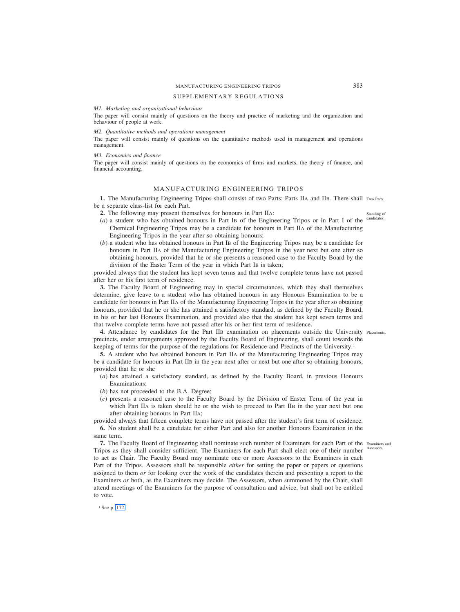# MANUFACTURING ENGINEERING TRIPOS 383

## SUPPLEMENTARY REGULATIONS

*M1. Marketing and organizational behaviour*

The paper will consist mainly of questions on the theory and practice of marketing and the organization and behaviour of people at work.

*M2. Quantitative methods and operations management*

The paper will consist mainly of questions on the quantitative methods used in management and operations management.

### *M3. Economics and finance*

The paper will consist mainly of questions on the economics of firms and markets, the theory of finance, and financial accounting.

### MANUFACTURING ENGINEERING TRIPOS

1. The Manufacturing Engineering Tripos shall consist of two Parts: Parts IIA and IIB. There shall Two Parts. be a separate class-list for each Part.

- **2.** The following may present themselves for honours in Part IIA:
- (*a*) a student who has obtained honours in Part IB of the Engineering Tripos or in Part I of the Chemical Engineering Tripos may be a candidate for honours in Part IIA of the Manufacturing Engineering Tripos in the year after so obtaining honours;
- (*b*) a student who has obtained honours in Part IB of the Engineering Tripos may be a candidate for honours in Part IIA of the Manufacturing Engineering Tripos in the year next but one after so obtaining honours, provided that he or she presents a reasoned case to the Faculty Board by the division of the Easter Term of the year in which Part IB is taken;

provided always that the student has kept seven terms and that twelve complete terms have not passed after her or his first term of residence.

**3.** The Faculty Board of Engineering may in special circumstances, which they shall themselves determine, give leave to a student who has obtained honours in any Honours Examination to be a candidate for honours in Part IIA of the Manufacturing Engineering Tripos in the year after so obtaining honours, provided that he or she has attained a satisfactory standard, as defined by the Faculty Board, in his or her last Honours Examination, and provided also that the student has kept seven terms and that twelve complete terms have not passed after his or her first term of residence.

4. Attendance by candidates for the Part IIB examination on placements outside the University Placements. precincts, under arrangements approved by the Faculty Board of Engineering, shall count towards the keeping of terms for the purpose of the regulations for Residence and Precincts of the University.<sup>1</sup>

**5.** A student who has obtained honours in Part IIA of the Manufacturing Engineering Tripos may be a candidate for honours in Part IIB in the year next after or next but one after so obtaining honours, provided that he or she

- (*a*) has attained a satisfactory standard, as defined by the Faculty Board, in previous Honours Examinations;
- (*b*) has not proceeded to the B.A. Degree;
- (*c*) presents a reasoned case to the Faculty Board by the Division of Easter Term of the year in which Part IIA is taken should he or she wish to proceed to Part IIB in the year next but one after obtaining honours in Part IIA;

provided always that fifteen complete terms have not passed after the student's first term of residence.

**6.** No student shall be a candidate for either Part and also for another Honours Examination in the same term.

**7.** The Faculty Board of Engineering shall nominate such number of Examiners for each Part of the Examiners and Tripos as they shall consider sufficient. The Examiners for each Part shall elect one of their number Assessors. to act as Chair. The Faculty Board may nominate one or more Assessors to the Examiners in each Part of the Tripos. Assessors shall be responsible *either* for setting the paper or papers or questions assigned to them *or* for looking over the work of the candidates therein and presenting a report to the Examiners *or* both, as the Examiners may decide. The Assessors, when summoned by the Chair, shall attend meetings of the Examiners for the purpose of consultation and advice, but shall not be entitled to vote.

<sup>1</sup> See p. 172.

Standing of candidat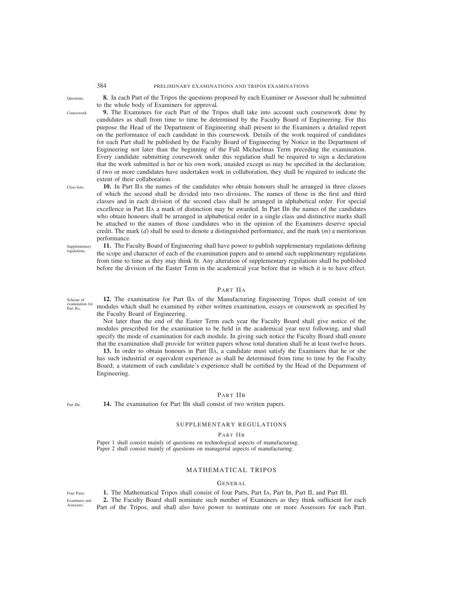**Questions** 

Coursework.

**8.** In each Part of the Tripos the questions proposed by each Examiner or Assessor shall be submitted to the whole body of Examiners for approval.

**9.** The Examiners for each Part of the Tripos shall take into account such coursework done by candidates as shall from time to time be determined by the Faculty Board of Engineering. For this purpose the Head of the Department of Engineering shall present to the Examiners a detailed report on the performance of each candidate in this coursework. Details of the work required of candidates for each Part shall be published by the Faculty Board of Engineering by Notice in the Department of Engineering not later than the beginning of the Full Michaelmas Term preceding the examination. Every candidate submitting coursework under this regulation shall be required to sign a declaration that the work submitted is her or his own work, unaided except as may be specified in the declaration; if two or more candidates have undertaken work in collaboration, they shall be required to indicate the extent of their collaboration.

**10.** In Part IIA the names of the candidates who obtain honours shall be arranged in three classes of which the second shall be divided into two divisions. The names of those in the first and third classes and in each division of the second class shall be arranged in alphabetical order. For special excellence in Part IIA a mark of distinction may be awarded. In Part IIB the names of the candidates who obtain honours shall be arranged in alphabetical order in a single class and distinctive marks shall be attached to the names of those candidates who in the opinion of the Examiners deserve special credit. The mark (*d*) shall be used to denote a distinguished performance, and the mark (*m*) a meritorious performance.

**Supplementary** regulations.

Scheme of

Part IIA.

Class-lists.

**11.** The Faculty Board of Engineering shall have power to publish supplementary regulations defining the scope and character of each of the examination papers and to amend such supplementary regulations from time to time as they may think fit. Any alteration of supplementary regulations shall be published before the division of the Easter Term in the academical year before that in which it is to have effect.

## PART IIA

**12.** The examination for Part IIA of the Manufacturing Engineering Tripos shall consist of ten modules which shall be examined by either written examination, essays or coursework as specified by the Faculty Board of Engineering. examination for

Not later than the end of the Easter Term each year the Faculty Board shall give notice of the modules prescribed for the examination to be held in the academical year next following, and shall specify the mode of examination for each module. In giving such notice the Faculty Board shall ensure that the examination shall provide for written papers whose total duration shall be at least twelve hours.

**13.** In order to obtain honours in Part IIA, a candidate must satisfy the Examiners that he or she has such industrial or equivalent experience as shall be determined from time to time by the Faculty Board; a statement of each candidate's experience shall be certified by the Head of the Department of Engineering.

# PART IIB

Part IIB.

**14.** The examination for Part IIB shall consist of two written papers.

## SUPPLEMENTARY REGULATIONS

PART IIB

Paper 1 shall consist mainly of questions on technological aspects of manufacturing. Paper 2 shall consist mainly of questions on managerial aspects of manufacturing.

# MATHEMATICAL TRIPOS

### GENERAL

Four Parts.

Examiners and Assessors.

**1.** The Mathematical Tripos shall consist of four Parts, Part IA, Part IB, Part II, and Part III. **2.** The Faculty Board shall nominate such number of Examiners as they think sufficient for each Part of the Tripos, and shall also have power to nominate one or more Assessors for each Part.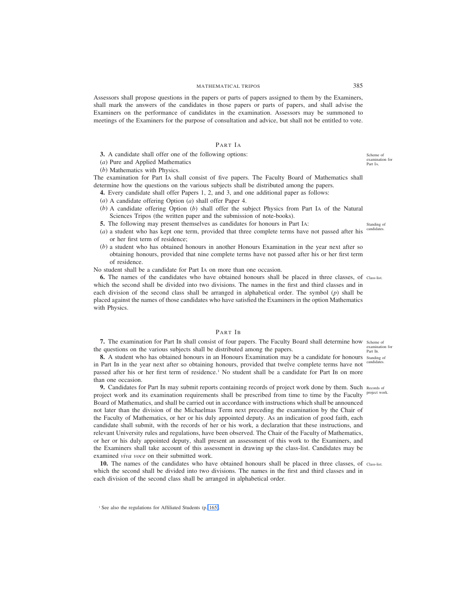## MATHEMATICAL TRIPOS 385

Assessors shall propose questions in the papers or parts of papers assigned to them by the Examiners, shall mark the answers of the candidates in those papers or parts of papers, and shall advise the Examiners on the performance of candidates in the examination. Assessors may be summoned to meetings of the Examiners for the purpose of consultation and advice, but shall not be entitled to vote.

# PART IA

**3.** A candidate shall offer one of the following options:

(*a*) Pure and Applied Mathematics

(*b*) Mathematics with Physics.

The examination for Part IA shall consist of five papers. The Faculty Board of Mathematics shall determine how the questions on the various subjects shall be distributed among the papers.

**4.** Every candidate shall offer Papers 1, 2, and 3, and one additional paper as follows:

- (*a*) A candidate offering Option (*a*) shall offer Paper 4.
- (*b*) A candidate offering Option (*b*) shall offer the subject Physics from Part IA of the Natural Sciences Tripos (the written paper and the submission of note-books).
- **5.** The following may present themselves as candidates for honours in Part IA:
- (*a*) a student who has kept one term, provided that three complete terms have not passed after his or her first term of residence;
- (*b*) a student who has obtained honours in another Honours Examination in the year next after so obtaining honours, provided that nine complete terms have not passed after his or her first term of residence.

No student shall be a candidate for Part IA on more than one occasion.

**6.** The names of the candidates who have obtained honours shall be placed in three classes, of class-list. which the second shall be divided into two divisions. The names in the first and third classes and in each division of the second class shall be arranged in alphabetical order. The symbol (*p*) shall be placed against the names of those candidates who have satisfied the Examiners in the option Mathematics with Physics.

## PART IB

**7.** The examination for Part IB shall consist of four papers. The Faculty Board shall determine how scheme of the questions on the various subjects shall be distributed among the papers.

**8.** A student who has obtained honours in an Honours Examination may be a candidate for honours standing of in Part IB in the year next after so obtaining honours, provided that twelve complete terms have not passed after his or her first term of residence.<sup>1</sup> No student shall be a candidate for Part IB on more than one occasion.

**9.** Candidates for Part IB may submit reports containing records of project work done by them. Such Records of project work and its examination requirements shall be prescribed from time to time by the Faculty project work. Board of Mathematics, and shall be carried out in accordance with instructions which shall be announced not later than the division of the Michaelmas Term next preceding the examination by the Chair of the Faculty of Mathematics, or her or his duly appointed deputy. As an indication of good faith, each candidate shall submit, with the records of her or his work, a declaration that these instructions, and relevant University rules and regulations, have been observed. The Chair of the Faculty of Mathematics, or her or his duly appointed deputy, shall present an assessment of this work to the Examiners, and the Examiners shall take account of this assessment in drawing up the class-list. Candidates may be examined *viva voce* on their submitted work.

10. The names of the candidates who have obtained honours shall be placed in three classes, of class-list. which the second shall be divided into two divisions. The names in the first and third classes and in each division of the second class shall be arranged in alphabetical order.

Scheme of examination for Part IA.

Standing of candidat

examination for Part IB.

candidates.

<sup>&</sup>lt;sup>1</sup> See also the regulations for Affiliated Students (p. 165).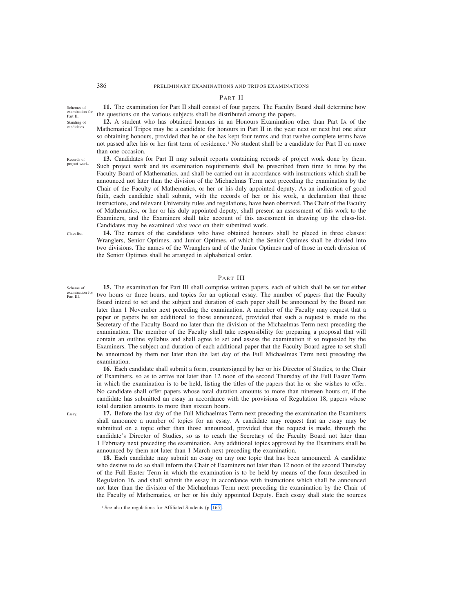## PART II

**11.** The examination for Part II shall consist of four papers. The Faculty Board shall determine how the questions on the various subjects shall be distributed among the papers. Schemes of examination for

**12.** A student who has obtained honours in an Honours Examination other than Part IA of the Mathematical Tripos may be a candidate for honours in Part II in the year next or next but one after so obtaining honours, provided that he or she has kept four terms and that twelve complete terms have not passed after his or her first term of residence.<sup>1</sup> No student shall be a candidate for Part II on more than one occasion.

Records of project work.

Class-list.

Part II. Standing of candidates.

> **13.** Candidates for Part II may submit reports containing records of project work done by them. Such project work and its examination requirements shall be prescribed from time to time by the Faculty Board of Mathematics, and shall be carried out in accordance with instructions which shall be announced not later than the division of the Michaelmas Term next preceding the examination by the Chair of the Faculty of Mathematics, or her or his duly appointed deputy. As an indication of good faith, each candidate shall submit, with the records of her or his work, a declaration that these instructions, and relevant University rules and regulations, have been observed. The Chair of the Faculty of Mathematics, or her or his duly appointed deputy, shall present an assessment of this work to the Examiners, and the Examiners shall take account of this assessment in drawing up the class-list. Candidates may be examined *viva voce* on their submitted work.

> **14.** The names of the candidates who have obtained honours shall be placed in three classes: Wranglers, Senior Optimes, and Junior Optimes, of which the Senior Optimes shall be divided into two divisions. The names of the Wranglers and of the Junior Optimes and of those in each division of the Senior Optimes shall be arranged in alphabetical order.

### PART III

Scheme of examination for Part III.

**15.** The examination for Part III shall comprise written papers, each of which shall be set for either two hours or three hours, and topics for an optional essay. The number of papers that the Faculty Board intend to set and the subject and duration of each paper shall be announced by the Board not later than 1 November next preceding the examination. A member of the Faculty may request that a paper or papers be set additional to those announced, provided that such a request is made to the Secretary of the Faculty Board no later than the division of the Michaelmas Term next preceding the examination. The member of the Faculty shall take responsibility for preparing a proposal that will contain an outline syllabus and shall agree to set and assess the examination if so requested by the Examiners. The subject and duration of each additional paper that the Faculty Board agree to set shall be announced by them not later than the last day of the Full Michaelmas Term next preceding the examination.

**16.** Each candidate shall submit a form, countersigned by her or his Director of Studies, to the Chair of Examiners, so as to arrive not later than 12 noon of the second Thursday of the Full Easter Term in which the examination is to be held, listing the titles of the papers that he or she wishes to offer. No candidate shall offer papers whose total duration amounts to more than nineteen hours or, if the candidate has submitted an essay in accordance with the provisions of Regulation 18, papers whose total duration amounts to more than sixteen hours.

Essay.

**17.** Before the last day of the Full Michaelmas Term next preceding the examination the Examiners shall announce a number of topics for an essay. A candidate may request that an essay may be submitted on a topic other than those announced, provided that the request is made, through the candidate's Director of Studies, so as to reach the Secretary of the Faculty Board not later than 1 February next preceding the examination. Any additional topics approved by the Examiners shall be announced by them not later than 1 March next preceding the examination.

**18.** Each candidate may submit an essay on any one topic that has been announced. A candidate who desires to do so shall inform the Chair of Examiners not later than 12 noon of the second Thursday of the Full Easter Term in which the examination is to be held by means of the form described in Regulation 16, and shall submit the essay in accordance with instructions which shall be announced not later than the division of the Michaelmas Term next preceding the examination by the Chair of the Faculty of Mathematics, or her or his duly appointed Deputy. Each essay shall state the sources

<sup>&</sup>lt;sup>1</sup> See also the regulations for Affiliated Students (p. 165).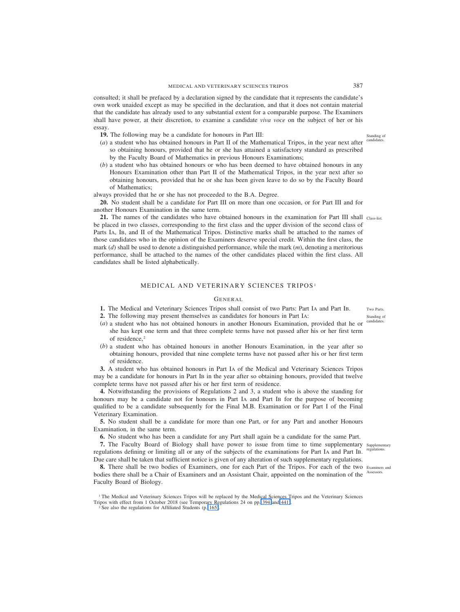consulted; it shall be prefaced by a declaration signed by the candidate that it represents the candidate's own work unaided except as may be specified in the declaration, and that it does not contain material that the candidate has already used to any substantial extent for a comparable purpose. The Examiners shall have power, at their discretion, to examine a candidate *viva voce* on the subject of her or his essay.

**19.** The following may be a candidate for honours in Part III:

- (*a*) a student who has obtained honours in Part II of the Mathematical Tripos, in the year next after so obtaining honours, provided that he or she has attained a satisfactory standard as prescribed by the Faculty Board of Mathematics in previous Honours Examinations;
- (*b*) a student who has obtained honours or who has been deemed to have obtained honours in any Honours Examination other than Part II of the Mathematical Tripos, in the year next after so obtaining honours, provided that he or she has been given leave to do so by the Faculty Board of Mathematics;

always provided that he or she has not proceeded to the B.A. Degree.

**20.** No student shall be a candidate for Part III on more than one occasion, or for Part III and for another Honours Examination in the same term.

**21.** The names of the candidates who have obtained honours in the examination for Part III shall class-list. be placed in two classes, corresponding to the first class and the upper division of the second class of Parts IA, IB, and II of the Mathematical Tripos. Distinctive marks shall be attached to the names of those candidates who in the opinion of the Examiners deserve special credit. Within the first class, the mark (*d*) shall be used to denote a distinguished performance, while the mark (*m*), denoting a meritorious performance, shall be attached to the names of the other candidates placed within the first class. All candidates shall be listed alphabetically.

## MEDICAL AND VETERINARY SCIENCES TRIPOS <sup>1</sup>

## GENERAL

- **1.** The Medical and Veterinary Sciences Tripos shall consist of two Parts: Part IA and Part IB. **2.** The following may present themselves as candidates for honours in Part IA:
- (*a*) a student who has not obtained honours in another Honours Examination, provided that he or she has kept one term and that three complete terms have not passed after his or her first term of residence.<sup>2</sup>
- (*b*) a student who has obtained honours in another Honours Examination, in the year after so obtaining honours, provided that nine complete terms have not passed after his or her first term of residence.

**3.** A student who has obtained honours in Part IA of the Medical and Veterinary Sciences Tripos may be a candidate for honours in Part IB in the year after so obtaining honours, provided that twelve complete terms have not passed after his or her first term of residence.

**4.** Notwithstanding the provisions of Regulations 2 and 3, a student who is above the standing for honours may be a candidate not for honours in Part IA and Part IB for the purpose of becoming qualified to be a candidate subsequently for the Final M.B. Examination or for Part I of the Final Veterinary Examination.

**5.** No student shall be a candidate for more than one Part, or for any Part and another Honours Examination, in the same term.

**6.** No student who has been a candidate for any Part shall again be a candidate for the same Part.

**7.** The Faculty Board of Biology shall have power to issue from time to time supplementary supplementary regulations defining or limiting all or any of the subjects of the examinations for Part IA and Part IB. Due care shall be taken that sufficient notice is given of any alteration of such supplementary regulations.

8. There shall be two bodies of Examiners, one for each Part of the Tripos. For each of the two Examiners and bodies there shall be a Chair of Examiners and an Assistant Chair, appointed on the nomination of the Faculty Board of Biology.

Standing of candidat

Two Parts. Standing of candidate

regulations.

Assessors.

<sup>&</sup>lt;sup>1</sup> The Medical and Veterinary Sciences Tripos will be replaced by the Medical Sciences Tripos and the Veterinary Sciences Tripos with effect from 1 October 2018 (see Temporary Regulations 24 on pp. 394 and 441).

 $2^2$  See also the regulations for Affiliated Students (p. 165).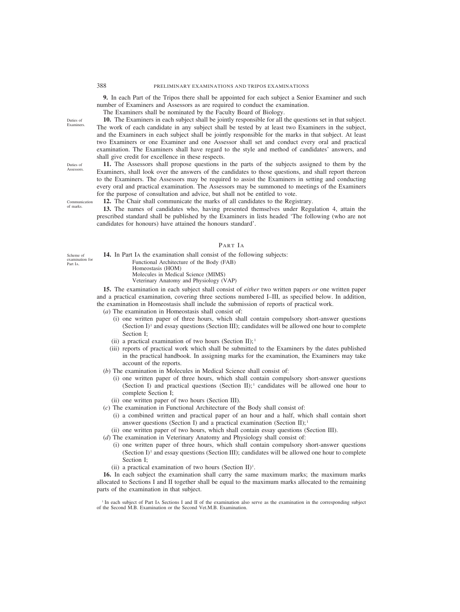**9.** In each Part of the Tripos there shall be appointed for each subject a Senior Examiner and such number of Examiners and Assessors as are required to conduct the examination.

The Examiners shall be nominated by the Faculty Board of Biology.

**10.** The Examiners in each subject shall be jointly responsible for all the questions set in that subject. The work of each candidate in any subject shall be tested by at least two Examiners in the subject, and the Examiners in each subject shall be jointly responsible for the marks in that subject. At least two Examiners or one Examiner and one Assessor shall set and conduct every oral and practical examination. The Examiners shall have regard to the style and method of candidates' answers, and shall give credit for excellence in these respects.

**11.** The Assessors shall propose questions in the parts of the subjects assigned to them by the Examiners, shall look over the answers of the candidates to those questions, and shall report thereon to the Examiners. The Assessors may be required to assist the Examiners in setting and conducting every oral and practical examination. The Assessors may be summoned to meetings of the Examiners for the purpose of consultation and advice, but shall not be entitled to vote.

**12.** The Chair shall communicate the marks of all candidates to the Registrary.

**13.** The names of candidates who, having presented themselves under Regulation 4, attain the prescribed standard shall be published by the Examiners in lists headed 'The following (who are not candidates for honours) have attained the honours standard'.

# PART IA

**14.** In Part IA the examination shall consist of the following subjects: Functional Architecture of the Body (FAB) Homeostasis (HOM) Molecules in Medical Science (MIMS) Veterinary Anatomy and Physiology (VAP)

**15.** The examination in each subject shall consist of *either* two written papers *or* one written paper and a practical examination, covering three sections numbered I–III, as specified below. In addition, the examination in Homeostasis shall include the submission of reports of practical work.

- (*a*) The examination in Homeostasis shall consist of:
	- (i) one written paper of three hours, which shall contain compulsory short-answer questions (Section  $I$ <sup>1</sup> and essay questions (Section III); candidates will be allowed one hour to complete Section I;
	- (ii) a practical examination of two hours (Section II);<sup>1</sup>
	- (iii) reports of practical work which shall be submitted to the Examiners by the dates published in the practical handbook. In assigning marks for the examination, the Examiners may take account of the reports.
- (*b*) The examination in Molecules in Medical Science shall consist of:
	- (i) one written paper of three hours, which shall contain compulsory short-answer questions (Section I) and practical questions (Section II); candidates will be allowed one hour to complete Section I;
	- (ii) one written paper of two hours (Section III).
- (*c*) The examination in Functional Architecture of the Body shall consist of:
	- (i) a combined written and practical paper of an hour and a half, which shall contain short answer questions (Section I) and a practical examination (Section II);  $\frac{1}{1}$
	- (ii) one written paper of two hours, which shall contain essay questions (Section III).
- (*d*) The examination in Veterinary Anatomy and Physiology shall consist of:
	- (i) one written paper of three hours, which shall contain compulsory short-answer questions (Section  $I$ <sup>1</sup> and essay questions (Section III); candidates will be allowed one hour to complete Section I<sup>,</sup>
	- (ii) a practical examination of two hours (Section II)<sup>1</sup>.

**16.** In each subject the examination shall carry the same maximum marks; the maximum marks allocated to Sections I and II together shall be equal to the maximum marks allocated to the remaining parts of the examination in that subject.

<sup>1</sup> In each subject of Part IA Sections I and II of the examination also serve as the examination in the corresponding subject of the Second M.B. Examination or the Second Vet.M.B. Examination.

Duties of Examiners

Duties of Assessors.

Communication of marks.

Scheme of examination for

Part IA.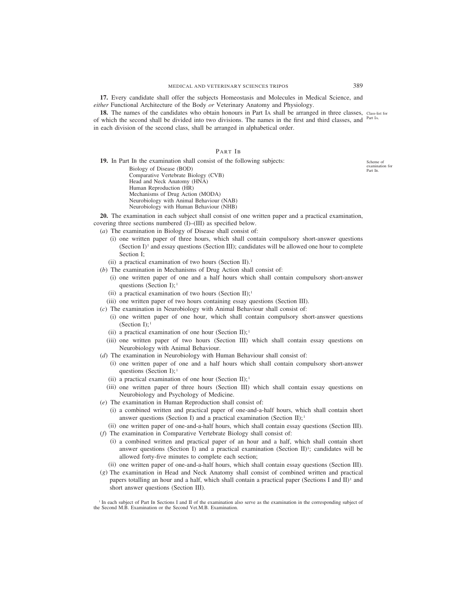## MEDICAL AND VETERINARY SCIENCES TRIPOS 389

**17.** Every candidate shall offer the subjects Homeostasis and Molecules in Medical Science, and *either* Functional Architecture of the Body *or* Veterinary Anatomy and Physiology.

**18.** The names of the candidates who obtain honours in Part IA shall be arranged in three classes, class-list for of which the second shall be divided into two divisions. The names in the first and third classes, and <sup>Part IA.</sup> in each division of the second class, shall be arranged in alphabetical order.

## PART IB

**19.** In Part IB the examination shall consist of the following subjects: Biology of Disease (BOD) Comparative Vertebrate Biology (CVB) Head and Neck Anatomy (HNA) Human Reproduction (HR) Mechanisms of Drug Action (MODA) Neurobiology with Animal Behaviour (NAB) Neurobiology with Human Behaviour (NHB)

**20.** The examination in each subject shall consist of one written paper and a practical examination, covering three sections numbered (I)–(III) as specified below.

(*a*) The examination in Biology of Disease shall consist of:

- (i) one written paper of three hours, which shall contain compulsory short-answer questions (Section  $I$ <sup>1</sup> and essay questions (Section III); candidates will be allowed one hour to complete Section I;
- (ii) a practical examination of two hours (Section II).<sup>1</sup>
- (*b*) The examination in Mechanisms of Drug Action shall consist of:
	- (i) one written paper of one and a half hours which shall contain compulsory short-answer questions (Section I);<sup>1</sup>
	- (ii) a practical examination of two hours (Section II);<sup>1</sup>
	- (iii) one written paper of two hours containing essay questions (Section III).
- (*c*) The examination in Neurobiology with Animal Behaviour shall consist of:
	- (i) one written paper of one hour, which shall contain compulsory short-answer questions (Section  $I$ );<sup>1</sup>
	- (ii) a practical examination of one hour (Section II);  $\frac{1}{2}$
	- (iii) one written paper of two hours (Section III) which shall contain essay questions on Neurobiology with Animal Behaviour.
- (*d*) The examination in Neurobiology with Human Behaviour shall consist of:
	- (i) one written paper of one and a half hours which shall contain compulsory short-answer questions (Section I);<sup>1</sup>
	- (ii) a practical examination of one hour (Section II);<sup>1</sup>
	- (iii) one written paper of three hours (Section III) which shall contain essay questions on Neurobiology and Psychology of Medicine.
- (*e*) The examination in Human Reproduction shall consist of:
	- (i) a combined written and practical paper of one-and-a-half hours, which shall contain short answer questions (Section I) and a practical examination (Section II);<sup>1</sup>
- (ii) one written paper of one-and-a-half hours, which shall contain essay questions (Section III).
- (*f*) The examination in Comparative Vertebrate Biology shall consist of:
	- (i) a combined written and practical paper of an hour and a half, which shall contain short answer questions (Section I) and a practical examination (Section II)<sup>1</sup>; candidates will be allowed forty-five minutes to complete each section;
	- (ii) one written paper of one-and-a-half hours, which shall contain essay questions (Section III).
- (*g*) The examination in Head and Neck Anatomy shall consist of combined written and practical papers totalling an hour and a half, which shall contain a practical paper (Sections I and II)<sup>1</sup> and short answer questions (Section III).

<sup>1</sup> In each subject of Part IB Sections I and II of the examination also serve as the examination in the corresponding subject of the Second M.B. Examination or the Second Vet.M.B. Examination.

Scheme of examination for Part IB.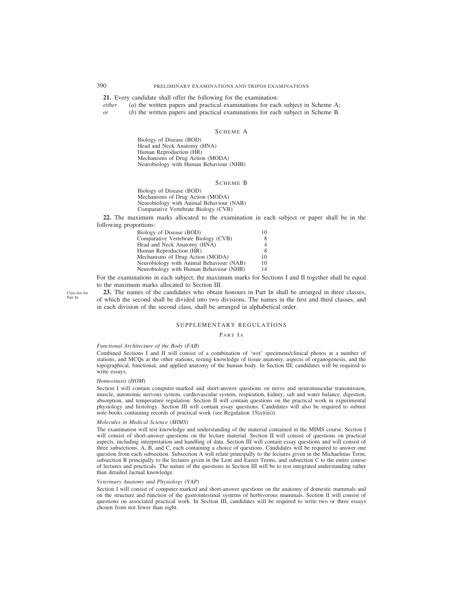**21.** Every candidate shall offer the following for the examination:

*either* (*a*) the written papers and practical examinations for each subject in Scheme A;

*or* (*b*) the written papers and practical examinations for each subject in Scheme B.

## SCHEME A

Biology of Disease (BOD) Head and Neck Anatomy (HNA) Human Reproduction (HR) Mechanisms of Drug Action (MODA) Neurobiology with Human Behaviour (NHB)

### SCHEME B

Biology of Disease (BOD) Mechanisms of Drug Action (MODA) Neurobiology with Animal Behaviour (NAB) Comparative Vertebrate Biology (CVB)

**22.** The maximum marks allocated to the examination in each subject or paper shall be in the following proportions:

| Biology of Disease (BOD)                 | 10 |
|------------------------------------------|----|
| Comparative Vertebrate Biology (CVB)     | 8  |
| Head and Neck Anatomy (HNA)              | 4  |
| Human Reproduction (HR)                  | 8  |
| Mechanisms of Drug Action (MODA)         | 10 |
| Neurobiology with Animal Behaviour (NAB) | 10 |
| Neurobiology with Human Behaviour (NHB)  | 14 |

For the examinations in each subject, the maximum marks for Sections I and II together shall be equal to the maximum marks allocated to Section III.

Class-list for Part I<sub>B</sub>

23. The names of the candidates who obtain honours in Part IB shall be arranged in three classes, of which the second shall be divided into two divisions. The names in the first and third classes, and in each division of the second class, shall be arranged in alphabetical order.

## SUPPLEMENTARY REGULATIONS

#### PART IA

## *Functional Architecture of the Body* (*FAB*)

Combined Sections I and II will consist of a combination of 'wet' specimens/clinical photos at a number of stations, and MCQs at the other stations, testing knowledge of tissue anatomy, aspects of organogenesis, and the topographical, functional, and applied anatomy of the human body. In Section III, candidates will be required to write essays.

#### *Homeostasis* (*HOM*)

Section I will contain computer-marked and short-answer questions on nerve and neuromuscular transmission, muscle, autonomic nervous system, cardiovascular system, respiration, kidney, salt and water balance, digestion, absorption, and temperature regulation. Section II will contain questions on the practical work in experimental physiology and histology. Section III will contain essay questions. Candidates will also be required to submit note-books containing records of practical work (see Regulation 15(*a*)(iii)).

#### *Molecules in Medical Science* (*MIMS*)

The examination will test knowledge and understanding of the material contained in the MIMS course. Section I will consist of short-answer questions on the lecture material. Section II will consist of questions on practical aspects, including interpretation and handling of data. Section III will contain essay questions and will consist of three subsections, A, B, and C, each containing a choice of questions. Candidates will be required to answer one question from each subsection. Subsection A will relate principally to the lectures given in the Michaelmas Term, subsection B principally to the lectures given in the Lent and Easter Terms, and subsection C to the entire course of lectures and practicals. The nature of the questions in Section III will be to test integrated understanding rather than detailed factual knowledge.

## *Veterinary Anatomy and Physiology* (*VAP*)

Section I will consist of computer-marked and short-answer questions on the anatomy of domestic mammals and on the structure and function of the gastrointestinal systems of herbivorous mammals. Section II will consist of questions on associated practical work. In Section III, candidates will be required to write two or three essays chosen from not fewer than eight.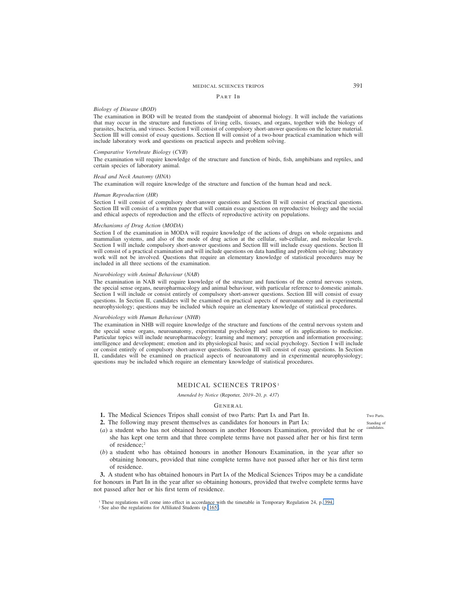# MEDICAL SCIENCES TRIPOS 391

## PART IB

## *Biology of Disease* (*BOD*)

The examination in BOD will be treated from the standpoint of abnormal biology. It will include the variations that may occur in the structure and functions of living cells, tissues, and organs, together with the biology of parasites, bacteria, and viruses. Section I will consist of compulsory short-answer questions on the lecture material. Section III will consist of essay questions. Section II will consist of a two-hour practical examination which will include laboratory work and questions on practical aspects and problem solving.

## *Comparative Vertebrate Biology* (*CVB*)

The examination will require knowledge of the structure and function of birds, fish, amphibians and reptiles, and certain species of laboratory animal.

#### *Head and Neck Anatomy* (*HNA*)

The examination will require knowledge of the structure and function of the human head and neck.

### *Human Reproduction* (*HR*)

Section I will consist of compulsory short-answer questions and Section II will consist of practical questions. Section III will consist of a written paper that will contain essay questions on reproductive biology and the social and ethical aspects of reproduction and the effects of reproductive activity on populations.

#### *Mechanisms of Drug Action* (*MODA*)

Section I of the examination in MODA will require knowledge of the actions of drugs on whole organisms and mammalian systems, and also of the mode of drug action at the cellular, sub-cellular, and molecular levels. Section I will include compulsory short-answer questions and Section III will include essay questions. Section II will consist of a practical examination and will include questions on data handling and problem solving; laboratory work will not be involved. Questions that require an elementary knowledge of statistical procedures may be included in all three sections of the examination.

### *Neurobiology with Animal Behaviour* (*NAB*)

The examination in NAB will require knowledge of the structure and functions of the central nervous system, the special sense organs, neuropharmacology and animal behaviour, with particular reference to domestic animals. Section I will include or consist entirely of compulsory short-answer questions. Section III will consist of essay questions. In Section II, candidates will be examined on practical aspects of neuroanatomy and in experimental neurophysiology; questions may be included which require an elementary knowledge of statistical procedures.

#### *Neurobiology with Human Behaviour* (*NHB*)

The examination in NHB will require knowledge of the structure and functions of the central nervous system and the special sense organs, neuroanatomy, experimental psychology and some of its applications to medicine. Particular topics will include neuropharmacology; learning and memory; perception and information processing; intelligence and development; emotion and its physiological basis; and social psychology. Section I will include or consist entirely of compulsory short-answer questions. Section III will consist of essay questions. In Section II, candidates will be examined on practical aspects of neuroanatomy and in experimental neurophysiology; questions may be included which require an elementary knowledge of statistical procedures.

## MEDICAL SCIENCES TRIPOS<sup>1</sup>

*Amended by Notice (*Reporter*, 2019–20, p. 437)*

## GENERAL

- **1.** The Medical Sciences Tripos shall consist of two Parts: Part IA and Part IB.
- **2.** The following may present themselves as candidates for honours in Part IA:
- (*a*) a student who has not obtained honours in another Honours Examination, provided that he or she has kept one term and that three complete terms have not passed after her or his first term of residence;<sup>2</sup>
- (*b*) a student who has obtained honours in another Honours Examination, in the year after so obtaining honours, provided that nine complete terms have not passed after her or his first term of residence.

**3.** A student who has obtained honours in Part IA of the Medical Sciences Tripos may be a candidate for honours in Part IB in the year after so obtaining honours, provided that twelve complete terms have not passed after her or his first term of residence.

Two Parts. Standing of candidat

<sup>1</sup> These regulations will come into effect in accordance with the timetable in Temporary Regulation 24, p. 394.

<sup>2</sup> See also the regulations for Affiliated Students (p. 165).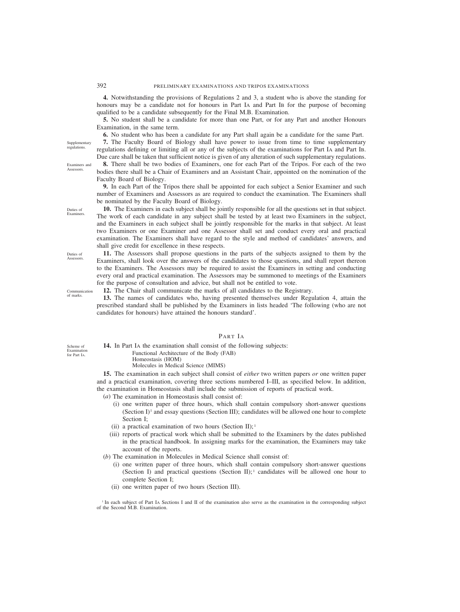**4.** Notwithstanding the provisions of Regulations 2 and 3, a student who is above the standing for honours may be a candidate not for honours in Part IA and Part IB for the purpose of becoming qualified to be a candidate subsequently for the Final M.B. Examination.

**5.** No student shall be a candidate for more than one Part, or for any Part and another Honours Examination, in the same term.

**6.** No student who has been a candidate for any Part shall again be a candidate for the same Part.

**7.** The Faculty Board of Biology shall have power to issue from time to time supplementary regulations defining or limiting all or any of the subjects of the examinations for Part IA and Part IB. Due care shall be taken that sufficient notice is given of any alteration of such supplementary regulations.

**8.** There shall be two bodies of Examiners, one for each Part of the Tripos. For each of the two bodies there shall be a Chair of Examiners and an Assistant Chair, appointed on the nomination of the Faculty Board of Biology.

**9.** In each Part of the Tripos there shall be appointed for each subject a Senior Examiner and such number of Examiners and Assessors as are required to conduct the examination. The Examiners shall be nominated by the Faculty Board of Biology.

**10.** The Examiners in each subject shall be jointly responsible for all the questions set in that subject. The work of each candidate in any subject shall be tested by at least two Examiners in the subject, and the Examiners in each subject shall be jointly responsible for the marks in that subject. At least two Examiners or one Examiner and one Assessor shall set and conduct every oral and practical examination. The Examiners shall have regard to the style and method of candidates' answers, and shall give credit for excellence in these respects.

**11.** The Assessors shall propose questions in the parts of the subjects assigned to them by the Examiners, shall look over the answers of the candidates to those questions, and shall report thereon to the Examiners. The Assessors may be required to assist the Examiners in setting and conducting every oral and practical examination. The Assessors may be summoned to meetings of the Examiners for the purpose of consultation and advice, but shall not be entitled to vote.

**12.** The Chair shall communicate the marks of all candidates to the Registrary.

**13.** The names of candidates who, having presented themselves under Regulation 4, attain the prescribed standard shall be published by the Examiners in lists headed 'The following (who are not candidates for honours) have attained the honours standard'.

PART IA

**14.** In Part IA the examination shall consist of the following subjects: Functional Architecture of the Body (FAB) Homeostasis (HOM) Molecules in Medical Science (MIMS)

**15.** The examination in each subject shall consist of *either* two written papers *or* one written paper and a practical examination, covering three sections numbered I–III, as specified below. In addition, the examination in Homeostasis shall include the submission of reports of practical work.

(*a*) The examination in Homeostasis shall consist of:

- (i) one written paper of three hours, which shall contain compulsory short-answer questions (Section  $I$ <sup>1</sup> and essay questions (Section III); candidates will be allowed one hour to complete Section I;
- (ii) a practical examination of two hours (Section II);<sup>1</sup>
- (iii) reports of practical work which shall be submitted to the Examiners by the dates published in the practical handbook. In assigning marks for the examination, the Examiners may take account of the reports.
- (*b*) The examination in Molecules in Medical Science shall consist of:
	- (i) one written paper of three hours, which shall contain compulsory short-answer questions (Section I) and practical questions (Section II);  $\cdot$  candidates will be allowed one hour to complete Section I;
	- (ii) one written paper of two hours (Section III).

<sup>1</sup> In each subject of Part IA Sections I and II of the examination also serve as the examination in the corresponding subject of the Second M.B. Examination.

**Supplementary** regulations.

Examiners and **A** ssessors

Duties of Examiners.

Duties of **Assessors** 

Communication of marks.

Scheme of Examination for Part IA.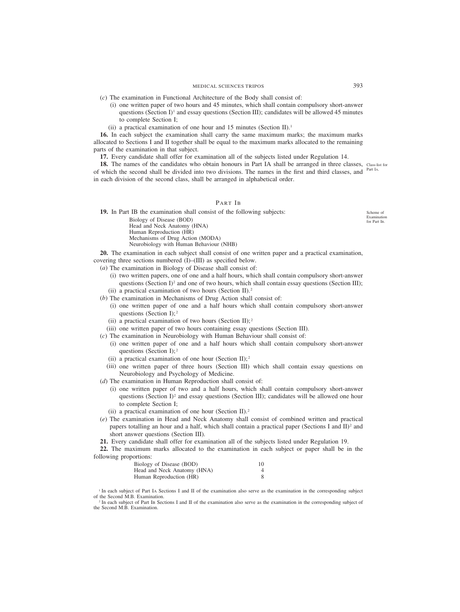(*c*) The examination in Functional Architecture of the Body shall consist of:

- (i) one written paper of two hours and 45 minutes, which shall contain compulsory short-answer questions (Section I)<sup>1</sup> and essay questions (Section III); candidates will be allowed 45 minutes to complete Section I;
- (ii) a practical examination of one hour and 15 minutes (Section II).<sup>1</sup>

**16.** In each subject the examination shall carry the same maximum marks; the maximum marks allocated to Sections I and II together shall be equal to the maximum marks allocated to the remaining parts of the examination in that subject.

**17.** Every candidate shall offer for examination all of the subjects listed under Regulation 14.

18. The names of the candidates who obtain honours in Part IA shall be arranged in three classes, Class-list for of which the second shall be divided into two divisions. The names in the first and third classes, and <sup>Part IA.</sup> in each division of the second class, shall be arranged in alphabetical order.

## PART IB

**19.** In Part IB the examination shall consist of the following subjects:

Biology of Disease (BOD) Head and Neck Anatomy (HNA) Human Reproduction (HR) Mechanisms of Drug Action (MODA) Neurobiology with Human Behaviour (NHB)

**20.** The examination in each subject shall consist of one written paper and a practical examination, covering three sections numbered (I)–(III) as specified below.

(*a*) The examination in Biology of Disease shall consist of:

- (i) two written papers, one of one and a half hours, which shall contain compulsory short-answer questions (Section I)<sup>2</sup> and one of two hours, which shall contain essay questions (Section III);
- (ii) a practical examination of two hours (Section II).<sup>2</sup>
- (*b*) The examination in Mechanisms of Drug Action shall consist of:
	- (i) one written paper of one and a half hours which shall contain compulsory short-answer questions (Section I);<sup>2</sup>
	- (ii) a practical examination of two hours (Section II);  $2^2$

(iii) one written paper of two hours containing essay questions (Section III).

- (*c*) The examination in Neurobiology with Human Behaviour shall consist of:
	- (i) one written paper of one and a half hours which shall contain compulsory short-answer questions (Section I);  $2^2$
	- (ii) a practical examination of one hour (Section II);  $2^2$
	- (iii) one written paper of three hours (Section III) which shall contain essay questions on Neurobiology and Psychology of Medicine.
- (*d*) The examination in Human Reproduction shall consist of:
	- (i) one written paper of two and a half hours, which shall contain compulsory short-answer questions (Section I)<sup>2</sup> and essay questions (Section III); candidates will be allowed one hour to complete Section I;
	- (ii) a practical examination of one hour (Section II).2
- (*e*) The examination in Head and Neck Anatomy shall consist of combined written and practical papers totalling an hour and a half, which shall contain a practical paper (Sections I and II)<sup>2</sup> and short answer questions (Section III).
- **21.** Every candidate shall offer for examination all of the subjects listed under Regulation 19.

**22.** The maximum marks allocated to the examination in each subject or paper shall be in the following proportions:

| Biology of Disease (BOD)    | 10 |
|-----------------------------|----|
| Head and Neck Anatomy (HNA) |    |
| Human Reproduction (HR)     |    |

<sup>1</sup> In each subject of Part IA Sections I and II of the examination also serve as the examination in the corresponding subject of the Second M.B. Examination.

<sup>2</sup> In each subject of Part IB Sections I and II of the examination also serve as the examination in the corresponding subject of the Second M.B. Examination.

Scheme of Examination for Part IB.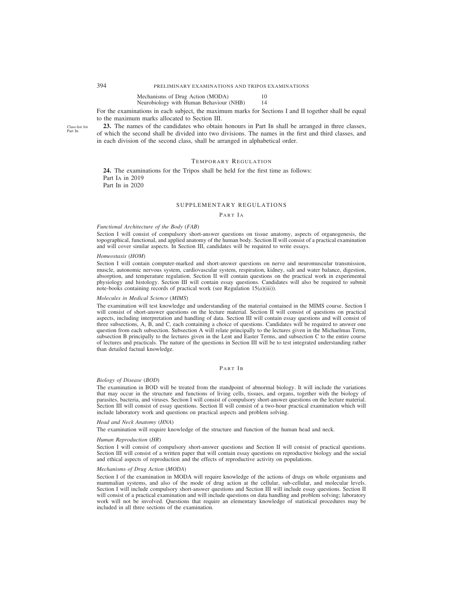#### Mechanisms of Drug Action (MODA) 10<br>Neurobiology with Human Behaviour (NHB) 14 Neurobiology with Human Behaviour (NHB) 14

For the examinations in each subject, the maximum marks for Sections I and II together shall be equal to the maximum marks allocated to Section III.

23. The names of the candidates who obtain honours in Part IB shall be arranged in three classes, of which the second shall be divided into two divisions. The names in the first and third classes, and in each division of the second class, shall be arranged in alphabetical order.

## TEMPORARY REGULATION

**24.** The examinations for the Tripos shall be held for the first time as follows: Part IA in 2019 Part IB in 2020

### SUPPLEMENTARY REGULATIONS

#### PART IA

#### *Functional Architecture of the Body* (*FAB*)

Section I will consist of compulsory short-answer questions on tissue anatomy, aspects of organogenesis, the topographical, functional, and applied anatomy of the human body. Section II will consist of a practical examination and will cover similar aspects. In Section III, candidates will be required to write essays.

#### *Homeostasis* (*HOM*)

Section I will contain computer-marked and short-answer questions on nerve and neuromuscular transmission, muscle, autonomic nervous system, cardiovascular system, respiration, kidney, salt and water balance, digestion, absorption, and temperature regulation. Section II will contain questions on the practical work in experimental physiology and histology. Section III will contain essay questions. Candidates will also be required to submit note-books containing records of practical work (see Regulation 15(*a*)(iii)).

#### *Molecules in Medical Science* (*MIMS*)

The examination will test knowledge and understanding of the material contained in the MIMS course. Section I will consist of short-answer questions on the lecture material. Section II will consist of questions on practical aspects, including interpretation and handling of data. Section III will contain essay questions and will consist of three subsections, A, B, and C, each containing a choice of questions. Candidates will be required to answer one question from each subsection. Subsection A will relate principally to the lectures given in the Michaelmas Term, subsection B principally to the lectures given in the Lent and Easter Terms, and subsection C to the entire course of lectures and practicals. The nature of the questions in Section III will be to test integrated understanding rather than detailed factual knowledge.

## PART IB

#### *Biology of Disease* (*BOD*)

The examination in BOD will be treated from the standpoint of abnormal biology. It will include the variations that may occur in the structure and functions of living cells, tissues, and organs, together with the biology of parasites, bacteria, and viruses. Section I will consist of compulsory short-answer questions on the lecture material. Section III will consist of essay questions. Section II will consist of a two-hour practical examination which will include laboratory work and questions on practical aspects and problem solving.

#### *Head and Neck Anatomy* (*HNA*)

The examination will require knowledge of the structure and function of the human head and neck.

#### *Human Reproduction* (*HR*)

Section I will consist of compulsory short-answer questions and Section II will consist of practical questions. Section III will consist of a written paper that will contain essay questions on reproductive biology and the social and ethical aspects of reproduction and the effects of reproductive activity on populations.

#### *Mechanisms of Drug Action* (*MODA*)

Section I of the examination in MODA will require knowledge of the actions of drugs on whole organisms and mammalian systems, and also of the mode of drug action at the cellular, sub-cellular, and molecular levels. Section I will include compulsory short-answer questions and Section III will include essay questions. Section II will consist of a practical examination and will include questions on data handling and problem solving; laboratory work will not be involved. Questions that require an elementary knowledge of statistical procedures may be included in all three sections of the examination.

Class-list for Part I<sub>B</sub>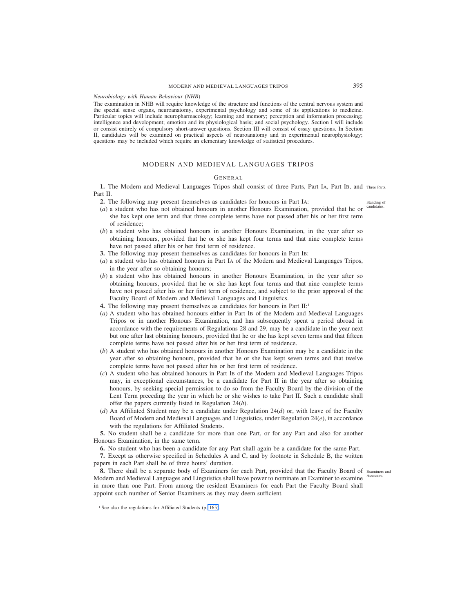## MODERN AND MEDIEVAL LANGUAGES TRIPOS 395

*Neurobiology with Human Behaviour* (*NHB*)

The examination in NHB will require knowledge of the structure and functions of the central nervous system and the special sense organs, neuroanatomy, experimental psychology and some of its applications to medicine. Particular topics will include neuropharmacology; learning and memory; perception and information processing; intelligence and development; emotion and its physiological basis; and social psychology. Section I will include or consist entirely of compulsory short-answer questions. Section III will consist of essay questions. In Section II, candidates will be examined on practical aspects of neuroanatomy and in experimental neurophysiology; questions may be included which require an elementary knowledge of statistical procedures.

## MODERN AND MEDIEVAL LANGUAGES TRIPOS

## GENERAL

**1.** The Modern and Medieval Languages Tripos shall consist of three Parts, Part IA, Part IB, and Three Parts. Part II.

**2.** The following may present themselves as candidates for honours in Part IA:

- (*a*) a student who has not obtained honours in another Honours Examination, provided that he or she has kept one term and that three complete terms have not passed after his or her first term of residence;
- (*b*) a student who has obtained honours in another Honours Examination, in the year after so obtaining honours, provided that he or she has kept four terms and that nine complete terms have not passed after his or her first term of residence.
- **3.** The following may present themselves as candidates for honours in Part IB:
- (*a*) a student who has obtained honours in Part IA of the Modern and Medieval Languages Tripos, in the year after so obtaining honours;
- (*b*) a student who has obtained honours in another Honours Examination, in the year after so obtaining honours, provided that he or she has kept four terms and that nine complete terms have not passed after his or her first term of residence, and subject to the prior approval of the Faculty Board of Modern and Medieval Languages and Linguistics.
- **4.** The following may present themselves as candidates for honours in Part II:1
- (*a*) A student who has obtained honours either in Part IB of the Modern and Medieval Languages Tripos or in another Honours Examination, and has subsequently spent a period abroad in accordance with the requirements of Regulations 28 and 29, may be a candidate in the year next but one after last obtaining honours, provided that he or she has kept seven terms and that fifteen complete terms have not passed after his or her first term of residence.
- (*b*) A student who has obtained honours in another Honours Examination may be a candidate in the year after so obtaining honours, provided that he or she has kept seven terms and that twelve complete terms have not passed after his or her first term of residence.
- (*c*) A student who has obtained honours in Part IB of the Modern and Medieval Languages Tripos may, in exceptional circumstances, be a candidate for Part II in the year after so obtaining honours, by seeking special permission to do so from the Faculty Board by the division of the Lent Term preceding the year in which he or she wishes to take Part II. Such a candidate shall offer the papers currently listed in Regulation 24(*b*).
- (*d*) An Affiliated Student may be a candidate under Regulation 24(*d*) or, with leave of the Faculty Board of Modern and Medieval Languages and Linguistics, under Regulation 24(*e*), in accordance with the regulations for Affiliated Students.

**5.** No student shall be a candidate for more than one Part, or for any Part and also for another Honours Examination, in the same term.

**6.** No student who has been a candidate for any Part shall again be a candidate for the same Part.

**7.** Except as otherwise specified in Schedules A and C, and by footnote in Schedule B, the written papers in each Part shall be of three hours' duration.

8. There shall be a separate body of Examiners for each Part, provided that the Faculty Board of Examiners and Modern and Medieval Languages and Linguistics shall have power to nominate an Examiner to examine Assessors. in more than one Part. From among the resident Examiners for each Part the Faculty Board shall appoint such number of Senior Examiners as they may deem sufficient.

Standing of candidates

<sup>&</sup>lt;sup>1</sup> See also the regulations for Affiliated Students (p. 165).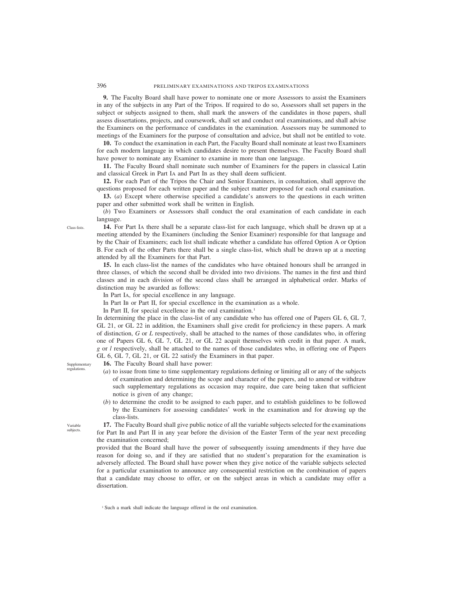**9.** The Faculty Board shall have power to nominate one or more Assessors to assist the Examiners in any of the subjects in any Part of the Tripos. If required to do so, Assessors shall set papers in the subject or subjects assigned to them, shall mark the answers of the candidates in those papers, shall assess dissertations, projects, and coursework, shall set and conduct oral examinations, and shall advise the Examiners on the performance of candidates in the examination. Assessors may be summoned to meetings of the Examiners for the purpose of consultation and advice, but shall not be entitled to vote.

**10.** To conduct the examination in each Part, the Faculty Board shall nominate at least two Examiners for each modern language in which candidates desire to present themselves. The Faculty Board shall have power to nominate any Examiner to examine in more than one language.

**11.** The Faculty Board shall nominate such number of Examiners for the papers in classical Latin and classical Greek in Part IA and Part IB as they shall deem sufficient.

**12.** For each Part of the Tripos the Chair and Senior Examiners, in consultation, shall approve the questions proposed for each written paper and the subject matter proposed for each oral examination.

**13.** (*a*) Except where otherwise specified a candidate's answers to the questions in each written paper and other submitted work shall be written in English.

(*b*) Two Examiners or Assessors shall conduct the oral examination of each candidate in each language.

**14.** For Part IA there shall be a separate class-list for each language, which shall be drawn up at a meeting attended by the Examiners (including the Senior Examiner) responsible for that language and by the Chair of Examiners; each list shall indicate whether a candidate has offered Option A or Option B. For each of the other Parts there shall be a single class-list, which shall be drawn up at a meeting attended by all the Examiners for that Part.

**15.** In each class-list the names of the candidates who have obtained honours shall be arranged in three classes, of which the second shall be divided into two divisions. The names in the first and third classes and in each division of the second class shall be arranged in alphabetical order. Marks of distinction may be awarded as follows:

In Part IA, for special excellence in any language.

In Part IB or Part II, for special excellence in the examination as a whole.

In Part II, for special excellence in the oral examination.<sup>1</sup>

In determining the place in the class-list of any candidate who has offered one of Papers GL 6, GL 7, GL 21, or GL 22 in addition, the Examiners shall give credit for proficiency in these papers. A mark of distinction, *G* or *L* respectively, shall be attached to the names of those candidates who, in offering one of Papers GL 6, GL 7, GL 21, or GL 22 acquit themselves with credit in that paper. A mark, *g* or *l* respectively, shall be attached to the names of those candidates who, in offering one of Papers GL 6, GL 7, GL 21, or GL 22 satisfy the Examiners in that paper.

Supplementary regulations.

Class-lists.

**16.** The Faculty Board shall have power:

- (*a*) to issue from time to time supplementary regulations defining or limiting all or any of the subjects of examination and determining the scope and character of the papers, and to amend or withdraw such supplementary regulations as occasion may require, due care being taken that sufficient notice is given of any change;
- (*b*) to determine the credit to be assigned to each paper, and to establish guidelines to be followed by the Examiners for assessing candidates' work in the examination and for drawing up the class-lists.

Variable subjects.

**17.** The Faculty Board shall give public notice of all the variable subjects selected for the examinations for Part IB and Part II in any year before the division of the Easter Term of the year next preceding the examination concerned;

provided that the Board shall have the power of subsequently issuing amendments if they have due reason for doing so, and if they are satisfied that no student's preparation for the examination is adversely affected. The Board shall have power when they give notice of the variable subjects selected for a particular examination to announce any consequential restriction on the combination of papers that a candidate may choose to offer, or on the subject areas in which a candidate may offer a dissertation.

<sup>1</sup> Such a mark shall indicate the language offered in the oral examination.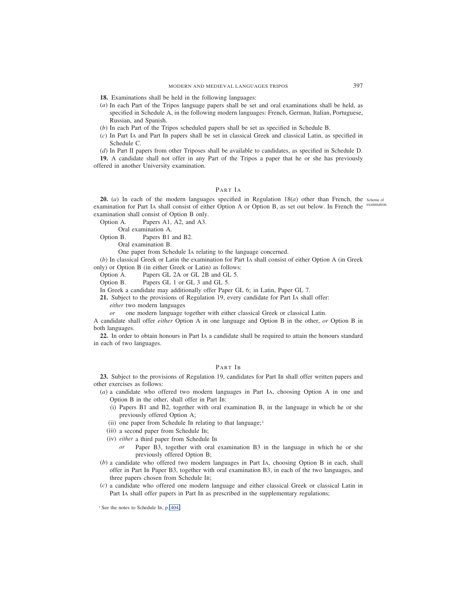**18.** Examinations shall be held in the following languages:

- (*a*) In each Part of the Tripos language papers shall be set and oral examinations shall be held, as specified in Schedule A, in the following modern languages: French, German, Italian, Portuguese, Russian, and Spanish.
- (*b*) In each Part of the Tripos scheduled papers shall be set as specified in Schedule B.
- (*c*) In Part IA and Part IB papers shall be set in classical Greek and classical Latin, as specified in Schedule C.
- (*d*) In Part II papers from other Triposes shall be available to candidates, as specified in Schedule D.

**19.** A candidate shall not offer in any Part of the Tripos a paper that he or she has previously offered in another University examination.

# PART IA

**20.** (*a*) In each of the modern languages specified in Regulation 18(*a*) other than French, the scheme of examination for Part IA shall consist of either Option A or Option B, as set out below. In French the <sup>examination.</sup> examination shall consist of Option B only.

Option A. Papers A1, A2, and A3.

Oral examination A.

Option B. Papers B1 and B2.

Oral examination B.

One paper from Schedule IA relating to the language concerned.

(*b*) In classical Greek or Latin the examination for Part IA shall consist of either Option A (in Greek

only) or Option B (in either Greek or Latin) as follows: Option A. Papers GL 2A or GL 2B and GL 5.

Option B. Papers GL 1 or GL 3 and GL 5.

In Greek a candidate may additionally offer Paper GL 6; in Latin, Paper GL 7.

**21.** Subject to the provisions of Regulation 19, every candidate for Part IA shall offer:

*either* two modern languages

*or* one modern language together with either classical Greek or classical Latin.

A candidate shall offer *either* Option A in one language and Option B in the other, *or* Option B in both languages.

**22.** In order to obtain honours in Part IA a candidate shall be required to attain the honours standard in each of two languages.

# PART IB

**23.** Subject to the provisions of Regulation 19, candidates for Part IB shall offer written papers and other exercises as follows:

(*a*) a candidate who offered two modern languages in Part IA, choosing Option A in one and Option B in the other, shall offer in Part IB:

- (i) Papers B1 and B2, together with oral examination B, in the language in which he or she previously offered Option A;
- (ii) one paper from Schedule IB relating to that language;  $\frac{1}{2}$
- (iii) a second paper from Schedule IB;
- (iv) *either* a third paper from Schedule IB
	- *or* Paper B3, together with oral examination B3 in the language in which he or she previously offered Option B;
- (*b*) a candidate who offered two modern languages in Part IA, choosing Option B in each, shall offer in Part IB Paper B3, together with oral examination B3, in each of the two languages, and three papers chosen from Schedule IB;
- (*c*) a candidate who offered one modern language and either classical Greek or classical Latin in Part IA shall offer papers in Part IB as prescribed in the supplementary regulations;

<sup>&</sup>lt;sup>1</sup> See the notes to Schedule IB, p. 404.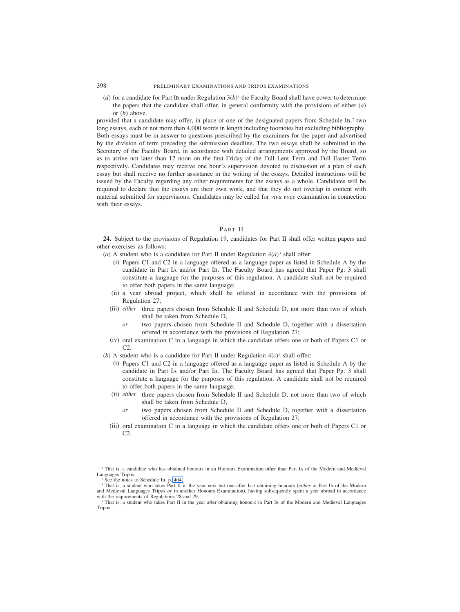(*d*) for a candidate for Part IB under Regulation  $3(b)$ <sup>1</sup> the Faculty Board shall have power to determine the papers that the candidate shall offer, in general conformity with the provisions of either (*a*) or (*b*) above.

provided that a candidate may offer, in place of one of the designated papers from Schedule IB, <sup>2</sup> two long essays, each of not more than 4,000 words in length including footnotes but excluding bibliography. Both essays must be in answer to questions prescribed by the examiners for the paper and advertised by the division of term preceding the submission deadline. The two essays shall be submitted to the Secretary of the Faculty Board, in accordance with detailed arrangements approved by the Board, so as to arrive not later than 12 noon on the first Friday of the Full Lent Term and Full Easter Term respectively. Candidates may receive one hour's supervision devoted to discussion of a plan of each essay but shall receive no further assistance in the writing of the essays. Detailed instructions will be issued by the Faculty regarding any other requirements for the essays as a whole. Candidates will be required to declare that the essays are their own work, and that they do not overlap in content with material submitted for supervisions. Candidates may be called for *viva voce* examination in connection with their essays.

# PART II

**24.** Subject to the provisions of Regulation 19, candidates for Part II shall offer written papers and other exercises as follows:

(*a*) A student who is a candidate for Part II under Regulation  $4(a)^3$  shall offer:

- (i) Papers C1 and C2 in a language offered as a language paper as listed in Schedule A by the candidate in Part IA and/or Part IB. The Faculty Board has agreed that Paper Pg. 3 shall constitute a language for the purposes of this regulation. A candidate shall not be required to offer both papers in the same language;
- (ii) a year abroad project, which shall be offered in accordance with the provisions of Regulation 27;
- (iii) *either* three papers chosen from Schedule II and Schedule D, not more than two of which shall be taken from Schedule D,
	- *or* two papers chosen from Schedule II and Schedule D, together with a dissertation offered in accordance with the provisions of Regulation 27;
- (iv) oral examination C in a language in which the candidate offers one or both of Papers C1 or C2.
- (*b*) A student who is a candidate for Part II under Regulation  $4(c)^4$  shall offer:
	- (i) Papers C1 and C2 in a language offered as a language paper as listed in Schedule A by the candidate in Part IA and/or Part IB. The Faculty Board has agreed that Paper Pg. 3 shall constitute a language for the purposes of this regulation. A candidate shall not be required to offer both papers in the same language;
	- (ii) *either* three papers chosen from Schedule II and Schedule D, not more than two of which shall be taken from Schedule D,
		- *or* two papers chosen from Schedule II and Schedule D, together with a dissertation offered in accordance with the provisions of Regulation 27;
	- (iii) oral examination C in a language in which the candidate offers one or both of Papers C1 or C2.

<sup>&</sup>lt;sup>1</sup> That is, a candidate who has obtained honours in an Honours Examination other than Part IA of the Modern and Medieval Languages Tripos.

<sup>2</sup> See the notes to Schedule IB, p. 404.

<sup>&</sup>lt;sup>3</sup> That is, a student who takes Part II in the year next but one after last obtaining honours (*either* in Part IB of the Modern and Medieval Languages Tripos *or* in another Honours Examination), having subsequently spent a year abroad in accordance with the requirements of Regulations 28 and 29.

<sup>4</sup> That is, a student who takes Part II in the year after obtaining honours in Part IB of the Modern and Medieval Languages Tripos.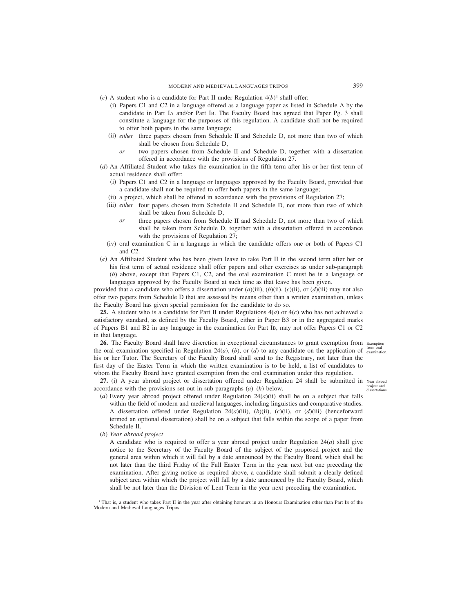- (*c*) A student who is a candidate for Part II under Regulation  $4(b)^1$  shall offer:
	- (i) Papers C1 and C2 in a language offered as a language paper as listed in Schedule A by the candidate in Part IA and/or Part IB. The Faculty Board has agreed that Paper Pg. 3 shall constitute a language for the purposes of this regulation. A candidate shall not be required to offer both papers in the same language;
	- (ii) *either* three papers chosen from Schedule II and Schedule D, not more than two of which shall be chosen from Schedule D,
		- *or* two papers chosen from Schedule II and Schedule D, together with a dissertation offered in accordance with the provisions of Regulation 27.
- (*d*) An Affiliated Student who takes the examination in the fifth term after his or her first term of actual residence shall offer:
	- (i) Papers C1 and C2 in a language or languages approved by the Faculty Board, provided that a candidate shall not be required to offer both papers in the same language;
	- (ii) a project, which shall be offered in accordance with the provisions of Regulation 27;
	- (iii) *either* four papers chosen from Schedule II and Schedule D, not more than two of which shall be taken from Schedule D,
		- *or* three papers chosen from Schedule II and Schedule D, not more than two of which shall be taken from Schedule D, together with a dissertation offered in accordance with the provisions of Regulation 27;
	- (iv) oral examination C in a language in which the candidate offers one or both of Papers C1 and C2.
- (*e*) An Affiliated Student who has been given leave to take Part II in the second term after her or his first term of actual residence shall offer papers and other exercises as under sub-paragraph (*b*) above, except that Papers C1, C2, and the oral examination C must be in a language or

languages approved by the Faculty Board at such time as that leave has been given. provided that a candidate who offers a dissertation under  $(a)$ (iii),  $(b)$ (ii),  $(c)$ (ii), or  $(d)$ (iii) may not also

offer two papers from Schedule D that are assessed by means other than a written examination, unless the Faculty Board has given special permission for the candidate to do so.

**25.** A student who is a candidate for Part II under Regulations 4(*a*) or 4(*c*) who has not achieved a satisfactory standard, as defined by the Faculty Board, either in Paper B3 or in the aggregated marks of Papers B1 and B2 in any language in the examination for Part IB, may not offer Papers C1 or C2 in that language.

26. The Faculty Board shall have discretion in exceptional circumstances to grant exemption from Exemption the oral examination specified in Regulation 24 $(a)$ ,  $(b)$ , or  $(d)$  to any candidate on the application of  $\frac{\text{from oral}}{\text{examination}}$ his or her Tutor. The Secretary of the Faculty Board shall send to the Registrary, not later than the first day of the Easter Term in which the written examination is to be held, a list of candidates to whom the Faculty Board have granted exemption from the oral examination under this regulation.

27. (i) A year abroad project or dissertation offered under Regulation 24 shall be submitted in Year abroad accordance with the provisions set out in sub-paragraphs (*a*)–(*h*) below.

- project and dissertations.
- (*a*) Every year abroad project offered under Regulation 24(*a*)(ii) shall be on a subject that falls within the field of modern and medieval languages, including linguistics and comparative studies. A dissertation offered under Regulation 24(*a*)(iii), (*b*)(ii), (*c*)(ii), or (*d*)(iii) (henceforward termed an optional dissertation) shall be on a subject that falls within the scope of a paper from Schedule II.
- (*b*) *Year abroad project*

A candidate who is required to offer a year abroad project under Regulation 24(*a*) shall give notice to the Secretary of the Faculty Board of the subject of the proposed project and the general area within which it will fall by a date announced by the Faculty Board, which shall be not later than the third Friday of the Full Easter Term in the year next but one preceding the examination. After giving notice as required above, a candidate shall submit a clearly defined subject area within which the project will fall by a date announced by the Faculty Board, which shall be not later than the Division of Lent Term in the year next preceding the examination.

<sup>1</sup> That is, a student who takes Part II in the year after obtaining honours in an Honours Examination other than Part IB of the Modern and Medieval Languages Tripos.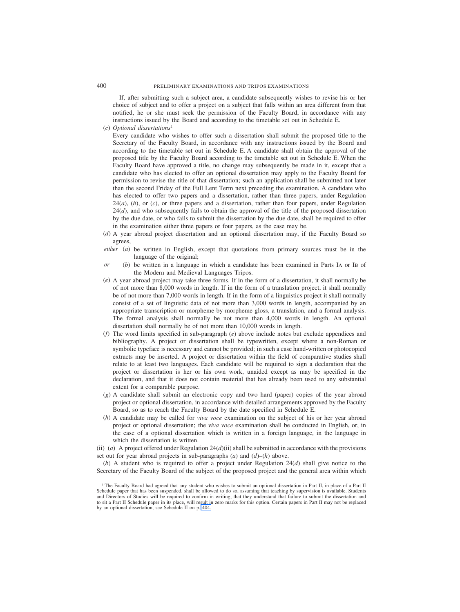If, after submitting such a subject area, a candidate subsequently wishes to revise his or her choice of subject and to offer a project on a subject that falls within an area different from that notified, he or she must seek the permission of the Faculty Board, in accordance with any instructions issued by the Board and according to the timetable set out in Schedule E.

(*c*) *Optional dissertations*<sup>1</sup>

Every candidate who wishes to offer such a dissertation shall submit the proposed title to the Secretary of the Faculty Board, in accordance with any instructions issued by the Board and according to the timetable set out in Schedule E. A candidate shall obtain the approval of the proposed title by the Faculty Board according to the timetable set out in Schedule E. When the Faculty Board have approved a title, no change may subsequently be made in it, except that a candidate who has elected to offer an optional dissertation may apply to the Faculty Board for permission to revise the title of that dissertation; such an application shall be submitted not later than the second Friday of the Full Lent Term next preceding the examination. A candidate who has elected to offer two papers and a dissertation, rather than three papers, under Regulation 24(*a*), (*b*), or (*c*), or three papers and a dissertation, rather than four papers, under Regulation  $24(d)$ , and who subsequently fails to obtain the approval of the title of the proposed dissertation by the due date, or who fails to submit the dissertation by the due date, shall be required to offer in the examination either three papers or four papers, as the case may be.

- (*d*) A year abroad project dissertation and an optional dissertation may, if the Faculty Board so agrees,
- *either* (*a*) be written in English, except that quotations from primary sources must be in the language of the original;
- *or* (*b*) be written in a language in which a candidate has been examined in Parts IA or IB of the Modern and Medieval Languages Tripos.
- (*e*) A year abroad project may take three forms. If in the form of a dissertation, it shall normally be of not more than 8,000 words in length. If in the form of a translation project, it shall normally be of not more than 7,000 words in length. If in the form of a linguistics project it shall normally consist of a set of linguistic data of not more than 3,000 words in length, accompanied by an appropriate transcription or morpheme-by-morpheme gloss, a translation, and a formal analysis. The formal analysis shall normally be not more than 4,000 words in length. An optional dissertation shall normally be of not more than 10,000 words in length.
- (*f*) The word limits specified in sub-paragraph (*e*) above include notes but exclude appendices and bibliography. A project or dissertation shall be typewritten, except where a non-Roman or symbolic typeface is necessary and cannot be provided; in such a case hand-written or photocopied extracts may be inserted. A project or dissertation within the field of comparative studies shall relate to at least two languages. Each candidate will be required to sign a declaration that the project or dissertation is her or his own work, unaided except as may be specified in the declaration, and that it does not contain material that has already been used to any substantial extent for a comparable purpose.
- (*g*) A candidate shall submit an electronic copy and two hard (paper) copies of the year abroad project or optional dissertation, in accordance with detailed arrangements approved by the Faculty Board, so as to reach the Faculty Board by the date specified in Schedule E.
- (*h*) A candidate may be called for *viva voce* examination on the subject of his or her year abroad project or optional dissertation; the *viva voce* examination shall be conducted in English, or, in the case of a optional dissertation which is written in a foreign language, in the language in which the dissertation is written.
- (ii) (*a*) A project offered under Regulation 24(*d*)(ii) shall be submitted in accordance with the provisions set out for year abroad projects in sub-paragraphs (*a*) and (*d*)–(*h*) above.

(*b*) A student who is required to offer a project under Regulation 24(*d*) shall give notice to the Secretary of the Faculty Board of the subject of the proposed project and the general area within which

<sup>1</sup> The Faculty Board had agreed that any student who wishes to submit an optional dissertation in Part II, in place of a Part II Schedule paper that has been suspended, shall be allowed to do so, assuming that teaching by supervision is available. Students and Directors of Studies will be required to confirm in writing, that they understand that failure to submit the dissertation and to sit a Part II Schedule paper in its place, will result in zero marks for this option. Certain papers in Part II may not be replaced by an optional dissertation, see Schedule II on p. 404.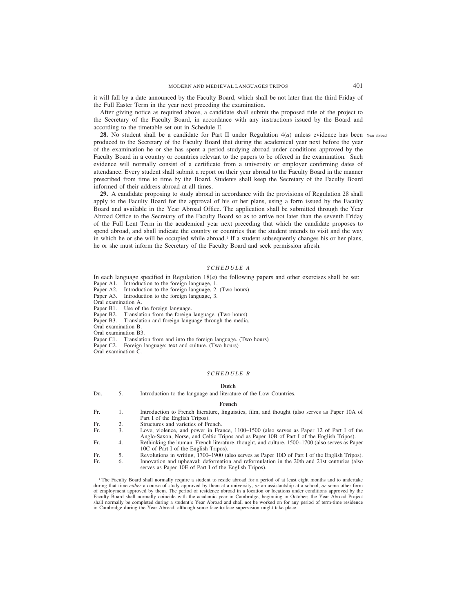it will fall by a date announced by the Faculty Board, which shall be not later than the third Friday of the Full Easter Term in the year next preceding the examination.

After giving notice as required above, a candidate shall submit the proposed title of the project to the Secretary of the Faculty Board, in accordance with any instructions issued by the Board and according to the timetable set out in Schedule E.

**28.** No student shall be a candidate for Part II under Regulation  $4(a)$  unless evidence has been Year abroad. produced to the Secretary of the Faculty Board that during the academical year next before the year of the examination he or she has spent a period studying abroad under conditions approved by the Faculty Board in a country or countries relevant to the papers to be offered in the examination.<sup>1</sup> Such evidence will normally consist of a certificate from a university or employer confirming dates of attendance. Every student shall submit a report on their year abroad to the Faculty Board in the manner prescribed from time to time by the Board. Students shall keep the Secretary of the Faculty Board informed of their address abroad at all times.

**29.** A candidate proposing to study abroad in accordance with the provisions of Regulation 28 shall apply to the Faculty Board for the approval of his or her plans, using a form issued by the Faculty Board and available in the Year Abroad Office. The application shall be submitted through the Year Abroad Office to the Secretary of the Faculty Board so as to arrive not later than the seventh Friday of the Full Lent Term in the academical year next preceding that which the candidate proposes to spend abroad, and shall indicate the country or countries that the student intends to visit and the way in which he or she will be occupied while abroad.<sup>1</sup> If a student subsequently changes his or her plans, he or she must inform the Secretary of the Faculty Board and seek permission afresh.

# *SCHEDULE A*

In each language specified in Regulation  $18(a)$  the following papers and other exercises shall be set: Paper A1. Introduction to the foreign language, 1.

Paper A2. Introduction to the foreign language, 2. (Two hours)<br>Paper A3. Introduction to the foreign language, 3. Introduction to the foreign language, 3.

Oral examination A.<br>Paper B1. Use of t Use of the foreign language.

Paper B2. Translation from the foreign language. (Two hours)

Paper B3. Translation and foreign language through the media.

Oral examination B.

Oral examination B3.

Paper C1. Translation from and into the foreign language. (Two hours)

Paper C2. Foreign language: text and culture. (Two hours)

Oral examination C.

### *SCHEDULE B*

## **Dutch**

Du. 5. Introduction to the language and literature of the Low Countries.

#### **French**

Fr. 1. Introduction to French literature, linguistics, film, and thought (also serves as Paper 10A of Part I of the English Tripos).

Fr. 2. Structures and varieties of French.<br>Fr. 3 Love violence and nower in Fra

- Fr. 3. Love, violence, and power in France, 1100–1500 (also serves as Paper 12 of Part I of the Anglo-Saxon, Norse, and Celtic Tripos and as Paper 10B of Part I of the English Tripos). Fr. 4. Rethinking the human: French literature, thought, and culture, 1500–1700 (also serves as Paper
- 10C of Part I of the English Tripos).
- Fr. 5. Revolutions in writing, 1700–1900 (also serves as Paper 10D of Part I of the English Tripos).<br>Fr. 6. Innovation and upheaval: deformation and reformulation in the 20th and 21st centuries (also Fr. 6. Innovation and upheaval: deformation and reformulation in the 20th and 21st centuries (also serves as Paper 10E of Part I of the English Tripos).

<sup>1</sup> The Faculty Board shall normally require a student to reside abroad for a period of at least eight months and to undertake during that time *either* a course of study approved by them at a university, *or* an assistantship at a school, *or* some other form of employment approved by them. The period of residence abroad in a location or locations under conditions approved by the Faculty Board shall normally coincide with the academic year in Cambridge, beginning in October; the Year Abroad Project shall normally be completed during a student's Year Abroad and shall not be worked on for any period of term-time residence in Cambridge during the Year Abroad, although some face-to-face supervision might take place.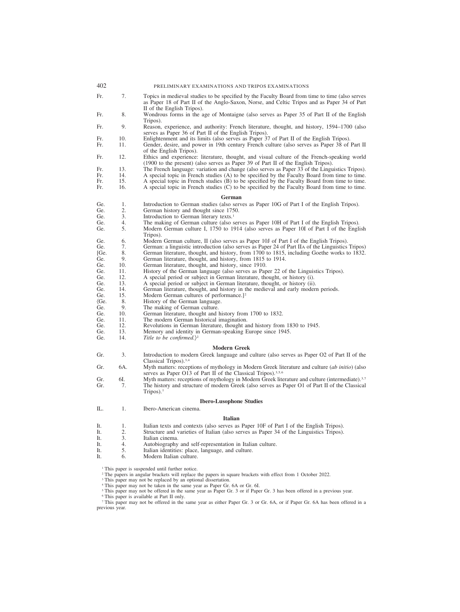| 402           |     | PRELIMINARY EXAMINATIONS AND TRIPOS EXAMINATIONS                                                                                                                                                                            |
|---------------|-----|-----------------------------------------------------------------------------------------------------------------------------------------------------------------------------------------------------------------------------|
| Fr.           | 7.  | Topics in medieval studies to be specified by the Faculty Board from time to time (also serves<br>as Paper 18 of Part II of the Anglo-Saxon, Norse, and Celtic Tripos and as Paper 34 of Part<br>II of the English Tripos). |
| Fr.           | 8.  | Wondrous forms in the age of Montaigne (also serves as Paper 35 of Part II of the English<br>Tripos).                                                                                                                       |
| Fr.           | 9.  | Reason, experience, and authority: French literature, thought, and history, 1594–1700 (also<br>serves as Paper 36 of Part II of the English Tripos).                                                                        |
| Fr.           | 10. | Enlightenment and its limits (also serves as Paper 37 of Part II of the English Tripos).                                                                                                                                    |
| Fr.           | 11. | Gender, desire, and power in 19th century French culture (also serves as Paper 38 of Part II<br>of the English Tripos).                                                                                                     |
| Fr.           | 12. | Ethics and experience: literature, thought, and visual culture of the French-speaking world<br>(1900 to the present) (also serves as Paper 39 of Part II of the English Tripos).                                            |
| Fr.           | 13. | The French language: variation and change (also serves as Paper 33 of the Linguistics Tripos).                                                                                                                              |
| Fr.           | 14. | A special topic in French studies (A) to be specified by the Faculty Board from time to time.                                                                                                                               |
| Fr.           | 15. | A special topic in French studies (B) to be specified by the Faculty Board from time to time.                                                                                                                               |
| Fr.           | 16. | A special topic in French studies (C) to be specified by the Faculty Board from time to time.                                                                                                                               |
|               |     | German                                                                                                                                                                                                                      |
| Ge.           | 1.  | Introduction to German studies (also serves as Paper 10G of Part I of the English Tripos).                                                                                                                                  |
| Ge.           | 2.  | German history and thought since 1750.                                                                                                                                                                                      |
| Ge.           | 3.  | Introduction to German literary texts. <sup>1</sup>                                                                                                                                                                         |
| Ge.           | 4.  | The making of German culture (also serves as Paper 10H of Part I of the English Tripos).                                                                                                                                    |
| Ge.           | 5.  | Modern German culture I, 1750 to 1914 (also serves as Paper 10I of Part I of the English<br>Tripos).                                                                                                                        |
| Ge.           | 6.  | Modern German culture, II (also serves as Paper 10J of Part I of the English Tripos).                                                                                                                                       |
| Ge.           | 7.  | German: a linguistic introduction (also serves as Paper 24 of Part IIA of the Linguistics Tripos)                                                                                                                           |
| [Ge.          | 8.  | German literature, thought, and history, from 1700 to 1815, including Goethe works to 1832.                                                                                                                                 |
| Ge.           | 9.  | German literature, thought, and history, from 1815 to 1914.                                                                                                                                                                 |
| Ge.           | 10. | German literature, thought, and history, since 1910.                                                                                                                                                                        |
| Ge.           | 11. | History of the German language (also serves as Paper 22 of the Linguistics Tripos).                                                                                                                                         |
| Ge.           | 12. | A special period or subject in German literature, thought, or history (i).                                                                                                                                                  |
| Ge.           | 13. | A special period or subject in German literature, thought, or history (ii).                                                                                                                                                 |
| Ge.           | 14. | German literature, thought, and history in the medieval and early modern periods.                                                                                                                                           |
| Ge.           | 15. | Modern German cultures of performance.] <sup>2</sup>                                                                                                                                                                        |
| $\langle Ge.$ | 8.  | History of the German language.                                                                                                                                                                                             |
| Ge.           | 9.  | The making of German culture.                                                                                                                                                                                               |
| Ge.           | 10. | German literature, thought and history from 1700 to 1832.                                                                                                                                                                   |
| Ge.           | 11. | The modern German historical imagination.                                                                                                                                                                                   |
| Ge.           | 12. | Revolutions in German literature, thought and history from 1830 to 1945.                                                                                                                                                    |
| Ge.           | 13. | Memory and identity in German-speaking Europe since 1945.                                                                                                                                                                   |
| Ge.           | 14. | Title to be confirmed.) <sup>2</sup>                                                                                                                                                                                        |
|               |     | <b>Modern Greek</b>                                                                                                                                                                                                         |
| Gr.           | 3.  | Introduction to modern Greek language and culture (also serves as Paper O2 of Part II of the<br>Classical Tripos). <sup>3,4</sup>                                                                                           |
| Gr.           | 6A. | Myth matters: receptions of mythology in Modern Greek literature and culture (ab initio) (also<br>serves as Paper O13 of Part II of the Classical Tripos). <sup>3,5,6</sup>                                                 |
| Gr.           | 6I. | Myth matters: receptions of mythology in Modern Greek literature and culture (intermediate). <sup>3,7</sup>                                                                                                                 |
| Gr.           | 7.  | The history and structure of modern Greek (also serves as Paper O1 of Part II of the Classical<br>$Tripos$ ). <sup>1</sup>                                                                                                  |
|               |     | <b>Ibero-Lusophone Studies</b>                                                                                                                                                                                              |
| IL.           | 1.  | Ibero-American cinema.                                                                                                                                                                                                      |
|               |     | <b>Italian</b>                                                                                                                                                                                                              |
| It.           | 1.  | Italian texts and contexts (also serves as Paper 10F of Part I of the English Tripos).                                                                                                                                      |
| It.           | 2.  | Structure and varieties of Italian (also serves as Paper 34 of the Linguistics Tripos).                                                                                                                                     |
| It.           | 3.  | Italian cinema.                                                                                                                                                                                                             |
| It.           | 4.  | Autobiography and self-representation in Italian culture.                                                                                                                                                                   |
| It.           | 5.  | Italian identities: place, language, and culture.                                                                                                                                                                           |
| It.           | 6.  | Modern Italian culture.                                                                                                                                                                                                     |
|               |     | <sup>1</sup> This paper is suspended until further notice.<br><sup>2</sup> The papers in angular brackets will replace the papers in square brackets with effect from 1 October 2022.                                       |

<sup>3</sup> This paper may not be replaced by an optional dissertation.

<sup>4</sup> This paper may not be taken in the same year as Paper Gr. 6A or Gr. 6I.

<sup>5</sup> This paper may not be offered in the same year as Paper Gr. 3 or if Paper Gr. 3 has been offered in a previous year.

<sup>6</sup> This paper is available at Part II only.

<sup>7</sup> This paper may not be offered in the same year as either Paper Gr. 3 or Gr. 6A, or if Paper Gr. 6A has been offered in a previous year.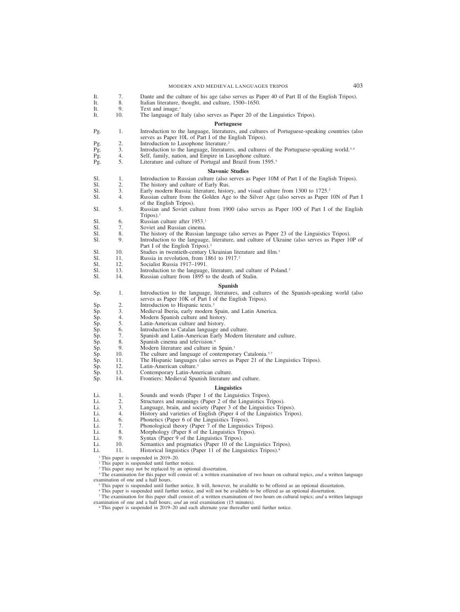## MODERN AND MEDIEVAL LANGUAGES TRIPOS 403

- It. 7. Dante and the culture of his age (also serves as Paper 40 of Part II of the English Tripos).<br>It. 8. Italian literature, thought, and culture, 1500–1650. It. 8. Italian literature, thought, and culture, 1500–1650.<br>It. 9. Text and image.<sup>1</sup> It. 9. Text and image.<sup>1</sup><br>It. 10. The language of The language of Italy (also serves as Paper 20 of the Linguistics Tripos). **Portuguese** Pg. 1. Introduction to the language, literatures, and cultures of Portuguese-speaking countries (also serves as Paper 10L of Part I of the English Tripos). Pg. 2. Introduction to Lusophone literature.<sup>2</sup><br>Pg. 3. Introduction to the language, literature Pg. 3. Introduction to the language, literatures, and cultures of the Portuguese-speaking world.<sup>3,4</sup> Pg. 4. Self, family, nation, and Empire in Lusophone culture. Pg. 4. Self, family, nation, and Empire in Lusophone culture.<br>Pg. 5. Literature and culture of Portugal and Brazil from 159. Literature and culture of Portugal and Brazil from 1595.<sup>5</sup> **Slavonic Studies** Sl. 1. Introduction to Russian culture (also serves as Paper 10M of Part I of the English Tripos).<br>Sl. 2. The history and culture of Early Rus Sl. 2. The history and culture of Early Rus.<br>Sl. 3. Early modern Russia: literature, history Sl. 3. Early modern Russia: literature, history, and visual culture from 1300 to 1725.<sup>2</sup><br>Sl. 4. Russian culture from the Golden Age to the Silver Age (also serves as Paper 1 Russian culture from the Golden Age to the Silver Age (also serves as Paper 10N of Part I of the English Tripos). Sl. 5. Russian and Soviet culture from 1900 (also serves as Paper 10O of Part I of the English Tripos). $<sup>1</sup>$ </sup> Sl. 6. Russian culture after 1953.<sup>1</sup><br>Sl. 7. Soviet and Russian cinema. Sl. 7. Soviet and Russian cinema.<br>Sl. 8. The history of the Russian 1 Sl. 8. The history of the Russian language (also serves as Paper 23 of the Linguistics Tripos).<br>Sl. 9. Introduction to the language, literature, and culture of Ukraine (also serves as Paper 10 Introduction to the language, literature, and culture of Ukraine (also serves as Paper 10P of Part I of the English Tripos).<sup>3</sup> Sl. 10. Studies in twentieth-century Ukrainian literature and film.<sup>1</sup><br>Sl. 11. Russia in revolution. from 1861 to 1917.<sup>2</sup> Sl. 11. Russia in revolution, from 1861 to 1917.<sup>2</sup><br>Sl. 12. Socialist Russia 1917–1991. Sl. 12. Socialist Russia 1917–1991.<br>Sl. 13. Introduction to the language Sl. 13. Introduction to the language, literature, and culture of Poland.<sup>3</sup><br>Sl. 14. Russian culture from 1895 to the death of Stalin. Russian culture from 1895 to the death of Stalin. **Spanish** Sp. 1. Introduction to the language, literatures, and cultures of the Spanish-speaking world (also serves as Paper 10K of Part I of the English Tripos). Sp. 2. Introduction to Hispanic texts.<sup>2</sup><br>Sp. 3. Medieval Iberia, early modern Sp. 3. Medieval Iberia, early modern Spain, and Latin America.<br>Sp. 4. Modern Spanish culture and history. Sp. 4. Modern Spanish culture and history.<br>Sp. 5. Latin-American culture and history. Sp. 5. Latin-American culture and history.<br>Sp. 6. Introduction to Catalan language and Sp. 6. Introduction to Catalan language and culture.<br>Sp. 7. Spanish and Latin-American Early Modern li 7. Spanish and Latin-American Early Modern literature and culture.<br>8. Spanish cinema and television.<sup>6</sup> Sp. 8. Spanish cinema and television.<sup>6</sup><br>Sp. 9. Modern literature and culture in 9. Modern literature and culture in Spain.<sup>1</sup><br>10. The culture and language of contempora Sp. 10. The culture and language of contemporary Catalonia.<sup>3,7</sup> Sp. 11. The Hispanic languages (also serves as Paper 21 of the Sp. 11. The Hispanic languages (also serves as Paper 21 of the Linguistics Tripos).<br>Sp. 12. Latin-American culture.<sup>1</sup> Sp. 12. Latin-American culture.<sup>1</sup><br>Sp. 13. Contemporary Latin-American Sp. 13. Contemporary Latin-American culture.<br>Sp. 14. Frontiers: Medieval Spanish literature a Frontiers: Medieval Spanish literature and culture. **Linguistics** Li. 1. Sounds and words (Paper 1 of the Linguistics Tripos).<br>Li. 2. Structures and meanings (Paper 2 of the Linguistics Tripos). Li. 2. Structures and meanings (Paper 2 of the Linguistics Tripos).<br>
Li. 3. Language, brain, and society (Paper 3 of the Linguistics Tripos). Li. 3. Language, brain, and society (Paper 3 of the Linguistics Tripos).<br>Li. 4. History and varieties of English (Paper 4 of the Linguistics Tripo Li. 4. History and varieties of English (Paper 4 of the Linguistics Tripos).<br>Li. 6. Phonetics (Paper 6 of the Linguistics Tripos). 6. Phonetics (Paper 6 of the Linguistics Tripos).<br>7. Phonological theory (Paper 7 of the Linguistic Li. 7. Phonological theory (Paper 7 of the Linguistics Tripos).<br>
Li. 8. Morphology (Paper 8 of the Linguistics Tripos).
- Li. 8. Morphology (Paper 8 of the Linguistics Tripos).
- 
- Li. 9. Syntax (Paper 9 of the Linguistics Tripos).<br>Li. 10. Semantics and pragmatics (Paper 10 of the Li. 10. Semantics and pragmatics (Paper 10 of the Linguistics Tripos).<br>Li. 11. Historical linguistics (Paper 11 of the Linguistics Tripos).<sup>8</sup>
- Historical linguistics (Paper 11 of the Linguistics Tripos).<sup>8</sup>

<sup>1</sup> This paper is suspended in 2019–20.

- <sup>2</sup> This paper is suspended until further notice.
- <sup>3</sup> This paper may not be replaced by an optional dissertation.
- <sup>4</sup> The examination for this paper will consist of: a written examination of two hours on cultural topics, *and* a written language examination of one and a half hours.
	- <sup>5</sup> This paper is suspended until further notice. It will, however, be available to be offered as an optional dissertation.
	- <sup>6</sup> This paper is suspended until further notice, and will not be available to be offered as an optional dissertation.

<sup>7</sup> The examination for this paper shall consist of: a written examination of two hours on cultural topics; *and* a written language examination of one and a half hours; *and* an oral examination (15 minutes).

<sup>8</sup> This paper is suspended in 2019–20 and each alternate year thereafter until further notice.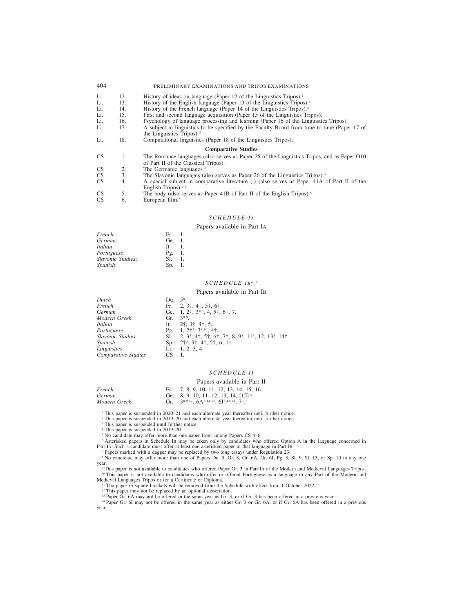| 404             |     | PRELIMINARY EXAMINATIONS AND TRIPOS EXAMINATIONS                                                                                   |
|-----------------|-----|------------------------------------------------------------------------------------------------------------------------------------|
| Li.             | 12. | History of ideas on language (Paper 12 of the Linguistics Tripos). <sup>1</sup>                                                    |
| Li.             | 13. | History of the English language (Paper 13 of the Linguistics Tripos). <sup>1</sup>                                                 |
| Li.             | 14. | History of the French language (Paper 14 of the Linguistics Tripos). <sup>2</sup>                                                  |
| Li.             | 15. | First and second language acquisition (Paper 15 of the Linguistics Tripos).                                                        |
| Li.             | 16. | Psychology of language processing and learning (Paper 16 of the Linguistics Tripos).                                               |
| Li.             | 17. | A subject in linguistics to be specified by the Faculty Board from time to time (Paper 17 of<br>the Linguistics Tripos). $3$       |
| Li.             | 18. | Computational linguistics (Paper 18 of the Linguistics Tripos).                                                                    |
|                 |     | <b>Comparative Studies</b>                                                                                                         |
| <b>CS</b>       | 1.  | The Romance languages (also serves as Paper 25 of the Linguistics Tripos, and as Paper O10<br>of Part II of the Classical Tripos). |
| <b>CS</b>       | 2.  | The Germanic languages. <sup>3</sup>                                                                                               |
| CS              | 3.  | The Slavonic languages (also serves as Paper 26 of the Linguistics Tripos). <sup>4</sup>                                           |
| CS <sub>1</sub> | 4.  | A special subject in comparative literature (i) (also serves as Paper 41A of Part II of the<br>English Tripos). $3,5$              |
| <b>CS</b>       | 5.  | The body (also serves as Paper 41B of Part II of the English Tripos). <sup>5</sup>                                                 |
| <b>CS</b>       | 6.  | European film. <sup>5</sup>                                                                                                        |

# *SCHEDULE I A*

## Papers available in Part IA

| Ge. 1.                  |
|-------------------------|
| -1.                     |
| $P_{\mathfrak{L}}$ , 1. |
| -1.                     |
| Sp. 1.                  |
|                         |

# *SCHEDULE I B* 6,7

## Papers available in Part IB

| Dutch               | Du. | .5 <sup>8</sup>                                                                                                                                    |
|---------------------|-----|----------------------------------------------------------------------------------------------------------------------------------------------------|
| French              |     | Fr. $2, 3†, 4†, 5†, 6†$ .                                                                                                                          |
| German              |     | Ge. 1, $2^{\dagger}$ , $3^{*3}$ , 4, $5^{\dagger}$ , 6 $\dagger$ , 7.                                                                              |
| Modern Greek        | Gr. | $3^{8,9}$                                                                                                                                          |
| <i>Italian</i>      |     | It. $2^{\dagger}, 3^{\dagger}, 4^{\dagger}, 5$ .                                                                                                   |
| Portuguese          |     | Pg. 1, $2^{+3}$ , $3^{8,10}$ , $4^{+}$ .                                                                                                           |
| Slavonic Studies    |     | Sl. 2, $3^3$ , $4^{\dagger}$ , $5^{\dagger}$ , $6^{\dagger}$ , $7^{\dagger}$ , $8$ , $9^{\circ}$ , $11^3$ , $12$ , $13^{\circ}$ , $14^{\dagger}$ . |
| Spanish             |     | Sp. $2^{\dagger}3$ , $3^{\dagger}$ , $4^{\dagger}$ , $5^{\dagger}$ , 6, 11.                                                                        |
| Linguistics         |     | Li. $1, 2, 3, 4.$                                                                                                                                  |
| Comparative Studies | CS  |                                                                                                                                                    |

# *SCHEDULE II*

# Papers available in Part II

| French:       | Fr. 7, 8, 9, 10, 11, 12, 13, 14, 15, 16.                                            |
|---------------|-------------------------------------------------------------------------------------|
| German:       | Ge. 8, 9, 10, 11, 12, 13, 14, $[15]$ <sup>11</sup>                                  |
| Modern Greek: | Gr. $3^{8,9,12}$ , 6A <sup>8,12,13</sup> , 6I <sup>8,12,14</sup> , 7 <sup>3</sup> . |

<sup>1</sup> This paper is suspended in 2020–21 and each alternate year thereafter until further notice.

<sup>2</sup> This paper is suspended in 2019–20 and each alternate year thereafter until further notice.

<sup>3</sup> This paper is suspended until further notice.

<sup>4</sup> This paper is suspended in 2019–20.

<sup>5</sup> No candidate may offer more than one paper from among Papers CS 4–6.

<sup>6</sup> Asterisked papers in Schedule IB may be taken only by candidates who offered Option A in the language concerned in Part IA. Such a candidate must offer at least one asterisked paper in that language in Part IB.

<sup>7</sup> Papers marked with a dagger may be replaced by two long essays under Regulation 23.

<sup>8</sup> No candidate may offer more than one of Papers Du. 5, Gr. 3, Gr. 6A, Gr. 6I, Pg. 3, Sl. 9, Sl. 13, or Sp. 10 in any one year.

<sup>9</sup> This paper is not available to candidates who offered Paper Gr. 3 in Part IB of the Modern and Medieval Languages Tripos. <sup>10</sup> This paper is not available to candidates who offer or offered Portuguese as a language in any Part of the Modern and Medieval Languages Tripos or for a Certificate or Diploma.

<sup>11</sup> The paper in square brackets will be removed from the Schedule with effect from 1 October 2022.

<sup>12</sup> This paper may not be replaced by an optional dissertation.

<sup>13</sup> Paper Gr. 6A may not be offered in the same year as Gr. 3, or if Gr. 3 has been offered in a previous year.

<sup>14</sup> Paper Gr. 6I may not be offered in the same year as either Gr. 3 or Gr. 6A, or if Gr. 6A has been offered in a previous year.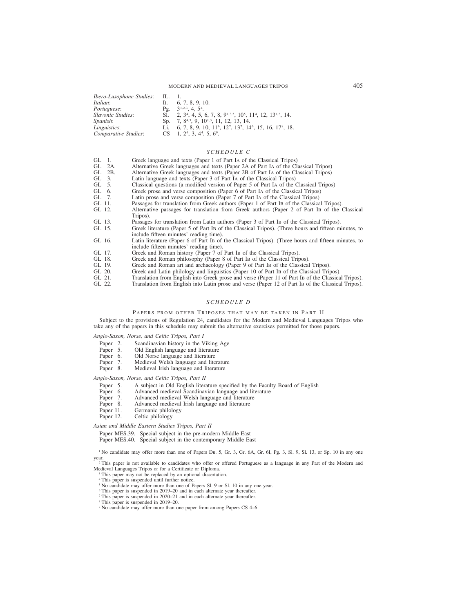## MODERN AND MEDIEVAL LANGUAGES TRIPOS 405

| <i>Ibero-Lusophone Studies:</i> IL. 1. |     |                                                                                                                           |
|----------------------------------------|-----|---------------------------------------------------------------------------------------------------------------------------|
| Italian:                               | It. | 6, 7, 8, 9, 10.                                                                                                           |
| <i>Portuguese:</i>                     |     | Pg. $3^{1,2,3}$ , 4, 5 <sup>4</sup> .                                                                                     |
| Slavonic Studies:                      |     | Sl. 2, $3^4$ , 4, 5, 6, 7, 8, $9^{1,3,5}$ , $10^5$ , $11^4$ , $12$ , $13^{1,3}$ , 14.                                     |
| <i>Spanish</i> :                       |     | Sp. 7, 8 <sup>4,3</sup> , 9, 10 <sup>1,3</sup> , 11, 12, 13, 14.                                                          |
| Linguistics:                           |     | Li. 6, 7, 8, 9, 10, 11 <sup>6</sup> , 12 <sup>7</sup> , 13 <sup>7</sup> , 14 <sup>6</sup> , 15, 16, 17 <sup>8</sup> , 18. |
| Comparative Studies:                   |     | $CS$ 1, 2 <sup>4</sup> , 3, 4 <sup>4</sup> , 5, 6 <sup>9</sup> .                                                          |

# *SCHEDULE C*

- GL 1. Greek language and texts (Paper 1 of Part IA of the Classical Tripos)<br>GL 2A. Alternative Greek languages and texts (Paper 2A of Part IA of the Classical Tripos)<br>GL 2B. Alternative Greek languages and texts (Paper 2B
- Alternative Greek languages and texts (Paper 2A of Part IA of the Classical Tripos)
- GL 2B. Alternative Greek languages and texts (Paper 2B of Part IA of the Classical Tripos)<br>GL 3. Latin language and texts (Paper 3 of Part IA of the Classical Tripos)
- 
- Classical questions (a modified version of Paper 5 of Part IA of the Classical Tripos)
- GL 3. Latin language and texts (Paper 3 of Part IA of the Classical Tripos)<br>GL 5. Classical questions (a modified version of Paper 5 of Part IA of the Classic<br>GL 6. Greek prose and verse composition (Paper 6 of Part IA of Greek prose and verse composition (Paper 6 of Part IA of the Classical Tripos)
- GL 7. Latin prose and verse composition (Paper 7 of Part IA of the Classical Tripos)<br>GL 11. Passages for translation from Greek authors (Paper 1 of Part IB of the Classica
- GL 11. Passages for translation from Greek authors (Paper 1 of Part IB of the Classical Tripos).<br>GL 12. Alternative passages for translation from Greek authors (Paper 2 of Part IB of the 0
- Alternative passages for translation from Greek authors (Paper 2 of Part IB of the Classical Tripos).
- GL 13. Passages for translation from Latin authors (Paper 3 of Part IB of the Classical Tripos).<br>GL 15. Greek literature (Paper 5 of Part IB of the Classical Tripos). (Three hours and fifteen m
- Greek literature (Paper 5 of Part IB of the Classical Tripos). (Three hours and fifteen minutes, to include fifteen minutes' reading time).
- GL 16. Latin literature (Paper 6 of Part IB of the Classical Tripos). (Three hours and fifteen minutes, to include fifteen minutes' reading time).
- GL 17. Greek and Roman history (Paper 7 of Part IB of the Classical Tripos).<br>GL 18. Greek and Roman philosophy (Paper 8 of Part IB of the Classical Trip
- 
- GL 18. Greek and Roman philosophy (Paper 8 of Part IB of the Classical Tripos).<br>GL 19. Greek and Roman art and archaeology (Paper 9 of Part IB of the Classical GL 19. Greek and Roman art and archaeology (Paper 9 of Part IB of the Classical Tripos).<br>GL 20. Greek and Latin philology and linguistics (Paper 10 of Part IB of the Classical Trip
- 
- GL 20. Greek and Latin philology and linguistics (Paper 10 of Part IB of the Classical Tripos).<br>GL 21. Translation from English into Greek prose and verse (Paper 11 of Part IB of the Classica GL 21. Translation from English into Greek prose and verse (Paper 11 of Part IB of the Classical Tripos).<br>GL 22. Translation from English into Latin prose and verse (Paper 12 of Part IB of the Classical Tripos).
- Translation from English into Latin prose and verse (Paper 12 of Part IB of the Classical Tripos).

# *SCHEDULE D*

#### PAPERS FROM OTHER TRIPOSES THAT MAY BE TAKEN IN PART II

Subject to the provisions of Regulation 24, candidates for the Modern and Medieval Languages Tripos who take any of the papers in this schedule may submit the alternative exercises permitted for those papers.

## *Anglo-Saxon, Norse, and Celtic Tripos, Part I*

- Paper 2. Scandinavian history in the Viking Age<br>Paper 5. Old English language and literature
- Paper 5. Old English language and literature<br>Paper 6. Old Norse language and literature
- 
- Paper 6. Old Norse language and literature<br>Paper 7. Medieval Welsh language and literature Paper 7. Medieval Welsh language and literature<br>Paper 8. Medieval Irish language and literature
- Medieval Irish language and literature

## *Anglo-Saxon, Norse, and Celtic Tripos, Part II*

- Paper 5. A subject in Old English literature specified by the Faculty Board of English Paper 6. Advanced medieval Scandinavian language and literature
- Paper 6. Advanced medieval Scandinavian language and literature<br>Paper 7. Advanced medieval Welsh language and literature
- 
- Paper 7. Advanced medieval Welsh language and literature<br>Paper 8. Advanced medieval Irish language and literature Paper 8. Advanced medieval Irish language and literature Paper 11. Germanic philology
- Paper 11. Germanic philology<br>Paper 12. Celtic philology
- Celtic philology

## *Asian and Middle Eastern Studies Tripos, Part II*

Paper MES.39. Special subject in the pre-modern Middle East

Paper MES.40. Special subject in the contemporary Middle East

<sup>1</sup> No candidate may offer more than one of Papers Du. 5, Gr. 3, Gr. 6A, Gr. 6I, Pg. 3, Sl. 9, Sl. 13, or Sp. 10 in any one year.

<sup>2</sup> This paper is not available to candidates who offer or offered Portuguese as a language in any Part of the Modern and Medieval Languages Tripos or for a Certificate or Diploma.

- <sup>3</sup> This paper may not be replaced by an optional dissertation.
- <sup>4</sup> This paper is suspended until further notice.
- <sup>5</sup> No candidate may offer more than one of Papers Sl. 9 or Sl. 10 in any one year.
- <sup>6</sup> This paper is suspended in 2019–20 and in each alternate year thereafter.
- <sup>7</sup> This paper is suspended in 2020–21 and in each alternate year thereafter.
- <sup>8</sup> This paper is suspended in 2019–20.
- <sup>9</sup> No candidate may offer more than one paper from among Papers CS 4–6.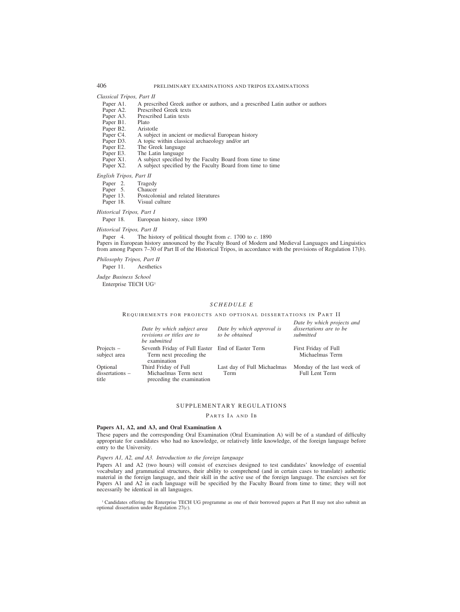### *Classical Tripos, Part II*

- Paper A1. A prescribed Greek author or authors, and a prescribed Latin author or authors Paper A2. Prescribed Greek texts
- Paper A2. Prescribed Greek texts<br>Paper A3. Prescribed Latin texts
- Prescribed Latin texts<br>Plato
- Paper B1. Plato<br>Paper B2. Aristotle
- Paper B2.<br>Paper C4.
- Paper C4. A subject in ancient or medieval European history<br>Paper D3. A topic within classical archaeology and/or art
- Paper D3. A topic within classical archaeology and/or art Paper E2. The Greek language
- Paper E2. The Greek language<br>Paper E3. The Latin language
- Paper E3. The Latin language<br>Paper X1. A subject specified
- Paper X1. A subject specified by the Faculty Board from time to time Paper X2. A subject specified by the Faculty Board from time to time
- A subject specified by the Faculty Board from time to time

*English Tripos, Part II*

- Paper 2. Tragedy<br>Paper 5. Chaucer
- Paper 5.<br>Paper 13.
- Paper 13. Postcolonial and related literatures<br>Paper 18. Visual culture
- Visual culture

# *Historical Tripos, Part I*

Paper 18. European history, since 1890

*Historical Tripos, Part II*

Paper 4. The history of political thought from *c*. 1700 to *c*. 1890 Papers in European history announced by the Faculty Board of Modern and Medieval Languages and Linguistics from among Papers 7–30 of Part II of the Historical Tripos, in accordance with the provisions of Regulation 17(*b*).

*Philosophy Tripos, Part II*

Paper 11. Aesthetics

*Judge Business School* Enterprise TECH UG1

# *SCHEDULE E*

REQUIREMENTS FOR PROJECTS AND OPTIONAL DISSERTATIONS IN PART II

|                                      | Date by which subject area<br>revisions or titles are to<br>be submitted                   | Date by which approval is<br>to be obtained | Date by which projects and<br>dissertations are to be<br>submitted |
|--------------------------------------|--------------------------------------------------------------------------------------------|---------------------------------------------|--------------------------------------------------------------------|
| Projects $-$<br>subject area         | Seventh Friday of Full Easter End of Easter Term<br>Term next preceding the<br>examination |                                             | First Friday of Full<br>Michaelmas Term                            |
| Optional<br>dissertations –<br>title | Third Friday of Full<br>Michaelmas Term next<br>preceding the examination                  | Last day of Full Michaelmas<br>Term         | Monday of the last week of<br><b>Full Lent Term</b>                |

## SUPPLEMENTARY REGULATIONS

PARTS IA AND IB

## **Papers A1, A2, and A3, and Oral Examination A**

These papers and the corresponding Oral Examination (Oral Examination A) will be of a standard of difficulty appropriate for candidates who had no knowledge, or relatively little knowledge, of the foreign language before entry to the University.

*Papers A1, A2, and A3. Introduction to the foreign language*

Papers A1 and A2 (two hours) will consist of exercises designed to test candidates' knowledge of essential vocabulary and grammatical structures, their ability to comprehend (and in certain cases to translate) authentic material in the foreign language, and their skill in the active use of the foreign language. The exercises set for Papers A1 and A2 in each language will be specified by the Faculty Board from time to time; they will not necessarily be identical in all languages.

<sup>1</sup> Candidates offering the Enterprise TECH UG programme as one of their borrowed papers at Part II may not also submit an optional dissertation under Regulation 27(*c*).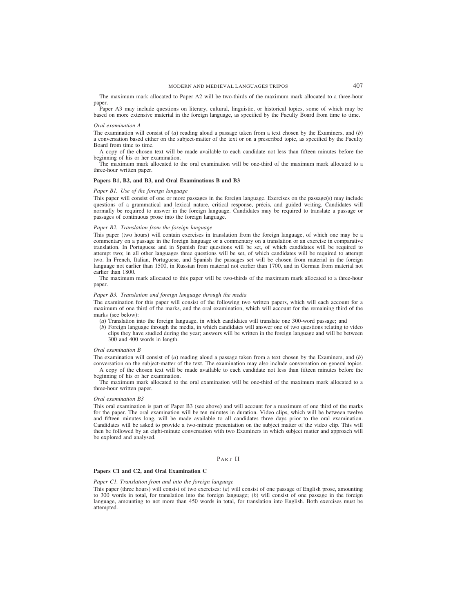The maximum mark allocated to Paper A2 will be two-thirds of the maximum mark allocated to a three-hour paper.

Paper A3 may include questions on literary, cultural, linguistic, or historical topics, some of which may be based on more extensive material in the foreign language, as specified by the Faculty Board from time to time.

#### *Oral examination A*

The examination will consist of (*a*) reading aloud a passage taken from a text chosen by the Examiners, and (*b*) a conversation based either on the subject-matter of the text or on a prescribed topic, as specified by the Faculty Board from time to time.

A copy of the chosen text will be made available to each candidate not less than fifteen minutes before the beginning of his or her examination.

The maximum mark allocated to the oral examination will be one-third of the maximum mark allocated to a three-hour written paper.

## **Papers B1, B2, and B3, and Oral Examinations B and B3**

#### *Paper B1. Use of the foreign language*

This paper will consist of one or more passages in the foreign language. Exercises on the passage(s) may include questions of a grammatical and lexical nature, critical response, précis, and guided writing. Candidates will normally be required to answer in the foreign language. Candidates may be required to translate a passage or passages of continuous prose into the foreign language.

## *Paper B2. Translation from the foreign language*

This paper (two hours) will contain exercises in translation from the foreign language, of which one may be a commentary on a passage in the foreign language or a commentary on a translation or an exercise in comparative translation. In Portuguese and in Spanish four questions will be set, of which candidates will be required to attempt two; in all other languages three questions will be set, of which candidates will be required to attempt two. In French, Italian, Portuguese, and Spanish the passages set will be chosen from material in the foreign language not earlier than 1500, in Russian from material not earlier than 1700, and in German from material not earlier than 1800.

The maximum mark allocated to this paper will be two-thirds of the maximum mark allocated to a three-hour paper.

### *Paper B3. Translation and foreign language through the media*

The examination for this paper will consist of the following two written papers, which will each account for a maximum of one third of the marks, and the oral examination, which will account for the remaining third of the marks (see below):

(*a*) Translation into the foreign language, in which candidates will translate one 300-word passage; and

(*b*) Foreign language through the media, in which candidates will answer one of two questions relating to video clips they have studied during the year; answers will be written in the foreign language and will be between 300 and 400 words in length.

#### *Oral examination B*

The examination will consist of (*a*) reading aloud a passage taken from a text chosen by the Examiners, and (*b*) conversation on the subject-matter of the text. The examination may also include conversation on general topics.

A copy of the chosen text will be made available to each candidate not less than fifteen minutes before the beginning of his or her examination.

The maximum mark allocated to the oral examination will be one-third of the maximum mark allocated to a three-hour written paper.

#### *Oral examination B3*

This oral examination is part of Paper B3 (see above) and will account for a maximum of one third of the marks for the paper. The oral examination will be ten minutes in duration. Video clips, which will be between twelve and fifteen minutes long, will be made available to all candidates three days prior to the oral examination. Candidates will be asked to provide a two-minute presentation on the subject matter of the video clip. This will then be followed by an eight-minute conversation with two Examiners in which subject matter and approach will be explored and analysed.

## PART II

#### **Papers C1 and C2, and Oral Examination C**

#### *Paper C1. Translation from and into the foreign language*

This paper (three hours) will consist of two exercises: (*a*) will consist of one passage of English prose, amounting to 300 words in total, for translation into the foreign language; (*b*) will consist of one passage in the foreign language, amounting to not more than 450 words in total, for translation into English. Both exercises must be attempted.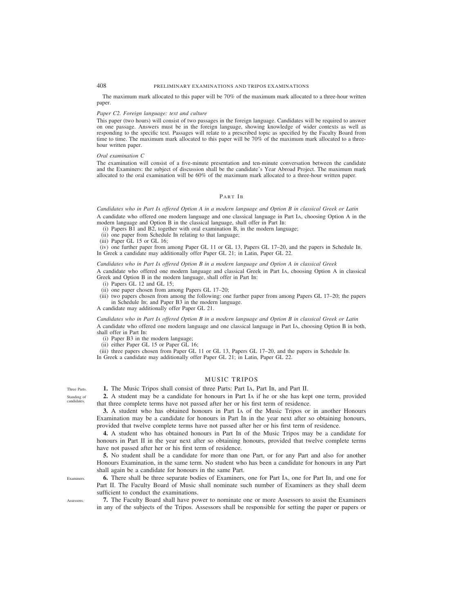The maximum mark allocated to this paper will be 70% of the maximum mark allocated to a three-hour written paper.

#### *Paper C2. Foreign language: text and culture*

This paper (two hours) will consist of two passages in the foreign language. Candidates will be required to answer on one passage. Answers must be in the foreign language, showing knowledge of wider contexts as well as responding to the specific text. Passages will relate to a prescribed topic as specified by the Faculty Board from time to time. The maximum mark allocated to this paper will be 70% of the maximum mark allocated to a threehour written paper.

#### *Oral examination C*

The examination will consist of a five-minute presentation and ten-minute conversation between the candidate and the Examiners: the subject of discussion shall be the candidate's Year Abroad Project. The maximum mark allocated to the oral examination will be 60% of the maximum mark allocated to a three-hour written paper.

## PART IB

# *Candidates who in Part IA offered Option A in a modern language and Option B in classical Greek or Latin* A candidate who offered one modern language and one classical language in Part IA, choosing Option A in the modern language and Option B in the classical language, shall offer in Part IB:

- (i) Papers B1 and B2, together with oral examination B, in the modern language;
- (ii) one paper from Schedule IB relating to that language;
- (iii) Paper GL 15 or GL 16;

(iv) one further paper from among Paper GL 11 or GL 13, Papers GL 17–20, and the papers in Schedule IB. In Greek a candidate may additionally offer Paper GL 21; in Latin, Paper GL 22.

#### *Candidates who in Part IA offered Option B in a modern language and Option A in classical Greek*

A candidate who offered one modern language and classical Greek in Part IA, choosing Option A in classical Greek and Option B in the modern language, shall offer in Part IB:

- (i) Papers GL 12 and GL 15;
- (ii) one paper chosen from among Papers GL 17–20;
- (iii) two papers chosen from among the following: one further paper from among Papers GL 17–20; the papers in Schedule IB; and Paper B3 in the modern language.

A candidate may additionally offer Paper GL 21.

*Candidates who in Part IA offered Option B in a modern language and Option B in classical Greek or Latin* A candidate who offered one modern language and one classical language in Part IA, choosing Option B in both, shall offer in Part IB:

(i) Paper B3 in the modern language;

(ii) either Paper GL 15 or Paper GL 16;

(iii) three papers chosen from Paper GL 11 or GL 13, Papers GL 17–20, and the papers in Schedule IB. In Greek a candidate may additionally offer Paper GL 21; in Latin, Paper GL 22.

# MUSIC TRIPOS

**1.** The Music Tripos shall consist of three Parts: Part IA, Part IB, and Part II.

**2.** A student may be a candidate for honours in Part IA if he or she has kept one term, provided that three complete terms have not passed after her or his first term of residence.

**3.** A student who has obtained honours in Part IA of the Music Tripos or in another Honours Examination may be a candidate for honours in Part IB in the year next after so obtaining honours, provided that twelve complete terms have not passed after her or his first term of residence.

**4.** A student who has obtained honours in Part IB of the Music Tripos may be a candidate for honours in Part II in the year next after so obtaining honours, provided that twelve complete terms have not passed after her or his first term of residence.

**5.** No student shall be a candidate for more than one Part, or for any Part and also for another Honours Examination, in the same term. No student who has been a candidate for honours in any Part shall again be a candidate for honours in the same Part.

**6.** There shall be three separate bodies of Examiners, one for Part IA, one for Part IB, and one for Part II. The Faculty Board of Music shall nominate such number of Examiners as they shall deem sufficient to conduct the examinations.

**7.** The Faculty Board shall have power to nominate one or more Assessors to assist the Examiners in any of the subjects of the Tripos. Assessors shall be responsible for setting the paper or papers or

Three Parts. Standing of candidates.

Assessors.

Examiners.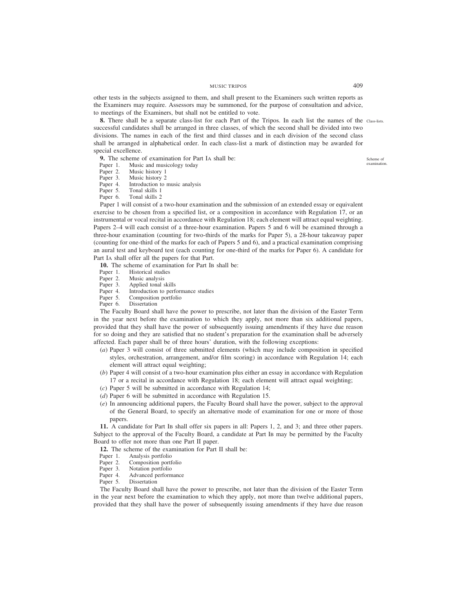# MUSIC TRIPOS 409

other tests in the subjects assigned to them, and shall present to the Examiners such written reports as the Examiners may require. Assessors may be summoned, for the purpose of consultation and advice, to meetings of the Examiners, but shall not be entitled to vote.

**8.** There shall be a separate class-list for each Part of the Tripos. In each list the names of the Class-lists. successful candidates shall be arranged in three classes, of which the second shall be divided into two divisions. The names in each of the first and third classes and in each division of the second class shall be arranged in alphabetical order. In each class-list a mark of distinction may be awarded for special excellence.

**9.** The scheme of examination for Part IA shall be:<br>Paper 1. Music and musicology today

Paper 1. Music and musicology today<br>Paper 2. Music history 1

Music history 1

Paper 3. Music history 2<br>Paper 4. Introduction to 1

- Introduction to music analysis
- Paper 5. Tonal skills 1
- Paper 6. Tonal skills 2

Paper 1 will consist of a two-hour examination and the submission of an extended essay or equivalent exercise to be chosen from a specified list, or a composition in accordance with Regulation 17, or an instrumental or vocal recital in accordance with Regulation 18; each element will attract equal weighting. Papers 2–4 will each consist of a three-hour examination. Papers 5 and 6 will be examined through a three-hour examination (counting for two-thirds of the marks for Paper 5), a 28-hour takeaway paper (counting for one-third of the marks for each of Papers 5 and 6), and a practical examination comprising an aural test and keyboard test (each counting for one-third of the marks for Paper 6). A candidate for Part IA shall offer all the papers for that Part.

10. The scheme of examination for Part IB shall be:

- Paper 1. Historical studies
- Paper 2. Music analysis
- Paper 3. Applied tonal skills<br>Paper 4. Introduction to perfe
- Paper 4. Introduction to performance studies<br>Paper 5. Composition portfolio
- Composition portfolio
- Paper 6. Dissertation

The Faculty Board shall have the power to prescribe, not later than the division of the Easter Term in the year next before the examination to which they apply, not more than six additional papers, provided that they shall have the power of subsequently issuing amendments if they have due reason for so doing and they are satisfied that no student's preparation for the examination shall be adversely affected. Each paper shall be of three hours' duration, with the following exceptions:

- (*a*) Paper 3 will consist of three submitted elements (which may include composition in specified styles, orchestration, arrangement, and/or film scoring) in accordance with Regulation 14; each element will attract equal weighting;
- (*b*) Paper 4 will consist of a two-hour examination plus either an essay in accordance with Regulation 17 or a recital in accordance with Regulation 18; each element will attract equal weighting;
- (*c*) Paper 5 will be submitted in accordance with Regulation 14;
- (*d*) Paper 6 will be submitted in accordance with Regulation 15.
- (*e*) In announcing additional papers, the Faculty Board shall have the power, subject to the approval of the General Board, to specify an alternative mode of examination for one or more of those papers.

**11.** A candidate for Part IB shall offer six papers in all: Papers 1, 2, and 3; and three other papers. Subject to the approval of the Faculty Board, a candidate at Part IB may be permitted by the Faculty Board to offer not more than one Part II paper.

**12.** The scheme of the examination for Part II shall be:<br>Paper 1. Analysis portfolio

- Paper 1. Analysis portfolio<br>Paper 2. Composition portf
- Paper 2. Composition portfolio<br>Paper 3. Notation portfolio
- Paper 3. Notation portfolio<br>Paper 4. Advanced perform
- Paper 4. Advanced performance<br>Paper 5. Dissertation
- **Dissertation**

The Faculty Board shall have the power to prescribe, not later than the division of the Easter Term in the year next before the examination to which they apply, not more than twelve additional papers, provided that they shall have the power of subsequently issuing amendments if they have due reason

Scheme of examination.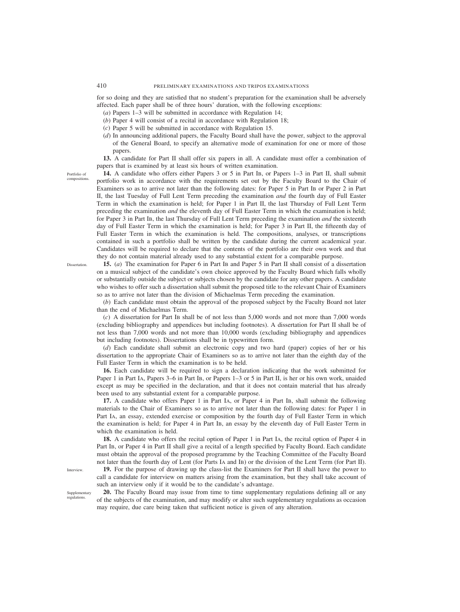for so doing and they are satisfied that no student's preparation for the examination shall be adversely affected. Each paper shall be of three hours' duration, with the following exceptions:

- (*a*) Papers 1–3 will be submitted in accordance with Regulation 14;
- (*b*) Paper 4 will consist of a recital in accordance with Regulation 18;
- (*c*) Paper 5 will be submitted in accordance with Regulation 15.
- (*d*) In announcing additional papers, the Faculty Board shall have the power, subject to the approval of the General Board, to specify an alternative mode of examination for one or more of those papers.

**13.** A candidate for Part II shall offer six papers in all. A candidate must offer a combination of papers that is examined by at least six hours of written examination.

Portfolio of compositions.

**14.** A candidate who offers either Papers 3 or 5 in Part IB, or Papers 1–3 in Part II, shall submit portfolio work in accordance with the requirements set out by the Faculty Board to the Chair of Examiners so as to arrive not later than the following dates: for Paper 5 in Part IB or Paper 2 in Part II, the last Tuesday of Full Lent Term preceding the examination *and* the fourth day of Full Easter Term in which the examination is held; for Paper 1 in Part II, the last Thursday of Full Lent Term preceding the examination *and* the eleventh day of Full Easter Term in which the examination is held; for Paper 3 in Part IB, the last Thursday of Full Lent Term preceding the examination *and* the sixteenth day of Full Easter Term in which the examination is held; for Paper 3 in Part II, the fifteenth day of Full Easter Term in which the examination is held. The compositions, analyses, or transcriptions contained in such a portfolio shall be written by the candidate during the current academical year. Candidates will be required to declare that the contents of the portfolio are their own work and that they do not contain material already used to any substantial extent for a comparable purpose.

**15.** (*a*) The examination for Paper 6 in Part IB and Paper 5 in Part II shall consist of a dissertation on a musical subject of the candidate's own choice approved by the Faculty Board which falls wholly or substantially outside the subject or subjects chosen by the candidate for any other papers. A candidate who wishes to offer such a dissertation shall submit the proposed title to the relevant Chair of Examiners so as to arrive not later than the division of Michaelmas Term preceding the examination.

(*b*) Each candidate must obtain the approval of the proposed subject by the Faculty Board not later than the end of Michaelmas Term.

(*c*) A dissertation for Part IB shall be of not less than 5,000 words and not more than 7,000 words (excluding bibliography and appendices but including footnotes). A dissertation for Part II shall be of not less than 7,000 words and not more than 10,000 words (excluding bibliography and appendices but including footnotes). Dissertations shall be in typewritten form.

(*d*) Each candidate shall submit an electronic copy and two hard (paper) copies of her or his dissertation to the appropriate Chair of Examiners so as to arrive not later than the eighth day of the Full Easter Term in which the examination is to be held.

**16.** Each candidate will be required to sign a declaration indicating that the work submitted for Paper 1 in Part IA, Papers 3–6 in Part IB, or Papers 1–3 or 5 in Part II, is her or his own work, unaided except as may be specified in the declaration, and that it does not contain material that has already been used to any substantial extent for a comparable purpose.

**17.** A candidate who offers Paper 1 in Part IA, or Paper 4 in Part IB, shall submit the following materials to the Chair of Examiners so as to arrive not later than the following dates: for Paper 1 in Part IA, an essay, extended exercise or composition by the fourth day of Full Easter Term in which the examination is held; for Paper 4 in Part IB, an essay by the eleventh day of Full Easter Term in which the examination is held.

**18.** A candidate who offers the recital option of Paper 1 in Part IA, the recital option of Paper 4 in Part IB, or Paper 4 in Part II shall give a recital of a length specified by Faculty Board. Each candidate must obtain the approval of the proposed programme by the Teaching Committee of the Faculty Board not later than the fourth day of Lent (for Parts IA and IB) or the division of the Lent Term (for Part II).

**19.** For the purpose of drawing up the class-list the Examiners for Part II shall have the power to call a candidate for interview on matters arising from the examination, but they shall take account of such an interview only if it would be to the candidate's advantage.

**20.** The Faculty Board may issue from time to time supplementary regulations defining all or any of the subjects of the examination, and may modify or alter such supplementary regulations as occasion may require, due care being taken that sufficient notice is given of any alteration.

**Dissertation** 

Interview.

Supplementary regulations.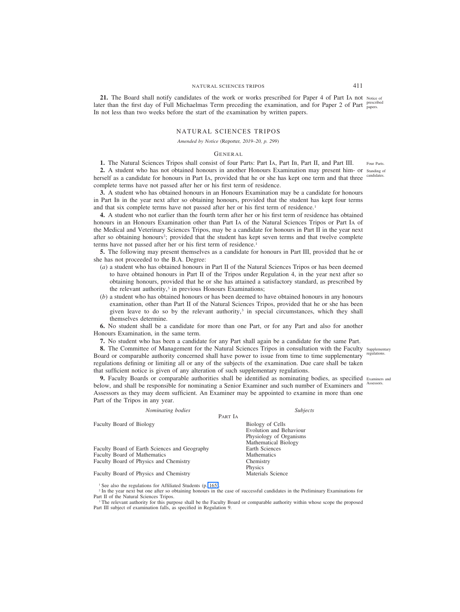## NATURAL SCIENCES TRIPOS 411

**21.** The Board shall notify candidates of the work or works prescribed for Paper 4 of Part IA not Notice of later than the first day of Full Michaelmas Term preceding the examination, and for Paper 2 of Part prescribed IB not less than two weeks before the start of the examination by written papers.

## NATURAL SCIENCES TRIPOS

#### *Amended by Notice (*Reporter*, 2019–20, p. 299)*

## GENERAL

**1.** The Natural Sciences Tripos shall consist of four Parts: Part IA, Part IB, Part II, and Part III.

2. A student who has not obtained honours in another Honours Examination may present him- or standing of herself as a candidate for honours in Part IA, provided that he or she has kept one term and that three complete terms have not passed after her or his first term of residence. candida

**3.** A student who has obtained honours in an Honours Examination may be a candidate for honours in Part IB in the year next after so obtaining honours, provided that the student has kept four terms and that six complete terms have not passed after her or his first term of residence.<sup>1</sup>

**4.** A student who not earlier than the fourth term after her or his first term of residence has obtained honours in an Honours Examination other than Part IA of the Natural Sciences Tripos or Part IA of the Medical and Veterinary Sciences Tripos, may be a candidate for honours in Part II in the year next after so obtaining honours<sup>2</sup>; provided that the student has kept seven terms and that twelve complete terms have not passed after her or his first term of residence.<sup>1</sup>

**5.** The following may present themselves as a candidate for honours in Part III, provided that he or she has not proceeded to the B.A. Degree:

- (*a*) a student who has obtained honours in Part II of the Natural Sciences Tripos or has been deemed to have obtained honours in Part II of the Tripos under Regulation 4, in the year next after so obtaining honours, provided that he or she has attained a satisfactory standard, as prescribed by the relevant authority, $3$  in previous Honours Examinations;
- (*b*) a student who has obtained honours or has been deemed to have obtained honours in any honours examination, other than Part II of the Natural Sciences Tripos, provided that he or she has been given leave to do so by the relevant authority,<sup>3</sup> in special circumstances, which they shall themselves determine.

**6.** No student shall be a candidate for more than one Part, or for any Part and also for another Honours Examination, in the same term.

**7.** No student who has been a candidate for any Part shall again be a candidate for the same Part.

8. The Committee of Management for the Natural Sciences Tripos in consultation with the Faculty Supplementary Board or comparable authority concerned shall have power to issue from time to time supplementary regulations. regulations defining or limiting all or any of the subjects of the examination. Due care shall be taken that sufficient notice is given of any alteration of such supplementary regulations.

**9.** Faculty Boards or comparable authorities shall be identified as nominating bodies, as specified Examiners and below, and shall be responsible for nominating a Senior Examiner and such number of Examiners and Assessors. Assessors as they may deem sufficient. An Examiner may be appointed to examine in more than one Part of the Tripos in any year.

| Nominating bodies                             |         | <i>Subjects</i>         |
|-----------------------------------------------|---------|-------------------------|
|                                               | PART IA |                         |
| Faculty Board of Biology                      |         | Biology of Cells        |
|                                               |         | Evolution and Behaviour |
|                                               |         | Physiology of Organisms |
|                                               |         | Mathematical Biology    |
| Faculty Board of Earth Sciences and Geography |         | Earth Sciences          |
| Faculty Board of Mathematics                  |         | <b>Mathematics</b>      |
| Faculty Board of Physics and Chemistry        |         | Chemistry               |
|                                               |         | Physics                 |
| Faculty Board of Physics and Chemistry        |         | Materials Science       |

<sup>1</sup> See also the regulations for Affiliated Students (p. 165).

<sup>2</sup> In the year next but one after so obtaining honours in the case of successful candidates in the Preliminary Examinations for Part II of the Natural Sciences Tripos.

<sup>3</sup> The relevant authority for this purpose shall be the Faculty Board or comparable authority within whose scope the proposed Part III subject of examination falls, as specified in Regulation 9.

Four Parts.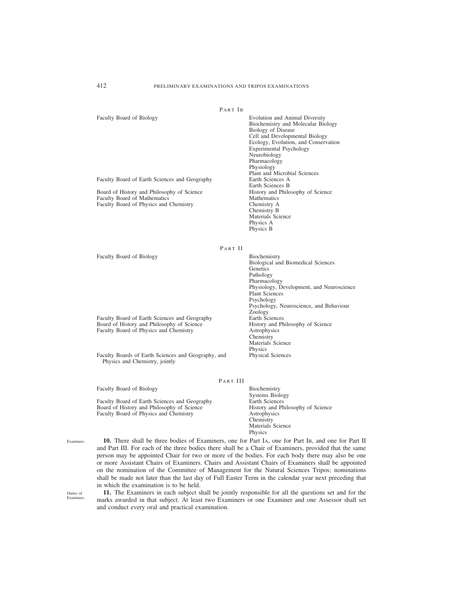| Faculty Board of Biology                      | Evolution and Animal Diversity       |
|-----------------------------------------------|--------------------------------------|
|                                               | Biochemistry and Molecular Biology   |
|                                               | Biology of Disease                   |
|                                               | Cell and Developmental Biology       |
|                                               | Ecology, Evolution, and Conservation |
|                                               | Experimental Psychology              |
|                                               | Neurobiology                         |
|                                               | Pharmacology                         |
|                                               | Physiology                           |
|                                               | Plant and Microbial Sciences         |
| Faculty Board of Earth Sciences and Geography | Earth Sciences A                     |
|                                               | Earth Sciences B                     |
| Board of History and Philosophy of Science    | History and Philosophy of Science    |
| <b>Faculty Board of Mathematics</b>           | <b>Mathematics</b>                   |
| <b>Faculty Board of Physics and Chemistry</b> | Chemistry A                          |
|                                               | Chemistry B                          |
|                                               | Materials Science                    |
|                                               | Physics A                            |
|                                               | Physics B                            |

PART II

Faculty Board of Biology Biochemistry Biological and Biomedical Sciences **Genetics** Pathology Pharmacology Physiology, Development, and Neuroscience Plant Sciences Psychology Psychology, Neuroscience, and Behaviour Zoology<br>Earth Sciences Faculty Board of Earth Sciences and Geography<br>
Board of History and Philosophy of Science<br>
History and Philosophy of Science<br>
History and Philosophy of Science Board of History and Philosophy of Science History and I Faculty Board of Physics and Chemistry Astrophysics Faculty Board of Physics and Chemistry Chemistry Materials Science Physics Faculty Boards of Earth Sciences and Geography, and Physics and Chemistry, jointly Physical Sciences

PART III

Faculty Board of Biology Biochemistry Systems Biology Faculty Board of Earth Sciences and Geography<br>
Board of History and Philosophy of Science<br>
History and Philosophy of Science<br>
History and Philosophy of Science Board of History and Philosophy of Science History and I<br>Faculty Board of Physics and Chemistry Astrophysics Faculty Board of Physics and Chemistry Chemistry Materials Science Physics

**10.** There shall be three bodies of Examiners, one for Part IA, one for Part IB, and one for Part II and Part III. For each of the three bodies there shall be a Chair of Examiners, provided that the same person may be appointed Chair for two or more of the bodies. For each body there may also be one or more Assistant Chairs of Examiners. Chairs and Assistant Chairs of Examiners shall be appointed on the nomination of the Committee of Management for the Natural Sciences Tripos; nominations shall be made not later than the last day of Full Easter Term in the calendar year next preceding that in which the examination is to be held.

Duties of Examiners.

Examiners.

**11.** The Examiners in each subject shall be jointly responsible for all the questions set and for the marks awarded in that subject. At least two Examiners or one Examiner and one Assessor shall set and conduct every oral and practical examination.

PART IB

Ecology, Evolution, and Conservation Physics B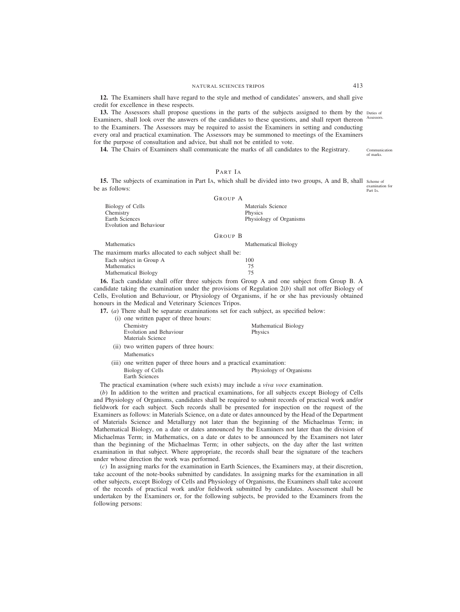NATURAL SCIENCES TRIPOS 413

**12.** The Examiners shall have regard to the style and method of candidates' answers, and shall give credit for excellence in these respects.

**13.** The Assessors shall propose questions in the parts of the subjects assigned to them by the Duties of Examiners, shall look over the answers of the candidates to these questions, and shall report thereon Assessors. to the Examiners. The Assessors may be required to assist the Examiners in setting and conducting every oral and practical examination. The Assessors may be summoned to meetings of the Examiners for the purpose of consultation and advice, but shall not be entitled to vote.

**14.** The Chairs of Examiners shall communicate the marks of all candidates to the Registrary.

PART IA

**15.** The subjects of examination in Part IA, which shall be divided into two groups, A and B, shall scheme of be as follows: examination for Part IA.

|                                                                                   | <b>GROUP A</b>                                          |
|-----------------------------------------------------------------------------------|---------------------------------------------------------|
| Biology of Cells<br>Chemistry<br>Earth Sciences<br><b>Evolution and Behaviour</b> | Materials Science<br>Physics<br>Physiology of Organisms |
|                                                                                   | GROUP B                                                 |

Mathematics Mathematical Biology The maximum marks allocated to each subject shall be: Each subject in Group A 100<br>Mathematics 75 Mathematics 75<br>
Mathematical Biology 75 Mathematical Biology

**16.** Each candidate shall offer three subjects from Group A and one subject from Group B. A candidate taking the examination under the provisions of Regulation 2(*b*) shall not offer Biology of Cells, Evolution and Behaviour, or Physiology of Organisms, if he or she has previously obtained honours in the Medical and Veterinary Sciences Tripos.

**17.** (*a*) There shall be separate examinations set for each subject, as specified below:

| (i) one written paper of three hours:                         |                                 |
|---------------------------------------------------------------|---------------------------------|
| Chemistry<br>Evolution and Behaviour<br>Materials Science     | Mathematical Biology<br>Physics |
| (ii) two written papers of three hours:<br><b>Mathematics</b> |                                 |

(iii) one written paper of three hours and a practical examination:<br>Biology of Cells<br>Physiology of Physiology of Organisms Earth Sciences

The practical examination (where such exists) may include a *viva voce* examination.

(*b*) In addition to the written and practical examinations, for all subjects except Biology of Cells and Physiology of Organisms, candidates shall be required to submit records of practical work and/or fieldwork for each subject. Such records shall be presented for inspection on the request of the Examiners as follows: in Materials Science, on a date or dates announced by the Head of the Department of Materials Science and Metallurgy not later than the beginning of the Michaelmas Term; in Mathematical Biology, on a date or dates announced by the Examiners not later than the division of Michaelmas Term; in Mathematics, on a date or dates to be announced by the Examiners not later than the beginning of the Michaelmas Term; in other subjects, on the day after the last written examination in that subject. Where appropriate, the records shall bear the signature of the teachers under whose direction the work was performed.

(*c*) In assigning marks for the examination in Earth Sciences, the Examiners may, at their discretion, take account of the note-books submitted by candidates. In assigning marks for the examination in all other subjects, except Biology of Cells and Physiology of Organisms, the Examiners shall take account of the records of practical work and/or fieldwork submitted by candidates. Assessment shall be undertaken by the Examiners or, for the following subjects, be provided to the Examiners from the following persons:

Communication of marks.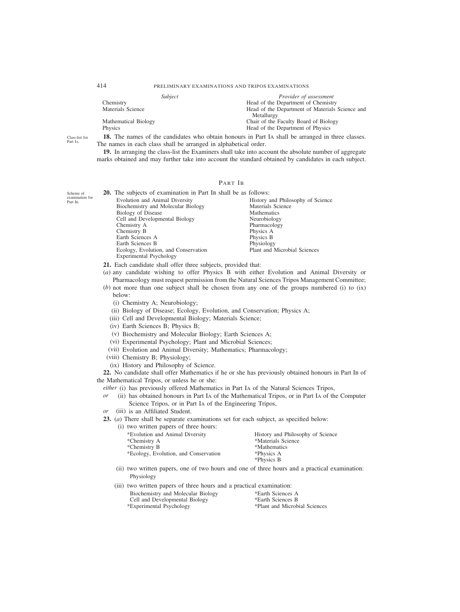|                      | Subject | <i>Provider of assessment</i>                   |
|----------------------|---------|-------------------------------------------------|
| Chemistry            |         | Head of the Department of Chemistry             |
| Materials Science    |         | Head of the Department of Materials Science and |
|                      |         | Metallurgy                                      |
| Mathematical Biology |         | Chair of the Faculty Board of Biology           |
| <b>Physics</b>       |         | Head of the Department of Physics               |

**18.** The names of the candidates who obtain honours in Part IA shall be arranged in three classes. The names in each class shall be arranged in alphabetical order.

**19.** In arranging the class-list the Examiners shall take into account the absolute number of aggregate marks obtained and may further take into account the standard obtained by candidates in each subject.

# PART IB

| <b>20.</b> The subjects of examination in Part IB shall be as follows: |                                   |
|------------------------------------------------------------------------|-----------------------------------|
| Evolution and Animal Diversity                                         | History and Philosophy of Science |
| Biochemistry and Molecular Biology                                     | Materials Science                 |
| Biology of Disease                                                     | <b>Mathematics</b>                |
| Cell and Developmental Biology                                         | Neurobiology                      |
| Chemistry A                                                            | Pharmacology                      |
| Chemistry B                                                            | Physics A                         |
| Earth Sciences A                                                       | Physics B                         |
| Earth Sciences B                                                       | Physiology                        |
| Ecology, Evolution, and Conservation                                   | Plant and Microbial Sciences      |
| <b>Experimental Psychology</b>                                         |                                   |

**21.** Each candidate shall offer three subjects, provided that:

- (*a*) any candidate wishing to offer Physics B with either Evolution and Animal Diversity or Pharmacology must request permission from the Natural Sciences Tripos Management Committee;
- (*b*) not more than one subject shall be chosen from any one of the groups numbered (i) to (ix) below:
	- (i) Chemistry A; Neurobiology;
	- (ii) Biology of Disease; Ecology, Evolution, and Conservation; Physics A;
	- (iii) Cell and Developmental Biology; Materials Science;
	- (iv) Earth Sciences B; Physics B;
	- (v) Biochemistry and Molecular Biology; Earth Sciences A;
	- (vi) Experimental Psychology; Plant and Microbial Sciences;
	- (vii) Evolution and Animal Diversity; Mathematics; Pharmacology;
	- (viii) Chemistry B; Physiology;
	- (ix) History and Philosophy of Science.

**22.** No candidate shall offer Mathematics if he or she has previously obtained honours in Part IB of the Mathematical Tripos, or unless he or she:

- *either* (i) has previously offered Mathematics in Part IA of the Natural Sciences Tripos,
- *or* (ii) has obtained honours in Part IA of the Mathematical Tripos, or in Part IA of the Computer Science Tripos, or in Part IA of the Engineering Tripos,
- *or* (iii) is an Affiliated Student.
- **23.** (*a*) There shall be separate examinations set for each subject, as specified below:

(i) two written papers of three hours:

| *Evolution and Animal Diversity       | History and Philosophy of Science |
|---------------------------------------|-----------------------------------|
| *Chemistry A                          | *Materials Science                |
| *Chemistry B                          | *Mathematics                      |
| *Ecology, Evolution, and Conservation | *Physics A                        |
|                                       | *Physics B                        |
|                                       |                                   |

(ii) two written papers, one of two hours and one of three hours and a practical examination: Physiology

| (iii) two written papers of three hours and a practical examination: |                               |
|----------------------------------------------------------------------|-------------------------------|
| Biochemistry and Molecular Biology                                   | *Earth Sciences A             |
| Cell and Developmental Biology                                       | *Earth Sciences B             |
| *Experimental Psychology                                             | *Plant and Microbial Sciences |

Scheme of examination for Part IB.

Class-list for Part IA.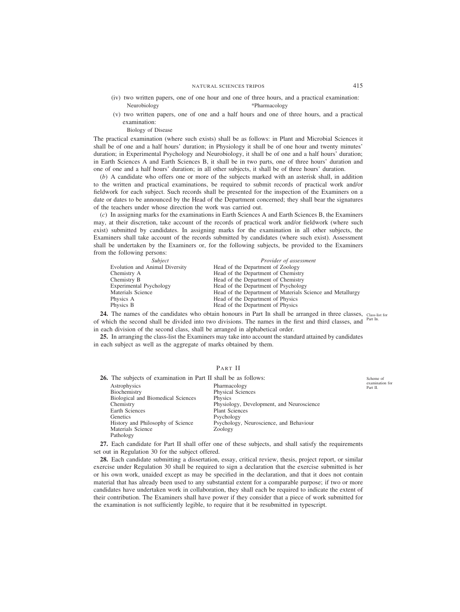- (iv) two written papers, one of one hour and one of three hours, and a practical examination: Neurobiology \*Pharmacology
- (v) two written papers, one of one and a half hours and one of three hours, and a practical examination:
	- Biology of Disease

The practical examination (where such exists) shall be as follows: in Plant and Microbial Sciences it shall be of one and a half hours' duration; in Physiology it shall be of one hour and twenty minutes' duration; in Experimental Psychology and Neurobiology, it shall be of one and a half hours' duration; in Earth Sciences A and Earth Sciences B, it shall be in two parts, one of three hours' duration and one of one and a half hours' duration; in all other subjects, it shall be of three hours' duration.

(*b*) A candidate who offers one or more of the subjects marked with an asterisk shall, in addition to the written and practical examinations, be required to submit records of practical work and/or fieldwork for each subject. Such records shall be presented for the inspection of the Examiners on a date or dates to be announced by the Head of the Department concerned; they shall bear the signatures of the teachers under whose direction the work was carried out.

(*c*) In assigning marks for the examinations in Earth Sciences A and Earth Sciences B, the Examiners may, at their discretion, take account of the records of practical work and/or fieldwork (where such exist) submitted by candidates. In assigning marks for the examination in all other subjects, the Examiners shall take account of the records submitted by candidates (where such exist). Assessment shall be undertaken by the Examiners or, for the following subjects, be provided to the Examiners from the following persons:

| Subject                        | Provider of assessment                                     |
|--------------------------------|------------------------------------------------------------|
| Evolution and Animal Diversity | Head of the Department of Zoology                          |
| Chemistry A                    | Head of the Department of Chemistry                        |
| Chemistry B                    | Head of the Department of Chemistry                        |
| Experimental Psychology        | Head of the Department of Psychology                       |
| Materials Science              | Head of the Department of Materials Science and Metallurgy |
| Physics A                      | Head of the Department of Physics                          |
| Physics B                      | Head of the Department of Physics                          |

**24.** The names of the candidates who obtain honours in Part IB shall be arranged in three classes, class-list for of which the second shall be divided into two divisions. The names in the first and third classes, and <sup>Part IB.</sup> in each division of the second class, shall be arranged in alphabetical order.

**25.** In arranging the class-list the Examiners may take into account the standard attained by candidates in each subject as well as the aggregate of marks obtained by them.

# PART II

| <b>26.</b> The subjects of examination in Part II shall be as follows: |                                           | Scheme of                   |
|------------------------------------------------------------------------|-------------------------------------------|-----------------------------|
| Astrophysics                                                           | Pharmacology                              | examination for<br>Part II. |
| Biochemistry                                                           | <b>Physical Sciences</b>                  |                             |
| Biological and Biomedical Sciences                                     | Physics                                   |                             |
| Chemistry                                                              | Physiology, Development, and Neuroscience |                             |
| Earth Sciences                                                         | <b>Plant Sciences</b>                     |                             |
| Genetics                                                               | Psychology                                |                             |
| History and Philosophy of Science                                      | Psychology, Neuroscience, and Behaviour   |                             |
| Materials Science                                                      | Zoology                                   |                             |
| Pathology                                                              |                                           |                             |

**27.** Each candidate for Part II shall offer one of these subjects, and shall satisfy the requirements set out in Regulation 30 for the subject offered.

**28.** Each candidate submitting a dissertation, essay, critical review, thesis, project report, or similar exercise under Regulation 30 shall be required to sign a declaration that the exercise submitted is her or his own work, unaided except as may be specified in the declaration, and that it does not contain material that has already been used to any substantial extent for a comparable purpose; if two or more candidates have undertaken work in collaboration, they shall each be required to indicate the extent of their contribution. The Examiners shall have power if they consider that a piece of work submitted for the examination is not sufficiently legible, to require that it be resubmitted in typescript.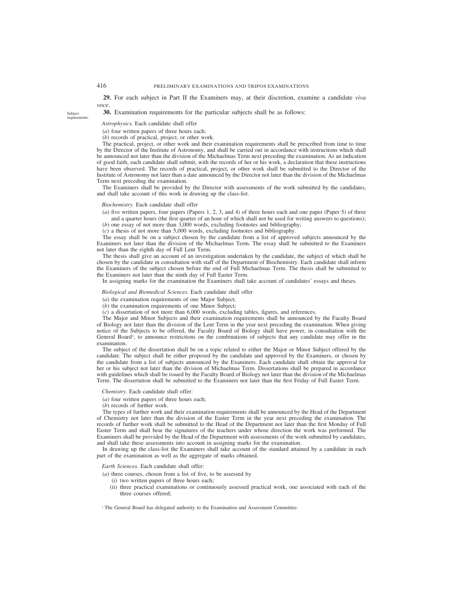**29.** For each subject in Part II the Examiners may, at their discretion, examine a candidate *viva voce*.

**30.** Examination requirements for the particular subjects shall be as follows:

## *Astrophysics.* Each candidate shall offer

- (*a*) four written papers of three hours each;
- (*b*) records of practical, project, or other work.

The practical, project, or other work and their examination requirements shall be prescribed from time to time by the Director of the Institute of Astronomy, and shall be carried out in accordance with instructions which shall be announced not later than the division of the Michaelmas Term next preceding the examination. As an indication of good faith, each candidate shall submit, with the records of her or his work, a declaration that these instructions have been observed. The records of practical, project, or other work shall be submitted to the Director of the Institute of Astronomy not later than a date announced by the Director not later than the division of the Michaelmas Term next preceding the examination.

The Examiners shall be provided by the Director with assessments of the work submitted by the candidates, and shall take account of this work in drawing up the class-list.

#### *Biochemistry.* Each candidate shall offer

(*a*) five written papers, four papers (Papers 1, 2, 3, and 4) of three hours each and one paper (Paper 5) of three and a quarter hours (the first quarter of an hour of which shall not be used for writing answers to questions); (*b*) one essay of not more than 3,000 words, excluding footnotes and bibliography;

(*c*) a thesis of not more than 5,000 words, excluding footnotes and bibliography.

The essay shall be on a subject chosen by the candidate from a list of approved subjects announced by the Examiners not later than the division of the Michaelmas Term. The essay shall be submitted to the Examiners not later than the eighth day of Full Lent Term.

The thesis shall give an account of an investigation undertaken by the candidate, the subject of which shall be chosen by the candidate in consultation with staff of the Department of Biochemistry. Each candidate shall inform the Examiners of the subject chosen before the end of Full Michaelmas Term. The thesis shall be submitted to the Examiners not later than the ninth day of Full Easter Term.

In assigning marks for the examination the Examiners shall take account of candidates' essays and theses.

#### *Biological and Biomedical Sciences.* Each candidate shall offer

(*a*) the examination requirements of one Major Subject;

(*b*) the examination requirements of one Minor Subject;

(*c*) a dissertation of not more than 6,000 words, excluding tables, figures, and references.

The Major and Minor Subjects and their examination requirements shall be announced by the Faculty Board of Biology not later than the division of the Lent Term in the year next preceding the examination. When giving notice of the Subjects to be offered, the Faculty Board of Biology shall have power, in consultation with the General Board<sup>1</sup>, to announce restrictions on the combinations of subjects that any candidate may offer in the examination.

The subject of the dissertation shall be on a topic related to either the Major or Minor Subject offered by the candidate. The subject shall be either proposed by the candidate and approved by the Examiners, or chosen by the candidate from a list of subjects announced by the Examiners. Each candidate shall obtain the approval for her or his subject not later than the division of Michaelmas Term. Dissertations shall be prepared in accordance with guidelines which shall be issued by the Faculty Board of Biology not later than the division of the Michaelmas Term. The dissertation shall be submitted to the Examiners not later than the first Friday of Full Easter Term.

#### *Chemistry.* Each candidate shall offer:

(*a*) four written papers of three hours each;

(*b*) records of further work.

The types of further work and their examination requirements shall be announced by the Head of the Department of Chemistry not later than the division of the Easter Term in the year next preceding the examination. The records of further work shall be submitted to the Head of the Department not later than the first Monday of Full Easter Term and shall bear the signatures of the teachers under whose direction the work was performed. The Examiners shall be provided by the Head of the Department with assessments of the work submitted by candidates, and shall take these assessments into account in assigning marks for the examination.

In drawing up the class-list the Examiners shall take account of the standard attained by a candidate in each part of the examination as well as the aggregate of marks obtained.

*Earth Sciences.* Each candidate shall offer:

(*a*) three courses, chosen from a list of five, to be assessed by

- (i) two written papers of three hours each;
- (ii) three practical examinations or continuously assessed practical work, one associated with each of the three courses offered;

Subject requirements.

<sup>&</sup>lt;sup>1</sup> The General Board has delegated authority to the Examination and Assessment Committee.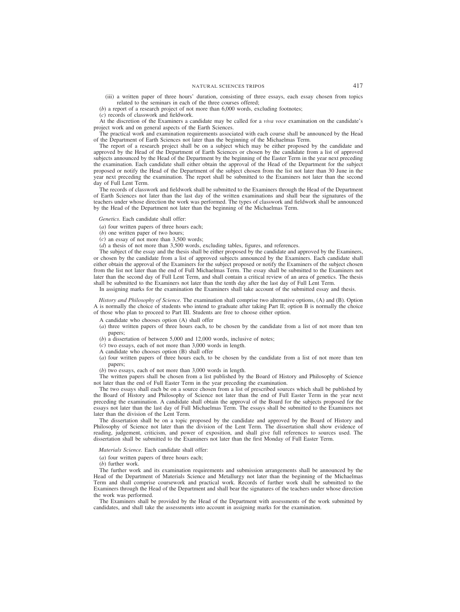(iii) a written paper of three hours' duration, consisting of three essays, each essay chosen from topics related to the seminars in each of the three courses offered;

(*b*) a report of a research project of not more than 6,000 words, excluding footnotes;

(*c*) records of classwork and fieldwork.

At the discretion of the Examiners a candidate may be called for a *viva voce* examination on the candidate's project work and on general aspects of the Earth Sciences.

The practical work and examination requirements associated with each course shall be announced by the Head of the Department of Earth Sciences not later than the beginning of the Michaelmas Term.

The report of a research project shall be on a subject which may be either proposed by the candidate and approved by the Head of the Department of Earth Sciences or chosen by the candidate from a list of approved subjects announced by the Head of the Department by the beginning of the Easter Term in the year next preceding the examination. Each candidate shall either obtain the approval of the Head of the Department for the subject proposed or notify the Head of the Department of the subject chosen from the list not later than 30 June in the year next preceding the examination. The report shall be submitted to the Examiners not later than the second day of Full Lent Term.

The records of classwork and fieldwork shall be submitted to the Examiners through the Head of the Department of Earth Sciences not later than the last day of the written examinations and shall bear the signatures of the teachers under whose direction the work was performed. The types of classwork and fieldwork shall be announced by the Head of the Department not later than the beginning of the Michaelmas Term.

*Genetics.* Each candidate shall offer:

- (*a*) four written papers of three hours each;
- (*b*) one written paper of two hours;
- (*c*) an essay of not more than 3,500 words;
- (*d*) a thesis of not more than 3,500 words, excluding tables, figures, and references.

The subject of the essay and the thesis shall be either proposed by the candidate and approved by the Examiners, or chosen by the candidate from a list of approved subjects announced by the Examiners. Each candidate shall either obtain the approval of the Examiners for the subject proposed or notify the Examiners of the subject chosen from the list not later than the end of Full Michaelmas Term. The essay shall be submitted to the Examiners not later than the second day of Full Lent Term, and shall contain a critical review of an area of genetics. The thesis shall be submitted to the Examiners not later than the tenth day after the last day of Full Lent Term.

In assigning marks for the examination the Examiners shall take account of the submitted essay and thesis.

*History and Philosophy of Science.* The examination shall comprise two alternative options, (A) and (B). Option A is normally the choice of students who intend to graduate after taking Part II; option B is normally the choice of those who plan to proceed to Part III. Students are free to choose either option.

A candidate who chooses option (A) shall offer

- (*a*) three written papers of three hours each, to be chosen by the candidate from a list of not more than ten papers;
- (*b*) a dissertation of between 5,000 and 12,000 words, inclusive of notes;
- (*c*) two essays, each of not more than 3,000 words in length.
- A candidate who chooses option (B) shall offer
- (*a*) four written papers of three hours each, to be chosen by the candidate from a list of not more than ten papers;

(*b*) two essays, each of not more than 3,000 words in length.

The written papers shall be chosen from a list published by the Board of History and Philosophy of Science not later than the end of Full Easter Term in the year preceding the examination.

The two essays shall each be on a source chosen from a list of prescribed sources which shall be published by the Board of History and Philosophy of Science not later than the end of Full Easter Term in the year next preceding the examination. A candidate shall obtain the approval of the Board for the subjects proposed for the essays not later than the last day of Full Michaelmas Term. The essays shall be submitted to the Examiners not later than the division of the Lent Term.

The dissertation shall be on a topic proposed by the candidate and approved by the Board of History and Philosophy of Science not later than the division of the Lent Term. The dissertation shall show evidence of reading, judgement, criticism, and power of exposition, and shall give full references to sources used. The dissertation shall be submitted to the Examiners not later than the first Monday of Full Easter Term.

*Materials Science.* Each candidate shall offer:

(*a*) four written papers of three hours each;

(*b*) further work.

The further work and its examination requirements and submission arrangements shall be announced by the Head of the Department of Materials Science and Metallurgy not later than the beginning of the Michaelmas Term and shall comprise coursework and practical work. Records of further work shall be submitted to the Examiners through the Head of the Department and shall bear the signatures of the teachers under whose direction the work was performed.

The Examiners shall be provided by the Head of the Department with assessments of the work submitted by candidates, and shall take the assessments into account in assigning marks for the examination.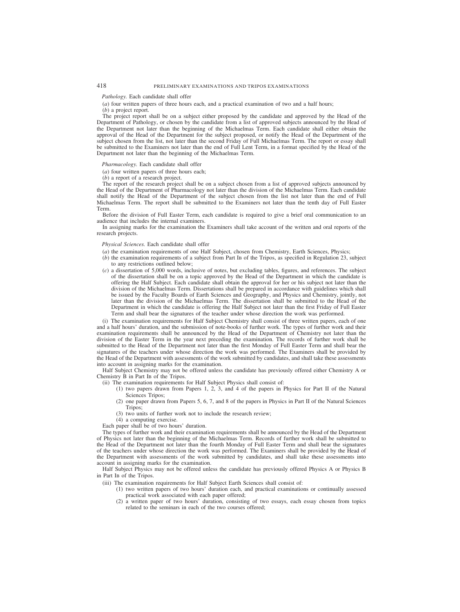## *Pathology.* Each candidate shall offer

(*a*) four written papers of three hours each, and a practical examination of two and a half hours;

(*b*) a project report.

The project report shall be on a subject either proposed by the candidate and approved by the Head of the Department of Pathology, or chosen by the candidate from a list of approved subjects announced by the Head of the Department not later than the beginning of the Michaelmas Term. Each candidate shall either obtain the approval of the Head of the Department for the subject proposed, or notify the Head of the Department of the subject chosen from the list, not later than the second Friday of Full Michaelmas Term. The report or essay shall be submitted to the Examiners not later than the end of Full Lent Term, in a format specified by the Head of the Department not later than the beginning of the Michaelmas Term.

#### *Pharmacology.* Each candidate shall offer

(*a*) four written papers of three hours each;

(*b*) a report of a research project.

The report of the research project shall be on a subject chosen from a list of approved subjects announced by the Head of the Department of Pharmacology not later than the division of the Michaelmas Term. Each candidate shall notify the Head of the Department of the subject chosen from the list not later than the end of Full Michaelmas Term. The report shall be submitted to the Examiners not later than the tenth day of Full Easter Term.

Before the division of Full Easter Term, each candidate is required to give a brief oral communication to an audience that includes the internal examiners.

In assigning marks for the examination the Examiners shall take account of the written and oral reports of the research projects.

#### *Physical Sciences.* Each candidate shall offer

- (*a*) the examination requirements of one Half Subject, chosen from Chemistry, Earth Sciences, Physics;
- (*b*) the examination requirements of a subject from Part IB of the Tripos, as specified in Regulation 23, subject to any restrictions outlined below;
- (*c*) a dissertation of 5,000 words, inclusive of notes, but excluding tables, figures, and references. The subject of the dissertation shall be on a topic approved by the Head of the Department in which the candidate is offering the Half Subject. Each candidate shall obtain the approval for her or his subject not later than the division of the Michaelmas Term. Dissertations shall be prepared in accordance with guidelines which shall be issued by the Faculty Boards of Earth Sciences and Geography, and Physics and Chemistry, jointly, not later than the division of the Michaelmas Term. The dissertation shall be submitted to the Head of the Department in which the candidate is offering the Half Subject not later than the first Friday of Full Easter Term and shall bear the signatures of the teacher under whose direction the work was performed.

(i) The examination requirements for Half Subject Chemistry shall consist of three written papers, each of one and a half hours' duration, and the submission of note-books of further work. The types of further work and their examination requirements shall be announced by the Head of the Department of Chemistry not later than the division of the Easter Term in the year next preceding the examination. The records of further work shall be submitted to the Head of the Department not later than the first Monday of Full Easter Term and shall bear the signatures of the teachers under whose direction the work was performed. The Examiners shall be provided by the Head of the Department with assessments of the work submitted by candidates, and shall take these assessments into account in assigning marks for the examination.

Half Subject Chemistry may not be offered unless the candidate has previously offered either Chemistry A or Chemistry B in Part IB of the Tripos.

- (ii) The examination requirements for Half Subject Physics shall consist of:
	- (1) two papers drawn from Papers 1, 2, 3, and 4 of the papers in Physics for Part II of the Natural Sciences Tripos:
	- (2) one paper drawn from Papers 5, 6, 7, and 8 of the papers in Physics in Part II of the Natural Sciences Tripos;
	- (3) two units of further work not to include the research review;
	- (4) a computing exercise.

Each paper shall be of two hours' duration.

The types of further work and their examination requirements shall be announced by the Head of the Department of Physics not later than the beginning of the Michaelmas Term. Records of further work shall be submitted to the Head of the Department not later than the fourth Monday of Full Easter Term and shall bear the signatures of the teachers under whose direction the work was performed. The Examiners shall be provided by the Head of the Department with assessments of the work submitted by candidates, and shall take these assessments into account in assigning marks for the examination.

Half Subject Physics may not be offered unless the candidate has previously offered Physics A or Physics B in Part IB of the Tripos.

- (iii) The examination requirements for Half Subject Earth Sciences shall consist of:
	- (1) two written papers of two hours' duration each, and practical examinations or continually assessed practical work associated with each paper offered;
	- (2) a written paper of two hours' duration, consisting of two essays, each essay chosen from topics related to the seminars in each of the two courses offered;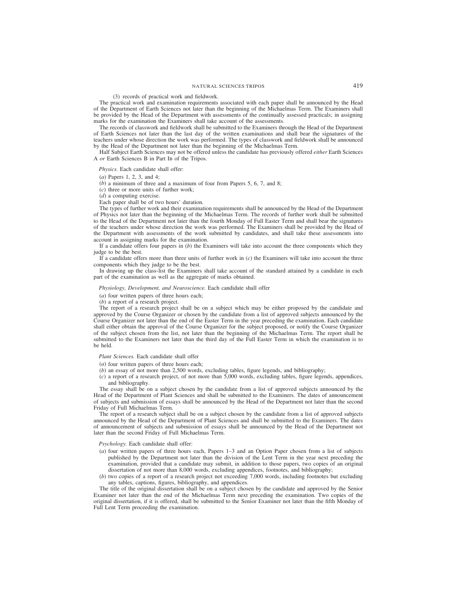## (3) records of practical work and fieldwork.

The practical work and examination requirements associated with each paper shall be announced by the Head of the Department of Earth Sciences not later than the beginning of the Michaelmas Term. The Examiners shall be provided by the Head of the Department with assessments of the continually assessed practicals; in assigning marks for the examination the Examiners shall take account of the assessments.

The records of classwork and fieldwork shall be submitted to the Examiners through the Head of the Department of Earth Sciences not later than the last day of the written examinations and shall bear the signatures of the teachers under whose direction the work was performed. The types of classwork and fieldwork shall be announced by the Head of the Department not later than the beginning of the Michaelmas Term.

Half Subject Earth Sciences may not be offered unless the candidate has previously offered *either* Earth Sciences A *or* Earth Sciences B in Part IB of the Tripos.

*Physics.* Each candidate shall offer:

(*a*) Papers 1, 2, 3, and 4;

(*b*) a minimum of three and a maximum of four from Papers 5, 6, 7, and 8;

(*c*) three or more units of further work;

(*d*) a computing exercise.

Each paper shall be of two hours' duration.

The types of further work and their examination requirements shall be announced by the Head of the Department of Physics not later than the beginning of the Michaelmas Term. The records of further work shall be submitted to the Head of the Department not later than the fourth Monday of Full Easter Term and shall bear the signatures of the teachers under whose direction the work was performed. The Examiners shall be provided by the Head of the Department with assessments of the work submitted by candidates, and shall take these assessments into account in assigning marks for the examination.

If a candidate offers four papers in (*b*) the Examiners will take into account the three components which they judge to be the best.

If a candidate offers more than three units of further work in (*c*) the Examiners will take into account the three components which they judge to be the best.

In drawing up the class-list the Examiners shall take account of the standard attained by a candidate in each part of the examination as well as the aggregate of marks obtained.

#### *Physiology, Development, and Neuroscience.* Each candidate shall offer

(*a*) four written papers of three hours each;

(*b*) a report of a research project.

The report of a research project shall be on a subject which may be either proposed by the candidate and approved by the Course Organizer or chosen by the candidate from a list of approved subjects announced by the Course Organizer not later than the end of the Easter Term in the year preceding the examination. Each candidate shall either obtain the approval of the Course Organizer for the subject proposed, or notify the Course Organizer of the subject chosen from the list, not later than the beginning of the Michaelmas Term. The report shall be submitted to the Examiners not later than the third day of the Full Easter Term in which the examination is to be held.

*Plant Sciences.* Each candidate shall offer

(*a*) four written papers of three hours each;

(*b*) an essay of not more than 2,500 words, excluding tables, figure legends, and bibliography;

(*c*) a report of a research project, of not more than 5,000 words, excluding tables, figure legends, appendices, and bibliography.

The essay shall be on a subject chosen by the candidate from a list of approved subjects announced by the Head of the Department of Plant Sciences and shall be submitted to the Examiners. The dates of announcement of subjects and submission of essays shall be announced by the Head of the Department not later than the second Friday of Full Michaelmas Term.

The report of a research subject shall be on a subject chosen by the candidate from a list of approved subjects announced by the Head of the Department of Plant Sciences and shall be submitted to the Examiners. The dates of announcement of subjects and submission of essays shall be announced by the Head of the Department not later than the second Friday of Full Michaelmas Term.

*Psychology.* Each candidate shall offer:

- (*a*) four written papers of three hours each, Papers 1–3 and an Option Paper chosen from a list of subjects published by the Department not later than the division of the Lent Term in the year next preceding the examination, provided that a candidate may submit, in addition to those papers, two copies of an original dissertation of not more than 8,000 words, excluding appendices, footnotes, and bibliography;
- (*b*) two copies of a report of a research project not exceeding 7,000 words, including footnotes but excluding any tables, captions, figures, bibliography, and appendices.

The title of the original dissertation shall be on a subject chosen by the candidate and approved by the Senior Examiner not later than the end of the Michaelmas Term next preceding the examination. Two copies of the original dissertation, if it is offered, shall be submitted to the Senior Examiner not later than the fifth Monday of Full Lent Term proceeding the examination.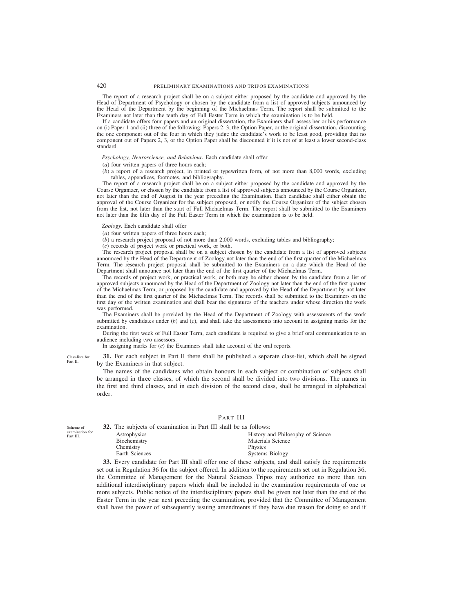The report of a research project shall be on a subject either proposed by the candidate and approved by the Head of Department of Psychology or chosen by the candidate from a list of approved subjects announced by the Head of the Department by the beginning of the Michaelmas Term. The report shall be submitted to the Examiners not later than the tenth day of Full Easter Term in which the examination is to be held.

If a candidate offers four papers and an original dissertation, the Examiners shall assess her or his performance on (i) Paper 1 and (ii) three of the following: Papers 2, 3, the Option Paper, or the original dissertation, discounting the one component out of the four in which they judge the candidate's work to be least good, providing that no component out of Papers 2, 3, or the Option Paper shall be discounted if it is not of at least a lower second-class standard.

## *Psychology, Neuroscience, and Behaviour.* Each candidate shall offer

(*a*) four written papers of three hours each;

(*b*) a report of a research project, in printed or typewritten form, of not more than 8,000 words, excluding tables, appendices, footnotes, and bibliography.

The report of a research project shall be on a subject either proposed by the candidate and approved by the Course Organizer, or chosen by the candidate from a list of approved subjects announced by the Course Organizer, not later than the end of August in the year preceding the Examination. Each candidate shall either obtain the approval of the Course Organizer for the subject proposed, or notify the Course Organizer of the subject chosen from the list, not later than the start of Full Michaelmas Term. The report shall be submitted to the Examiners not later than the fifth day of the Full Easter Term in which the examination is to be held.

*Zoology.* Each candidate shall offer

(*a*) four written papers of three hours each;

(*b*) a research project proposal of not more than 2,000 words, excluding tables and bibliography;

(*c*) records of project work or practical work, or both.

The research project proposal shall be on a subject chosen by the candidate from a list of approved subjects announced by the Head of the Department of Zoology not later than the end of the first quarter of the Michaelmas Term. The research project proposal shall be submitted to the Examiners on a date which the Head of the Department shall announce not later than the end of the first quarter of the Michaelmas Term.

The records of project work, or practical work, or both may be either chosen by the candidate from a list of approved subjects announced by the Head of the Department of Zoology not later than the end of the first quarter of the Michaelmas Term, or proposed by the candidate and approved by the Head of the Department by not later than the end of the first quarter of the Michaelmas Term. The records shall be submitted to the Examiners on the first day of the written examination and shall bear the signatures of the teachers under whose direction the work was performed.

The Examiners shall be provided by the Head of the Department of Zoology with assessments of the work submitted by candidates under (*b*) and (*c*), and shall take the assessments into account in assigning marks for the examination.

During the first week of Full Easter Term, each candidate is required to give a brief oral communication to an audience including two assessors.

In assigning marks for (*c*) the Examiners shall take account of the oral reports.

**31.** For each subject in Part II there shall be published a separate class-list, which shall be signed by the Examiners in that subject.

The names of the candidates who obtain honours in each subject or combination of subjects shall be arranged in three classes, of which the second shall be divided into two divisions. The names in the first and third classes, and in each division of the second class, shall be arranged in alphabetical order.

## PART III

Scheme of examination for Part III.

Class-lists for Part II.

> **32.** The subjects of examination in Part III shall be as follows: Astrophysics History and Philosophy of Science<br>Biochemistry History and Philosophy of Science Materials Science<br>Physics Chemistry Earth Sciences Systems Biology

**33.** Every candidate for Part III shall offer one of these subjects, and shall satisfy the requirements set out in Regulation 36 for the subject offered. In addition to the requirements set out in Regulation 36, the Committee of Management for the Natural Sciences Tripos may authorize no more than ten additional interdisciplinary papers which shall be included in the examination requirements of one or more subjects. Public notice of the interdisciplinary papers shall be given not later than the end of the Easter Term in the year next preceding the examination, provided that the Committee of Management shall have the power of subsequently issuing amendments if they have due reason for doing so and if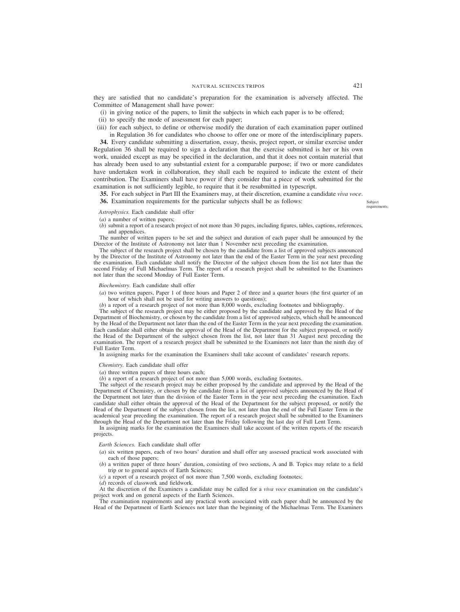they are satisfied that no candidate's preparation for the examination is adversely affected. The Committee of Management shall have power:

- (i) in giving notice of the papers, to limit the subjects in which each paper is to be offered;
- (ii) to specify the mode of assessment for each paper;
- (iii) for each subject, to define or otherwise modify the duration of each examination paper outlined in Regulation 36 for candidates who choose to offer one or more of the interdisciplinary papers.

**34.** Every candidate submitting a dissertation, essay, thesis, project report, or similar exercise under Regulation 36 shall be required to sign a declaration that the exercise submitted is her or his own work, unaided except as may be specified in the declaration, and that it does not contain material that has already been used to any substantial extent for a comparable purpose; if two or more candidates have undertaken work in collaboration, they shall each be required to indicate the extent of their contribution. The Examiners shall have power if they consider that a piece of work submitted for the examination is not sufficiently legible, to require that it be resubmitted in typescript.

**35.** For each subject in Part III the Examiners may, at their discretion, examine a candidate *viva voce*.

**36.** Examination requirements for the particular subjects shall be as follows:

Subject requirements.

# *Astrophysics.* Each candidate shall offer

(*a*) a number of written papers;

(*b*) submit a report of a research project of not more than 30 pages, including figures, tables, captions, references, and appendices.

The number of written papers to be set and the subject and duration of each paper shall be announced by the Director of the Institute of Astronomy not later than 1 November next preceding the examination.

The subject of the research project shall be chosen by the candidate from a list of approved subjects announced by the Director of the Institute of Astronomy not later than the end of the Easter Term in the year next preceding the examination. Each candidate shall notify the Director of the subject chosen from the list not later than the second Friday of Full Michaelmas Term. The report of a research project shall be submitted to the Examiners not later than the second Monday of Full Easter Term.

## *Biochemistry.* Each candidate shall offer

(*a*) two written papers, Paper 1 of three hours and Paper 2 of three and a quarter hours (the first quarter of an hour of which shall not be used for writing answers to questions);

(*b*) a report of a research project of not more than 8,000 words, excluding footnotes and bibliography.

The subject of the research project may be either proposed by the candidate and approved by the Head of the Department of Biochemistry, or chosen by the candidate from a list of approved subjects, which shall be announced by the Head of the Department not later than the end of the Easter Term in the year next preceding the examination. Each candidate shall either obtain the approval of the Head of the Department for the subject proposed, or notify the Head of the Department of the subject chosen from the list, not later than 31 August next preceding the examination. The report of a research project shall be submitted to the Examiners not later than the ninth day of Full Easter Term.

In assigning marks for the examination the Examiners shall take account of candidates' research reports.

## *Chemistry.* Each candidate shall offer

(*a*) three written papers of three hours each;

(*b*) a report of a research project of not more than 5,000 words, excluding footnotes.

The subject of the research project may be either proposed by the candidate and approved by the Head of the Department of Chemistry, or chosen by the candidate from a list of approved subjects announced by the Head of the Department not later than the division of the Easter Term in the year next preceding the examination. Each candidate shall either obtain the approval of the Head of the Department for the subject proposed, or notify the Head of the Department of the subject chosen from the list, not later than the end of the Full Easter Term in the academical year preceding the examination. The report of a research project shall be submitted to the Examiners through the Head of the Department not later than the Friday following the last day of Full Lent Term.

In assigning marks for the examination the Examiners shall take account of the written reports of the research projects.

*Earth Sciences.* Each candidate shall offer

- (*a*) six written papers, each of two hours' duration and shall offer any assessed practical work associated with each of those papers;
- (*b*) a written paper of three hours' duration, consisting of two sections, A and B. Topics may relate to a field trip or to general aspects of Earth Sciences;
- (*c*) a report of a research project of not more than 7,500 words, excluding footnotes;

(*d*) records of classwork and fieldwork.

At the discretion of the Examiners a candidate may be called for a *viva voce* examination on the candidate's project work and on general aspects of the Earth Sciences.

The examination requirements and any practical work associated with each paper shall be announced by the Head of the Department of Earth Sciences not later than the beginning of the Michaelmas Term. The Examiners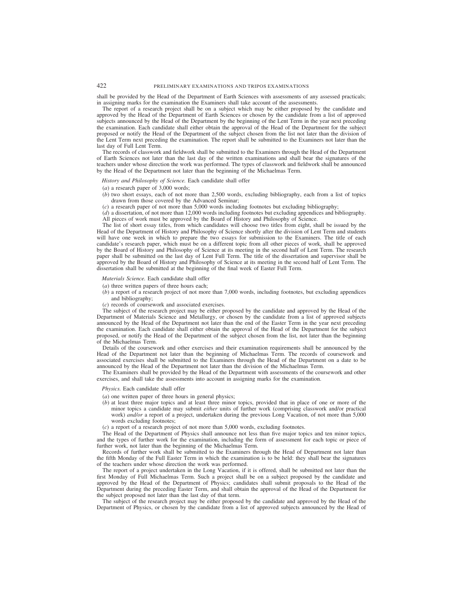shall be provided by the Head of the Department of Earth Sciences with assessments of any assessed practicals; in assigning marks for the examination the Examiners shall take account of the assessments.

The report of a research project shall be on a subject which may be either proposed by the candidate and approved by the Head of the Department of Earth Sciences or chosen by the candidate from a list of approved subjects announced by the Head of the Department by the beginning of the Lent Term in the year next preceding the examination. Each candidate shall either obtain the approval of the Head of the Department for the subject proposed or notify the Head of the Department of the subject chosen from the list not later than the division of the Lent Term next preceding the examination. The report shall be submitted to the Examiners not later than the last day of Full Lent Term.

The records of classwork and fieldwork shall be submitted to the Examiners through the Head of the Department of Earth Sciences not later than the last day of the written examinations and shall bear the signatures of the teachers under whose direction the work was performed. The types of classwork and fieldwork shall be announced by the Head of the Department not later than the beginning of the Michaelmas Term.

*History and Philosophy of Science.* Each candidate shall offer

- (*a*) a research paper of 3,000 words;
- (*b*) two short essays, each of not more than 2,500 words, excluding bibliography, each from a list of topics drawn from those covered by the Advanced Seminar;
- (*c*) a research paper of not more than 5,000 words including footnotes but excluding bibliography;
- (*d*) a dissertation, of not more than 12,000 words including footnotes but excluding appendices and bibliography. All pieces of work must be approved by the Board of History and Philosophy of Science.

The list of short essay titles, from which candidates will choose two titles from eight, shall be issued by the Head of the Department of History and Philosophy of Science shortly after the division of Lent Term and students will have one week in which to prepare the two essays for submission to the Examiners. The title of each candidate's research paper, which must be on a different topic from all other pieces of work, shall be approved by the Board of History and Philosophy of Science at its meeting in the second half of Lent Term. The research paper shall be submitted on the last day of Lent Full Term. The title of the dissertation and supervisor shall be approved by the Board of History and Philosophy of Science at its meeting in the second half of Lent Term. The dissertation shall be submitted at the beginning of the final week of Easter Full Term.

*Materials Science.* Each candidate shall offer

- (*a*) three written papers of three hours each;
- (*b*) a report of a research project of not more than 7,000 words, including footnotes, but excluding appendices and bibliography;
- (*c*) records of coursework and associated exercises.

The subject of the research project may be either proposed by the candidate and approved by the Head of the Department of Materials Science and Metallurgy, or chosen by the candidate from a list of approved subjects announced by the Head of the Department not later than the end of the Easter Term in the year next preceding the examination. Each candidate shall either obtain the approval of the Head of the Department for the subject proposed, or notify the Head of the Department of the subject chosen from the list, not later than the beginning of the Michaelmas Term.

Details of the coursework and other exercises and their examination requirements shall be announced by the Head of the Department not later than the beginning of Michaelmas Term. The records of coursework and associated exercises shall be submitted to the Examiners through the Head of the Department on a date to be announced by the Head of the Department not later than the division of the Michaelmas Term.

The Examiners shall be provided by the Head of the Department with assessments of the coursework and other exercises, and shall take the assessments into account in assigning marks for the examination.

*Physics.* Each candidate shall offer

- (*a*) one written paper of three hours in general physics;
- (*b*) at least three major topics and at least three minor topics, provided that in place of one or more of the minor topics a candidate may submit *either* units of further work (comprising classwork and/or practical work) *and/or* a report of a project, undertaken during the previous Long Vacation, of not more than 5,000 words excluding footnotes;

(*c*) a report of a research project of not more than 5,000 words, excluding footnotes.

The Head of the Department of Physics shall announce not less than five major topics and ten minor topics, and the types of further work for the examination, including the form of assessment for each topic or piece of further work, not later than the beginning of the Michaelmas Term.

Records of further work shall be submitted to the Examiners through the Head of Department not later than the fifth Monday of the Full Easter Term in which the examination is to be held: they shall bear the signatures of the teachers under whose direction the work was performed.

The report of a project undertaken in the Long Vacation, if it is offered, shall be submitted not later than the first Monday of Full Michaelmas Term. Such a project shall be on a subject proposed by the candidate and approved by the Head of the Department of Physics; candidates shall submit proposals to the Head of the Department during the preceding Easter Term, and shall obtain the approval of the Head of the Department for the subject proposed not later than the last day of that term.

The subject of the research project may be either proposed by the candidate and approved by the Head of the Department of Physics, or chosen by the candidate from a list of approved subjects announced by the Head of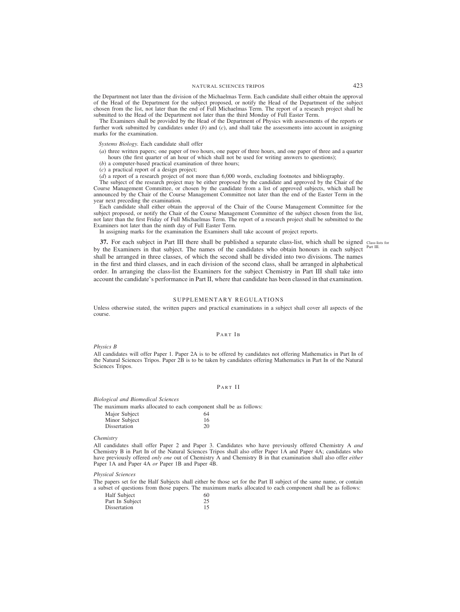the Department not later than the division of the Michaelmas Term. Each candidate shall either obtain the approval of the Head of the Department for the subject proposed, or notify the Head of the Department of the subject chosen from the list, not later than the end of Full Michaelmas Term. The report of a research project shall be submitted to the Head of the Department not later than the third Monday of Full Easter Term.

The Examiners shall be provided by the Head of the Department of Physics with assessments of the reports or further work submitted by candidates under (*b*) and (*c*), and shall take the assessments into account in assigning marks for the examination.

## *Systems Biology.* Each candidate shall offer

- (*a*) three written papers; one paper of two hours, one paper of three hours, and one paper of three and a quarter hours (the first quarter of an hour of which shall not be used for writing answers to questions);
- (*b*) a computer-based practical examination of three hours;
- (*c*) a practical report of a design project;

(*d*) a report of a research project of not more than 6,000 words, excluding footnotes and bibliography.

The subject of the research project may be either proposed by the candidate and approved by the Chair of the Course Management Committee, or chosen by the candidate from a list of approved subjects, which shall be announced by the Chair of the Course Management Committee not later than the end of the Easter Term in the year next preceding the examination.

Each candidate shall either obtain the approval of the Chair of the Course Management Committee for the subject proposed, or notify the Chair of the Course Management Committee of the subject chosen from the list, not later than the first Friday of Full Michaelmas Term. The report of a research project shall be submitted to the Examiners not later than the ninth day of Full Easter Term.

In assigning marks for the examination the Examiners shall take account of project reports.

**37.** For each subject in Part III there shall be published a separate class-list, which shall be signed class-lists for by the Examiners in that subject. The names of the candidates who obtain honours in each subject shall be arranged in three classes, of which the second shall be divided into two divisions. The names in the first and third classes, and in each division of the second class, shall be arranged in alphabetical order. In arranging the class-list the Examiners for the subject Chemistry in Part III shall take into account the candidate's performance in Part II, where that candidate has been classed in that examination. Part III.

## SUPPLEMENTARY REGULATIONS

Unless otherwise stated, the written papers and practical examinations in a subject shall cover all aspects of the course.

## PART IB

*Physics B*

All candidates will offer Paper 1. Paper 2A is to be offered by candidates not offering Mathematics in Part IB of the Natural Sciences Tripos. Paper 2B is to be taken by candidates offering Mathematics in Part IB of the Natural Sciences Tripos.

# PART II

*Biological and Biomedical Sciences*

The maximum marks allocated to each component shall be as follows:

| Major Subject | 64 |
|---------------|----|
| Minor Subject | 16 |
| Dissertation  | 20 |

#### *Chemistry*

All candidates shall offer Paper 2 and Paper 3. Candidates who have previously offered Chemistry A *and* Chemistry B in Part IB of the Natural Sciences Tripos shall also offer Paper 1A and Paper 4A; candidates who have previously offered *only one* out of Chemistry A and Chemistry B in that examination shall also offer *either* Paper 1A and Paper 4A *or* Paper 1B and Paper 4B.

*Physical Sciences*

The papers set for the Half Subjects shall either be those set for the Part II subject of the same name, or contain a subset of questions from those papers. The maximum marks allocated to each component shall be as follows:

| Half Subject    | 60 |
|-----------------|----|
| Part In Subject | 25 |
| Dissertation    | 15 |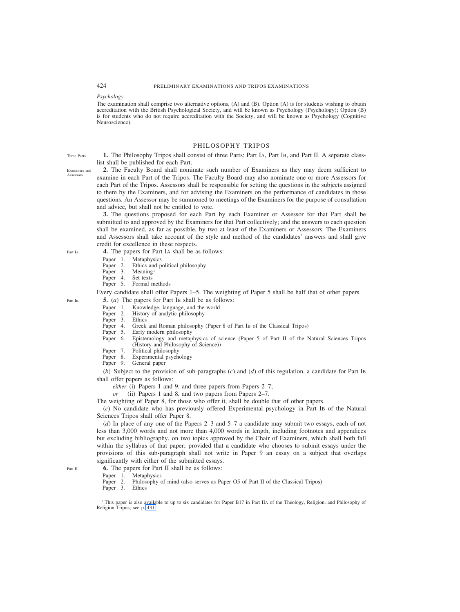# *Psychology*

The examination shall comprise two alternative options, (A) and (B). Option (A) is for students wishing to obtain accreditation with the British Psychological Society, and will be known as Psychology (Psychology); Option (B) is for students who do not require accreditation with the Society, and will be known as Psychology (Cognitive Neuroscience).

# PHILOSOPHY TRIPOS

**1.** The Philosophy Tripos shall consist of three Parts: Part IA, Part IB, and Part II. A separate classlist shall be published for each Part.

Examiners and **Assessors** 

Three Parts.

**2.** The Faculty Board shall nominate such number of Examiners as they may deem sufficient to examine in each Part of the Tripos. The Faculty Board may also nominate one or more Assessors for each Part of the Tripos. Assessors shall be responsible for setting the questions in the subjects assigned to them by the Examiners, and for advising the Examiners on the performance of candidates in those questions. An Assessor may be summoned to meetings of the Examiners for the purpose of consultation and advice, but shall not be entitled to vote.

**3.** The questions proposed for each Part by each Examiner or Assessor for that Part shall be submitted to and approved by the Examiners for that Part collectively; and the answers to each question shall be examined, as far as possible, by two at least of the Examiners or Assessors. The Examiners and Assessors shall take account of the style and method of the candidates' answers and shall give credit for excellence in these respects.

**4.** The papers for Part IA shall be as follows:

- Paper 1. Metaphysics
- Paper 2. Ethics and political philosophy<br>Paper 3. Meaning<sup>1</sup>
- Paper 3. Meaning<br>Paper 4. Set texts
- Paper 4.<br>Paper 5.
- Formal methods

Every candidate shall offer Papers 1–5. The weighting of Paper 5 shall be half that of other papers. **5.** (*a*) The papers for Part IB shall be as follows:

- 
- Paper 1. Knowledge, language, and the world<br>Paper 2. History of analytic philosophy History of analytic philosophy
- Paper 3. Ethics<br>Paper 4. Greek
- Paper 4. Greek and Roman philosophy (Paper 8 of Part IB of the Classical Tripos)<br>Paper 5. Early modern philosophy
- Early modern philosophy
- Paper 6. Epistemology and metaphysics of science (Paper 5 of Part II of the Natural Sciences Tripos (History and Philosophy of Science))
- Paper 7. Political philosophy<br>Paper 8. Experimental psych
- Experimental psychology
- Paper 9. General paper

(*b*) Subject to the provision of sub-paragraphs (*c*) and (*d*) of this regulation, a candidate for Part IB shall offer papers as follows:

- *either* (i) Papers 1 and 9, and three papers from Papers 2–7;
- *or* (ii) Papers 1 and 8, and two papers from Papers 2–7.

The weighting of Paper 8, for those who offer it, shall be double that of other papers.

(*c*) No candidate who has previously offered Experimental psychology in Part IB of the Natural Sciences Tripos shall offer Paper 8.

(*d*) In place of any one of the Papers 2–3 and 5–7 a candidate may submit two essays, each of not less than 3,000 words and not more than 4,000 words in length, including footnotes and appendices but excluding bibliography, on two topics approved by the Chair of Examiners, which shall both fall within the syllabus of that paper; provided that a candidate who chooses to submit essays under the provisions of this sub-paragraph shall not write in Paper 9 an essay on a subject that overlaps significantly with either of the submitted essays.

**6.** The papers for Part II shall be as follows:<br>Paper 1. Metaphysics

- Paper 1. Metaphysics<br>Paper 2. Philosophy c
- Philosophy of mind (also serves as Paper O5 of Part II of the Classical Tripos) Ethics

Paper 3.

<sup>1</sup> This paper is also available to up to six candidates for Paper B17 in Part IIA of the Theology, Religion, and Philosophy of Religion Tripos; see p. 431.

Part II.

Part I<sub>B</sub>

Part IA.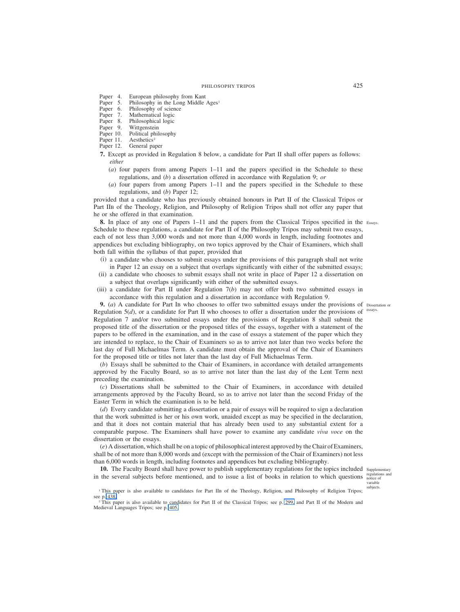- Paper 4. European philosophy from Kant<br>Paper 5. Philosophy in the Long Middle
- Paper 5. Philosophy in the Long Middle Ages<sup>1</sup><br>Paper 6. Philosophy of science
- Philosophy of science
- Paper 7. Mathematical logic<br>Paper 8. Philosophical logic
- Paper 8. Philosophical logic<br>Paper 9. Wittgenstein
- Paper 9. Wittgenstein<br>Paper 10. Political phil
- Political philosophy
- Paper 11. Aesthetics<sup>2</sup><br>Paper 12. General pap
- General paper
- **7.** Except as provided in Regulation 8 below, a candidate for Part II shall offer papers as follows: *either*
	- (*a*) four papers from among Papers 1–11 and the papers specified in the Schedule to these regulations, and (*b*) a dissertation offered in accordance with Regulation 9; *or*
	- (*a*) four papers from among Papers 1–11 and the papers specified in the Schedule to these regulations, and (*b*) Paper 12;

provided that a candidate who has previously obtained honours in Part II of the Classical Tripos or Part IIB of the Theology, Religion, and Philosophy of Religion Tripos shall not offer any paper that he or she offered in that examination.

**8.** In place of any one of Papers 1–11 and the papers from the Classical Tripos specified in the Essays. Schedule to these regulations, a candidate for Part II of the Philosophy Tripos may submit two essays, each of not less than 3,000 words and not more than 4,000 words in length, including footnotes and appendices but excluding bibliography, on two topics approved by the Chair of Examiners, which shall both fall within the syllabus of that paper, provided that

- (i) a candidate who chooses to submit essays under the provisions of this paragraph shall not write in Paper 12 an essay on a subject that overlaps significantly with either of the submitted essays;
- (ii) a candidate who chooses to submit essays shall not write in place of Paper 12 a dissertation on a subject that overlaps significantly with either of the submitted essays.
- (iii) a candidate for Part II under Regulation 7(*b*) may not offer both two submitted essays in accordance with this regulation and a dissertation in accordance with Regulation 9.

**9.** (*a*) A candidate for Part IB who chooses to offer two submitted essays under the provisions of Dissertation or Regulation  $5(d)$ , or a candidate for Part II who chooses to offer a dissertation under the provisions of <sup>essays.</sup> Regulation 7 and/or two submitted essays under the provisions of Regulation 8 shall submit the proposed title of the dissertation or the proposed titles of the essays, together with a statement of the papers to be offered in the examination, and in the case of essays a statement of the paper which they are intended to replace, to the Chair of Examiners so as to arrive not later than two weeks before the last day of Full Michaelmas Term. A candidate must obtain the approval of the Chair of Examiners for the proposed title or titles not later than the last day of Full Michaelmas Term.

(*b*) Essays shall be submitted to the Chair of Examiners, in accordance with detailed arrangements approved by the Faculty Board, so as to arrive not later than the last day of the Lent Term next preceding the examination.

(*c*) Dissertations shall be submitted to the Chair of Examiners, in accordance with detailed arrangements approved by the Faculty Board, so as to arrive not later than the second Friday of the Easter Term in which the examination is to be held.

(*d*) Every candidate submitting a dissertation or a pair of essays will be required to sign a declaration that the work submitted is her or his own work, unaided except as may be specified in the declaration, and that it does not contain material that has already been used to any substantial extent for a comparable purpose. The Examiners shall have power to examine any candidate *viva voce* on the dissertation or the essays.

(*e*) A dissertation, which shall be on a topic of philosophical interest approved by the Chair of Examiners, shall be of not more than 8,000 words and (except with the permission of the Chair of Examiners) not less than 6,000 words in length, including footnotes and appendices but excluding bibliography.

10. The Faculty Board shall have power to publish supplementary regulations for the topics included supplementary in the several subjects before mentioned, and to issue a list of books in relation to which questions

regulations and notice of variable subjects.

<sup>&</sup>lt;sup>1</sup> This paper is also available to candidates for Part IIB of the Theology, Religion, and Philosophy of Religion Tripos; see p. 438.

<sup>&</sup>lt;sup>2</sup> This paper is also available to candidates for Part II of the Classical Tripos; see p. 299, and Part II of the Modern and Medieval Languages Tripos; see p. 405.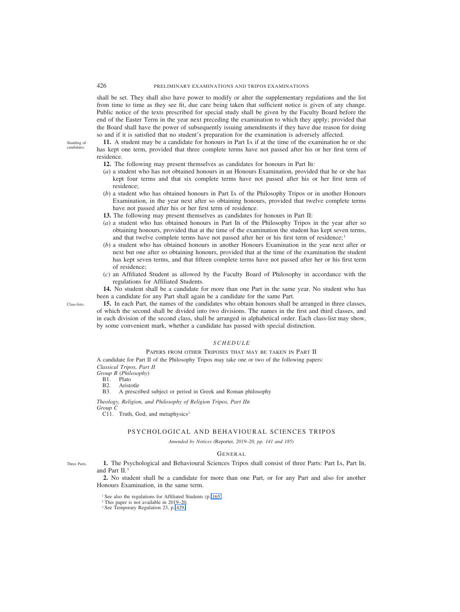shall be set. They shall also have power to modify or alter the supplementary regulations and the list from time to time as they see fit, due care being taken that sufficient notice is given of any change. Public notice of the texts prescribed for special study shall be given by the Faculty Board before the end of the Easter Term in the year next preceding the examination to which they apply; provided that the Board shall have the power of subsequently issuing amendments if they have due reason for doing so and if it is satisfied that no student's preparation for the examination is adversely affected.

**11.** A student may be a candidate for honours in Part IA if at the time of the examination he or she has kept one term, provided that three complete terms have not passed after his or her first term of residence.

- **12.** The following may present themselves as candidates for honours in Part IB:
- (*a*) a student who has not obtained honours in an Honours Examination, provided that he or she has kept four terms and that six complete terms have not passed after his or her first term of residence;
- (*b*) a student who has obtained honours in Part IA of the Philosophy Tripos or in another Honours Examination, in the year next after so obtaining honours, provided that twelve complete terms have not passed after his or her first term of residence.
- **13.** The following may present themselves as candidates for honours in Part II:
- (*a*) a student who has obtained honours in Part IB of the Philosophy Tripos in the year after so obtaining honours, provided that at the time of the examination the student has kept seven terms, and that twelve complete terms have not passed after her or his first term of residence; $\frac{1}{1}$
- (*b*) a student who has obtained honours in another Honours Examination in the year next after or next but one after so obtaining honours, provided that at the time of the examination the student has kept seven terms, and that fifteen complete terms have not passed after her or his first term of residence;
- (*c*) an Affiliated Student as allowed by the Faculty Board of Philosophy in accordance with the regulations for Affiliated Students.

**14.** No student shall be a candidate for more than one Part in the same year. No student who has been a candidate for any Part shall again be a candidate for the same Part.

**15.** In each Part, the names of the candidates who obtain honours shall be arranged in three classes, of which the second shall be divided into two divisions. The names in the first and third classes, and in each division of the second class, shall be arranged in alphabetical order. Each class-list may show, by some convenient mark, whether a candidate has passed with special distinction.

# *SCHEDULE*

# PAPERS FROM OTHER TRIPOSES THAT MAY BE TAKEN IN PART II

A candidate for Part II of the Philosophy Tripos may take one or two of the following papers: *Classical Tripos, Part II*

*Group B* (*Philosophy*)

B1. Plato<br>B2. Arist Aristotle

B3. A prescribed subject or period in Greek and Roman philosophy

*Theology, Religion, and Philosophy of Religion Tripos, Part IIB*

*Group C*

C11. Truth, God, and metaphysics<sup>2</sup>

## PSYCHOLOGICAL AND BEHAVIOURAL SCIENCES TRIPOS

*Amended by Notices (*Reporter*, 2019–20, pp. 141 and 185)*

# GENERAL

**1.** The Psychological and Behavioural Sciences Tripos shall consist of three Parts: Part IA, Part IB, and Part II.3

**2.** No student shall be a candidate for more than one Part, or for any Part and also for another Honours Examination, in the same term.

- <sup>1</sup> See also the regulations for Affiliated Students (p. 165).
- <sup>2</sup> This paper is not available in 2019–20.
- <sup>3</sup> See Temporary Regulation 23, p. 429.

Standing of candidates.

Class-lists.

Three Parts.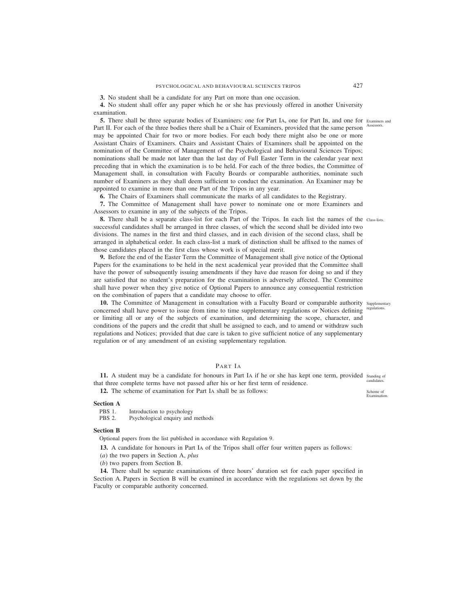**3.** No student shall be a candidate for any Part on more than one occasion.

**4.** No student shall offer any paper which he or she has previously offered in another University examination.

**5.** There shall be three separate bodies of Examiners: one for Part IA, one for Part IB, and one for Examiners and Part II. For each of the three bodies there shall be a Chair of Examiners, provided that the same person Assessors. may be appointed Chair for two or more bodies. For each body there might also be one or more Assistant Chairs of Examiners. Chairs and Assistant Chairs of Examiners shall be appointed on the nomination of the Committee of Management of the Psychological and Behavioural Sciences Tripos; nominations shall be made not later than the last day of Full Easter Term in the calendar year next preceding that in which the examination is to be held. For each of the three bodies, the Committee of Management shall, in consultation with Faculty Boards or comparable authorities, nominate such number of Examiners as they shall deem sufficient to conduct the examination. An Examiner may be appointed to examine in more than one Part of the Tripos in any year.

**6.** The Chairs of Examiners shall communicate the marks of all candidates to the Registrary.

**7.** The Committee of Management shall have power to nominate one or more Examiners and Assessors to examine in any of the subjects of the Tripos.

**8.** There shall be a separate class-list for each Part of the Tripos. In each list the names of the Class-lists. successful candidates shall be arranged in three classes, of which the second shall be divided into two divisions. The names in the first and third classes, and in each division of the second class, shall be arranged in alphabetical order. In each class-list a mark of distinction shall be affixed to the names of those candidates placed in the first class whose work is of special merit.

**9.** Before the end of the Easter Term the Committee of Management shall give notice of the Optional Papers for the examinations to be held in the next academical year provided that the Committee shall have the power of subsequently issuing amendments if they have due reason for doing so and if they are satisfied that no student's preparation for the examination is adversely affected. The Committee shall have power when they give notice of Optional Papers to announce any consequential restriction on the combination of papers that a candidate may choose to offer.

10. The Committee of Management in consultation with a Faculty Board or comparable authority supplementary concerned shall have power to issue from time to time supplementary regulations or Notices defining or limiting all or any of the subjects of examination, and determining the scope, character, and conditions of the papers and the credit that shall be assigned to each, and to amend or withdraw such regulations and Notices; provided that due care is taken to give sufficient notice of any supplementary regulation or of any amendment of an existing supplementary regulation.

# PART IA

11. A student may be a candidate for honours in Part IA if he or she has kept one term, provided standing of that three complete terms have not passed after his or her first term of residence. candidates.

**12.** The scheme of examination for Part IA shall be as follows:

## **Section A**

PBS 1. Introduction to psychology<br>PBS 2. Psychological enquiry and Psychological enquiry and methods

## **Section B**

Optional papers from the list published in accordance with Regulation 9.

**13.** A candidate for honours in Part IA of the Tripos shall offer four written papers as follows:

(*a*) the two papers in Section A, *plus*

(*b*) two papers from Section B.

**14.** There shall be separate examinations of three hours' duration set for each paper specified in Section A. Papers in Section B will be examined in accordance with the regulations set down by the Faculty or comparable authority concerned.

regulations.

Scheme of Examination.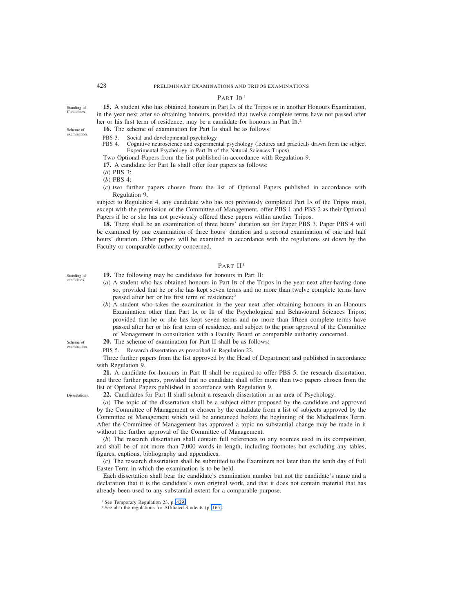# PART IB<sup>1</sup>

**15.** A student who has obtained honours in Part IA of the Tripos or in another Honours Examination, in the year next after so obtaining honours, provided that twelve complete terms have not passed after her or his first term of residence, may be a candidate for honours in Part IB.<sup>2</sup>

**16.** The scheme of examination for Part IB shall be as follows:

Scheme of examination.

Standing of Candidates.

- PBS 3. Social and developmental psychology<br>PBS 4. Cognitive neuroscience and experiment
- Cognitive neuroscience and experimental psychology (lectures and practicals drawn from the subject Experimental Psychology in Part IB of the Natural Sciences Tripos)

Two Optional Papers from the list published in accordance with Regulation 9.

**17.** A candidate for Part IB shall offer four papers as follows:

(*a*) PBS 3;

(*b*) PBS 4;

(*c*) two further papers chosen from the list of Optional Papers published in accordance with Regulation 9,

subject to Regulation 4, any candidate who has not previously completed Part IA of the Tripos must, except with the permission of the Committee of Management, offer PBS 1 and PBS 2 as their Optional Papers if he or she has not previously offered these papers within another Tripos.

**18.** There shall be an examination of three hours' duration set for Paper PBS 3. Paper PBS 4 will be examined by one examination of three hours' duration and a second examination of one and half hours' duration. Other papers will be examined in accordance with the regulations set down by the Faculty or comparable authority concerned.

# PART II<sup>1</sup>

- **19.** The following may be candidates for honours in Part II:
	- (*a*) A student who has obtained honours in Part IB of the Tripos in the year next after having done so, provided that he or she has kept seven terms and no more than twelve complete terms have passed after her or his first term of residence; <sup>2</sup>
	- (*b*) A student who takes the examination in the year next after obtaining honours in an Honours Examination other than Part IA or IB of the Psychological and Behavioural Sciences Tripos, provided that he or she has kept seven terms and no more than fifteen complete terms have passed after her or his first term of residence, and subject to the prior approval of the Committee of Management in consultation with a Faculty Board or comparable authority concerned.
- **20.** The scheme of examination for Part II shall be as follows:

PBS 5. Research dissertation as prescribed in Regulation 22.

Three further papers from the list approved by the Head of Department and published in accordance with Regulation 9.

**21.** A candidate for honours in Part II shall be required to offer PBS 5, the research dissertation, and three further papers, provided that no candidate shall offer more than two papers chosen from the list of Optional Papers published in accordance with Regulation 9.

**22.** Candidates for Part II shall submit a research dissertation in an area of Psychology.

(*a*) The topic of the dissertation shall be a subject either proposed by the candidate and approved by the Committee of Management or chosen by the candidate from a list of subjects approved by the Committee of Management which will be announced before the beginning of the Michaelmas Term. After the Committee of Management has approved a topic no substantial change may be made in it without the further approval of the Committee of Management.

(*b*) The research dissertation shall contain full references to any sources used in its composition, and shall be of not more than 7,000 words in length, including footnotes but excluding any tables, figures, captions, bibliography and appendices.

(*c*) The research dissertation shall be submitted to the Examiners not later than the tenth day of Full Easter Term in which the examination is to be held.

Each dissertation shall bear the candidate's examination number but not the candidate's name and a declaration that it is the candidate's own original work, and that it does not contain material that has already been used to any substantial extent for a comparable purpose.

Standing of candidates.

Scheme of examination.

**Dissertations** 

<sup>&</sup>lt;sup>1</sup> See Temporary Regulation 23, p. 429.

<sup>2</sup> See also the regulations for Affiliated Students (p. 165).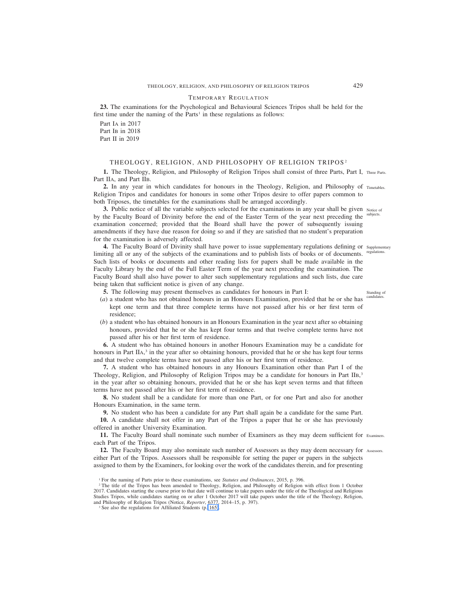## TEMPORARY REGULATION

**23.** The examinations for the Psychological and Behavioural Sciences Tripos shall be held for the first time under the naming of the Parts<sup>1</sup> in these regulations as follows:

Part IA in 2017 Part I<sub>B</sub> in 2018 Part II in 2019

# THEOLOGY, RELIGION, AND PHILOSOPHY OF RELIGION TRIPOS<sup>2</sup>

1. The Theology, Religion, and Philosophy of Religion Tripos shall consist of three Parts, Part I, Three Parts. Part IIA, and Part IIB.

**2.** In any year in which candidates for honours in the Theology, Religion, and Philosophy of Timetables. Religion Tripos and candidates for honours in some other Tripos desire to offer papers common to both Triposes, the timetables for the examinations shall be arranged accordingly.

**3.** Public notice of all the variable subjects selected for the examinations in any year shall be given Notice of by the Faculty Board of Divinity before the end of the Easter Term of the year next preceding the subjects. examination concerned; provided that the Board shall have the power of subsequently issuing amendments if they have due reason for doing so and if they are satisfied that no student's preparation for the examination is adversely affected.

4. The Faculty Board of Divinity shall have power to issue supplementary regulations defining or supplementary limiting all or any of the subjects of the examinations and to publish lists of books or of documents. Such lists of books or documents and other reading lists for papers shall be made available in the Faculty Library by the end of the Full Easter Term of the year next preceding the examination. The Faculty Board shall also have power to alter such supplementary regulations and such lists, due care being taken that sufficient notice is given of any change. regulations.

**5.** The following may present themselves as candidates for honours in Part I:

- (*a*) a student who has not obtained honours in an Honours Examination, provided that he or she has kept one term and that three complete terms have not passed after his or her first term of residence;
- (*b*) a student who has obtained honours in an Honours Examination in the year next after so obtaining honours, provided that he or she has kept four terms and that twelve complete terms have not passed after his or her first term of residence.

**6.** A student who has obtained honours in another Honours Examination may be a candidate for honours in Part IIA,<sup>3</sup> in the year after so obtaining honours, provided that he or she has kept four terms and that twelve complete terms have not passed after his or her first term of residence.

**7.** A student who has obtained honours in any Honours Examination other than Part I of the Theology, Religion, and Philosophy of Religion Tripos may be a candidate for honours in Part IIB,<sup>3</sup> in the year after so obtaining honours, provided that he or she has kept seven terms and that fifteen terms have not passed after his or her first term of residence.

**8.** No student shall be a candidate for more than one Part, or for one Part and also for another Honours Examination, in the same term.

**9.** No student who has been a candidate for any Part shall again be a candidate for the same Part.

**10.** A candidate shall not offer in any Part of the Tripos a paper that he or she has previously offered in another University Examination.

**11.** The Faculty Board shall nominate such number of Examiners as they may deem sufficient for Examiners. each Part of the Tripos.

12. The Faculty Board may also nominate such number of Assessors as they may deem necessary for Assessors. either Part of the Tripos. Assessors shall be responsible for setting the paper or papers in the subjects assigned to them by the Examiners, for looking over the work of the candidates therein, and for presenting

<sup>3</sup> See also the regulations for Affiliated Students (p. 165).

Standing of candidat.

<sup>1</sup> For the naming of Parts prior to these examinations, see *Statutes and Ordinances*, 2015, p. 396.

<sup>&</sup>lt;sup>2</sup> The title of the Tripos has been amended to Theology, Religion, and Philosophy of Religion with effect from 1 October 2017. Candidates starting the course prior to that date will continue to take papers under the title of the Theological and Religious Studies Tripos, while candidates starting on or after 1 October 2017 will take papers under the title of the Theology, Religion, and Philosophy of Religion Tripos (Notice, *Reporter*, 6377, 2014–15, p. 397).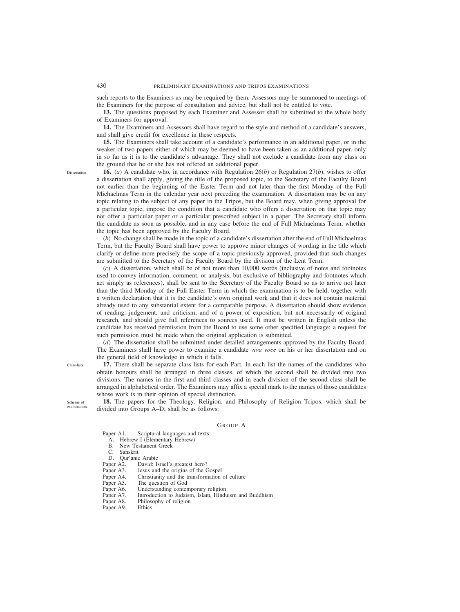such reports to the Examiners as may be required by them. Assessors may be summoned to meetings of the Examiners for the purpose of consultation and advice, but shall not be entitled to vote.

**13.** The questions proposed by each Examiner and Assessor shall be submitted to the whole body of Examiners for approval.

**14.** The Examiners and Assessors shall have regard to the style and method of a candidate's answers, and shall give credit for excellence in these respects.

**15.** The Examiners shall take account of a candidate's performance in an additional paper, or in the weaker of two papers either of which may be deemed to have been taken as an additional paper, only in so far as it is to the candidate's advantage. They shall not exclude a candidate from any class on the ground that he or she has not offered an additional paper.

**Dissertation** 

**16.** (*a*) A candidate who, in accordance with Regulation 26(*b*) or Regulation 27(*b*), wishes to offer a dissertation shall apply, giving the title of the proposed topic, to the Secretary of the Faculty Board not earlier than the beginning of the Easter Term and not later than the first Monday of the Full Michaelmas Term in the calendar year next preceding the examination. A dissertation may be on any topic relating to the subject of any paper in the Tripos, but the Board may, when giving approval for a particular topic, impose the condition that a candidate who offers a dissertation on that topic may not offer a particular paper or a particular prescribed subject in a paper. The Secretary shall inform the candidate as soon as possible, and in any case before the end of Full Michaelmas Term, whether the topic has been approved by the Faculty Board.

(*b*) No change shall be made in the topic of a candidate's dissertation after the end of Full Michaelmas Term, but the Faculty Board shall have power to approve minor changes of wording in the title which clarify or define more precisely the scope of a topic previously approved, provided that such changes are submitted to the Secretary of the Faculty Board by the division of the Lent Term.

(*c*) A dissertation, which shall be of not more than 10,000 words (inclusive of notes and footnotes used to convey information, comment, or analysis, but exclusive of bibliography and footnotes which act simply as references), shall be sent to the Secretary of the Faculty Board so as to arrive not later than the third Monday of the Full Easter Term in which the examination is to be held, together with a written declaration that it is the candidate's own original work and that it does not contain material already used to any substantial extent for a comparable purpose. A dissertation should show evidence of reading, judgement, and criticism, and of a power of exposition, but not necessarily of original research, and should give full references to sources used. It must be written in English unless the candidate has received permission from the Board to use some other specified language; a request for such permission must be made when the original application is submitted.

(*d*) The dissertation shall be submitted under detailed arrangements approved by the Faculty Board. The Examiners shall have power to examine a candidate *viva voce* on his or her dissertation and on the general field of knowledge in which it falls.

**17.** There shall be separate class-lists for each Part. In each list the names of the candidates who obtain honours shall be arranged in three classes, of which the second shall be divided into two divisions. The names in the first and third classes and in each division of the second class shall be arranged in alphabetical order. The Examiners may affix a special mark to the names of those candidates whose work is in their opinion of special distinction.

Scheme of examination.

Class-lists.

**18.** The papers for the Theology, Religion, and Philosophy of Religion Tripos, which shall be divided into Groups A–D, shall be as follows:

#### GROUP A

Paper A1. Scriptural languages and texts:

- A. Hebrew I (Elementary Hebrew)
- B. New Testament Greek
- C. Sanskrit
- D. Qur'anic Arabic<br>Paper A2. David: Is
- David: Israel's greatest hero?
- Paper A3. Jesus and the origins of the Gospel<br>Paper A4. Christianity and the transformation
- Christianity and the transformation of culture
- Paper A5. The question of God<br>Paper A6. Understanding conter
- Understanding contemporary religion
- Paper A7. Introduction to Judaism, Islam, Hinduism and Buddhism<br>Paper A8. Philosophy of religion
- Philosophy of religion
- Paper A9. Ethics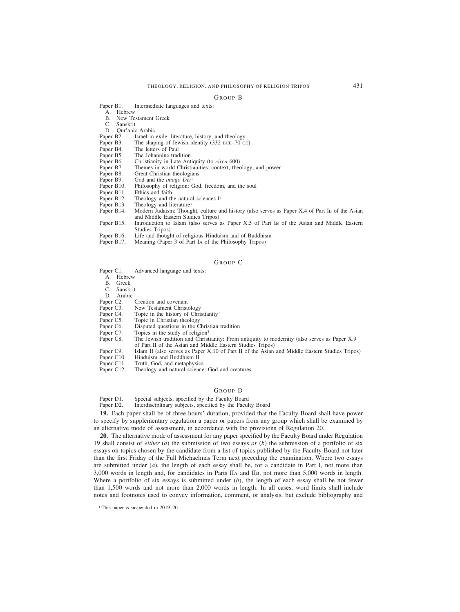#### GROUP B

Paper B1. Intermediate languages and texts:

- A. Hebrew
- B. New Testament Greek
- C. Sanskrit
- 
- D. Qur'anic Arabic<br>Paper B2. Israel in
- Paper B2. Israel in exile: literature, history, and theology Paper B3. The shaping of Jewish identity (332 BCE–70 C Paper B3. The shaping of Jewish identity (332 BCE–70 CE)<br>Paper B4. The letters of Paul
- 
- Paper B4. The letters of Paul<br>Paper B5. The Johannine trac Paper B5. The Johannine tradition<br>Paper B6. Christianity in Late Ant
- Paper B6. Christianity in Late Antiquity (to *circa* 600) Paper B7. Themes in world Christianities: context, the
- Paper B7. Themes in world Christianities: context, theology, and power Paper B8. Great Christian theologians
- Paper B8. Great Christian theologians<br>Paper B9. God and the *imago Dei*<sup>1</sup>
- Paper B9. God and the *imago Dei*<sup>1</sup><br>Paper B10. Philosophy of religion: O
- Paper B10. Philosophy of religion: God, freedom, and the soul Paper B11. Ethics and faith
- Paper B11. Ethics and faith<br>Paper B12. Theology and the
- Paper B12. Theology and the natural sciences  $I^1$ <br>Paper B13 Theology and literature<sup>1</sup>
- Theology and literature<sup>1</sup>
- Paper B14. Modern Judaism: Thought, culture and history (also serves as Paper X.4 of Part IB of the Asian and Middle Eastern Studies Tripos)
- Paper B15. Introduction to Islam (also serves as Paper X.5 of Part IB of the Asian and Middle Eastern Studies Tripos)
- Paper B16. Life and thought of religious Hinduism and of Buddhism<br>Paper B17. Meaning (Paper 3 of Part IA of the Philosophy Tripos)
- Meaning (Paper 3 of Part IA of the Philosophy Tripos)

## GROUP C

- Paper C1. Advanced language and texts:
	- A. Hebrew
	- B. Greek
	- C. Sanskrit
- D. Arabic<br>Paper C2.
- Paper C2. Creation and covenant<br>Paper C3. New Testament Christ
- New Testament Christology
- Paper C4. Topic in the history of Christianity<sup>1</sup><br>Paper C5. Topic in Christian theology
- Paper C5. Topic in Christian theology<br>Paper C6. Disputed questions in the C
- Paper C6. Disputed questions in the Christian tradition Paper C7. Topics in the study of religion<sup>1</sup>
- Paper C7. Topics in the study of religion<sup>1</sup><br>Paper C8. The Jewish tradition and Christ
- The Jewish tradition and Christianity: From antiquity to modernity (also serves as Paper X.9) of Part II of the Asian and Middle Eastern Studies Tripos)
- Paper C9. Islam II (also serves as Paper X.10 of Part II of the Asian and Middle Eastern Studies Tripos) Paper C10. Hinduism and Buddhism II
- Paper C10. Hinduism and Buddhism II<br>Paper C11. Truth, God, and metaphysic
- Truth, God, and metaphysics
- Paper C12. Theology and natural science: God and creatures

#### GROUP D

Paper D1. Special subjects, specified by the Faculty Board

Paper D2. Interdisciplinary subjects, specified by the Faculty Board

**19.** Each paper shall be of three hours' duration, provided that the Faculty Board shall have power to specify by supplementary regulation a paper or papers from any group which shall be examined by an alternative mode of assessment, in accordance with the provisions of Regulation 20.

**20.** The alternative mode of assessment for any paper specified by the Faculty Board under Regulation 19 shall consist of *either* (*a*) the submission of two essays *or* (*b*) the submission of a portfolio of six essays on topics chosen by the candidate from a list of topics published by the Faculty Board not later than the first Friday of the Full Michaelmas Term next preceding the examination. Where two essays are submitted under (*a*), the length of each essay shall be, for a candidate in Part I, not more than 3,000 words in length and, for candidates in Parts IIA and IIB, not more than 5,000 words in length. Where a portfolio of six essays is submitted under (*b*), the length of each essay shall be not fewer than 1,500 words and not more than 2,000 words in length. In all cases, word limits shall include notes and footnotes used to convey information, comment, or analysis, but exclude bibliography and

<sup>&</sup>lt;sup>1</sup> This paper is suspended in 2019–20.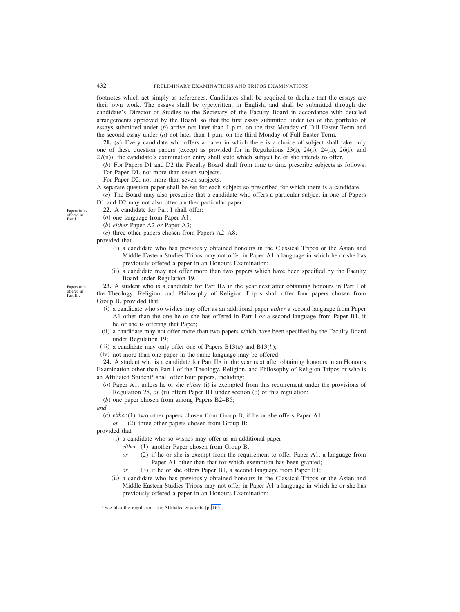footnotes which act simply as references. Candidates shall be required to declare that the essays are their own work. The essays shall be typewritten, in English, and shall be submitted through the candidate's Director of Studies to the Secretary of the Faculty Board in accordance with detailed arrangements approved by the Board, so that the first essay submitted under (*a*) or the portfolio of essays submitted under (*b*) arrive not later than 1 p.m. on the first Monday of Full Easter Term and the second essay under (*a*) not later than 1 p.m. on the third Monday of Full Easter Term.

**21.** (*a*) Every candidate who offers a paper in which there is a choice of subject shall take only one of these question papers (except as provided for in Regulations 23(i), 24(i), 24(ii), 26(i), and 27(ii)); the candidate's examination entry shall state which subject he or she intends to offer.

- (*b*) For Papers D1 and D2 the Faculty Board shall from time to time prescribe subjects as follows:
- For Paper D1, not more than seven subjects.
- For Paper D2, not more than seven subjects.
- A separate question paper shall be set for each subject so prescribed for which there is a candidate. (*c*) The Board may also prescribe that a candidate who offers a particular subject in one of Papers

D1 and D2 may not also offer another particular paper.

- **22.** A candidate for Part I shall offer:
- (*a*) one language from Paper A1;
- (*b*) *either* Paper A2 *or* Paper A3;
- (*c*) three other papers chosen from Papers A2–A8;

provided that

- (i) a candidate who has previously obtained honours in the Classical Tripos or the Asian and Middle Eastern Studies Tripos may not offer in Paper A1 a language in which he or she has previously offered a paper in an Honours Examination;
- (ii) a candidate may not offer more than two papers which have been specified by the Faculty Board under Regulation 19.

**23.** A student who is a candidate for Part IIA in the year next after obtaining honours in Part I of the Theology, Religion, and Philosophy of Religion Tripos shall offer four papers chosen from Group B, provided that

- (i) a candidate who so wishes may offer as an additional paper *either* a second language from Paper A1 other than the one he or she has offered in Part I *or* a second language from Paper B1, if he or she is offering that Paper;
- (ii) a candidate may not offer more than two papers which have been specified by the Faculty Board under Regulation 19;
- (iii) a candidate may only offer one of Papers  $B13(a)$  and  $B13(b)$ ;
- (iv) not more than one paper in the same language may be offered.

**24.** A student who is a candidate for Part IIA in the year next after obtaining honours in an Honours Examination other than Part I of the Theology, Religion, and Philosophy of Religion Tripos or who is an Affiliated Student<sup>1</sup> shall offer four papers, including:

- (*a*) Paper A1, unless he or she *either* (i) is exempted from this requirement under the provisions of Regulation 28, *or* (ii) offers Paper B1 under section (*c*) of this regulation;
- (*b*) one paper chosen from among Papers B2–B5;

*and*

(*c*) *either* (1) two other papers chosen from Group B, if he or she offers Paper A1,

*or* (2) three other papers chosen from Group B;

provided that

- (i) a candidate who so wishes may offer as an additional paper
	- *either* (1) another Paper chosen from Group B,
	- *or* (2) if he or she is exempt from the requirement to offer Paper A1, a language from Paper A1 other than that for which exemption has been granted;
	- *or* (3) if he or she offers Paper B1, a second language from Paper B1;
- (ii) a candidate who has previously obtained honours in the Classical Tripos or the Asian and Middle Eastern Studies Tripos may not offer in Paper A1 a language in which he or she has previously offered a paper in an Honours Examination;

<sup>1</sup> See also the regulations for Affiliated Students (p. 165).

Papers to be offered in Part I.

Papers to be offered in Part IIA.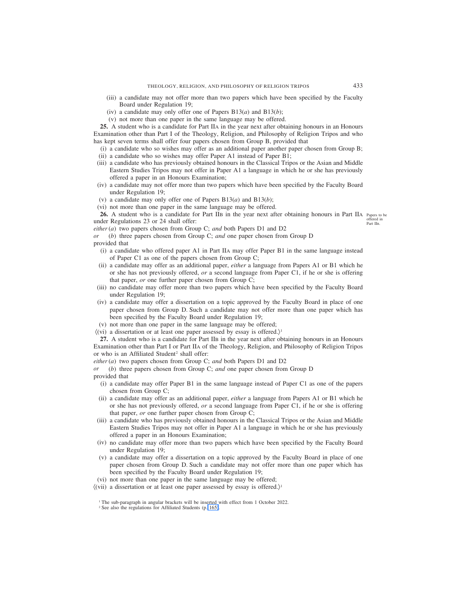- (iii) a candidate may not offer more than two papers which have been specified by the Faculty Board under Regulation 19;
- (iv) a candidate may only offer one of Papers B13(*a*) and B13(*b*);
- (v) not more than one paper in the same language may be offered.

**25.** A student who is a candidate for Part IIA in the year next after obtaining honours in an Honours Examination other than Part I of the Theology, Religion, and Philosophy of Religion Tripos and who has kept seven terms shall offer four papers chosen from Group B, provided that

- (i) a candidate who so wishes may offer as an additional paper another paper chosen from Group B;
- (ii) a candidate who so wishes may offer Paper A1 instead of Paper B1;
- (iii) a candidate who has previously obtained honours in the Classical Tripos or the Asian and Middle Eastern Studies Tripos may not offer in Paper A1 a language in which he or she has previously offered a paper in an Honours Examination;
- (iv) a candidate may not offer more than two papers which have been specified by the Faculty Board under Regulation 19;
- (v) a candidate may only offer one of Papers B13(*a*) and B13(*b*);
- (vi) not more than one paper in the same language may be offered.

**26.** A student who is a candidate for Part IIB in the year next after obtaining honours in Part IIA Papers to be under Regulations 23 or 24 shall offer: offered in Part IIB.

*either* (*a*) two papers chosen from Group C; *and* both Papers D1 and D2

*(b)* three papers chosen from Group C; *and* one paper chosen from Group D provided that

- (i) a candidate who offered paper A1 in Part IIA may offer Paper B1 in the same language instead of Paper C1 as one of the papers chosen from Group C;
- (ii) a candidate may offer as an additional paper, *either* a language from Papers A1 or B1 which he or she has not previously offered, *or* a second language from Paper C1, if he or she is offering that paper, *or* one further paper chosen from Group C;
- (iii) no candidate may offer more than two papers which have been specified by the Faculty Board under Regulation 19;
- (iv) a candidate may offer a dissertation on a topic approved by the Faculty Board in place of one paper chosen from Group D. Such a candidate may not offer more than one paper which has been specified by the Faculty Board under Regulation 19;
- (v) not more than one paper in the same language may be offered;
- $\langle \hat{v}(v) \rangle$  a dissertation or at least one paper assessed by essay is offered.)<sup>1</sup>

**27.** A student who is a candidate for Part IIB in the year next after obtaining honours in an Honours Examination other than Part I or Part IIA of the Theology, Religion, and Philosophy of Religion Tripos or who is an Affiliated Student<sup>2</sup> shall offer:

*either* (*a*) two papers chosen from Group C; *and* both Papers D1 and D2

*or* (*b*) three papers chosen from Group C; *and* one paper chosen from Group D provided that

- (i) a candidate may offer Paper B1 in the same language instead of Paper C1 as one of the papers chosen from Group C;
- (ii) a candidate may offer as an additional paper, *either* a language from Papers A1 or B1 which he or she has not previously offered, *or* a second language from Paper C1, if he or she is offering that paper, *or* one further paper chosen from Group C;
- (iii) a candidate who has previously obtained honours in the Classical Tripos or the Asian and Middle Eastern Studies Tripos may not offer in Paper A1 a language in which he or she has previously offered a paper in an Honours Examination;
- (iv) no candidate may offer more than two papers which have been specified by the Faculty Board under Regulation 19;
- (v) a candidate may offer a dissertation on a topic approved by the Faculty Board in place of one paper chosen from Group D. Such a candidate may not offer more than one paper which has been specified by the Faculty Board under Regulation 19;
- (vi) not more than one paper in the same language may be offered;
- $\langle$ (vii) a dissertation or at least one paper assessed by essay is offered.)<sup>1</sup>

<sup>&</sup>lt;sup>1</sup> The sub-paragraph in angular brackets will be inserted with effect from 1 October 2022.

<sup>&</sup>lt;sup>2</sup> See also the regulations for Affiliated Students (p. 165).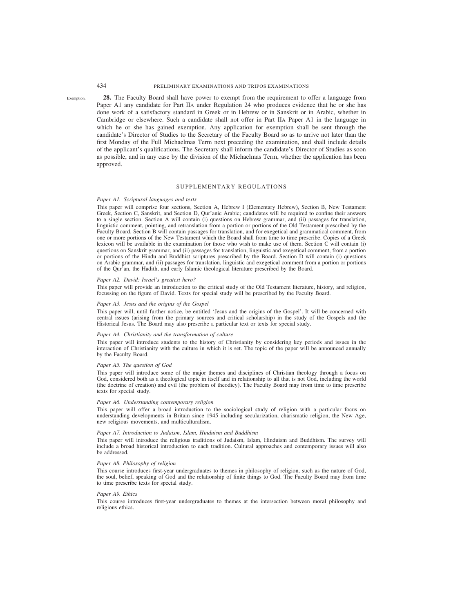Exemption.

# 434 PRELIMINARY EXAMINATIONS AND TRIPOS EXAMINATIONS

**28.** The Faculty Board shall have power to exempt from the requirement to offer a language from Paper A1 any candidate for Part IIA under Regulation 24 who produces evidence that he or she has done work of a satisfactory standard in Greek or in Hebrew or in Sanskrit or in Arabic, whether in Cambridge or elsewhere. Such a candidate shall not offer in Part IIA Paper A1 in the language in which he or she has gained exemption. Any application for exemption shall be sent through the candidate's Director of Studies to the Secretary of the Faculty Board so as to arrive not later than the first Monday of the Full Michaelmas Term next preceding the examination, and shall include details of the applicant's qualifications. The Secretary shall inform the candidate's Director of Studies as soon as possible, and in any case by the division of the Michaelmas Term, whether the application has been approved.

# SUPPLEMENTARY REGULATIONS

## *Paper A1. Scriptural languages and texts*

This paper will comprise four sections, Section A, Hebrew I (Elementary Hebrew), Section B, New Testament Greek, Section C, Sanskrit, and Section D, Qur'anic Arabic; candidates will be required to confine their answers to a single section. Section A will contain (i) questions on Hebrew grammar, and (ii) passages for translation, linguistic comment, pointing, and retranslation from a portion or portions of the Old Testament prescribed by the Faculty Board. Section B will contain passages for translation, and for exegetical and grammatical comment, from one or more portions of the New Testament which the Board shall from time to time prescribe. Copies of a Greek lexicon will be available in the examination for those who wish to make use of them. Section C will contain (i) questions on Sanskrit grammar, and (ii) passages for translation, linguistic and exegetical comment, from a portion or portions of the Hindu and Buddhist scriptures prescribed by the Board. Section D will contain (i) questions on Arabic grammar, and (ii) passages for translation, linguistic and exegetical comment from a portion or portions of the Qur'an, the Hadith, and early Islamic theological literature prescribed by the Board.

#### *Paper A2. David: Israel's greatest hero?*

This paper will provide an introduction to the critical study of the Old Testament literature, history, and religion, focussing on the figure of David. Texts for special study will be prescribed by the Faculty Board.

## *Paper A3. Jesus and the origins of the Gospel*

This paper will, until further notice, be entitled 'Jesus and the origins of the Gospel'. It will be concerned with central issues (arising from the primary sources and critical scholarship) in the study of the Gospels and the Historical Jesus. The Board may also prescribe a particular text or texts for special study.

#### *Paper A4. Christianity and the transformation of culture*

This paper will introduce students to the history of Christianity by considering key periods and issues in the interaction of Christianity with the culture in which it is set. The topic of the paper will be announced annually by the Faculty Board.

#### *Paper A5. The question of God*

This paper will introduce some of the major themes and disciplines of Christian theology through a focus on God, considered both as a theological topic in itself and in relationship to all that is not God, including the world (the doctrine of creation) and evil (the problem of theodicy). The Faculty Board may from time to time prescribe texts for special study.

## *Paper A6. Understanding contemporary religion*

This paper will offer a broad introduction to the sociological study of religion with a particular focus on understanding developments in Britain since 1945 including secularization, charismatic religion, the New Age, new religious movements, and multiculturalism.

#### *Paper A7. Introduction to Judaism, Islam, Hinduism and Buddhism*

This paper will introduce the religious traditions of Judaism, Islam, Hinduism and Buddhism. The survey will include a broad historical introduction to each tradition. Cultural approaches and contemporary issues will also be addressed.

## *Paper A8. Philosophy of religion*

This course introduces first-year undergraduates to themes in philosophy of religion, such as the nature of God, the soul, belief, speaking of God and the relationship of finite things to God. The Faculty Board may from time to time prescribe texts for special study.

## *Paper A9. Ethics*

This course introduces first-year undergraduates to themes at the intersection between moral philosophy and religious ethics.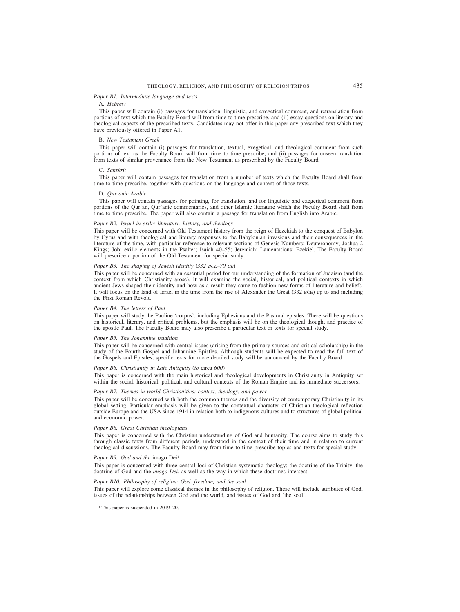## *Paper B1. Intermediate language and texts*

# A. *Hebrew*

This paper will contain (i) passages for translation, linguistic, and exegetical comment, and retranslation from portions of text which the Faculty Board will from time to time prescribe, and (ii) essay questions on literary and theological aspects of the prescribed texts. Candidates may not offer in this paper any prescribed text which they have previously offered in Paper A1.

#### B. *New Testament Greek*

This paper will contain (i) passages for translation, textual, exegetical, and theological comment from such portions of text as the Faculty Board will from time to time prescribe, and (ii) passages for unseen translation from texts of similar provenance from the New Testament as prescribed by the Faculty Board.

#### C. *Sanskrit*

This paper will contain passages for translation from a number of texts which the Faculty Board shall from time to time prescribe, together with questions on the language and content of those texts.

#### D. *Qur'anic Arabic*

This paper will contain passages for pointing, for translation, and for linguistic and exegetical comment from portions of the Qur'an, Qur'anic commentaries, and other Islamic literature which the Faculty Board shall from time to time prescribe. The paper will also contain a passage for translation from English into Arabic.

## *Paper B2. Israel in exile: literature, history, and theology*

This paper will be concerned with Old Testament history from the reign of Hezekiah to the conquest of Babylon by Cyrus and with theological and literary responses to the Babylonian invasions and their consequences in the literature of the time, with particular reference to relevant sections of Genesis-Numbers; Deuteronomy; Joshua-2 Kings; Job; exilic elements in the Psalter; Isaiah 40–55; Jeremiah; Lamentations; Ezekiel. The Faculty Board will prescribe a portion of the Old Testament for special study.

#### *Paper B3. The shaping of Jewish identity* (*332 BCE–70 CE*)

This paper will be concerned with an essential period for our understanding of the formation of Judaism (and the context from which Christianity arose). It will examine the social, historical, and political contexts in which ancient Jews shaped their identity and how as a result they came to fashion new forms of literature and beliefs. It will focus on the land of Israel in the time from the rise of Alexander the Great (332 BCE) up to and including the First Roman Revolt.

#### *Paper B4. The letters of Paul*

This paper will study the Pauline 'corpus', including Ephesians and the Pastoral epistles. There will be questions on historical, literary, and critical problems, but the emphasis will be on the theological thought and practice of the apostle Paul. The Faculty Board may also prescribe a particular text or texts for special study.

#### *Paper B5. The Johannine tradition*

This paper will be concerned with central issues (arising from the primary sources and critical scholarship) in the study of the Fourth Gospel and Johannine Epistles. Although students will be expected to read the full text of the Gospels and Epistles, specific texts for more detailed study will be announced by the Faculty Board.

#### *Paper B6. Christianity in Late Antiquity* (*to* circa *600*)

This paper is concerned with the main historical and theological developments in Christianity in Antiquity set within the social, historical, political, and cultural contexts of the Roman Empire and its immediate successors.

### *Paper B7. Themes in world Christianities: context, theology, and power*

This paper will be concerned with both the common themes and the diversity of contemporary Christianity in its global setting. Particular emphasis will be given to the contextual character of Christian theological reflection outside Europe and the USA since 1914 in relation both to indigenous cultures and to structures of global political and economic power.

## *Paper B8. Great Christian theologians*

This paper is concerned with the Christian understanding of God and humanity. The course aims to study this through classic texts from different periods, understood in the context of their time and in relation to current theological discussions. The Faculty Board may from time to time prescribe topics and texts for special study.

#### *Paper B9. God and the imago Dei<sup>1</sup>*

This paper is concerned with three central loci of Christian systematic theology: the doctrine of the Trinity, the doctrine of God and the *imago Dei*, as well as the way in which these doctrines intersect.

## *Paper B10. Philosophy of religion: God, freedom, and the soul*

This paper will explore some classical themes in the philosophy of religion. These will include attributes of God, issues of the relationships between God and the world, and issues of God and 'the soul'.

<sup>1</sup> This paper is suspended in 2019–20.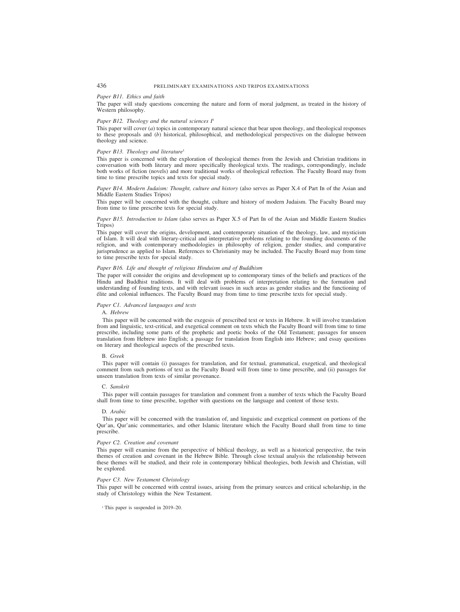## *Paper B11. Ethics and faith*

The paper will study questions concerning the nature and form of moral judgment, as treated in the history of Western philosophy.

## *Paper B12. Theology and the natural sciences I*<sup>1</sup>

This paper will cover (*a*) topics in contemporary natural science that bear upon theology, and theological responses to these proposals and (*b*) historical, philosophical, and methodological perspectives on the dialogue between theology and science.

### *Paper B13. Theology and literature*<sup>1</sup>

This paper is concerned with the exploration of theological themes from the Jewish and Christian traditions in conversation with both literary and more specifically theological texts. The readings, correspondingly, include both works of fiction (novels) and more traditional works of theological reflection. The Faculty Board may from time to time prescribe topics and texts for special study.

## *Paper B14. Modern Judaism: Thought, culture and history* (also serves as Paper X.4 of Part IB of the Asian and Middle Eastern Studies Tripos)

This paper will be concerned with the thought, culture and history of modern Judaism. The Faculty Board may from time to time prescribe texts for special study.

## *Paper B15. Introduction to Islam* (also serves as Paper X.5 of Part IB of the Asian and Middle Eastern Studies Tripos)

This paper will cover the origins, development, and contemporary situation of the theology, law, and mysticism of Islam. It will deal with literary-critical and interpretative problems relating to the founding documents of the religion, and with contemporary methodologies in philosophy of religion, gender studies, and comparative jurisprudence as applied to Islam. References to Christianity may be included. The Faculty Board may from time to time prescribe texts for special study.

## *Paper B16. Life and thought of religious Hinduism and of Buddhism*

The paper will consider the origins and development up to contemporary times of the beliefs and practices of the Hindu and Buddhist traditions. It will deal with problems of interpretation relating to the formation and understanding of founding texts, and with relevant issues in such areas as gender studies and the functioning of élite and colonial influences. The Faculty Board may from time to time prescribe texts for special study.

#### *Paper C1. Advanced languages and texts*

#### A. *Hebrew*

This paper will be concerned with the exegesis of prescribed text or texts in Hebrew. It will involve translation from and linguistic, text-critical, and exegetical comment on texts which the Faculty Board will from time to time prescribe, including some parts of the prophetic and poetic books of the Old Testament; passages for unseen translation from Hebrew into English; a passage for translation from English into Hebrew; and essay questions on literary and theological aspects of the prescribed texts.

#### B. *Greek*

This paper will contain (i) passages for translation, and for textual, grammatical, exegetical, and theological comment from such portions of text as the Faculty Board will from time to time prescribe, and (ii) passages for unseen translation from texts of similar provenance.

#### C. *Sanskrit*

This paper will contain passages for translation and comment from a number of texts which the Faculty Board shall from time to time prescribe, together with questions on the language and content of those texts.

#### D*. Arabic*

This paper will be concerned with the translation of, and linguistic and exegetical comment on portions of the Qur'an, Qur'anic commentaries, and other Islamic literature which the Faculty Board shall from time to time prescribe.

#### *Paper C2. Creation and covenant*

This paper will examine from the perspective of biblical theology, as well as a historical perspective, the twin themes of creation and covenant in the Hebrew Bible. Through close textual analysis the relationship between these themes will be studied, and their role in contemporary biblical theologies, both Jewish and Christian, will be explored.

#### *Paper C3. New Testament Christology*

This paper will be concerned with central issues, arising from the primary sources and critical scholarship, in the study of Christology within the New Testament.

<sup>1</sup> This paper is suspended in 2019–20.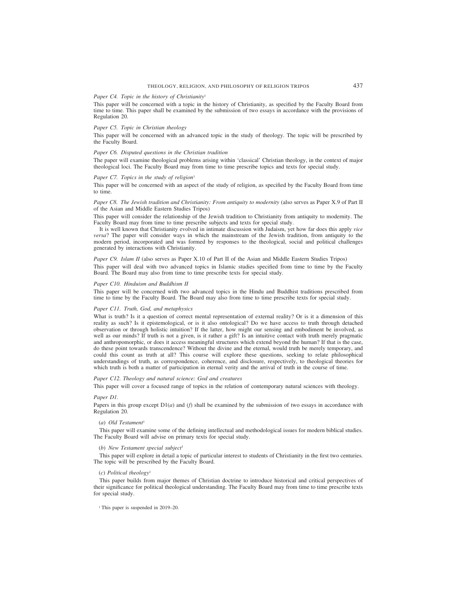# THEOLOGY, RELIGION, AND PHILOSOPHY OF RELIGION TRIPOS 437

### *Paper C4. Topic in the history of Christianity*<sup>1</sup>

This paper will be concerned with a topic in the history of Christianity, as specified by the Faculty Board from time to time. This paper shall be examined by the submission of two essays in accordance with the provisions of Regulation 20.

#### *Paper C5. Topic in Christian theology*

This paper will be concerned with an advanced topic in the study of theology. The topic will be prescribed by the Faculty Board.

## *Paper C6. Disputed questions in the Christian tradition*

The paper will examine theological problems arising within 'classical' Christian theology, in the context of major theological loci. The Faculty Board may from time to time prescribe topics and texts for special study.

### *Paper C7. Topics in the study of religion<sup>1</sup>*

This paper will be concerned with an aspect of the study of religion, as specified by the Faculty Board from time to time.

## *Paper C8. The Jewish tradition and Christianity: From antiquity to modernity* (also serves as Paper X.9 of Part II of the Asian and Middle Eastern Studies Tripos)

This paper will consider the relationship of the Jewish tradition to Christianity from antiquity to modernity. The Faculty Board may from time to time prescribe subjects and texts for special study.

It is well known that Christianity evolved in intimate discussion with Judaism, yet how far does this apply *vice versa*? The paper will consider ways in which the mainstream of the Jewish tradition, from antiquity to the modern period, incorporated and was formed by responses to the theological, social and political challenges generated by interactions with Christianity.

# *Paper C9. Islam II* (also serves as Paper X.10 of Part II of the Asian and Middle Eastern Studies Tripos) This paper will deal with two advanced topics in Islamic studies specified from time to time by the Faculty

Board. The Board may also from time to time prescribe texts for special study.

## *Paper C10. Hinduism and Buddhism II*

This paper will be concerned with two advanced topics in the Hindu and Buddhist traditions prescribed from time to time by the Faculty Board. The Board may also from time to time prescribe texts for special study.

## *Paper C11. Truth, God, and metaphysics*

What is truth? Is it a question of correct mental representation of external reality? Or is it a dimension of this reality as such? Is it epistemological, or is it also ontological? Do we have access to truth through detached observation or through holistic intuition? If the latter, how might our sensing and embodiment be involved, as well as our minds? If truth is not a given, is it rather a gift? Is an intuitive contact with truth merely pragmatic and anthropomorphic, or does it access meaningful structures which extend beyond the human? If that is the case, do these point towards transcendence? Without the divine and the eternal, would truth be merely temporary, and could this count as truth at all? This course will explore these questions, seeking to relate philosophical understandings of truth, as correspondence, coherence, and disclosure, respectively, to theological theories for which truth is both a matter of participation in eternal verity and the arrival of truth in the course of time.

#### *Paper C12. Theology and natural science: God and creatures*

This paper will cover a focused range of topics in the relation of contemporary natural sciences with theology.

## *Paper D1.*

Papers in this group except D1(*a*) and (*f*) shall be examined by the submission of two essays in accordance with Regulation 20.

## (*a*) *Old Testament*<sup>1</sup>

This paper will examine some of the defining intellectual and methodological issues for modern biblical studies. The Faculty Board will advise on primary texts for special study.

#### *(b) New Testament special subject*<sup>1</sup>

This paper will explore in detail a topic of particular interest to students of Christianity in the first two centuries. The topic will be prescribed by the Faculty Board.

#### *(c) Political theology*<sup>1</sup>

This paper builds from major themes of Christian doctrine to introduce historical and critical perspectives of their significance for political theological understanding. The Faculty Board may from time to time prescribe texts for special study.

<sup>1</sup> This paper is suspended in 2019–20.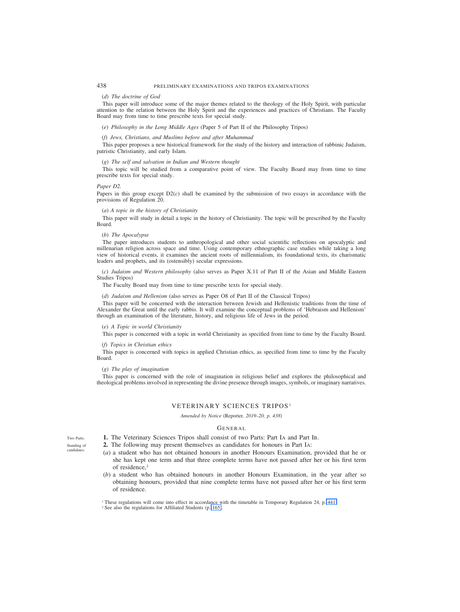#### (*d*) *The doctrine of God*

This paper will introduce some of the major themes related to the theology of the Holy Spirit, with particular attention to the relation between the Holy Spirit and the experiences and practices of Christians. The Faculty Board may from time to time prescribe texts for special study.

(*e*) *Philosophy in the Long Middle Ages* (Paper 5 of Part II of the Philosophy Tripos)

## (*f*) *Jews, Christians, and Muslims before and after Muhammad*

This paper proposes a new historical framework for the study of the history and interaction of rabbinic Judaism, patristic Christianity, and early Islam.

#### (*g*) *The self and salvation in Indian and Western thought*

This topic will be studied from a comparative point of view. The Faculty Board may from time to time prescribe texts for special study.

#### *Paper D2.*

Papers in this group except  $D2(c)$  shall be examined by the submission of two essays in accordance with the provisions of Regulation 20.

#### (*a*) *A topic in the history of Christianity*

This paper will study in detail a topic in the history of Christianity. The topic will be prescribed by the Faculty Board.

## (*b*) *The Apocalypse*

The paper introduces students to anthropological and other social scientific reflections on apocalyptic and millenarian religion across space and time. Using contemporary ethnographic case studies while taking a long view of historical events, it examines the ancient roots of millennialism, its foundational texts, its charismatic leaders and prophets, and its (ostensibly) secular expressions.

(*c*) *Judaism and Western philosophy* (also serves as Paper X.11 of Part II of the Asian and Middle Eastern Studies Tripos)

The Faculty Board may from time to time prescribe texts for special study.

(*d*) *Judaism and Hellenism* (also serves as Paper O8 of Part II of the Classical Tripos)

This paper will be concerned with the interaction between Jewish and Hellenistic traditions from the time of Alexander the Great until the early rabbis. It will examine the conceptual problems of 'Hebraism and Hellenism' through an examination of the literature, history, and religious life of Jews in the period.

#### (*e*) *A Topic in world Christianity*

This paper is concerned with a topic in world Christianity as specified from time to time by the Faculty Board.

#### (*f*) *Topics in Christian ethics*

This paper is concerned with topics in applied Christian ethics, as specified from time to time by the Faculty Board.

#### (*g*) *The play of imagination*

This paper is concerned with the role of imagination in religious belief and explores the philosophical and theological problems involved in representing the divine presence through images, symbols, or imaginary narratives.

# VETERINARY SCIENCES TRIPOS <sup>1</sup>

*Amended by Notice (*Reporter*, 2019–20, p. 438)*

## **GENERAL**

**1.** The Veterinary Sciences Tripos shall consist of two Parts: Part IA and Part IB.

**2.** The following may present themselves as candidates for honours in Part IA:

- (*a*) a student who has not obtained honours in another Honours Examination, provided that he or she has kept one term and that three complete terms have not passed after her or his first term of residence,<sup>2</sup>
- (*b*) a student who has obtained honours in another Honours Examination, in the year after so obtaining honours, provided that nine complete terms have not passed after her or his first term of residence.

<sup>1</sup> These regulations will come into effect in accordance with the timetable in Temporary Regulation 24, p. 441

Two Parts.

Standing of candidates.

<sup>2</sup> See also the regulations for Affiliated Students (p. 165).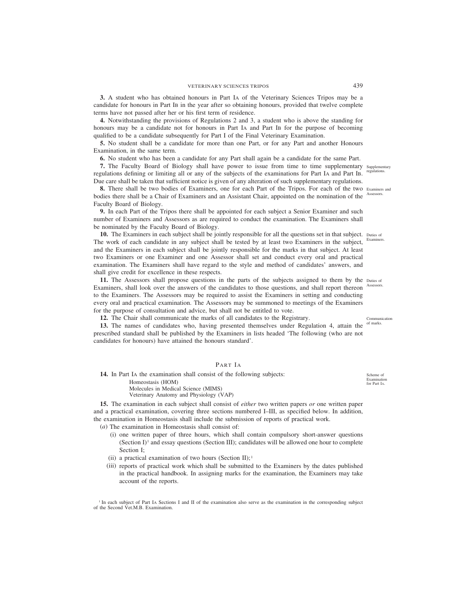**3.** A student who has obtained honours in Part IA of the Veterinary Sciences Tripos may be a candidate for honours in Part IB in the year after so obtaining honours, provided that twelve complete terms have not passed after her or his first term of residence.

**4.** Notwithstanding the provisions of Regulations 2 and 3, a student who is above the standing for honours may be a candidate not for honours in Part IA and Part IB for the purpose of becoming qualified to be a candidate subsequently for Part I of the Final Veterinary Examination.

**5.** No student shall be a candidate for more than one Part, or for any Part and another Honours Examination, in the same term.

**6.** No student who has been a candidate for any Part shall again be a candidate for the same Part.

**7.** The Faculty Board of Biology shall have power to issue from time to time supplementary supplementary regulations defining or limiting all or any of the subjects of the examinations for Part IA and Part IB. Due care shall be taken that sufficient notice is given of any alteration of such supplementary regulations. regulations.

**8.** There shall be two bodies of Examiners, one for each Part of the Tripos. For each of the two Examiners and bodies there shall be a Chair of Examiners and an Assistant Chair, appointed on the nomination of the Faculty Board of Biology. Assessors.

**9.** In each Part of the Tripos there shall be appointed for each subject a Senior Examiner and such number of Examiners and Assessors as are required to conduct the examination. The Examiners shall be nominated by the Faculty Board of Biology.

**10.** The Examiners in each subject shall be jointly responsible for all the questions set in that subject. Duties of The work of each candidate in any subject shall be tested by at least two Examiners in the subject, and the Examiners in each subject shall be jointly responsible for the marks in that subject. At least two Examiners or one Examiner and one Assessor shall set and conduct every oral and practical examination. The Examiners shall have regard to the style and method of candidates' answers, and shall give credit for excellence in these respects. Examiners.

11. The Assessors shall propose questions in the parts of the subjects assigned to them by the Duties of Examiners, shall look over the answers of the candidates to those questions, and shall report thereon Assessors. to the Examiners. The Assessors may be required to assist the Examiners in setting and conducting every oral and practical examination. The Assessors may be summoned to meetings of the Examiners for the purpose of consultation and advice, but shall not be entitled to vote.

**12.** The Chair shall communicate the marks of all candidates to the Registrary.

13. The names of candidates who, having presented themselves under Regulation 4, attain the <sup>of marks.</sup> prescribed standard shall be published by the Examiners in lists headed 'The following (who are not candidates for honours) have attained the honours standard'.

# PART IA

**14.** In Part IA the examination shall consist of the following subjects: Homeostasis (HOM) Molecules in Medical Science (MIMS) Veterinary Anatomy and Physiology (VAP)

**15.** The examination in each subject shall consist of *either* two written papers *or* one written paper and a practical examination, covering three sections numbered I–III, as specified below. In addition, the examination in Homeostasis shall include the submission of reports of practical work.

(*a*) The examination in Homeostasis shall consist of:

- (i) one written paper of three hours, which shall contain compulsory short-answer questions (Section  $I$ <sup>1</sup> and essay questions (Section III); candidates will be allowed one hour to complete Section I;
- (ii) a practical examination of two hours (Section II);<sup>1</sup>
- (iii) reports of practical work which shall be submitted to the Examiners by the dates published in the practical handbook. In assigning marks for the examination, the Examiners may take account of the reports.

<sup>1</sup> In each subject of Part IA Sections I and II of the examination also serve as the examination in the corresponding subject of the Second Vet.M.B. Examination.

Communication

Scheme of Examination for Part IA.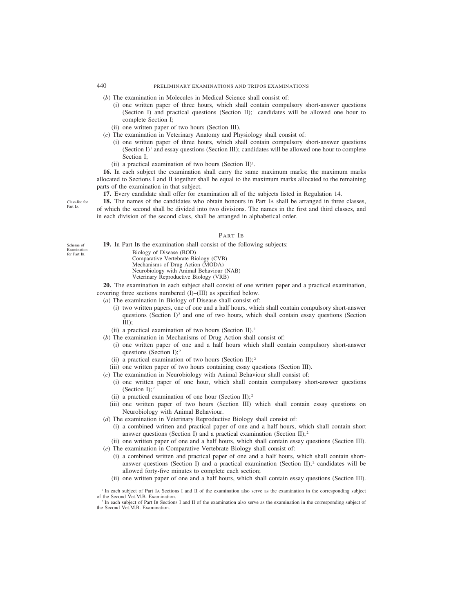- (*b*) The examination in Molecules in Medical Science shall consist of:
	- (i) one written paper of three hours, which shall contain compulsory short-answer questions (Section I) and practical questions (Section II);  $\alpha$  candidates will be allowed one hour to complete Section I;
	- (ii) one written paper of two hours (Section III).
- (*c*) The examination in Veterinary Anatomy and Physiology shall consist of:
	- (i) one written paper of three hours, which shall contain compulsory short-answer questions (Section  $I$ <sup>1</sup> and essay questions (Section III); candidates will be allowed one hour to complete Section I;
	- (ii) a practical examination of two hours (Section II)<sup>1</sup>.

**16.** In each subject the examination shall carry the same maximum marks; the maximum marks allocated to Sections I and II together shall be equal to the maximum marks allocated to the remaining parts of the examination in that subject.

**17.** Every candidate shall offer for examination all of the subjects listed in Regulation 14.

**18.** The names of the candidates who obtain honours in Part IA shall be arranged in three classes, of which the second shall be divided into two divisions. The names in the first and third classes, and in each division of the second class, shall be arranged in alphabetical order.

## PART IB

**19.** In Part IB the examination shall consist of the following subjects:

Biology of Disease (BOD) Comparative Vertebrate Biology (CVB) Mechanisms of Drug Action (MODA) Neurobiology with Animal Behaviour (NAB) Veterinary Reproductive Biology (VRB)

**20.** The examination in each subject shall consist of one written paper and a practical examination, covering three sections numbered (I)–(III) as specified below.

- (*a*) The examination in Biology of Disease shall consist of:
	- (i) two written papers, one of one and a half hours, which shall contain compulsory short-answer questions (Section I)<sup>2</sup> and one of two hours, which shall contain essay questions (Section III);
	- (ii) a practical examination of two hours (Section II).<sup>2</sup>
- (*b*) The examination in Mechanisms of Drug Action shall consist of:
	- (i) one written paper of one and a half hours which shall contain compulsory short-answer questions (Section I); <sup>2</sup>
	- (ii) a practical examination of two hours (Section II);  $2^2$
	- (iii) one written paper of two hours containing essay questions (Section III).
- (*c*) The examination in Neurobiology with Animal Behaviour shall consist of:
	- (i) one written paper of one hour, which shall contain compulsory short-answer questions (Section I); $2$
	- (ii) a practical examination of one hour (Section II);<sup>2</sup>
	- (iii) one written paper of two hours (Section III) which shall contain essay questions on Neurobiology with Animal Behaviour.
- (*d*) The examination in Veterinary Reproductive Biology shall consist of:
	- (i) a combined written and practical paper of one and a half hours, which shall contain short answer questions (Section I) and a practical examination (Section II);  $2^{\circ}$
	- (ii) one written paper of one and a half hours, which shall contain essay questions (Section III).
- (*e*) The examination in Comparative Vertebrate Biology shall consist of:
	- (i) a combined written and practical paper of one and a half hours, which shall contain shortanswer questions (Section I) and a practical examination (Section II); 2 candidates will be allowed forty-five minutes to complete each section;
	- (ii) one written paper of one and a half hours, which shall contain essay questions (Section III).

<sup>1</sup> In each subject of Part IA Sections I and II of the examination also serve as the examination in the corresponding subject of the Second Vet.M.B. Examination.

<sup>2</sup> In each subject of Part IB Sections I and II of the examination also serve as the examination in the corresponding subject of the Second Vet.M.B. Examination.

Scheme of Examination for Part IB.

Class-list for Part IA.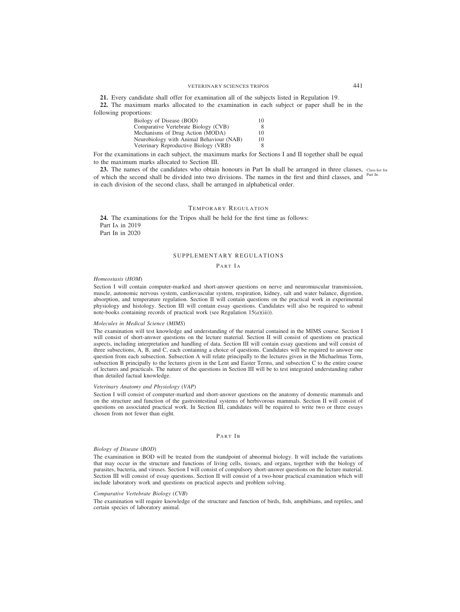**21.** Every candidate shall offer for examination all of the subjects listed in Regulation 19.

**22.** The maximum marks allocated to the examination in each subject or paper shall be in the following proportions:

| Biology of Disease (BOD)                 | 10 |
|------------------------------------------|----|
| Comparative Vertebrate Biology (CVB)     | 8  |
| Mechanisms of Drug Action (MODA)         | 10 |
| Neurobiology with Animal Behaviour (NAB) | 10 |
| Veterinary Reproductive Biology (VRB)    | 8  |

For the examinations in each subject, the maximum marks for Sections I and II together shall be equal to the maximum marks allocated to Section III.

23. The names of the candidates who obtain honours in Part IB shall be arranged in three classes, Class-list for of which the second shall be divided into two divisions. The names in the first and third classes, and <sup>Part IB.</sup> in each division of the second class, shall be arranged in alphabetical order.

# TEMPORARY REGULATION

**24.** The examinations for the Tripos shall be held for the first time as follows: Part IA in 2019 Part IB in 2020

## SUPPLEMENTARY REGULATIONS

## PART IA

#### *Homeostasis* (*HOM*)

Section I will contain computer-marked and short-answer questions on nerve and neuromuscular transmission, muscle, autonomic nervous system, cardiovascular system, respiration, kidney, salt and water balance, digestion, absorption, and temperature regulation. Section II will contain questions on the practical work in experimental physiology and histology. Section III will contain essay questions. Candidates will also be required to submit note-books containing records of practical work (see Regulation 15(*a*)(iii)).

## *Molecules in Medical Science* (*MIMS*)

The examination will test knowledge and understanding of the material contained in the MIMS course. Section I will consist of short-answer questions on the lecture material. Section II will consist of questions on practical aspects, including interpretation and handling of data. Section III will contain essay questions and will consist of three subsections, A, B, and C, each containing a choice of questions. Candidates will be required to answer one question from each subsection. Subsection A will relate principally to the lectures given in the Michaelmas Term, subsection B principally to the lectures given in the Lent and Easter Terms, and subsection C to the entire course of lectures and practicals. The nature of the questions in Section III will be to test integrated understanding rather than detailed factual knowledge.

### *Veterinary Anatomy and Physiology* (*VAP*)

Section I will consist of computer-marked and short-answer questions on the anatomy of domestic mammals and on the structure and function of the gastrointestinal systems of herbivorous mammals. Section II will consist of questions on associated practical work. In Section III, candidates will be required to write two or three essays chosen from not fewer than eight.

## PART IB

## *Biology of Disease* (*BOD*)

The examination in BOD will be treated from the standpoint of abnormal biology. It will include the variations that may occur in the structure and functions of living cells, tissues, and organs, together with the biology of parasites, bacteria, and viruses. Section I will consist of compulsory short-answer questions on the lecture material. Section III will consist of essay questions. Section II will consist of a two-hour practical examination which will include laboratory work and questions on practical aspects and problem solving.

#### *Comparative Vertebrate Biology* (*CVB*)

The examination will require knowledge of the structure and function of birds, fish, amphibians, and reptiles, and certain species of laboratory animal.